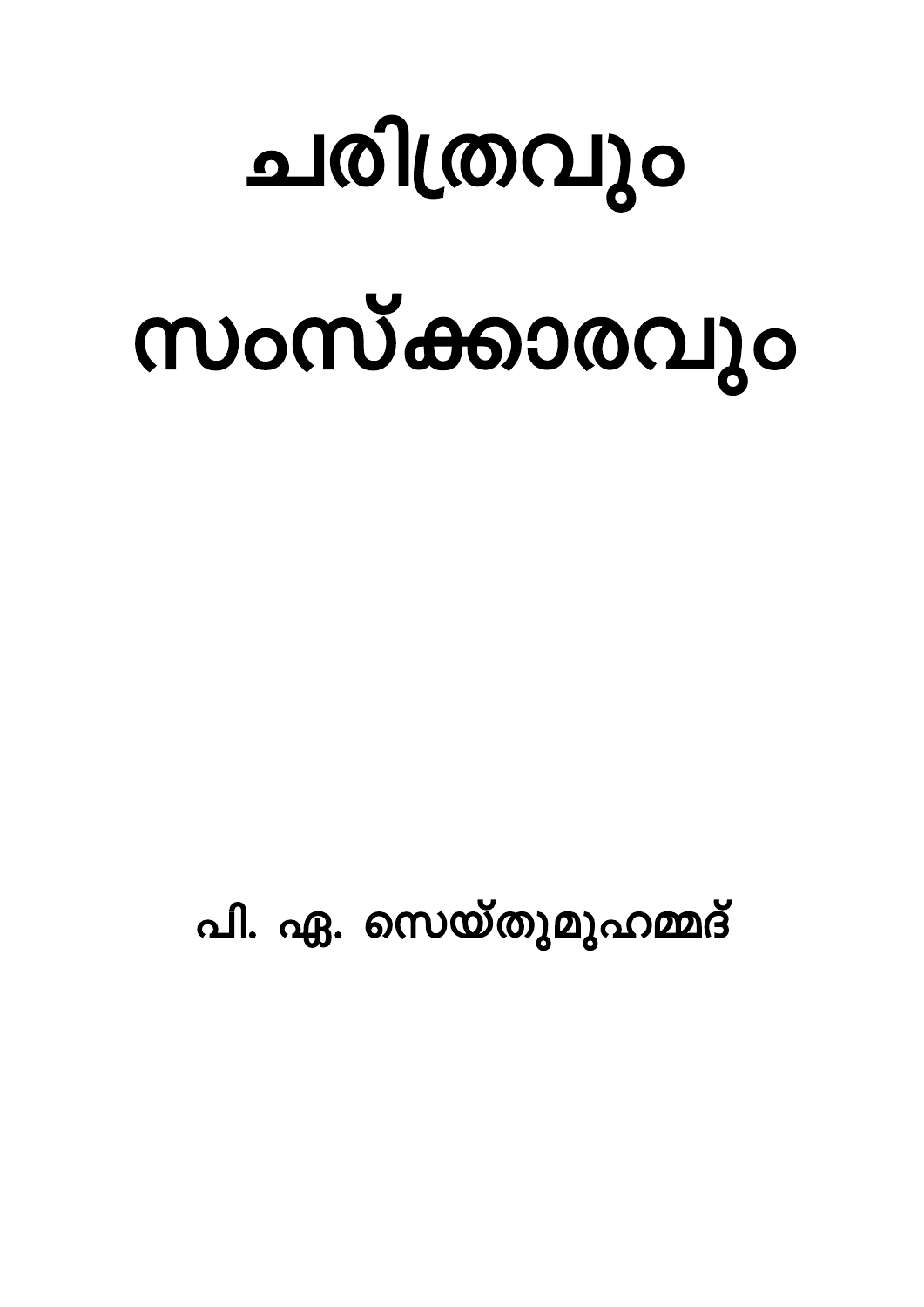## ചരിത്രവും

# സംസ്ക്കാരവും

പി. ഏ. സെയ്തുമുഹമ്മദ്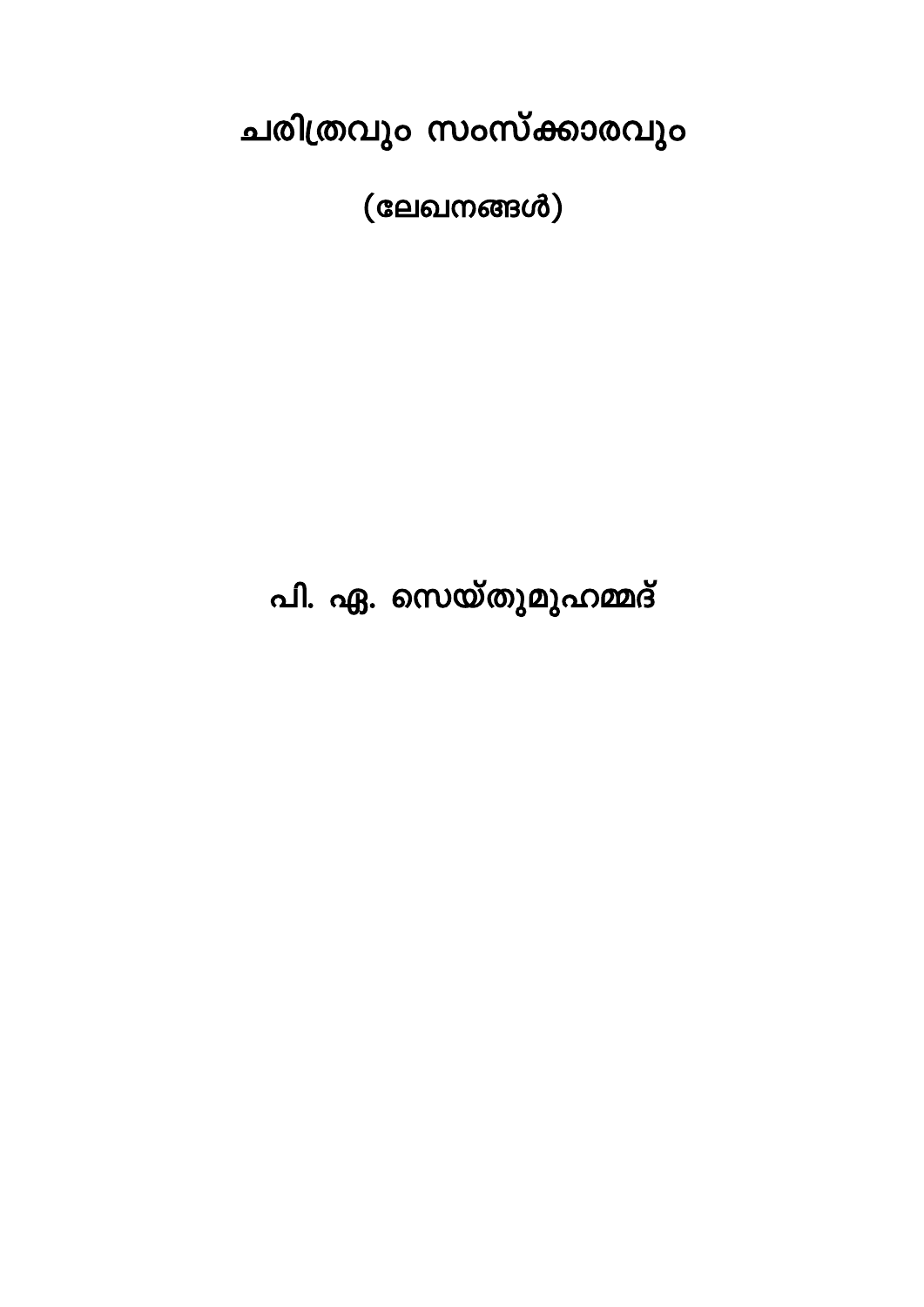ചരിത്രവും സംസ്ക്കാരവും

 $(a$ ലഖനങ്ങൾ $)$ 

പി. ഏ. സെയ്തുമുഹമ്മദ്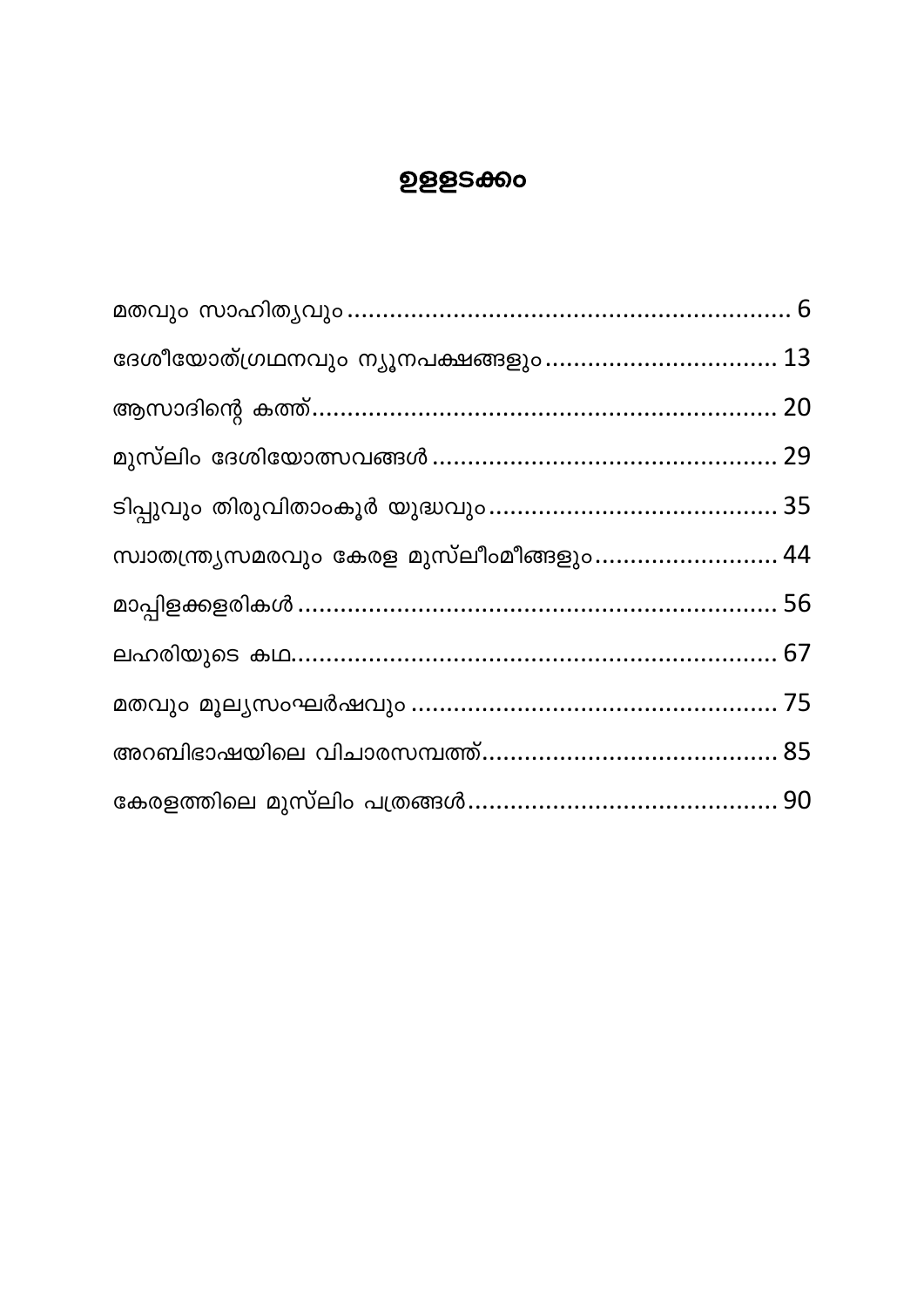#### **ഉളളടക്കം**

| ദേശീയോത്ഗ്രഥനവും ന്യൂനപക്ഷങ്ങളും 13        |  |
|--------------------------------------------|--|
|                                            |  |
|                                            |  |
|                                            |  |
| സ്വാതന്ത്ര്യസമരവും കേരള മുസ്ലീംമീങ്ങളും 44 |  |
|                                            |  |
|                                            |  |
|                                            |  |
|                                            |  |
|                                            |  |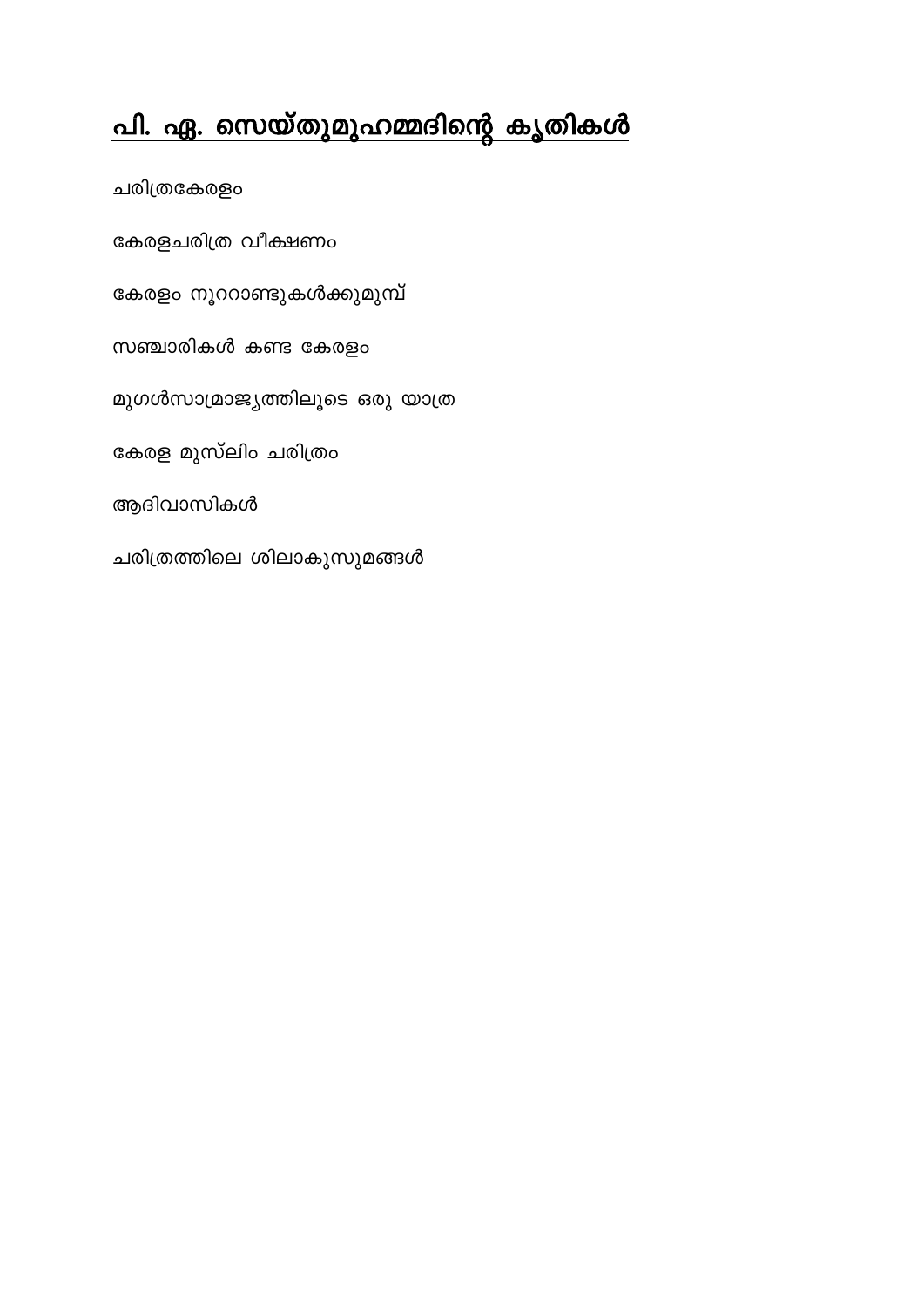## <u>പി. ഏ. സെയ്തുമുഹമ്മദിന്റെ കൃതികൾ</u>

ചരിത്രകേരളം കേരളചരിത്ര വീക്ഷണം കേരളം നൂററാണ്ടുകൾക്കുമുമ്പ് സഞ്ചാരികൾ കണ്ട കേരളം മുഗൾസാമ്രാജ്യത്തിലൂടെ ഒരു യാത്ര കേരള മുസ്ലിം ചരിത്രം ആദിവാസികൾ ചരിത്രത്തിലെ ശിലാകുസുമങ്ങൾ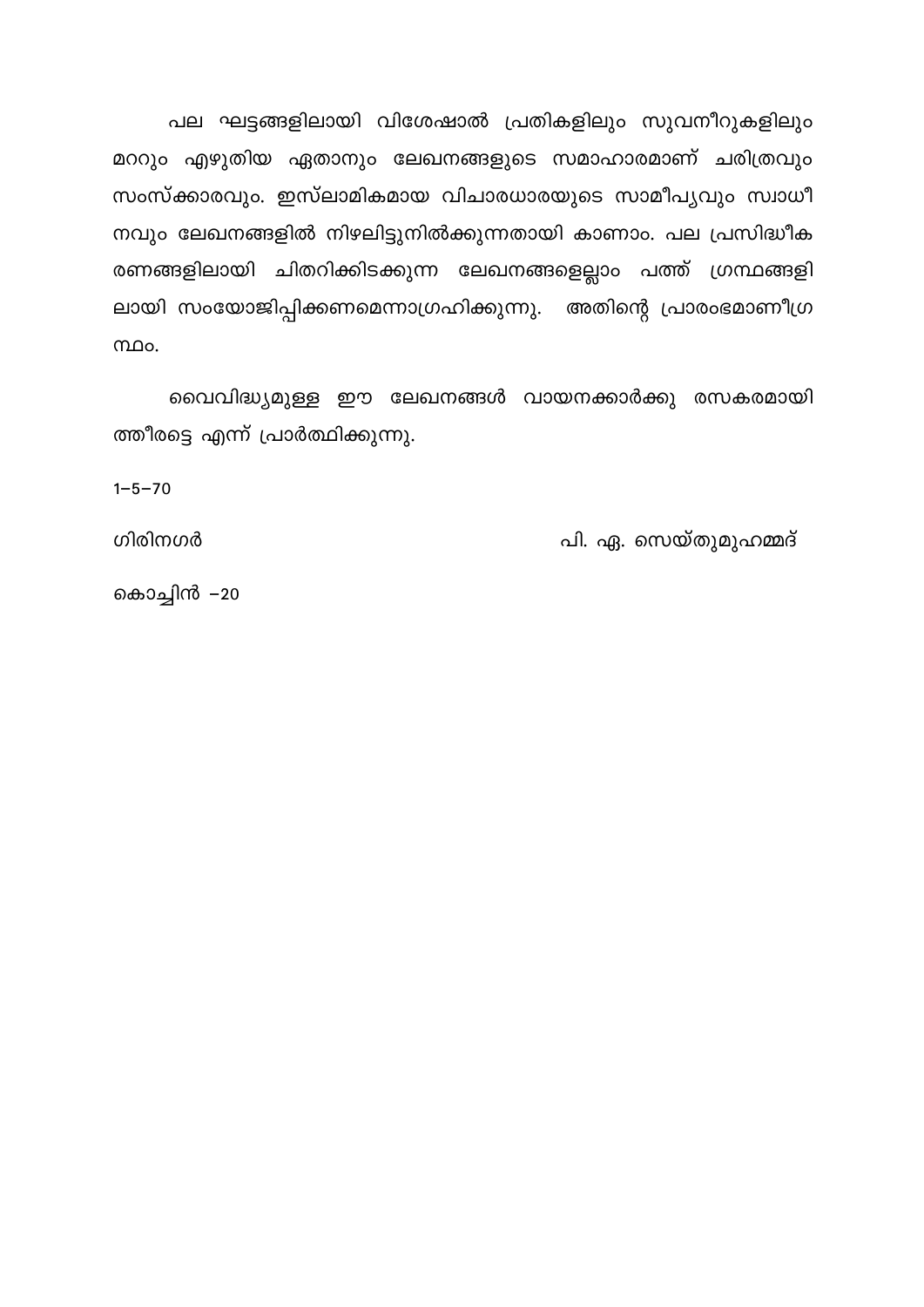പല ഘട്ടങ്ങളിലായി വിശേഷാൽ പ്രതികളിലും സുവനീറുകളിലും മററും എഴുതിയ ഏതാനും ലേഖനങ്ങളുടെ സമാഹാരമാണ് ചരിത്രവും സംസ്ക്കാരവും. ഇസ്ലാമികമായ വിചാരധാരയുടെ സാമീപൃവും സ്വാധീ നവും ലേഖനങ്ങളിൽ നിഴലിട്ടുനിൽക്കുന്നതായി കാണാം. പല പ്രസിദ്ധീക രണങ്ങളിലായി ചിതറിക്കിടക്കുന്ന ലേഖനങ്ങളെല്ലാം പത്ത് ഗ്രന്ഥങ്ങളി ലായി സംയോജിപ്പിക്കണമെന്നാഗ്രഹിക്കുന്നു. അതിന്റെ പ്രാരംഭമാണീഗ്ര  $<sub>0</sub>$ </sub>

വൈവിദ്ധ്യമുള്ള ഈ ലേഖനങ്ങൾ വായനക്കാർക്കു രസകരമായി ത്തീരട്ടെ എന്ന് പ്രാർത്ഥിക്കുന്നു.

 $1 - 5 - 70$ 

ഗിരിനഗർ

കൊച്ചിൻ –20

പി. ഏ. സെയ്തുമുഹമ്മദ്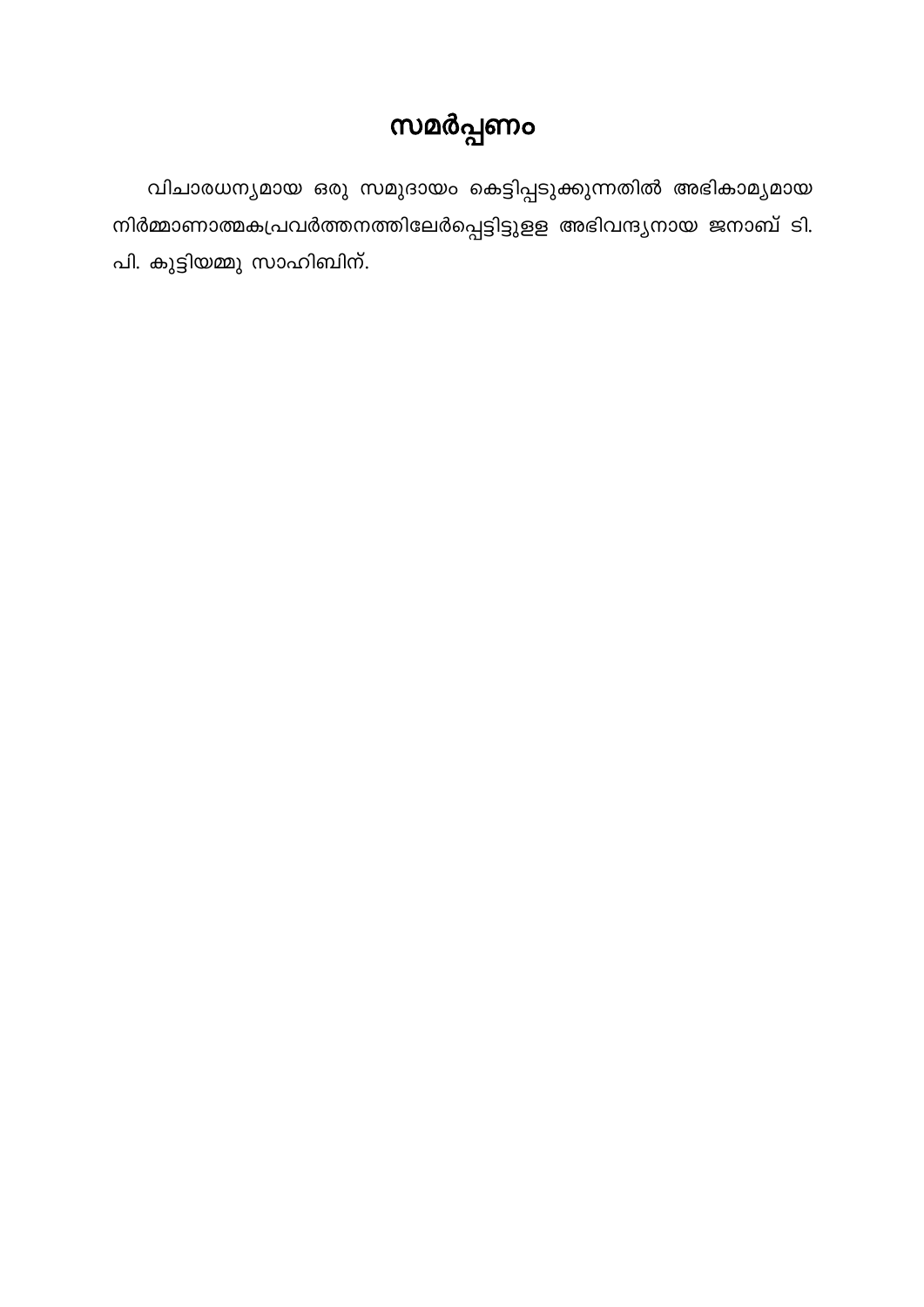## സമർപ്പണം

വിചാരധന്യമായ ഒരു സമുദായം കെട്ടിപ്പടുക്കുന്നതിൽ അഭികാമ്യമായ നിർമ്മാണാത്മകപ്രവർത്തനത്തിലേർപ്പെട്ടിട്ടുളള അഭിവന്ദ്യനായ ജനാബ് ടി. പി. കുട്ടിയമ്മു സാഹിബിന്.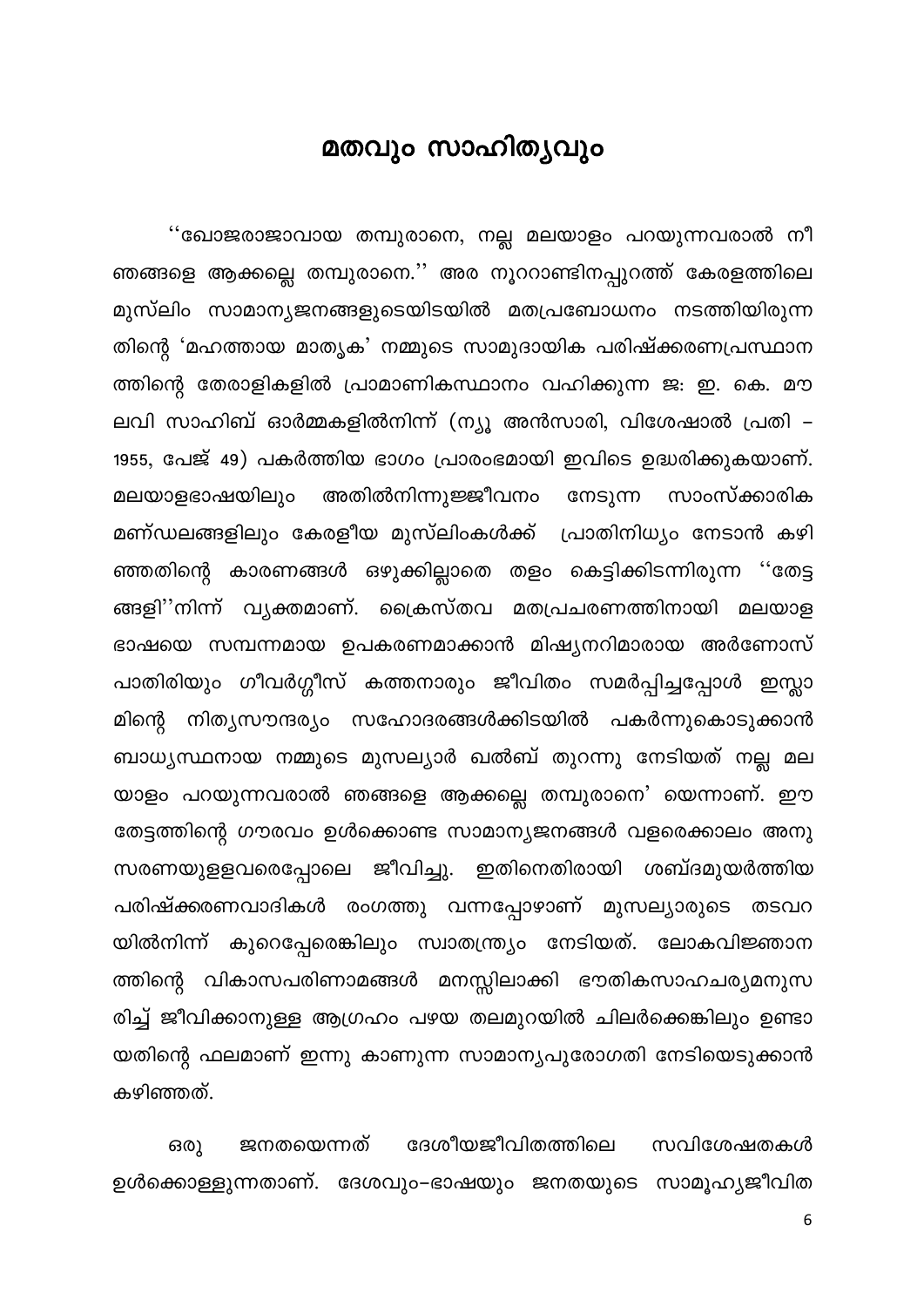#### മതവും സാഹിതൃവും

<span id="page-6-0"></span>''ഖോജരാജാവായ തമ്പുരാനെ, നല്ല മലയാളം പറയുന്നവരാൽ നീ ഞങ്ങളെ ആക്കല്ലെ തമ്പുരാനെ.'' അര നൂററാണ്ടിനപ്പുറത്ത് കേരളത്തിലെ മുസ്ലിം സാമാന്യജനങ്ങളുടെയിടയിൽ മതപ്രബോധനം നടത്തിയിരുന്ന തിന്റെ 'മഹത്തായ മാതൃക' നമ്മുടെ സാമുദായിക പരിഷ്ക്കരണപ്രസ്ഥാന ത്തിന്റെ തേരാളികളിൽ പ്രാമാണികസ്ഥാനം വഹിക്കുന്ന ജ: ഇ. കെ. മൗ ലവി സാഹിബ് ഓർമ്മകളിൽനിന്ന് (ന്യൂ അൻസാരി, വിശേഷാൽ പ്രതി – 1955, പേജ് 49) പകർത്തിയ ഭാഗം പ്രാരംഭമായി ഇവിടെ ഉദ്ധരിക്കുകയാണ്. അതിൽനിന്നുജ്ജീവനം മലയാളഭാഷയിലും നേടുന്ന സാംസ്ക്കാരിക മണ്ഡലങ്ങളിലും കേരളീയ മുസ്ലിംകൾക്ക് പ്രാതിനിധ്യം നേടാൻ കഴി ഞ്ഞതിന്റെ കാരണങ്ങൾ ഒഴുക്കില്ലാതെ തളം കെട്ടിക്കിടന്നിരുന്ന ''തേട്ട ങ്ങളി''നിന്ന് വ്യക്തമാണ്. ക്രൈസ്തവ മതപ്രചരണത്തിനായി മലയാള ഭാഷയെ സമ്പന്നമായ ഉപകരണമാക്കാൻ മിഷ്യനറിമാരായ അർണോസ് പാതിരിയും ഗീവർഗ്ഗീസ് കത്തനാരും ജീവിതം സമർപ്പിച്ചപ്പോൾ ഇസ്ലാ മിന്റെ നിത്യസൗന്ദര്യം സഹോദരങ്ങൾക്കിടയിൽ പകർന്നുകൊടുക്കാൻ ബാധ്യസ്ഥനായ നമ്മുടെ മുസല്യാർ ഖൽബ് തുറന്നു നേടിയത് നല്ല മല യാളം പറയുന്നവരാൽ ഞങ്ങളെ ആക്കല്ലെ തമ്പുരാനെ' യെന്നാണ്. ഈ തേട്ടത്തിന്റെ ഗൗരവം ഉൾക്കൊണ്ട സാമാന്യജനങ്ങൾ വളരെക്കാലം അനു സരണയുളളവരെപ്പോലെ ജീവിച്ചു. ഇതിനെതിരായി ശബ്ദമുയർത്തിയ പരിഷ്ക്കരണവാദികൾ രംഗത്തു വന്നപ്പോഴാണ് മുസല്യാരുടെ തടവറ യിൽനിന്ന് കുറെപ്പേരെങ്കിലും സ്വാതന്ത്ര്യം നേടിയത്. ലോകവിജ്ഞാന ത്തിന്റെ വികാസപരിണാമങ്ങൾ മനസ്സിലാക്കി ഭൗതികസാഹചര്യമനുസ രിച്ച് ജീവിക്കാനുള്ള ആഗ്രഹം പഴയ തലമുറയിൽ ചിലർക്കെങ്കിലും ഉണ്ടാ യതിന്റെ ഫലമാണ് ഇന്നു കാണുന്ന സാമാന്യപുരോഗതി നേടിയെടുക്കാൻ കഴിഞ്ഞത്.

ജനതയെന്നത് ദേശീയജീവിതത്തിലെ സവിശേഷതകൾ ഒരു ഉൾക്കൊള്ളുന്നതാണ്. ദേശവും–ഭാഷയും ജനതയുടെ സാമൂഹ്യജീവിത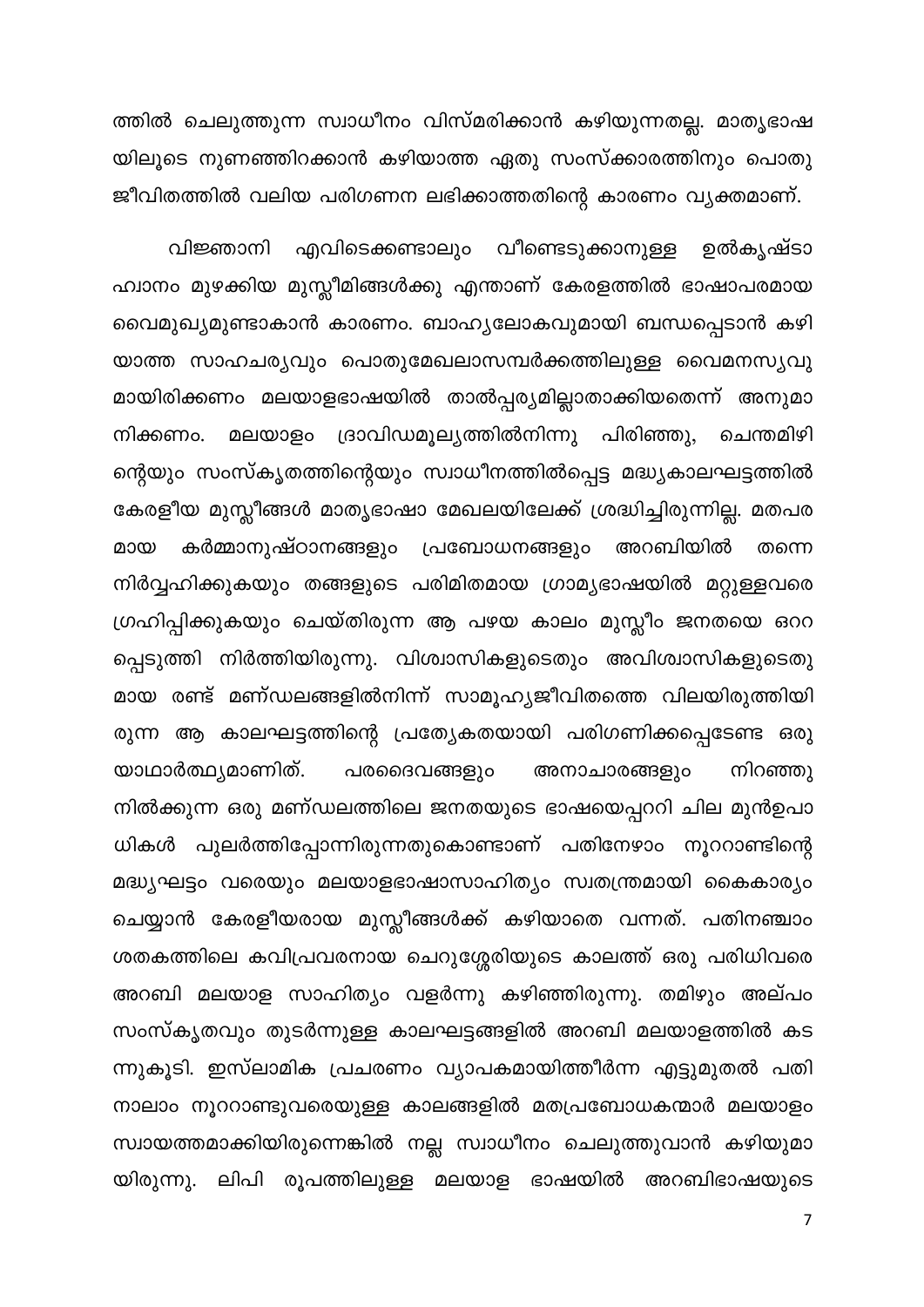ത്തിൽ ചെലുത്തുന്ന സ്വാധീനം വിസ്മരിക്കാൻ കഴിയുന്നതല്ല. മാതൃഭാഷ യിലൂടെ നുണഞ്ഞിറക്കാൻ കഴിയാത്ത ഏതു സംസ്ക്കാരത്തിനും പൊതു ജീവിതത്തിൽ വലിയ പരിഗണന ലഭിക്കാത്തതിന്റെ കാരണം വ്യക്തമാണ്.

എവിടെക്കണ്ടാലും വീണ്ടെടുക്കാനുള്ള ഉൽകൃഷ്ടാ വിജ്ഞാനി ഹ്വാനം മുഴക്കിയ മുസ്ലീമിങ്ങൾക്കു എന്താണ് കേരളത്തിൽ ഭാഷാപരമായ വൈമുഖ്യമുണ്ടാകാൻ കാരണം. ബാഹ്യലോകവുമായി ബന്ധപ്പെടാൻ കഴി യാത്ത സാഹചര്യവും പൊതുമേഖലാസമ്പർക്കത്തിലുള്ള വൈമനസൃവു മായിരിക്കണം മലയാളഭാഷയിൽ താൽപ്പര്യമില്ലാതാക്കിയതെന്ന് അനുമാ നിക്കണം. മലയാളം ദ്രാവിഡമൂല്യത്തിൽനിന്നു പിരിഞ്ഞു, ചെന്തമിഴി ന്റെയും സംസ്കൃതത്തിന്റെയും സ്വാധീനത്തിൽപ്പെട്ട മദ്ധ്യകാലഘട്ടത്തിൽ കേരളീയ മുസ്ലീങ്ങൾ മാതൃഭാഷാ മേഖലയിലേക്ക് ശ്രദ്ധിച്ചിരുന്നില്ല. മതപര കർമ്മാനുഷ്ഠാനങ്ങളും പ്രബോധനങ്ങളും അറബിയിൽ മായ തന്നെ നിർവ്വഹിക്കുകയും തങ്ങളുടെ പരിമിതമായ ഗ്രാമ്യഭാഷയിൽ മറ്റുള്ളവരെ ഗ്രഹിപ്പിക്കുകയും ചെയ്തിരുന്ന ആ പഴയ കാലം മുസ്ലീം ജനതയെ ഒററ പ്പെടുത്തി നിർത്തിയിരുന്നു. വിശ്വാസികളുടെതും അവിശ്വാസികളുടെതു മായ രണ്ട് മണ്ഡലങ്ങളിൽനിന്ന് സാമൂഹ്യജീവിതത്തെ വിലയിരുത്തിയി രുന്ന ആ കാലഘട്ടത്തിന്റെ പ്രത്യേകതയായി പരിഗണിക്കപ്പെടേണ്ട ഒരു പരദൈവങ്ങളും യാഥാർത്ഥ്യമാണിത്. അനാചാരങ്ങളും നിറഞ്ഞു നിൽക്കുന്ന ഒരു മണ്ഡലത്തിലെ ജനതയുടെ ഭാഷയെപ്പററി ചില മുൻഉപാ ധികൾ പുലർത്തിപ്പോന്നിരുന്നതുകൊണ്ടാണ് പതിനേഴാം നൂററാണ്ടിന്റെ മദ്ധ്യഘട്ടം വരെയും മലയാളഭാഷാസാഹിത്യം സ്വതന്ത്രമായി കൈകാര്യം ചെയ്യാൻ കേരളീയരായ മുസ്ലീങ്ങൾക്ക് കഴിയാതെ വന്നത്. പതിനഞ്ചാം ശതകത്തിലെ കവിപ്രവരനായ ചെറുശ്ശേരിയുടെ കാലത്ത് ഒരു പരിധിവരെ അറബി മലയാള സാഹിത്യം വളർന്നു കഴിഞ്ഞിരുന്നു. തമിഴും അല്പം സംസ്കൃതവും തുടർന്നുള്ള കാലഘട്ടങ്ങളിൽ അറബി മലയാളത്തിൽ കട ന്നുകൂടി. ഇസ്ലാമിക പ്രചരണം വ്യാപകമായിത്തീർന്ന എട്ടുമുതൽ പതി നാലാം നൂററാണ്ടുവരെയുള്ള കാലങ്ങളിൽ മതപ്രബോധകന്മാർ മലയാളം സ്വായത്തമാക്കിയിരുന്നെങ്കിൽ നല്ല സ്വാധീനം ചെലുത്തുവാൻ കഴിയുമാ യിരുന്നു. ലിപി രൂപത്തിലുള്ള മലയാള ഭാഷയിൽ അറബിഭാഷയുടെ

 $\overline{7}$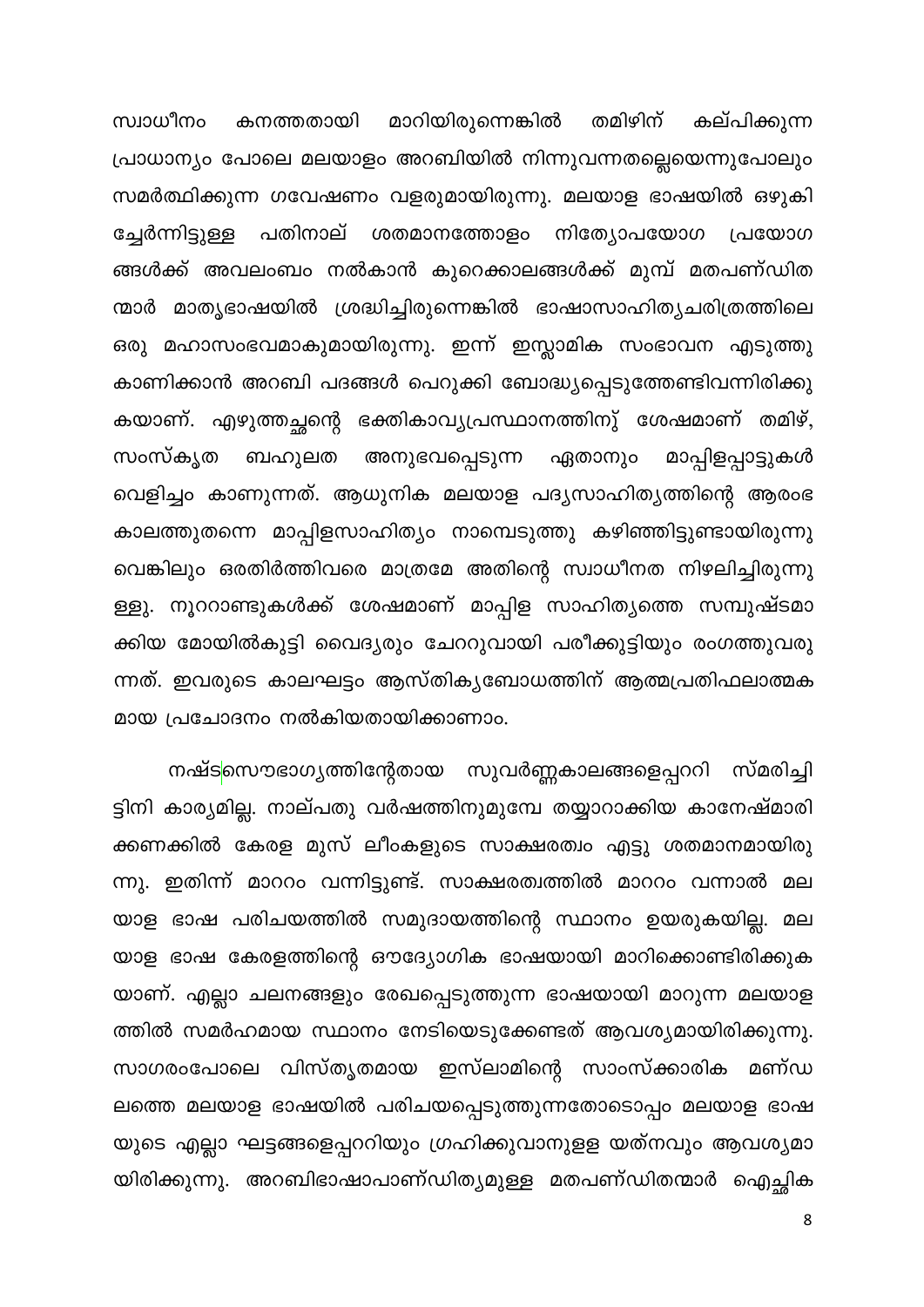തമിഴിന് സ്വാധീനം കനത്തതായി മാറിയിരുന്നെങ്കിൽ കല്പിക്കുന്ന പ്രാധാന്യം പോലെ മലയാളം അറബിയിൽ നിന്നുവന്നതല്ലെയെന്നുപോലും സമർത്ഥിക്കുന്ന ഗവേഷണം വളരുമായിരുന്നു. മലയാള ഭാഷയിൽ ഒഴുകി പതിനാല് ശതമാനത്തോളം നിത്യോപയോഗ പ്രയോഗ ച്ചേർന്നിട്ടുള്ള ങ്ങൾക്ക് അവലംബം നൽകാൻ കുറെക്കാലങ്ങൾക്ക് മുമ്പ് മതപണ്ഡിത ന്മാർ മാതൃഭാഷയിൽ ശ്രദ്ധിച്ചിരുന്നെങ്കിൽ ഭാഷാസാഹിത്യചരിത്രത്തിലെ ഒരു മഹാസംഭവമാകുമായിരുന്നു. ഇന്ന് ഇസ്ലാമിക സംഭാവന എടുത്തു കാണിക്കാൻ അറബി പദങ്ങൾ പെറുക്കി ബോദ്ധ്യപ്പെടുത്തേണ്ടിവന്നിരിക്കു കയാണ്. എഴുത്തച്ഛന്റെ ഭക്തികാവ്യപ്രസ്ഥാനത്തിനു് ശേഷമാണ് തമിഴ്, ബഹുലത അനുഭവപ്പെടുന്ന മാപ്പിളപ്പാട്ടുകൾ സംസ്കൃത ഏതാനും വെളിച്ചം കാണുന്നത്. ആധുനിക മലയാള പദ്യസാഹിത്യത്തിന്റെ ആരംഭ കാലത്തുതന്നെ മാപ്പിളസാഹിത്യം നാമ്പെടുത്തു കഴിഞ്ഞിട്ടുണ്ടായിരുന്നു വെങ്കിലും ഒരതിർത്തിവരെ മാത്രമേ അതിന്റെ സ്വാധീനത നിഴലിച്ചിരുന്നു ള്ളു. നൂററാണ്ടുകൾക്ക് ശേഷമാണ് മാപ്പിള സാഹിത്യത്തെ സമ്പുഷ്ടമാ ക്കിയ മോയിൽകുട്ടി വൈദ്യരും ചേററുവായി പരീക്കുട്ടിയും രംഗത്തുവരു ന്നത്. ഇവരുടെ കാലഘട്ടം ആസ്തികൃബോധത്തിന് ആത്മപ്രതിഫലാത്മക മായ പ്രചോദനം നൽകിയതായിക്കാണാം.

നഷ്ടസൌഭാഗ്യത്തിന്റേതായ സുവർണ്ണകാലങ്ങളെപ്പററി സ്മരിച്ചി ട്ടിനി കാര്യമില്ല. നാല്പതു വർഷത്തിനുമുമ്പേ തയ്യാറാക്കിയ കാനേഷ്മാരി ക്കണക്കിൽ കേരള മുസ് ലീംകളുടെ സാക്ഷരത്വം എട്ടു ശതമാനമായിരു ന്നു. ഇതിന്ന് മാററം വന്നിട്ടുണ്ട്. സാക്ഷരത്വത്തിൽ മാററം വന്നാൽ മല യാള ഭാഷ പരിചയത്തിൽ സമുദായത്തിന്റെ സ്ഥാനം ഉയരുകയില്ല. മല യാള ഭാഷ കേരളത്തിന്റെ ഔദ്യോഗിക ഭാഷയായി മാറിക്കൊണ്ടിരിക്കുക യാണ്. എല്ലാ ചലനങ്ങളും രേഖപ്പെടുത്തുന്ന ഭാഷയായി മാറുന്ന മലയാള ത്തിൽ സമർഹമായ സ്ഥാനം നേടിയെടുക്കേണ്ടത് ആവശ്യമായിരിക്കുന്നു. സാഗരംപോലെ വിസ്തൃതമായ ഇസ്ലാമിന്റെ സാംസ്ക്കാരിക മണ്ഡ ലത്തെ മലയാള ഭാഷയിൽ പരിചയപ്പെടുത്തുന്നതോടൊപ്പം മലയാള ഭാഷ യുടെ എല്ലാ ഘട്ടങ്ങളെപ്പററിയും ഗ്രഹിക്കുവാനുളള യത്നവും ആവശ്യമാ യിരിക്കുന്നു. അറബിഭാഷാപാണ്ഡിത്യമുള്ള മതപണ്ഡിതന്മാർ ഐച്ഛിക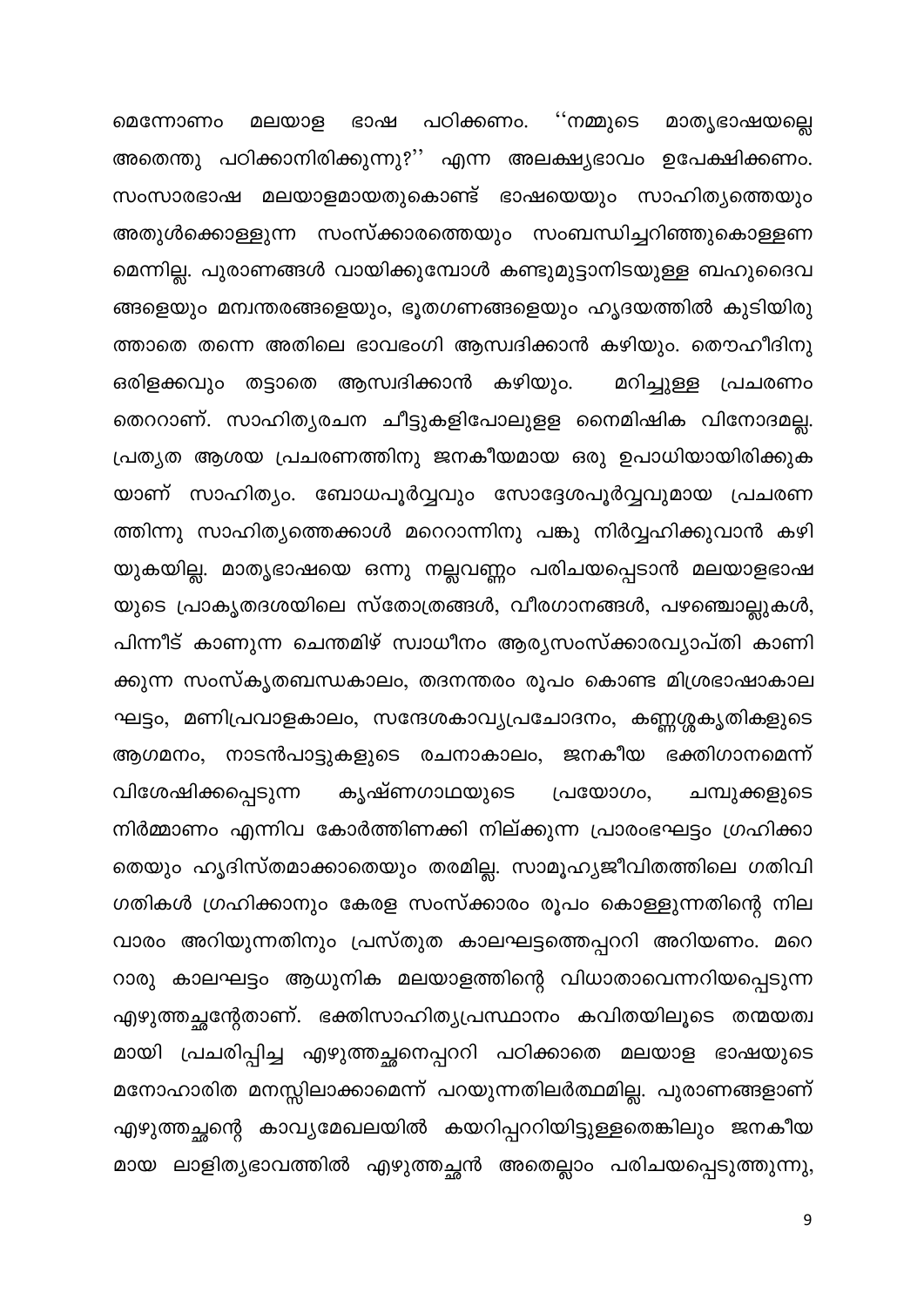മെന്നോണം മലയാള ഭാഷ പഠിക്കണം. ''നമ്മുടെ മാതൃഭാഷയല്ലെ അതെന്തു പഠിക്കാനിരിക്കുന്നു?'' എന്ന അലക്ഷ്യഭാവം ഉപേക്ഷിക്കണം. സംസാരഭാഷ മലയാളമായതുകൊണ്ട് ഭാഷയെയും സാഹിത്യത്തെയും അതുൾക്കൊള്ളുന്ന സംസ്ക്കാരത്തെയും സംബന്ധിച്ചറിഞ്ഞുകൊള്ളണ മെന്നില്ല. പുരാണങ്ങൾ വായിക്കുമ്പോൾ കണ്ടുമുട്ടാനിടയുള്ള ബഹുദൈവ ങ്ങളെയും മന്വന്തരങ്ങളെയും, ഭൂതഗണങ്ങളെയും ഹൃദയത്തിൽ കുടിയിരു ത്താതെ തന്നെ അതിലെ ഭാവഭംഗി ആസ്വദിക്കാൻ കഴിയും. തൌഹീദിനു ഒരിളക്കവും തട്ടാതെ ആസ്വദിക്കാൻ കഴിയും. മറിച്ചുള്ള പ്രചരണം തെററാണ്. സാഹിത്യരചന ചീട്ടുകളിപോലുളള നൈമിഷിക വിനോദമല്ല. പ്രത്യത ആശയ പ്രചരണത്തിനു ജനകീയമായ ഒരു ഉപാധിയായിരിക്കുക യാണ് സാഹിത്യം. ബോധപൂർവ്വവും സോദ്ദേശപൂർവ്വവുമായ പ്രചരണ ത്തിന്നു സാഹിത്യത്തെക്കാൾ മറെറാന്നിനു പങ്കു നിർവ്വഹിക്കുവാൻ കഴി യുകയില്ല. മാതൃഭാഷയെ ഒന്നു നല്ലവണ്ണം പരിചയപ്പെടാൻ മലയാളഭാഷ യുടെ പ്രാകൃതദശയിലെ സ്തോത്രങ്ങൾ, വീരഗാനങ്ങൾ, പഴഞ്ചൊല്ലുകൾ, പിന്നീട് കാണുന്ന ചെന്തമിഴ് സ്വാധീനം ആര്യസംസ്ക്കാരവ്യാപ്തി കാണി ക്കുന്ന സംസ്കൃതബന്ധകാലം, തദനന്തരം രൂപം കൊണ്ട മിശ്രഭാഷാകാല ഘട്ടം, മണിപ്രവാളകാലം, സന്ദേശകാവ്യപ്രചോദനം, കണ്ണശ്ശകൃതികളുടെ ആഗമനം, നാടൻപാട്ടുകളുടെ രചനാകാലം, ജനകീയ ഭക്തിഗാനമെന്ന് കൃഷ്ണഗാഥയുടെ വിശേഷിക്കപ്പെടുന്ന പ്രയോഗം, ചമ്പുക്കളുടെ നിർമ്മാണം എന്നിവ കോർത്തിണക്കി നില്ക്കുന്ന പ്രാരംഭഘട്ടം ഗ്രഹിക്കാ തെയും ഹൃദിസ്തമാക്കാതെയും തരമില്ല. സാമൂഹ്യജീവിതത്തിലെ ഗതിവി ഗതികൾ ഗ്രഹിക്കാനും കേരള സംസ്ക്കാരം രൂപം കൊള്ളുന്നതിന്റെ നില വാരം അറിയുന്നതിനും പ്രസ്തുത കാലഘട്ടത്തെപ്പററി അറിയണം. മറെ റാരു കാലഘട്ടം ആധുനിക മലയാളത്തിന്റെ വിധാതാവെന്നറിയപ്പെടുന്ന എഴുത്തച്ഛന്റേതാണ്. ഭക്തിസാഹിത്യപ്രസ്ഥാനം കവിതയിലൂടെ തന്മയത്വ മായി പ്രചരിപ്പിച്ച എഴുത്തച്ഛനെപ്പററി പഠിക്കാതെ മലയാള ഭാഷയുടെ മനോഹാരിത മനസ്സിലാക്കാമെന്ന് പറയുന്നതിലർത്ഥമില്ല. പുരാണങ്ങളാണ് എഴുത്തച്ഛന്റെ കാവ്യമേഖലയിൽ കയറിപ്പററിയിട്ടുള്ളതെങ്കിലും ജനകീയ മായ ലാളിത്യഭാവത്തിൽ എഴുത്തച്ഛൻ അതെല്ലാം പരിചയപ്പെടുത്തുന്നു,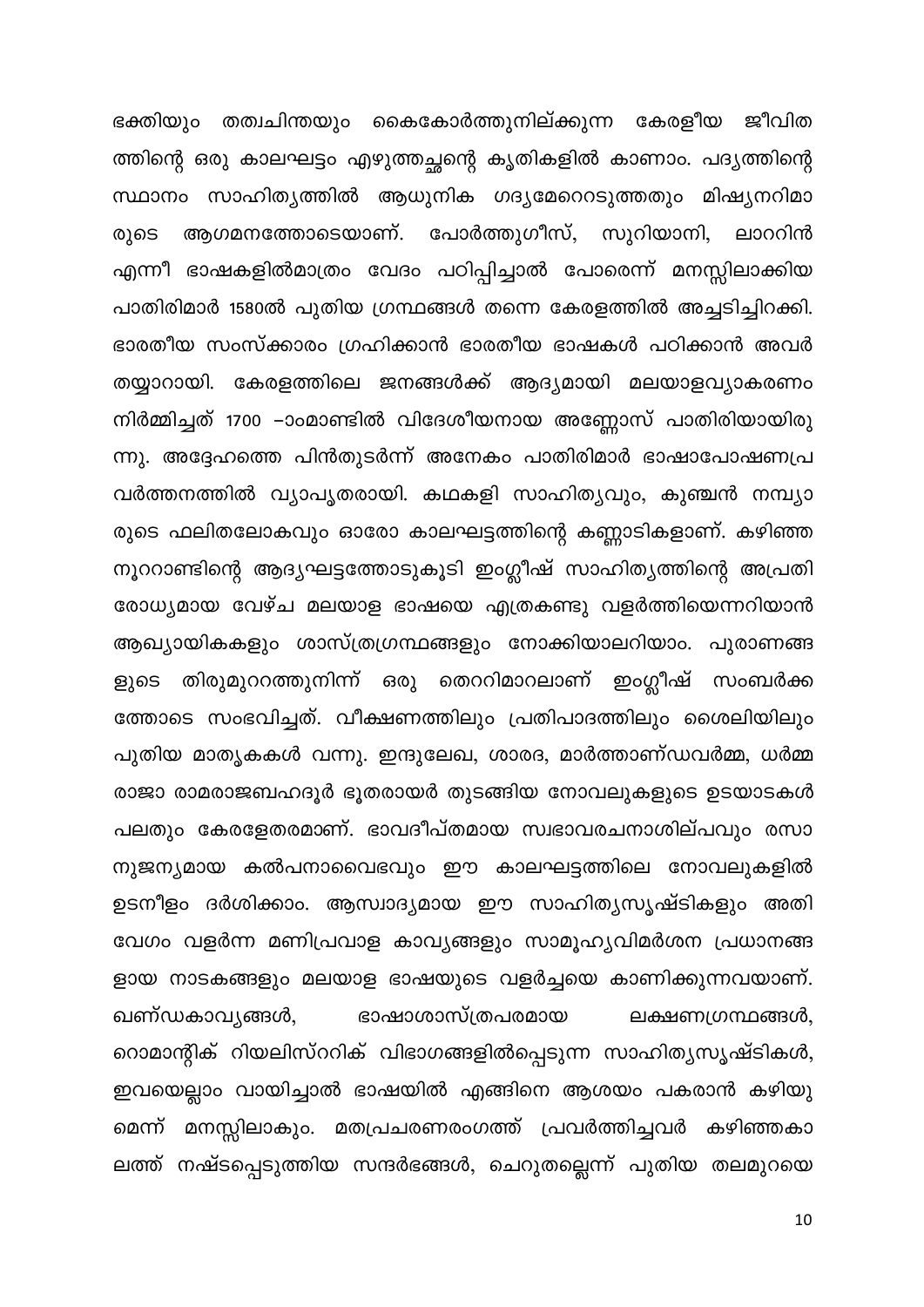ഭക്തിയും തത്വചിന്തയും കൈകോർത്തുനില്ക്കുന്ന കേരളീയ ജീവിത ത്തിന്റെ ഒരു കാലഘട്ടം എഴുത്തച്ഛന്റെ കൃതികളിൽ കാണാം. പദ്യത്തിന്റെ സ്ഥാനം സാഹിത്യത്തിൽ ആധുനിക ഗദൃമേറെറടുത്തതും മിഷ്യനറിമാ ആഗമനത്തോടെയാണ്. പോർത്തുഗീസ്, സുറിയാനി, രുടെ ലാററിൻ എന്നീ ഭാഷകളിൽമാത്രം വേദം പഠിപ്പിച്ചാൽ പോരെന്ന് മനസ്സിലാക്കിയ പാതിരിമാർ 1580ൽ പുതിയ ഗ്രന്ഥങ്ങൾ തന്നെ കേരളത്തിൽ അച്ചടിച്ചിറക്കി. ഭാരതീയ സംസ്ക്കാരം ഗ്രഹിക്കാൻ ഭാരതീയ ഭാഷകൾ പഠിക്കാൻ അവർ തയ്യാറായി. കേരളത്തിലെ ജനങ്ങൾക്ക് ആദ്യമായി മലയാളവ്യാകരണം നിർമ്മിച്ചത് 1700 –ാംമാണ്ടിൽ വിദേശീയനായ അണ്ണോസ് പാതിരിയായിരു ന്നു. അദ്ദേഹത്തെ പിൻതുടർന്ന് അനേകം പാതിരിമാർ ഭാഷാപോഷണപ്ര വർത്തനത്തിൽ വ്യാപൃതരായി. കഥകളി സാഹിത്യവും, കുഞ്ചൻ നമ്പ്യാ രുടെ ഫലിതലോകവും ഓരോ കാലഘട്ടത്തിന്റെ കണ്ണാടികളാണ്. കഴിഞ്ഞ നൂററാണ്ടിന്റെ ആദ്യഘട്ടത്തോടുകൂടി ഇംഗ്ലീഷ് സാഹിത്യത്തിന്റെ അപ്രതി രോധ്യമായ വേഴ്ച മലയാള ഭാഷയെ എത്രകണ്ടു വളർത്തിയെന്നറിയാൻ ആഖ്യായികകളും ശാസ്ത്രഗ്രന്ഥങ്ങളും നോക്കിയാലറിയാം. പുരാണങ്ങ ളുടെ തിരുമുററത്തുനിന്ന് ഒരു തെററിമാറലാണ് ഇംഗ്ലീഷ് സംബർക്ക ത്തോടെ സംഭവിച്ചത്. വീക്ഷണത്തിലും പ്രതിപാദത്തിലും ശൈലിയിലും പുതിയ മാതൃകകൾ വന്നു. ഇന്ദുലേഖ, ശാരദ, മാർത്താണ്ഡവർമ്മ, ധർമ്മ രാജാ രാമരാജബഹദൂർ ഭൂതരായർ തുടങ്ങിയ നോവലുകളുടെ ഉടയാടകൾ പലതും കേരളേതരമാണ്. ഭാവദീപ്തമായ സ്വഭാവരചനാശില്പവും രസാ നുജന്യമായ കൽപനാവൈഭവും ഈ കാലഘട്ടത്തിലെ നോവലുകളിൽ ഉടനീളം ദർശിക്കാം. ആസ്വാദ്യമായ ഈ സാഹിത്യസൃഷ്ടികളും അതി വേഗം വളർന്ന മണിപ്രവാള കാവ്യങ്ങളും സാമൂഹ്യവിമർശന പ്രധാനങ്ങ ളായ നാടകങ്ങളും മലയാള ഭാഷയുടെ വളർച്ചയെ കാണിക്കുന്നവയാണ്. ഖണ്ഡകാവ്യങ്ങൾ, ഭാഷാശാസ്ത്രപരമായ ലക്ഷണഗ്രന്ഥങ്ങൾ, റൊമാന്റിക് റിയലിസ്ററിക് വിഭാഗങ്ങളിൽപ്പെടുന്ന സാഹിത്യസൃഷ്ടികൾ, ഇവയെല്ലാം വായിച്ചാൽ ഭാഷയിൽ എങ്ങിനെ ആശയം പകരാൻ കഴിയു മെന്ന് മനസ്സിലാകും. മതപ്രചരണരംഗത്ത് പ്രവർത്തിച്ചവർ കഴിഞ്ഞകാ ലത്ത് നഷ്ടപ്പെടുത്തിയ സന്ദർഭങ്ങൾ, ചെറുതല്ലെന്ന് പുതിയ തലമുറയെ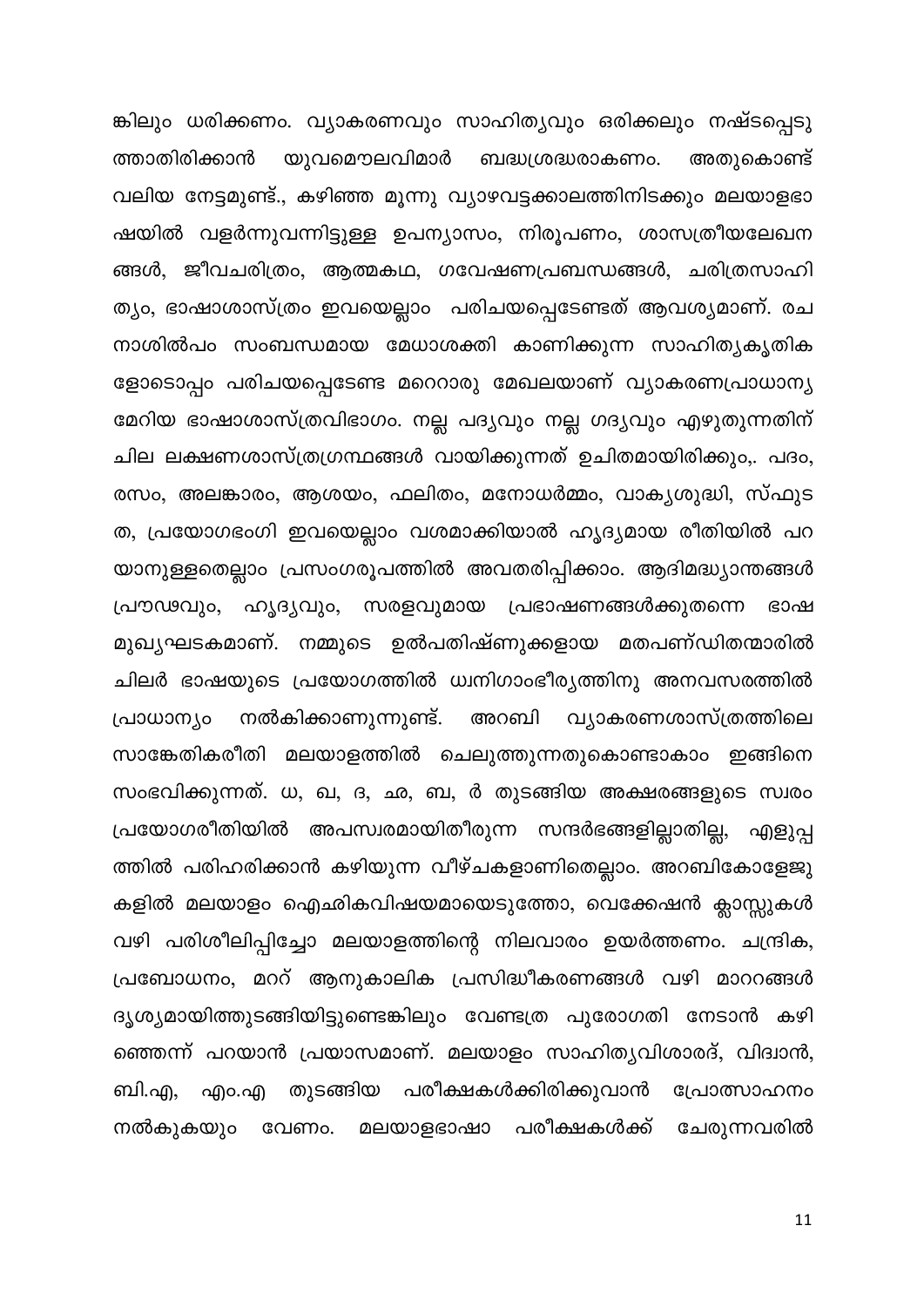ങ്കിലും ധരിക്കണം. വ്യാകരണവും സാഹിത്യവും ഒരിക്കലും നഷ്ടപ്പെടു ത്താതിരിക്കാൻ യുവമൌലവിമാർ ബദ്ധശ്രദ്ധരാകണം. അതുകൊണ്ട് വലിയ നേട്ടമുണ്ട്., കഴിഞ്ഞ മൂന്നു വ്യാഴവട്ടക്കാലത്തിനിടക്കും മലയാളഭാ ഷയിൽ വളർന്നുവന്നിട്ടുള്ള ഉപന്യാസം, നിരൂപണം, ശാസത്രീയലേഖന ങ്ങൾ, ജീവചരിത്രം, ആത്മകഥ, ഗവേഷണപ്രബന്ധങ്ങൾ, ചരിത്രസാഹി ത്യം, ഭാഷാശാസ്ത്രം ഇവയെല്ലാം പരിചയപ്പെടേണ്ടത് ആവശ്യമാണ്. രച നാശിൽപം സംബന്ധമായ മേധാശക്തി കാണിക്കുന്ന സാഹിത്യകൃതിക ളോടൊപ്പം പരിചയപ്പെടേണ്ട മറെറാരു മേഖലയാണ് വ്യാകരണപ്രാധാന്യ മേറിയ ഭാഷാശാസ്ത്രവിഭാഗം. നല്ല പദ്യവും നല്ല ഗദ്യവും എഴുതുന്നതിന് ചില ലക്ഷണശാസ്ത്രഗ്രന്ഥങ്ങൾ വായിക്കുന്നത് ഉചിതമായിരിക്കും,. പദം, രസം, അലങ്കാരം, ആശയം, ഫലിതം, മനോധർമ്മം, വാകൃശുദ്ധി, സ്ഫുട ത, പ്രയോഗഭംഗി ഇവയെല്ലാം വശമാക്കിയാൽ ഹൃദ്യമായ രീതിയിൽ പറ യാനുള്ളതെല്ലാം പ്രസംഗരൂപത്തിൽ അവതരിപ്പിക്കാം. ആദിമദ്ധ്യാന്തങ്ങൾ പ്രൗഢവും, ഹൃദ്യവും, സരളവുമായ പ്രഭാഷണങ്ങൾക്കുതന്നെ ഭാഷ മുഖ്യഘടകമാണ്. നമ്മുടെ ഉൽപതിഷ്ണുക്കളായ മതപണ്ഡിതന്മാരിൽ ചിലർ ഭാഷയുടെ പ്രയോഗത്തിൽ ധ്വനിഗാംഭീര്യത്തിനു അനവസരത്തിൽ നൽകിക്കാണുന്നുണ്ട്. അറബി വ്യാകരണശാസ്ത്രത്തിലെ പ്രാധാന്യം സാങ്കേതികരീതി മലയാളത്തിൽ ചെലുത്തുന്നതുകൊണ്ടാകാം ഇങ്ങിനെ സംഭവിക്കുന്നത്. ധ, ഖ, ദ, ഛ, ബ, ർ തുടങ്ങിയ അക്ഷരങ്ങളുടെ സ്വരം പ്രയോഗരീതിയിൽ അപസ്വരമായിതീരുന്ന സന്ദർഭങ്ങളില്ലാതില്ല, എളുപ്പ ത്തിൽ പരിഹരിക്കാൻ കഴിയുന്ന വീഴ്ചകളാണിതെല്ലാം. അറബികോളേജു കളിൽ മലയാളം ഐഛികവിഷയമായെടുത്തോ, വെക്കേഷൻ ക്ലാസ്സുകൾ വഴി പരിശീലിപ്പിച്ചോ മലയാളത്തിന്റെ നിലവാരം ഉയർത്തണം. ചന്ദ്രിക, പ്രബോധനം, മററ് ആനുകാലിക പ്രസിദ്ധീകരണങ്ങൾ വഴി മാററങ്ങൾ ദൃശ്യമായിത്തുടങ്ങിയിട്ടുണ്ടെങ്കിലും വേണ്ടത്ര പുരോഗതി നേടാൻ കഴി ഞ്ഞെന്ന് പറയാൻ പ്രയാസമാണ്. മലയാളം സാഹിതൃവിശാരദ്, വിദ്വാൻ, ബി.എ, എം.എ തുടങ്ങിയ പരീക്ഷകൾക്കിരിക്കുവാൻ പ്രോത്സാഹനം ചേരുന്നവരിൽ മലയാളഭാഷാ പരീക്ഷകൾക്ക് വേണം. നൽകുകയും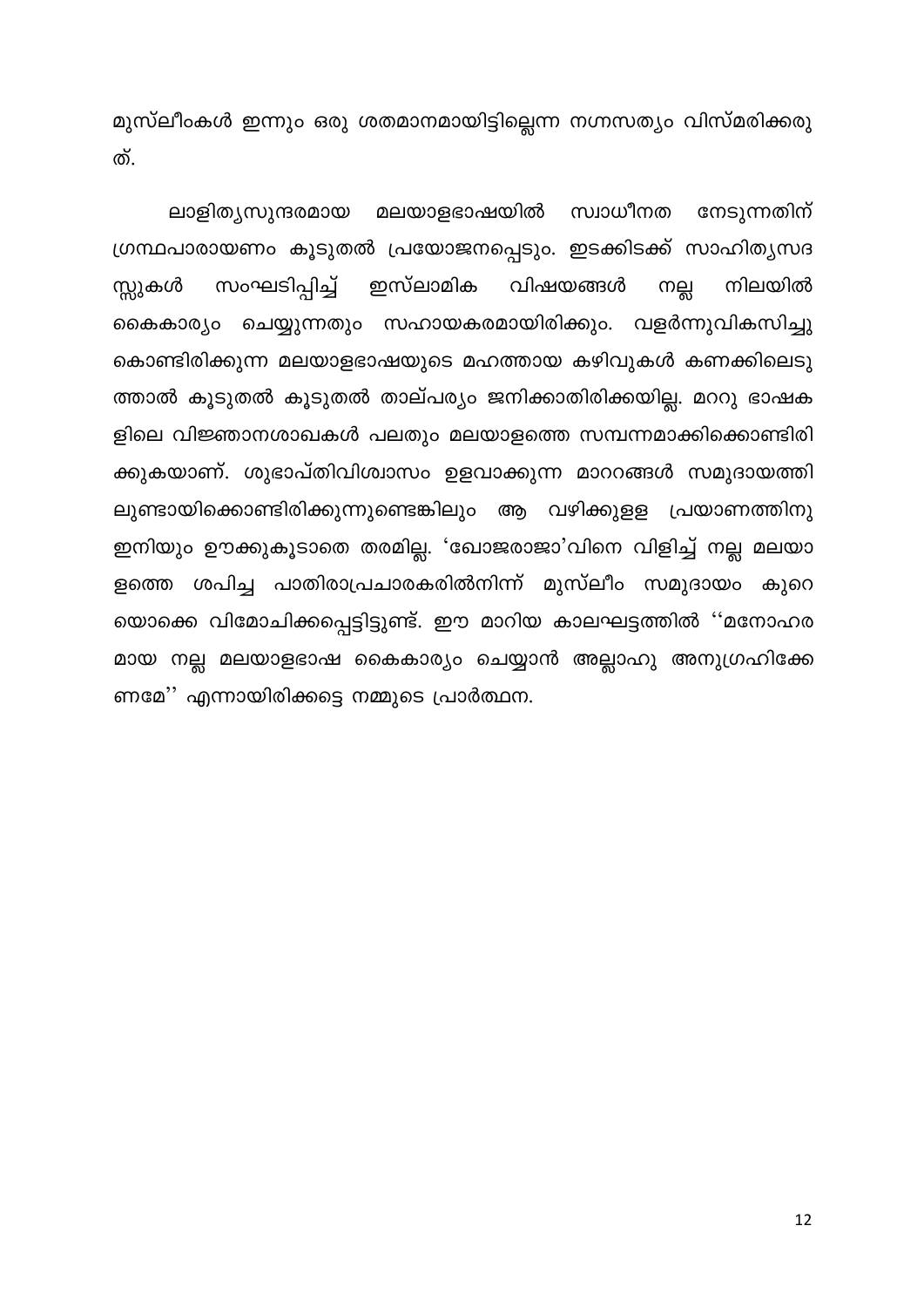മുസ്ലീംകൾ ഇന്നും ഒരു ശതമാനമായിട്ടില്ലെന്ന നഗ്നസത്യം വിസ്മരിക്കരു ത്.

സ്വാധീനത ലാളിത്യസുന്ദരമായ മലയാളഭാഷയിൽ നേടുന്നതിന് ഗ്രന്ഥപാരായണം കൂടുതൽ പ്രയോജനപ്പെടും. ഇടക്കിടക്ക് സാഹിത്യസദ സംഘടിപ്പിച്ച് ഇസ്ലാമിക വിഷയങ്ങൾ സ്സുകൾ നല്ല നിലയിൽ കൈകാര്യം ചെയ്യുന്നതും സഹായകരമായിരിക്കും. വളർന്നുവികസിച്ചു കൊണ്ടിരിക്കുന്ന മലയാളഭാഷയുടെ മഹത്തായ കഴിവുകൾ കണക്കിലെടു ത്താൽ കൂടുതൽ കൂടുതൽ താല്പര്യം ജനിക്കാതിരിക്കയില്ല. മററു ഭാഷക ളിലെ വിജ്ഞാനശാഖകൾ പലതും മലയാളത്തെ സമ്പന്നമാക്കിക്കൊണ്ടിരി ക്കുകയാണ്. ശുഭാപ്തിവിശ്വാസം ഉളവാക്കുന്ന മാററങ്ങൾ സമുദായത്തി ലുണ്ടായിക്കൊണ്ടിരിക്കുന്നുണ്ടെങ്കിലും ആ വഴിക്കുളള പ്രയാണത്തിനു ഇനിയും ഊക്കുകൂടാതെ തരമില്ല. 'ഖോജരാജാ'വിനെ വിളിച്ച് നല്ല മലയാ ളത്തെ ശപിച്ച പാതിരാപ്രചാരകരിൽനിന്ന് മുസ്ലീം സമുദായം കുറെ യൊക്കെ വിമോചിക്കപ്പെട്ടിട്ടുണ്ട്. ഈ മാറിയ കാലഘട്ടത്തിൽ ''മനോഹര മായ നല്ല മലയാളഭാഷ കൈകാര്യം ചെയ്യാൻ അല്ലാഹു അനുഗ്രഹിക്കേ ണമേ'' എന്നായിരിക്കട്ടെ നമ്മുടെ പ്രാർത്ഥന.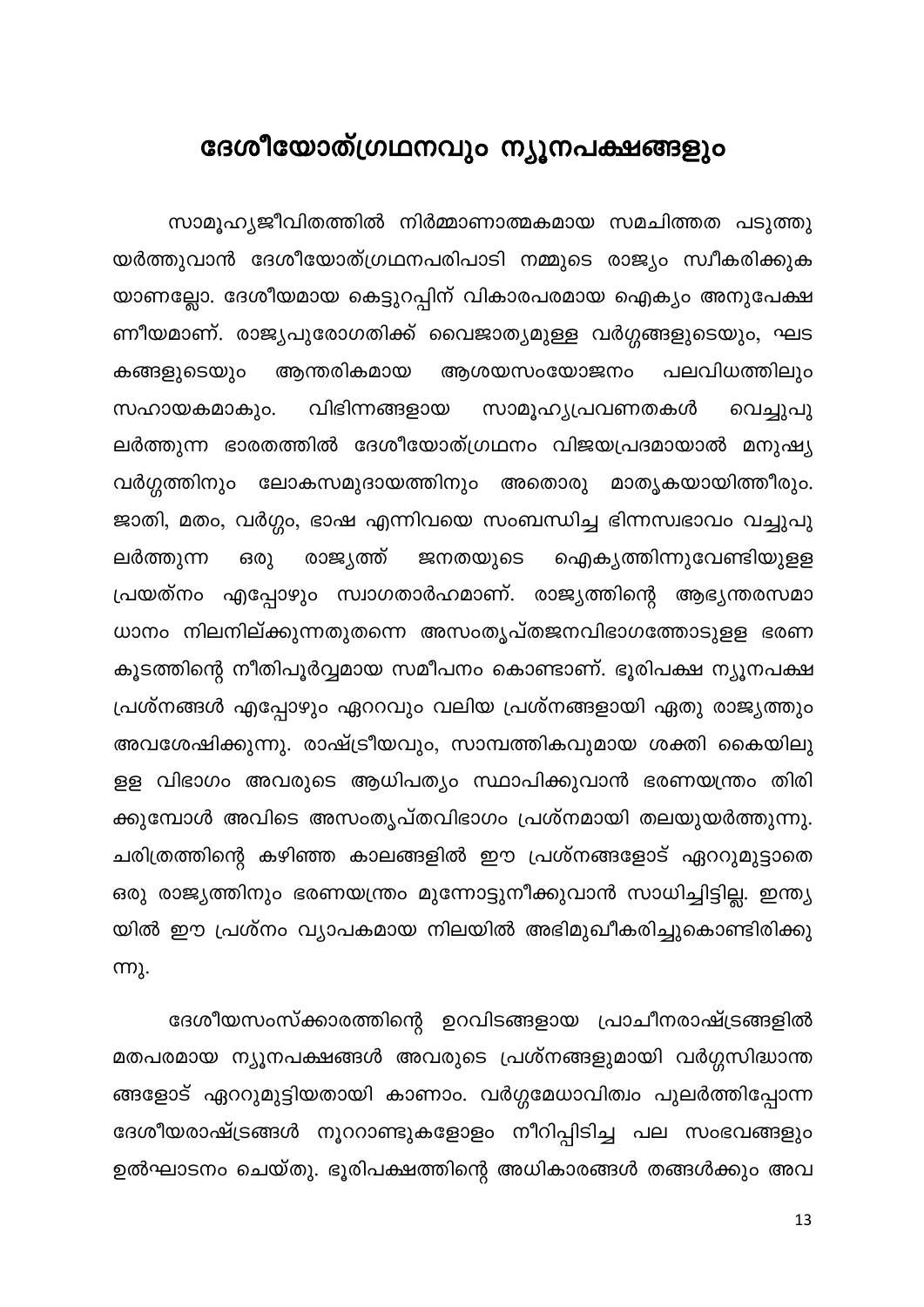## <span id="page-13-0"></span>ദേശീയോത്ഗ്രഥനവും ന്യൂനപക്ഷങ്ങളും

സാമൂഹ്യജീവിതത്തിൽ നിർമ്മാണാത്മകമായ സമചിത്തത പടുത്തു യർത്തുവാൻ ദേശീയോത്ഗ്രഥനപരിപാടി നമ്മുടെ രാജ്യം സ്വീകരിക്കുക യാണല്ലോ. ദേശീയമായ കെട്ടുറപ്പിന് വികാരപരമായ ഐക്യം അനുപേക്ഷ ണീയമാണ്. രാജ്യപുരോഗതിക്ക് വൈജാത്യമുള്ള വർഗ്ഗങ്ങളുടെയും, ഘട ആന്തരികമായ കങ്ങളുടെയും ആശയസംയോജനം പലവിധത്തിലും വിഭിന്നങ്ങളായ സഹായകമാകും. സാമൂഹ്യപ്രവണതകൾ വെച്ചുപു ലർത്തുന്ന ഭാരതത്തിൽ ദേശീയോത്ഗ്രഥനം വിജയപ്രദമായാൽ മനുഷ്യ വർഗ്ഗത്തിനും ലോകസമുദായത്തിനും അതൊരു മാതൃകയായിത്തീരും. ജാതി, മതം, വർഗ്ഗം, ഭാഷ എന്നിവയെ സംബന്ധിച്ച ഭിന്നസ്വഭാവം വച്ചുപു ലർത്തുന്ന രാജ്യത്ത് ഒരു ജനതയുടെ ഐക്യത്തിന്നുവേണ്ടിയുളള പ്രയത്നം എപ്പോഴും സ്വാഗതാർഹമാണ്. രാജ്യത്തിന്റെ ആഭ്യന്തരസമാ ധാനം നിലനില്ക്കുന്നതുതന്നെ അസംതൃപ്തജനവിഭാഗത്തോടുളള ഭരണ കൂടത്തിന്റെ നീതിപൂർവ്വമായ സമീപനം കൊണ്ടാണ്. ഭൂരിപക്ഷ ന്യൂനപക്ഷ പ്രശ്നങ്ങൾ എപ്പോഴും ഏററവും വലിയ പ്രശ്നങ്ങളായി ഏതു രാജ്യത്തും അവശേഷിക്കുന്നു. രാഷ്ട്രീയവും, സാമ്പത്തികവുമായ ശക്തി കൈയിലു ളള വിഭാഗം അവരുടെ ആധിപത്യം സ്ഥാപിക്കുവാൻ ഭരണയന്ത്രം തിരി ക്കുമ്പോൾ അവിടെ അസംതൃപ്തവിഭാഗം പ്രശ്നമായി തലയുയർത്തുന്നു. ചരിത്രത്തിന്റെ കഴിഞ്ഞ കാലങ്ങളിൽ ഈ പ്രശ്നങ്ങളോട് ഏററുമുട്ടാതെ ഒരു രാജ്യത്തിനും ഭരണയന്ത്രം മുന്നോട്ടുനീക്കുവാൻ സാധിച്ചിട്ടില്ല. ഇന്ത്യ യിൽ ഈ പ്രശ്നം വ്യാപകമായ നിലയിൽ അഭിമുഖീകരിച്ചുകൊണ്ടിരിക്കു ന്നു.

ദേശീയസംസ്ക്കാരത്തിന്റെ ഉറവിടങ്ങളായ പ്രാചീനരാഷ്ട്രങ്ങളിൽ മതപരമായ ന്യൂനപക്ഷങ്ങൾ അവരുടെ പ്രശ്നങ്ങളുമായി വർഗ്ഗസിദ്ധാന്ത ങ്ങളോട് ഏററുമുട്ടിയതായി കാണാം. വർഗ്ഗമേധാവിത്വം പുലർത്തിപ്പോന്ന ദേശീയരാഷ്ട്രങ്ങൾ നൂററാണ്ടുകളോളം നീറിപ്പിടിച്ച പല സംഭവങ്ങളും ഉൽഘാടനം ചെയ്തു. ഭൂരിപക്ഷത്തിന്റെ അധികാരങ്ങൾ തങ്ങൾക്കും അവ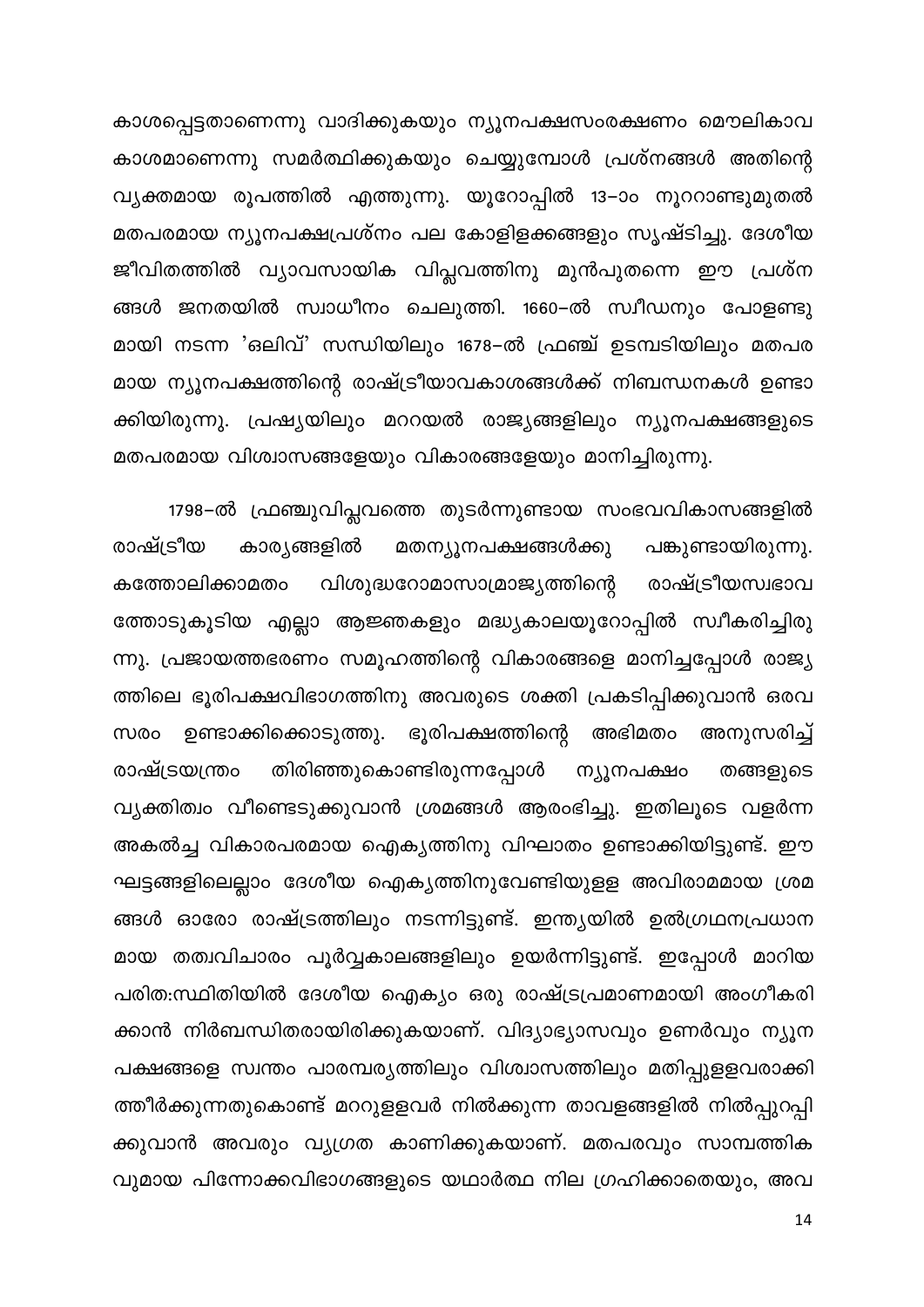കാശപ്പെട്ടതാണെന്നു വാദിക്കുകയും ന്യൂനപക്ഷസംരക്ഷണം മൌലികാവ കാശമാണെന്നു സമർത്ഥിക്കുകയും ചെയ്യുമ്പോൾ പ്രശ്നങ്ങൾ അതിന്റെ വ്യക്തമായ രൂപത്തിൽ എത്തുന്നു. യൂറോപ്പിൽ 13–ാം നൂററാണ്ടുമുതൽ മതപരമായ ന്യൂനപക്ഷപ്രശ്നം പല കോളിളക്കങ്ങളും സൃഷ്ടിച്ചു. ദേശീയ ജീവിതത്തിൽ വ്യാവസായിക വിപ്ലവത്തിനു മുൻപുതന്നെ ഈ പ്രശ്ന ങ്ങൾ ജനതയിൽ സ്വാധീനം ചെലുത്തി. 1660–ൽ സ്വീഡനും പോളണ്ടു മായി നടന്ന 'ഒലിവ്' സന്ധിയിലും 1678–ൽ ഫ്രഞ്ച് ഉടമ്പടിയിലും മതപര മായ ന്യൂനപക്ഷത്തിന്റെ രാഷ്ട്രീയാവകാശങ്ങൾക്ക് നിബന്ധനകൾ ഉണ്ടാ ക്കിയിരുന്നു. പ്രഷ്യയിലും മററയൽ രാജ്യങ്ങളിലും ന്യൂനപക്ഷങ്ങളുടെ മതപരമായ വിശ്വാസങ്ങളേയും വികാരങ്ങളേയും മാനിച്ചിരുന്നു.

1798–ൽ ഫ്രഞ്ചുവിപ്ലവത്തെ തുടർന്നുണ്ടായ സംഭവവികാസങ്ങളിൽ രാഷ്ട്രീയ കാര്യങ്ങളിൽ മതന്യൂനപക്ഷങ്ങൾക്കു പങ്കുണ്ടായിരുന്നു. കത്തോലിക്കാമതം വിശുദ്ധറോമാസാമ്രാജ്യത്തിന്റെ രാഷ്ട്രീയസ്വഭാവ ത്തോടുകൂടിയ എല്ലാ ആജ്ഞകളും മദ്ധ്യകാലയൂറോപ്പിൽ സ്വീകരിച്ചിരു ന്നു. പ്രജായത്തഭരണം സമൂഹത്തിന്റെ വികാരങ്ങളെ മാനിച്ചപ്പോൾ രാജ്യ ത്തിലെ ഭൂരിപക്ഷവിഭാഗത്തിനു അവരുടെ ശക്തി പ്രകടിപ്പിക്കുവാൻ ഒരവ ഉണ്ടാക്കിക്കൊടുത്തു. ഭൂരിപക്ഷത്തിന്റെ അഭിമതം അനുസരിച്ച് സരം തിരിഞ്ഞുകൊണ്ടിരുന്നപ്പോൾ ന്യൂനപക്ഷം രാഷ്ട്രയന്ത്രം തങ്ങളുടെ വ്യക്തിത്വം വീണ്ടെടുക്കുവാൻ ശ്രമങ്ങൾ ആരംഭിച്ചു. ഇതിലൂടെ വളർന്ന അകൽച്ച വികാരപരമായ ഐക്യത്തിനു വിഘാതം ഉണ്ടാക്കിയിട്ടുണ്ട്. ഈ ഘട്ടങ്ങളിലെല്ലാം ദേശീയ ഐക്യത്തിനുവേണ്ടിയുളള അവിരാമമായ ശ്രമ ങ്ങൾ ഓരോ രാഷ്ട്രത്തിലും നടന്നിട്ടുണ്ട്. ഇന്ത്യയിൽ ഉൽഗ്രഥനപ്രധാന മായ തത്വവിചാരം പൂർവ്വകാലങ്ങളിലും ഉയർന്നിട്ടുണ്ട്. ഇപ്പോൾ മാറിയ പരിത:സ്ഥിതിയിൽ ദേശീയ ഐക്യം ഒരു രാഷ്ട്രപ്രമാണമായി അംഗീകരി ക്കാൻ നിർബന്ധിതരായിരിക്കുകയാണ്. വിദ്യാഭ്യാസവും ഉണർവും ന്യൂന പക്ഷങ്ങളെ സ്വന്തം പാരമ്പര്യത്തിലും വിശ്വാസത്തിലും മതിപ്പുളളവരാക്കി ത്തീർക്കുന്നതുകൊണ്ട് മററുളളവർ നിൽക്കുന്ന താവളങ്ങളിൽ നിൽപ്പുറപ്പി ക്കുവാൻ അവരും വ്യഗ്രത കാണിക്കുകയാണ്. മതപരവും സാമ്പത്തിക വുമായ പിന്നോക്കവിഭാഗങ്ങളുടെ യഥാർത്ഥ നില ഗ്രഹിക്കാതെയും, അവ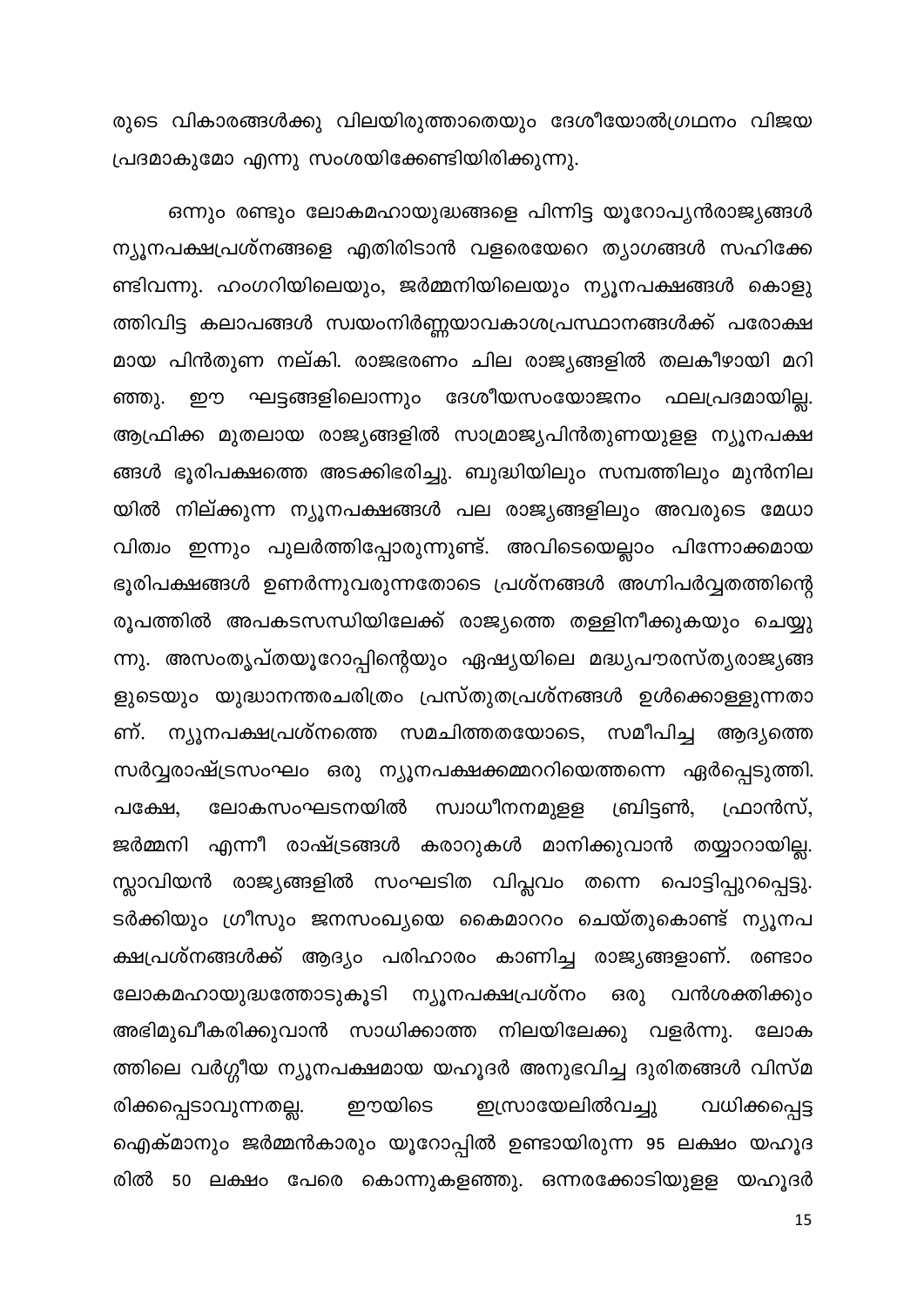രുടെ വികാരങ്ങൾക്കു വിലയിരുത്താതെയും ദേശീയോൽഗ്രഥനം വിജയ പ്രദമാകുമോ എന്നു സംശയിക്കേണ്ടിയിരിക്കുന്നു.

ഒന്നും രണ്ടും ലോകമഹായുദ്ധങ്ങളെ പിന്നിട്ട യൂറോപ്യൻരാജ്യങ്ങൾ ന്യൂനപക്ഷപ്രശ്നങ്ങളെ എതിരിടാൻ വളരെയേറെ ത്യാഗങ്ങൾ സഹിക്കേ ണ്ടിവന്നു. ഹംഗറിയിലെയും, ജർമ്മനിയിലെയും ന്യൂനപക്ഷങ്ങൾ കൊളു ത്തിവിട്ട കലാപങ്ങൾ സ്വയംനിർണ്ണയാവകാശപ്രസ്ഥാനങ്ങൾക്ക് പരോക്ഷ മായ പിൻതുണ നല്കി. രാജഭരണം ചില രാജ്യങ്ങളിൽ തലകീഴായി മറി ഈ ഘട്ടങ്ങളിലൊന്നും ദേശീയസംയോജനം ഫലപ്രദമായില്ല. ഞ്ഞു. ആഫ്രിക്ക മുതലായ രാജ്യങ്ങളിൽ സാമ്രാജ്യപിൻതുണയുളള ന്യൂനപക്ഷ ങ്ങൾ ഭൂരിപക്ഷത്തെ അടക്കിഭരിച്ചു. ബുദ്ധിയിലും സമ്പത്തിലും മുൻനില യിൽ നില്ക്കുന്ന ന്യൂനപക്ഷങ്ങൾ പല രാജ്യങ്ങളിലും അവരുടെ മേധാ വിത്വം ഇന്നും പുലർത്തിപ്പോരുന്നുണ്ട്. അവിടെയെല്ലാം പിന്നോക്കമായ ഭൂരിപക്ഷങ്ങൾ ഉണർന്നുവരുന്നതോടെ പ്രശ്നങ്ങൾ അഗ്നിപർവ്വതത്തിന്റെ രൂപത്തിൽ അപകടസന്ധിയിലേക്ക് രാജ്യത്തെ തള്ളിനീക്കുകയും ചെയ്യു ന്നു. അസംതൃപ്തയൂറോപ്പിന്റെയും ഏഷ്യയിലെ മദ്ധ്യപൗരസ്ത്യരാജ്യങ്ങ ളുടെയും യുദ്ധാനന്തരചരിത്രം പ്രസ്തുതപ്രശ്നങ്ങൾ ഉൾക്കൊള്ളുന്നതാ ണ്. ന്യൂനപക്ഷപ്രശ്നത്തെ സമചിത്തതയോടെ, സമീപിച്ച ആദ്യത്തെ സർവ്വരാഷ്ട്രസംഘം ഒരു ന്യൂനപക്ഷക്കമ്മററിയെത്തന്നെ ഏർപ്പെടുത്തി. സ്വാധീനനമുളള ലോകസംഘടനയിൽ ബ്രിട്ടൺ, പക്ഷേ, ഫ്രാൻസ്, ജർമ്മനി എന്നീ രാഷ്ട്രങ്ങൾ കരാറുകൾ മാനിക്കുവാൻ തയ്യാറായില്ല. സ്ലാവിയൻ രാജ്യങ്ങളിൽ സംഘടിത വിപ്ലവം തന്നെ പൊട്ടിപ്പുറപ്പെട്ടു. ടർക്കിയും ഗ്രീസും ജനസംഖ്യയെ കൈമാററം ചെയ്തുകൊണ്ട് ന്യൂനപ ക്ഷപ്രശ്നങ്ങൾക്ക് ആദ്യം പരിഹാരം കാണിച്ച രാജ്യങ്ങളാണ്. രണ്ടാം ലോകമഹായുദ്ധത്തോടുകൂടി ന്യൂനപക്ഷപ്രശ്നം ഒരു വൻശക്തിക്കും അഭിമുഖീകരിക്കുവാൻ സാധിക്കാത്ത നിലയിലേക്കു വളർന്നു. ലോക ത്തിലെ വർഗ്ഗീയ ന്യൂനപക്ഷമായ യഹൂദർ അനുഭവിച്ച ദുരിതങ്ങൾ വിസ്മ രിക്കപ്പെടാവുന്നതല്ല. ഈയിടെ ഇസ്രായേലിൽവച്ചു വധിക്കപ്പെട്ട ഐക്മാനും ജർമ്മൻകാരും യൂറോപ്പിൽ ഉണ്ടായിരുന്ന 95 ലക്ഷം യഹൂദ രിൽ 50 ലക്ഷം പേരെ കൊന്നുകളഞ്ഞു. ഒന്നരക്കോടിയുളള യഹൂദർ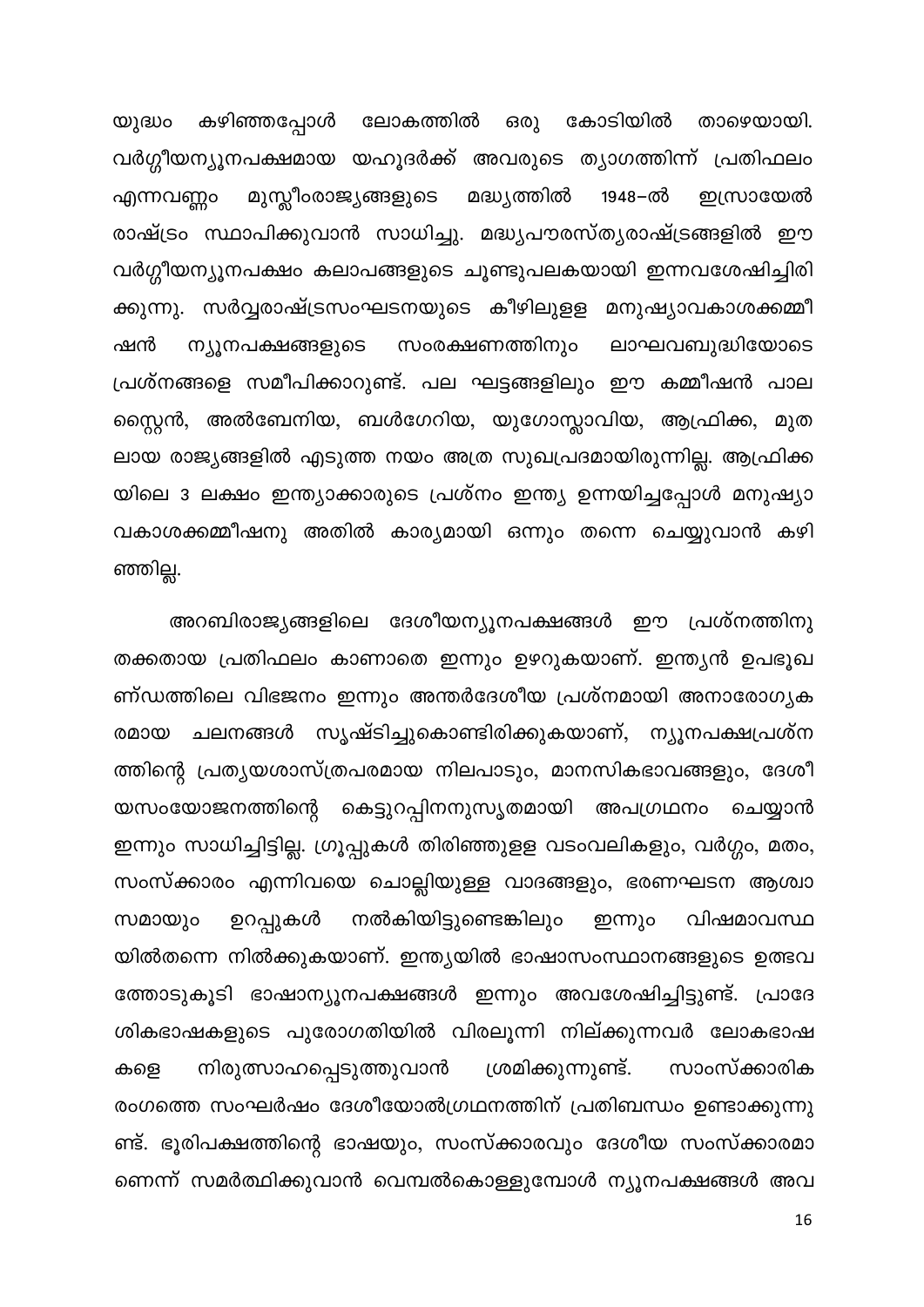കഴിഞ്ഞപ്പോൾ ലോകത്തിൽ ഒരു കോടിയിൽ താഴെയായി. യുദ്ധം വർഗ്ഗീയന്യൂനപക്ഷമായ യഹൂദർക്ക് അവരുടെ ത്യാഗത്തിന്ന് പ്രതിഫലം മുസ്ലീംരാജ്യങ്ങളുടെ മദ്ധ്യത്തിൽ 1948–ൽ ഇസ്രായേൽ എന്നവണ്ണം രാഷ്ട്രം സ്ഥാപിക്കുവാൻ സാധിച്ചു. മദ്ധ്യപൗരസ്ത്യരാഷ്ട്രങ്ങളിൽ ഈ വർഗ്ഗീയന്യൂനപക്ഷം കലാപങ്ങളുടെ ചൂണ്ടുപലകയായി ഇന്നവശേഷിച്ചിരി ക്കുന്നു. സർവ്വരാഷ്ട്രസംഘടനയുടെ കീഴിലുളള മനുഷ്യാവകാശക്കമ്മീ ഷൻ ന്യൂനപക്ഷങ്ങളുടെ സംരക്ഷണത്തിനും ലാഘവബുദ്ധിയോടെ പ്രശ്നങ്ങളെ സമീപിക്കാറുണ്ട്. പല ഘട്ടങ്ങളിലും ഈ കമ്മീഷൻ പാല സ്റ്റൈൻ, അൽബേനിയ, ബൾഗേറിയ, യുഗോസ്ലാവിയ, ആഫ്രിക്ക, മുത ലായ രാജ്യങ്ങളിൽ എടുത്ത നയം അത്ര സുഖപ്രദമായിരുന്നില്ല. ആഫ്രിക്ക യിലെ 3 ലക്ഷം ഇന്ത്യാക്കാരുടെ പ്രശ്നം ഇന്ത്യ ഉന്നയിച്ചപ്പോൾ മനുഷ്യാ വകാശക്കമ്മീഷനു അതിൽ കാര്യമായി ഒന്നും തന്നെ ചെയ്യുവാൻ കഴി ഞ്ഞില്ല.

അറബിരാജ്യങ്ങളിലെ ദേശീയന്യൂനപക്ഷങ്ങൾ ഈ പ്രശ്നത്തിനു തക്കതായ പ്രതിഫലം കാണാതെ ഇന്നും ഉഴറുകയാണ്. ഇന്ത്യൻ ഉപഭൂഖ ണ്ഡത്തിലെ വിഭജനം ഇന്നും അന്തർദേശീയ പ്രശ്നമായി അനാരോഗ്യക രമായ ചലനങ്ങൾ സൃഷ്ടിച്ചുകൊണ്ടിരിക്കുകയാണ്, ന്യൂനപക്ഷപ്രശ്ന ത്തിന്റെ പ്രത്യയശാസ്ത്രപരമായ നിലപാടും, മാനസികഭാവങ്ങളും, ദേശീ യസംയോജനത്തിന്റെ കെട്ടുറപ്പിനനുസൃതമായി അപഗ്രഥനം ചെയ്യാൻ ഇന്നും സാധിച്ചിട്ടില്ല. ഗ്രൂപ്പുകൾ തിരിഞ്ഞുളള വടംവലികളും, വർഗ്ഗം, മതം, സംസ്ക്കാരം എന്നിവയെ ചൊല്ലിയുള്ള വാദങ്ങളും, ഭരണഘടന ആശ്വാ സമായും ഉറപ്പുകൾ നൽകിയിട്ടുണ്ടെങ്കിലും വിഷമാവസ്ഥ ഇന്നും യിൽതന്നെ നിൽക്കുകയാണ്. ഇന്ത്യയിൽ ഭാഷാസംസ്ഥാനങ്ങളുടെ ഉത്ഭവ ത്തോടുകൂടി ഭാഷാന്യൂനപക്ഷങ്ങൾ ഇന്നും അവശേഷിച്ചിട്ടുണ്ട്. പ്രാദേ ശികഭാഷകളുടെ പുരോഗതിയിൽ വിരലൂന്നി നില്ക്കുന്നവർ ലോകഭാഷ ശ്രമിക്കുന്നുണ്ട്. സാംസ്ക്കാരിക കളെ നിരുത്സാഹപ്പെടുത്തുവാൻ രംഗത്തെ സംഘർഷം ദേശീയോൽഗ്രഥനത്തിന് പ്രതിബന്ധം ഉണ്ടാക്കുന്നു ണ്ട്. ഭൂരിപക്ഷത്തിന്റെ ഭാഷയും, സംസ്ക്കാരവും ദേശീയ സംസ്ക്കാരമാ ണെന്ന് സമർത്ഥിക്കുവാൻ വെമ്പൽകൊള്ളുമ്പോൾ ന്യൂനപക്ഷങ്ങൾ അവ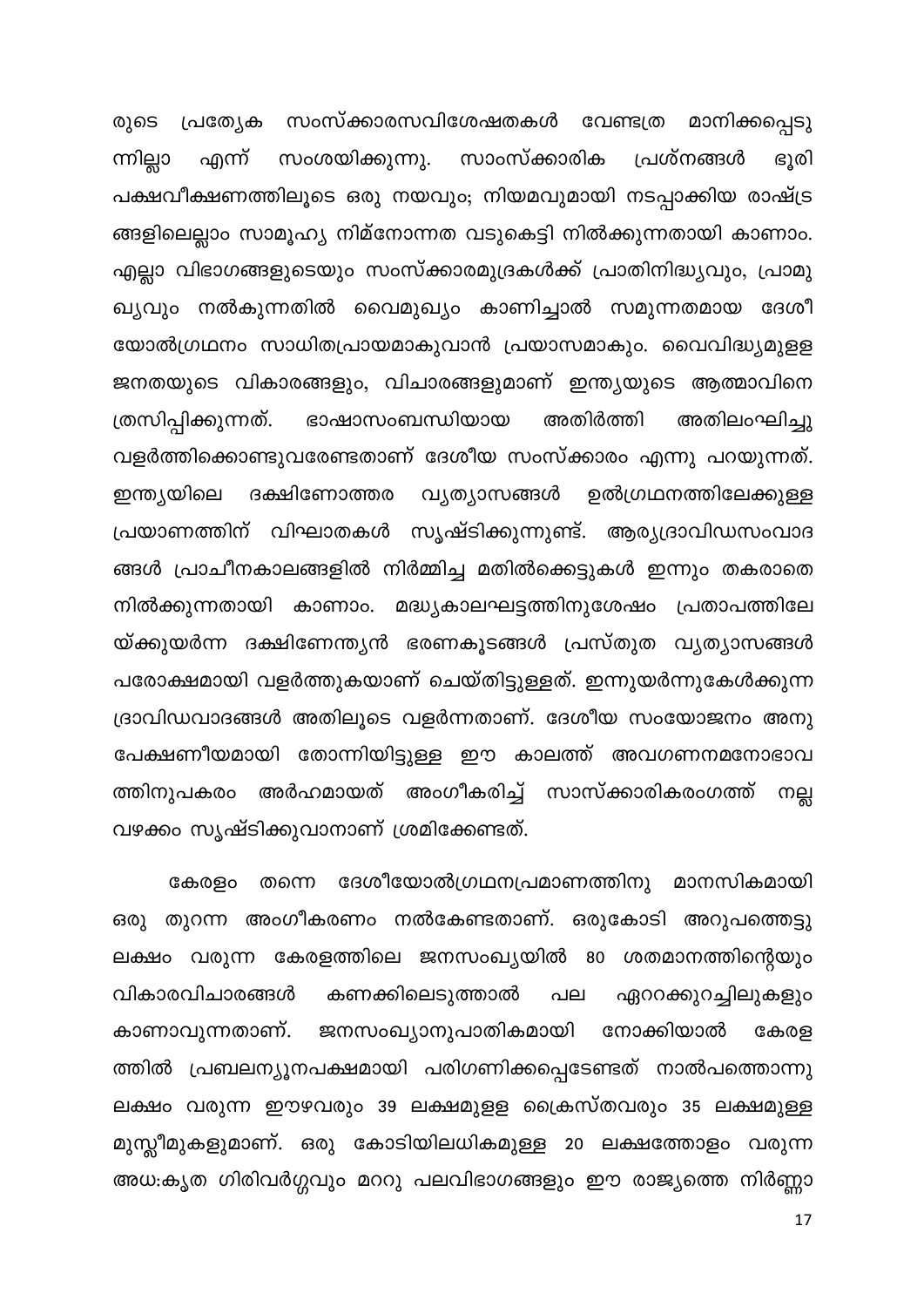രുടെ പ്രത്യേക സംസ്ക്കാരസവിശേഷതകൾ വേണ്ടത്ര മാനിക്കപ്പെടു ന്നില്ലാ സംശയിക്കുന്നു. സാംസ്ക്കാരിക ഭൂരി പ്രശ്നങ്ങൾ എന്ന് പക്ഷവീക്ഷണത്തിലൂടെ ഒരു നയവും; നിയമവുമായി നടപ്പാക്കിയ രാഷ്ട്ര ങ്ങളിലെല്ലാം സാമൂഹ്യ നിമ്നോന്നത വടുകെട്ടി നിൽക്കുന്നതായി കാണാം. എല്ലാ വിഭാഗങ്ങളുടെയും സംസ്ക്കാരമുദ്രകൾക്ക് പ്രാതിനിദ്ധ്യവും, പ്രാമു ഖ്യവും നൽകുന്നതിൽ വൈമുഖ്യം കാണിച്ചാൽ സമുന്നതമായ ദേശീ യോൽഗ്രഥനം സാധിതപ്രായമാകുവാൻ പ്രയാസമാകും. വൈവിദ്ധ്യമുളള ജനതയുടെ വികാരങ്ങളും, വിചാരങ്ങളുമാണ് ഇന്ത്യയുടെ ആത്മാവിനെ ത്രസിപ്പിക്കുന്നത്. ഭാഷാസംബന്ധിയായ അതിർത്തി അതിലംഘിച്ചു വളർത്തിക്കൊണ്ടുവരേണ്ടതാണ് ദേശീയ സംസ്ക്കാരം എന്നു പറയുന്നത്. ഇന്ത്യയിലെ ദക്ഷിണോത്തര വ്യത്യാസങ്ങൾ ഉൽഗ്രഥനത്തിലേക്കുള്ള പ്രയാണത്തിന് വിഘാതകൾ സൃഷ്ടിക്കുന്നുണ്ട്. ആര്യദ്രാവിഡസംവാദ ങ്ങൾ പ്രാചീനകാലങ്ങളിൽ നിർമ്മിച്ച മതിൽക്കെട്ടുകൾ ഇന്നും തകരാതെ നിൽക്കുന്നതായി കാണാം. മദ്ധ്യകാലഘട്ടത്തിനുശേഷം പ്രതാപത്തിലേ യ്ക്കുയർന്ന ദക്ഷിണേന്ത്യൻ ഭരണകൂടങ്ങൾ പ്രസ്തുത വ്യത്യാസങ്ങൾ പരോക്ഷമായി വളർത്തുകയാണ് ചെയ്തിട്ടുള്ളത്. ഇന്നുയർന്നുകേൾക്കുന്ന ദ്രാവിഡവാദങ്ങൾ അതിലൂടെ വളർന്നതാണ്. ദേശീയ സംയോജനം അനു പേക്ഷണീയമായി തോന്നിയിട്ടുള്ള ഈ കാലത്ത് അവഗണനമനോഭാവ ത്തിനുപകരം അർഹമായത് അംഗീകരിച്ച് സാസ്ക്കാരികരംഗത്ത് നല്ല വഴക്കം സൃഷ്ടിക്കുവാനാണ് ശ്രമിക്കേണ്ടത്.

തന്നെ ദേശീയോൽഗ്രഥനപ്രമാണത്തിനു മാനസികമായി കേരളം ഒരു തുറന്ന അംഗീകരണം നൽകേണ്ടതാണ്. ഒരുകോടി അറുപത്തെട്ടു ലക്ഷം വരുന്ന കേരളത്തിലെ ജനസംഖ്യയിൽ 80 ശതമാനത്തിന്റെയും വികാരവിചാരങ്ങൾ കണക്കിലെടുത്താൽ പല ഏററക്കുറച്ചിലുകളും ജനസംഖ്യാനുപാതികമായി കാണാവുന്നതാണ്. നോക്കിയാൽ കേരള ത്തിൽ പ്രബലന്യൂനപക്ഷമായി പരിഗണിക്കപ്പെടേണ്ടത് നാൽപത്തൊന്നു ലക്ഷം വരുന്ന ഈഴവരും 39 ലക്ഷമുളള ക്രൈസ്തവരും 35 ലക്ഷമുള്ള മുസ്ലീമുകളുമാണ്. ഒരു കോടിയിലധികമുള്ള 20 ലക്ഷത്തോളം വരുന്ന അധ:കൃത ഗിരിവർഗ്ഗവും മററു പലവിഭാഗങ്ങളും ഈ രാജ്യത്തെ നിർണ്ണാ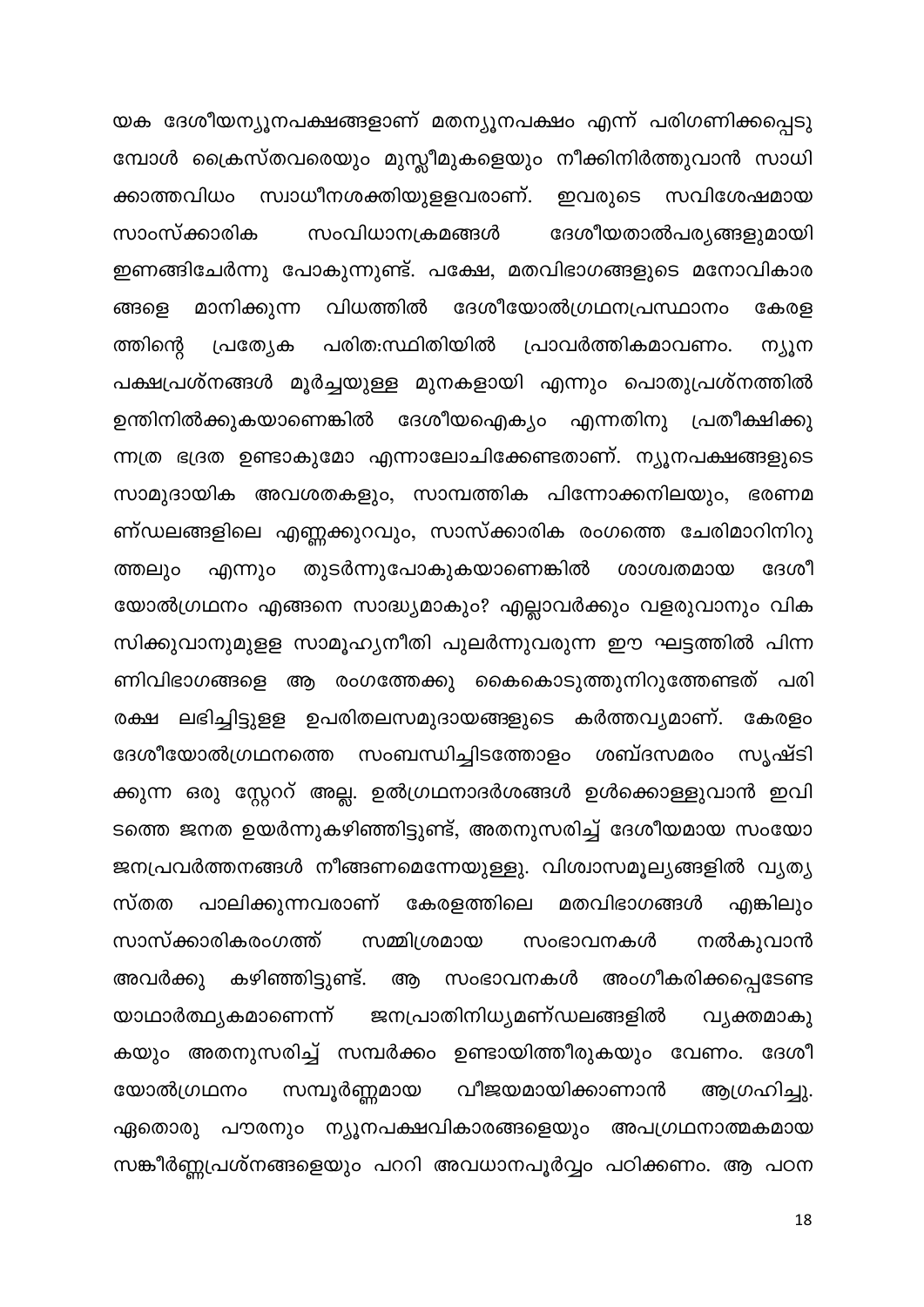യക ദേശീയന്യൂനപക്ഷങ്ങളാണ് മതന്യൂനപക്ഷം എന്ന് പരിഗണിക്കപ്പെടു മ്പോൾ ക്രൈസ്തവരെയും മുസ്ലീമുകളെയും നീക്കിനിർത്തുവാൻ സാധി സ്വാധീനശക്തിയുളളവരാണ്. ക്കാത്തവിധം ഇവരുടെ സവിശേഷമായ ദേശീയതാൽപര്യങ്ങളുമായി സാംസ്ക്കാരിക സംവിധാനക്രമങ്ങൾ ഇണങ്ങിചേർന്നു പോകുന്നുണ്ട്. പക്ഷേ, മതവിഭാഗങ്ങളുടെ മനോവികാര ദേശീയോൽഗ്രഥനപ്രസ്ഥാനം വിധത്തിൽ ങ്ങളെ മാനിക്കുന്ന കേരള ത്തിന്റെ പ്രത്യേക പരിത:സ്ഥിതിയിൽ പ്രാവർത്തികമാവണം. ന്യൂന പക്ഷപ്രശ്നങ്ങൾ മൂർച്ചയുള്ള മുനകളായി എന്നും പൊതുപ്രശ്നത്തിൽ ഉന്തിനിൽക്കുകയാണെങ്കിൽ ദേശീയഐക്യം എന്നതിനു പ്രതീക്ഷിക്കു ന്നത്ര ഭദ്രത ഉണ്ടാകുമോ എന്നാലോചിക്കേണ്ടതാണ്. ന്യൂനപക്ഷങ്ങളുടെ സാമുദായിക അവശതകളും, സാമ്പത്തിക പിന്നോക്കനിലയും, ഭരണമ ണ്ഡലങ്ങളിലെ എണ്ണക്കുറവും, സാസ്ക്കാരിക രംഗത്തെ ചേരിമാറിനിറു തുടർന്നുപോകുകയാണെങ്കിൽ ദേശീ ശാശ്വതമായ ത്തലും എന്നും യോൽഗ്രഥനം എങ്ങനെ സാദ്ധ്യമാകും? എല്ലാവർക്കും വളരുവാനും വിക സിക്കുവാനുമുളള സാമൂഹ്യനീതി പുലർന്നുവരുന്ന ഈ ഘട്ടത്തിൽ പിന്ന ണിവിഭാഗങ്ങളെ ആ രംഗത്തേക്കു കൈകൊടുത്തുനിറുത്തേണ്ടത് പരി ലഭിച്ചിട്ടുളള ഉപരിതലസമുദായങ്ങളുടെ കർത്തവ്യമാണ്. കേരളം രക്ഷ ദേശീയോൽഗ്രഥനത്തെ സംബന്ധിച്ചിടത്തോളം ശബ്ദസമരം സൃഷ്ടി ക്കുന്ന ഒരു സ്റ്റേററ് അല്ല. ഉൽഗ്രഥനാദർശങ്ങൾ ഉൾക്കൊള്ളുവാൻ ഇവി ടത്തെ ജനത ഉയർന്നുകഴിഞ്ഞിട്ടുണ്ട്, അതനുസരിച്ച് ദേശീയമായ സംയോ ജനപ്രവർത്തനങ്ങൾ നീങ്ങണമെന്നേയുള്ളു. വിശ്വാസമൂല്യങ്ങളിൽ വ്യത്യ സ്തത പാലിക്കുന്നവരാണ് കേരളത്തിലെ മതവിഭാഗങ്ങൾ എങ്കിലും സാസ്ക്കാരികരംഗത്ത് സമ്മിശ്രമായ സംഭാവനകൾ നൽകുവാൻ കഴിഞ്ഞിട്ടുണ്ട്. സംഭാവനകൾ അംഗീകരിക്കപ്പെടേണ്ട അവർക്കു ആ ജനപ്രാതിനിധൃമണ്ഡലങ്ങളിൽ യാഥാർത്ഥ്യകമാണെന്ന് വ്യക്തമാകു കയും അതനുസരിച്ച് സമ്പർക്കം ഉണ്ടായിത്തീരുകയും വേണം. ദേശീ സമ്പൂർണ്ണമായ വീജയമായിക്കാണാൻ ആഗ്രഹിച്ചു. യോൽഗ്രഥനം ഏതൊരു പൗരനും ന്യൂനപക്ഷവികാരങ്ങളെയും അപഗ്രഥനാത്മകമായ സങ്കീർണ്ണപ്രശ്നങ്ങളെയും പററി അവധാനപൂർവ്വം പഠിക്കണം. ആ പഠന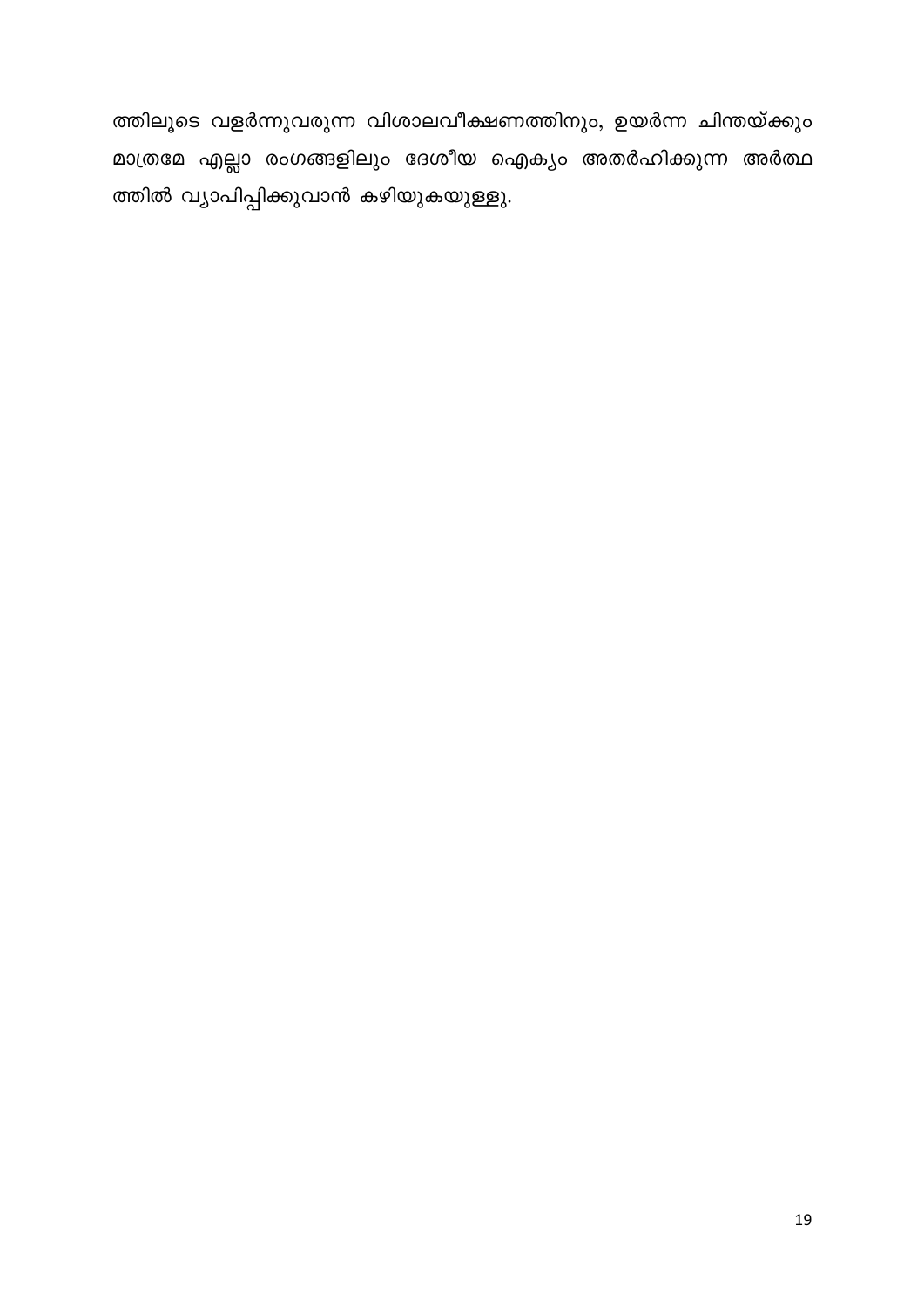ത്തിലൂടെ വളർന്നുവരുന്ന വിശാലവീക്ഷണത്തിനും, ഉയർന്ന ചിന്തയ്ക്കും മാത്രമേ എല്ലാ രംഗങ്ങളിലും ദേശീയ ഐക്യം അതർഹിക്കുന്ന അർത്ഥ ത്തിൽ വ്യാപിപ്പിക്കുവാൻ കഴിയുകയുള്ളു.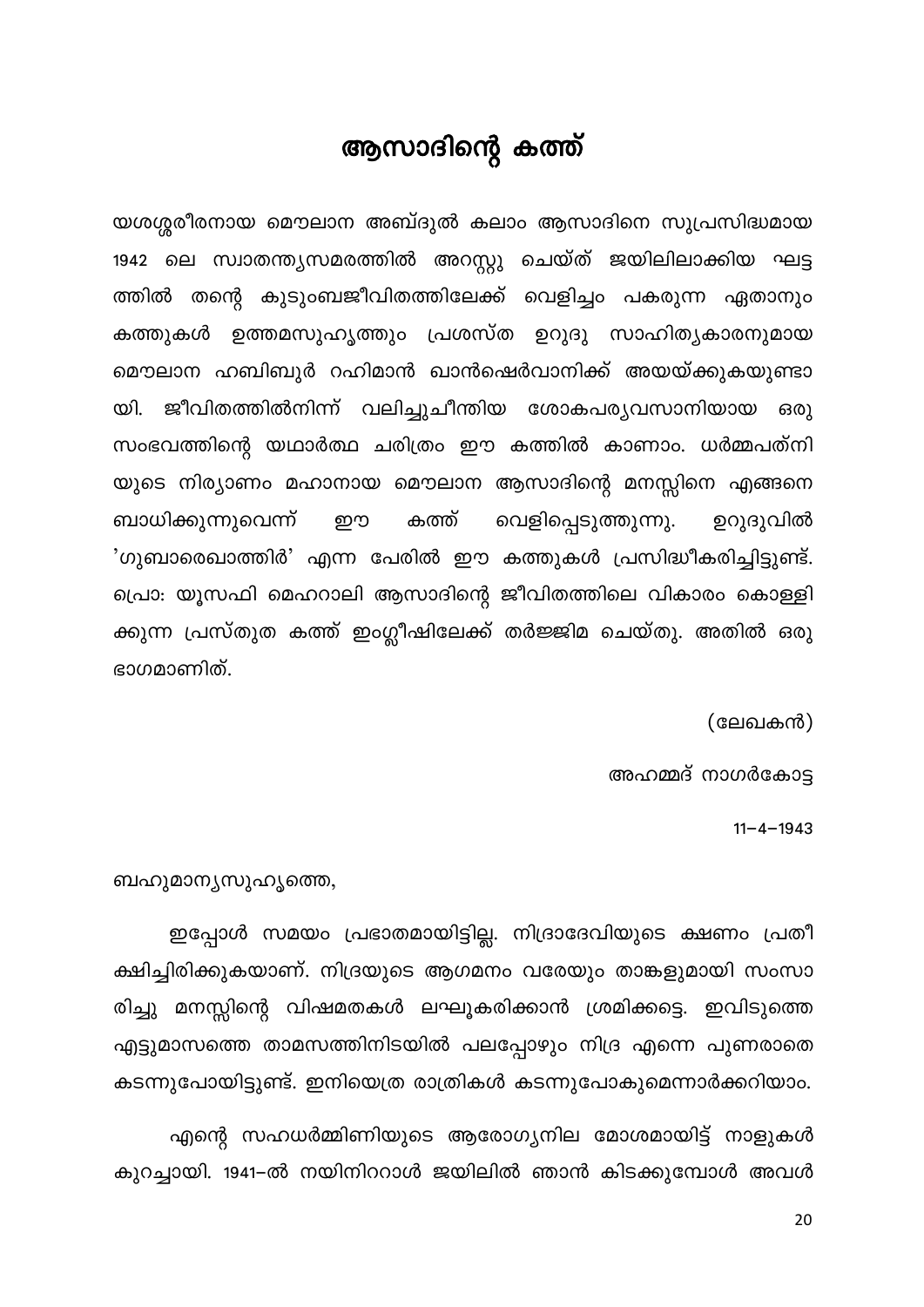#### ആസാദിന്റെ കത്ത്

<span id="page-20-0"></span>യശശ്ശരീരനായ മൌലാന അബ്ദുൽ കലാം ആസാദിനെ സുപ്രസിദ്ധമായ 1942 ലെ സ്വാതന്ത്യസമരത്തിൽ അറസ്റ്റു ചെയ്ത് ജയിലിലാക്കിയ ഘട്ട ത്തിൽ തന്റെ കുടുംബജീവിതത്തിലേക്ക് വെളിച്ചം പകരുന്ന ഏതാനും കത്തുകൾ ഉത്തമസുഹൃത്തും പ്രശസ്ത ഉറുദു സാഹിത്യകാരനുമായ മൌലാന ഹബിബുർ റഹിമാൻ ഖാൻഷെർവാനിക്ക് അയയ്ക്കുകയുണ്ടാ യി. ജീവിതത്തിൽനിന്ന് വലിച്ചുചീന്തിയ ശോകപര്യവസാനിയായ ഒരു സംഭവത്തിന്റെ യഥാർത്ഥ ചരിത്രം ഈ കത്തിൽ കാണാം. ധർമ്മപത്നി യുടെ നിര്യാണം മഹാനായ മൌലാന ആസാദിന്റെ മനസ്സിനെ എങ്ങനെ വെളിപ്പെടുത്തുന്നു. ബാധിക്കുന്നുവെന്ന് കത്ത് ഉറുദുവിൽ றற 'ഗുബാരെഖാത്തിർ' എന്ന പേരിൽ ഈ കത്തുകൾ പ്രസിദ്ധീകരിച്ചിട്ടുണ്ട്. പ്രൊ: യൂസഫി മെഹറാലി ആസാദിന്റെ ജീവിതത്തിലെ വികാരം കൊള്ളി ക്കുന്ന പ്രസ്തുത കത്ത് ഇംഗ്ലീഷിലേക്ക് തർജ്ജിമ ചെയ്തു. അതിൽ ഒരു ഭാഗമാണിത്.

(ലേഖകൻ)

അഹമ്മദ് നാഗർകോട്ട

 $11 - 4 - 1943$ 

ബഹുമാന്യസുഹൃത്തെ,

ഇപ്പോൾ സമയം പ്രഭാതമായിട്ടില്ല. നിദ്രാദേവിയുടെ ക്ഷണം പ്രതീ ക്ഷിച്ചിരിക്കുകയാണ്. നിദ്രയുടെ ആഗമനം വരേയും താങ്കളുമായി സംസാ രിച്ചു മനസ്സിന്റെ വിഷമതകൾ ലഘൂകരിക്കാൻ ശ്രമിക്കട്ടെ. ഇവിടുത്തെ എട്ടുമാസത്തെ താമസത്തിനിടയിൽ പലപ്പോഴും നിദ്ര എന്നെ പുണരാതെ കടന്നുപോയിട്ടുണ്ട്. ഇനിയെത്ര രാത്രികൾ കടന്നുപോകുമെന്നാർക്കറിയാം.

എന്റെ സഹധർമ്മിണിയുടെ ആരോഗ്യനില മോശമായിട്ട് നാളുകൾ കുറച്ചായി. 1941-ൽ നയിനിററാൾ ജയിലിൽ ഞാൻ കിടക്കുമ്പോൾ അവൾ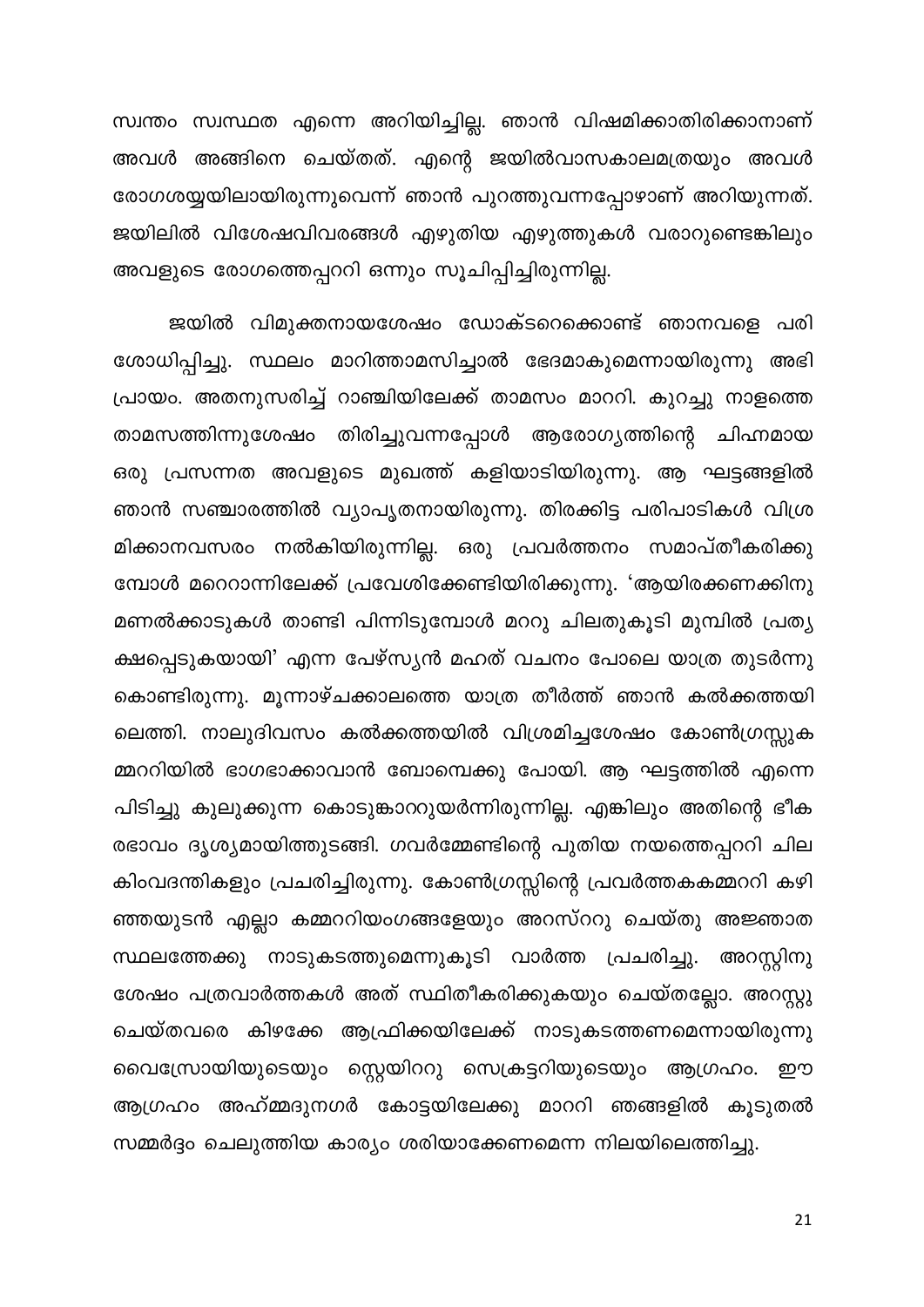സ്വന്തം സ്വസ്ഥത എന്നെ അറിയിച്ചില്ല. ഞാൻ വിഷമിക്കാതിരിക്കാനാണ് അവൾ അങ്ങിനെ ചെയ്തത്. എന്റെ ജയിൽവാസകാലമത്രയും അവൾ രോഗശയ്യയിലായിരുന്നുവെന്ന് ഞാൻ പുറത്തുവന്നപ്പോഴാണ് അറിയുന്നത്. ജയിലിൽ വിശേഷവിവരങ്ങൾ എഴുതിയ എഴുത്തുകൾ വരാറുണ്ടെങ്കിലും അവളുടെ രോഗത്തെപ്പററി ഒന്നും സൂചിപ്പിച്ചിരുന്നില്ല.

ജയിൽ വിമുക്തനായശേഷം ഡോക്ടറെക്കൊണ്ട് ഞാനവളെ പരി ശോധിപ്പിച്ചു. സ്ഥലം മാറിത്താമസിച്ചാൽ ഭേദമാകുമെന്നായിരുന്നു അഭി പ്രായം. അതനുസരിച്ച് റാഞ്ചിയിലേക്ക് താമസം മാററി. കുറച്ചു നാളത്തെ താമസത്തിന്നുശേഷം തിരിച്ചുവന്നപ്പോൾ ആരോഗ്യത്തിന്റെ ചിഹ്നമായ ഒരു പ്രസന്നത അവളുടെ മുഖത്ത് കളിയാടിയിരുന്നു. ആ ഘട്ടങ്ങളിൽ ഞാൻ സഞ്ചാരത്തിൽ വ്യാപൃതനായിരുന്നു. തിരക്കിട്ട പരിപാടികൾ വിശ്ര മിക്കാനവസരം നൽകിയിരുന്നില്ല. ഒരു പ്രവർത്തനം സമാപ്തീകരിക്കു മ്പോൾ മറെറാന്നിലേക്ക് പ്രവേശിക്കേണ്ടിയിരിക്കുന്നു. 'ആയിരക്കണക്കിനു മണൽക്കാടുകൾ താണ്ടി പിന്നിടുമ്പോൾ മററു ചിലതുകൂടി മുമ്പിൽ പ്രത്യ ക്ഷപ്പെടുകയായി' എന്ന പേഴ്സ്യൻ മഹത് വചനം പോലെ യാത്ര തുടർന്നു കൊണ്ടിരുന്നു. മൂന്നാഴ്ചക്കാലത്തെ യാത്ര തീർത്ത് ഞാൻ കൽക്കത്തയി ലെത്തി. നാലുദിവസം കൽക്കത്തയിൽ വിശ്രമിച്ചശേഷം കോൺഗ്രസ്സുക മ്മററിയിൽ ഭാഗഭാക്കാവാൻ ബോമ്പെക്കു പോയി. ആ ഘട്ടത്തിൽ എന്നെ പിടിച്ചു കുലുക്കുന്ന കൊടുങ്കാററുയർന്നിരുന്നില്ല. എങ്കിലും അതിന്റെ ഭീക രഭാവം ദൃശ്യമായിത്തുടങ്ങി. ഗവർമ്മേണ്ടിന്റെ പുതിയ നയത്തെപ്പററി ചില കിംവദന്തികളും പ്രചരിച്ചിരുന്നു. കോൺഗ്രസ്സിന്റെ പ്രവർത്തകകമ്മററി കഴി ഞ്ഞയുടൻ എല്ലാ കമ്മററിയംഗങ്ങളേയും അറസ്ററു ചെയ്തു അജ്ഞാത സ്ഥലത്തേക്കു നാടുകടത്തുമെന്നുകൂടി വാർത്ത പ്രചരിച്ചു. അറസ്റ്റിനു ശേഷം പത്രവാർത്തകൾ അത് സ്ഥിതീകരിക്കുകയും ചെയ്തല്ലോ. അറസ്റ്റു ചെയ്തവരെ കിഴക്കേ ആഫ്രിക്കയിലേക്ക് നാടുകടത്തണമെന്നായിരുന്നു വൈസ്രോയിയുടെയും സ്റ്റെയിററു സെക്രട്ടറിയുടെയും ആഗ്രഹം. ഈ ആഗ്രഹം അഹ്മ്മദുനഗർ കോട്ടയിലേക്കു മാററി ഞങ്ങളിൽ കൂടുതൽ സമ്മർദ്ദം ചെലുത്തിയ കാര്യം ശരിയാക്കേണമെന്ന നിലയിലെത്തിച്ചു.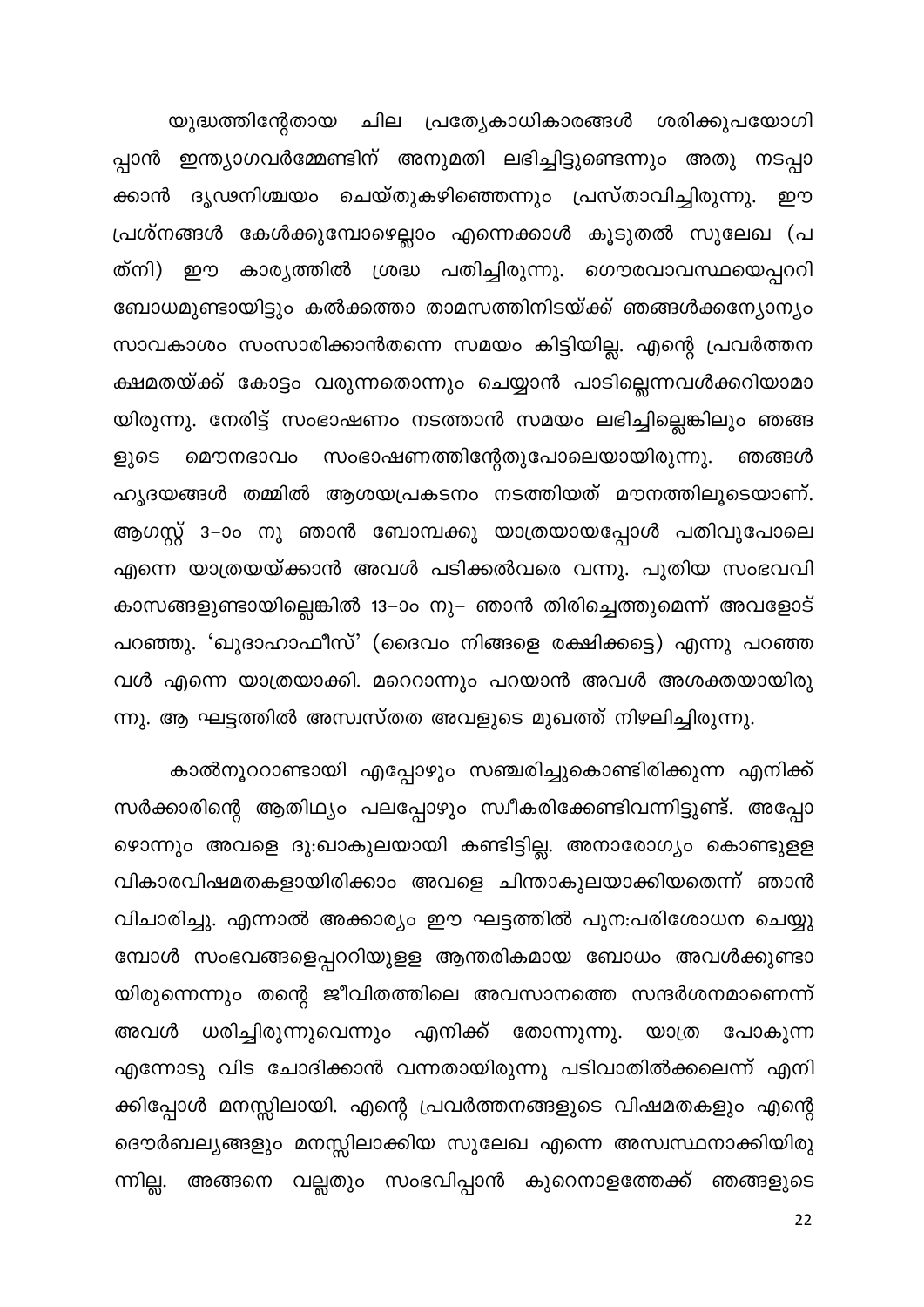യുദ്ധത്തിന്റേതായ ചില പ്രത്യേകാധികാരങ്ങൾ ശരിക്കുപയോഗി പ്പാൻ ഇന്ത്യാഗവർമ്മേണ്ടിന് അനുമതി ലഭിച്ചിട്ടുണ്ടെന്നും അതു നടപ്പാ ക്കാൻ ദൃഢനിശ്ചയം ചെയ്തുകഴിഞ്ഞെന്നും പ്രസ്താവിച്ചിരുന്നു. ഈ പ്രശ്നങ്ങൾ കേൾക്കുമ്പോഴെല്ലാം എന്നെക്കാൾ കൂടുതൽ സുലേഖ (പ ത്നി) ഈ കാര്യത്തിൽ ശ്രദ്ധ പതിച്ചിരുന്നു. ഗൌരവാവസ്ഥയെപ്പററി ബോധമുണ്ടായിട്ടും കൽക്കത്താ താമസത്തിനിടയ്ക്ക് ഞങ്ങൾക്കന്യോന്യം സാവകാശം സംസാരിക്കാൻതന്നെ സമയം കിട്ടിയില്ല. എന്റെ പ്രവർത്തന ക്ഷമതയ്ക്ക് കോട്ടം വരുന്നതൊന്നും ചെയ്യാൻ പാടില്ലെന്നവൾക്കറിയാമാ യിരുന്നു. നേരിട്ട് സംഭാഷണം നടത്താൻ സമയം ലഭിച്ചില്ലെങ്കിലും ഞങ്ങ മൌനഭാവം സംഭാഷണത്തിന്റേതുപോലെയായിരുന്നു. ളുടെ ഞങ്ങൾ ഹൃദയങ്ങൾ തമ്മിൽ ആശയപ്രകടനം നടത്തിയത് മൗനത്തിലൂടെയാണ്. ആഗസ്റ്റ് 3–ാം നു ഞാൻ ബോമ്പക്കു യാത്രയായപ്പോൾ പതിവുപോലെ എന്നെ യാത്രയയ്ക്കാൻ അവൾ പടിക്കൽവരെ വന്നു. പുതിയ സംഭവവി കാസങ്ങളുണ്ടായില്ലെങ്കിൽ 13–ാം നു– ഞാൻ തിരിച്ചെത്തുമെന്ന് അവളോട് പറഞ്ഞു. 'ഖുദാഹാഫീസ്' (ദൈവം നിങ്ങളെ രക്ഷിക്കട്ടെ) എന്നു പറഞ്ഞ വൾ എന്നെ യാത്രയാക്കി. മറെറാന്നും പറയാൻ അവൾ അശക്തയായിരു ന്നു. ആ ഘട്ടത്തിൽ അസ്വസ്തത അവളുടെ മുഖത്ത് നിഴലിച്ചിരുന്നു.

കാൽനൂററാണ്ടായി എപ്പോഴും സഞ്ചരിച്ചുകൊണ്ടിരിക്കുന്ന എനിക്ക് സർക്കാരിന്റെ ആതിഥ്യം പലപ്പോഴും സ്വീകരിക്കേണ്ടിവന്നിട്ടുണ്ട്. അപ്പോ ഴൊന്നും അവളെ ദു:ഖാകുലയായി കണ്ടിട്ടില്ല. അനാരോഗ്യം കൊണ്ടുളള വികാരവിഷമതകളായിരിക്കാം അവളെ ചിന്താകുലയാക്കിയതെന്ന് ഞാൻ വിചാരിച്ചു. എന്നാൽ അക്കാര്യം ഈ ഘട്ടത്തിൽ പുന:പരിശോധന ചെയ്യു മ്പോൾ സംഭവങ്ങളെപ്പററിയുളള ആന്തരികമായ ബോധം അവൾക്കുണ്ടാ യിരുന്നെന്നും തന്റെ ജീവിതത്തിലെ അവസാനത്തെ സന്ദർശനമാണെന്ന് അവൾ ധരിച്ചിരുന്നുവെന്നും എനിക്ക് തോന്നുന്നു. യാത്ര പോകുന്ന എന്നോടു വിട ചോദിക്കാൻ വന്നതായിരുന്നു പടിവാതിൽക്കലെന്ന് എനി ക്കിപ്പോൾ മനസ്സിലായി. എന്റെ പ്രവർത്തനങ്ങളുടെ വിഷമതകളും എന്റെ ദൌർബല്യങ്ങളും മനസ്സിലാക്കിയ സുലേഖ എന്നെ അസ്വസ്ഥനാക്കിയിരു ന്നില്ല. അങ്ങനെ വല്ലതും സംഭവിപ്പാൻ കുറെനാളത്തേക്ക് ഞങ്ങളുടെ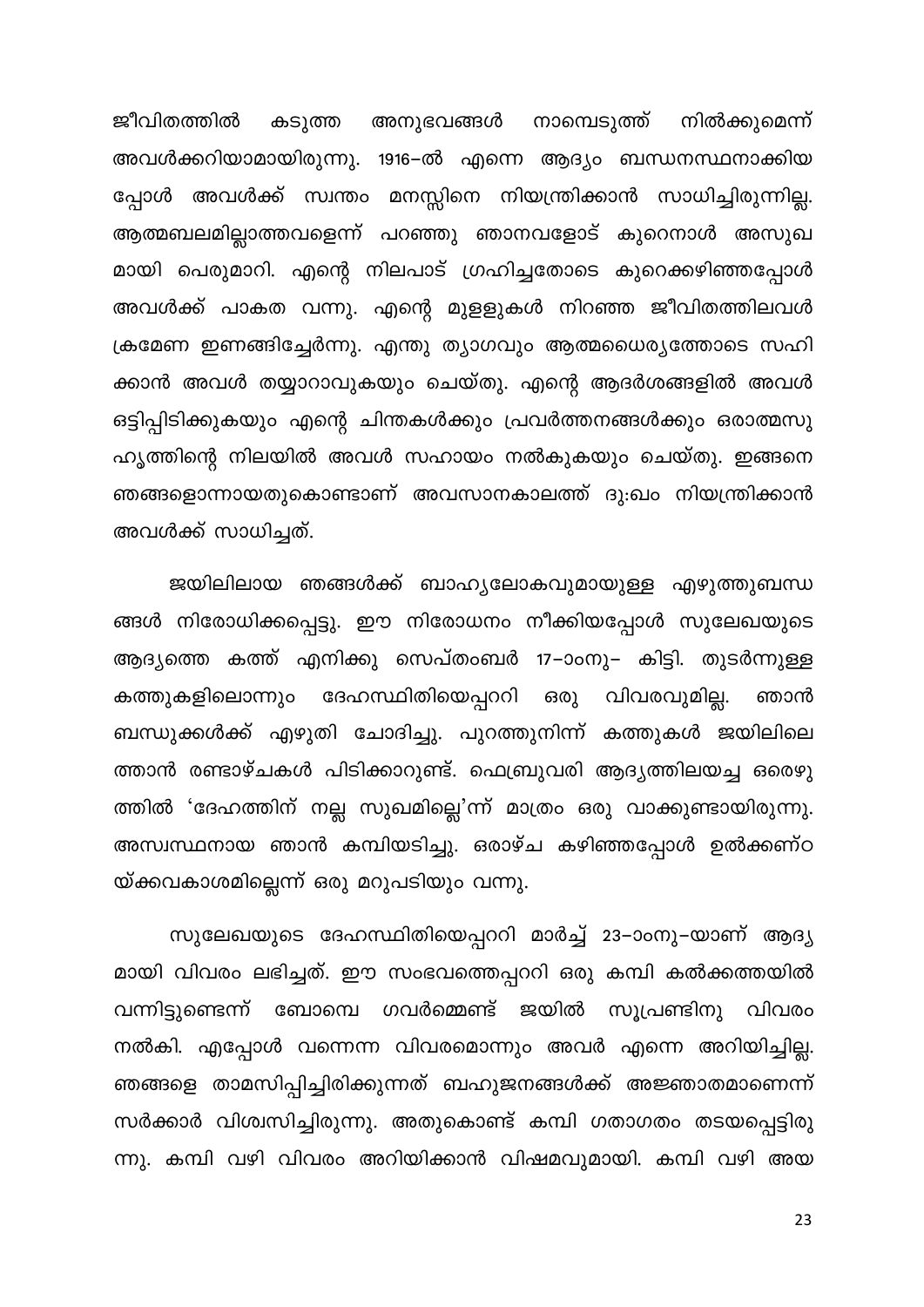കടുത്ത അനുഭവങ്ങൾ നാമ്പെടുത്ത് നിൽക്കുമെന്ന് ജീവിതത്തിൽ അവൾക്കറിയാമായിരുന്നു. 1916–ൽ എന്നെ ആദ്യം ബന്ധനസ്ഥനാക്കിയ പ്പോൾ അവൾക്ക് സ്വന്തം മനസ്സിനെ നിയന്ത്രിക്കാൻ സാധിച്ചിരുന്നില്ല. ആത്മബലമില്ലാത്തവളെന്ന് പറഞ്ഞു ഞാനവളോട് കുറെനാൾ അസുഖ മായി പെരുമാറി. എന്റെ നിലപാട് ഗ്രഹിച്ചതോടെ കുറെക്കഴിഞ്ഞപ്പോൾ അവൾക്ക് പാകത വന്നു. എന്റെ മുളളുകൾ നിറഞ്ഞ ജീവിതത്തിലവൾ ക്രമേണ ഇണങ്ങിച്ചേർന്നു. എന്തു ത്യാഗവും ആത്മധൈര്യത്തോടെ സഹി ക്കാൻ അവൾ തയ്യാറാവുകയും ചെയ്തു. എന്റെ ആദർശങ്ങളിൽ അവൾ ഒട്ടിപ്പിടിക്കുകയും എന്റെ ചിന്തകൾക്കും പ്രവർത്തനങ്ങൾക്കും ഒരാത്മസു ഹൃത്തിന്റെ നിലയിൽ അവൾ സഹായം നൽകുകയും ചെയ്തു. ഇങ്ങനെ ഞങ്ങളൊന്നായതുകൊണ്ടാണ് അവസാനകാലത്ത് ദു:ഖം നിയന്ത്രിക്കാൻ അവൾക്ക് സാധിച്ചത്.

ജയിലിലായ ഞങ്ങൾക്ക് ബാഹ്യലോകവുമായുള്ള എഴുത്തുബന്ധ ങ്ങൾ നിരോധിക്കപ്പെട്ടു. ഈ നിരോധനം നീക്കിയപ്പോൾ സുലേഖയുടെ ആദ്യത്തെ കത്ത് എനിക്കു സെപ്തംബർ 17–ാംനു– കിട്ടി. തുടർന്നുള്ള കത്തുകളിലൊന്നും ദേഹസ്ഥിതിയെപ്പററി ഒരു വിവരവുമില്ല. ഞാൻ ബന്ധുക്കൾക്ക് എഴുതി ചോദിച്ചു. പുറത്തുനിന്ന് കത്തുകൾ ജയിലിലെ ത്താൻ രണ്ടാഴ്ചകൾ പിടിക്കാറുണ്ട്. ഫെബ്രുവരി ആദ്യത്തിലയച്ച ഒരെഴു ത്തിൽ 'ദേഹത്തിന് നല്ല സുഖമില്ലെ'ന്ന് മാത്രം ഒരു വാക്കുണ്ടായിരുന്നു. അസ്വസ്ഥനായ ഞാൻ കമ്പിയടിച്ചു. ഒരാഴ്ച കഴിഞ്ഞപ്പോൾ ഉൽക്കണ്ഠ യ്ക്കവകാശമില്ലെന്ന് ഒരു മറുപടിയും വന്നു.

സുലേഖയുടെ ദേഹസ്ഥിതിയെപ്പററി മാർച്ച് 23–ാംനു–യാണ് ആദ്യ മായി വിവരം ലഭിച്ചത്. ഈ സംഭവത്തെപ്പററി ഒരു കമ്പി കൽക്കത്തയിൽ വന്നിട്ടുണ്ടെന്ന് ബോമ്പെ ഗവർമ്മെണ്ട് ജയിൽ സൂപ്രണ്ടിനു വിവരം നൽകി. എപ്പോൾ വന്നെന്ന വിവരമൊന്നും അവർ എന്നെ അറിയിച്ചില്ല. ഞങ്ങളെ താമസിപ്പിച്ചിരിക്കുന്നത് ബഹുജനങ്ങൾക്ക് അജ്ഞാതമാണെന്ന് സർക്കാർ വിശ്വസിച്ചിരുന്നു. അതുകൊണ്ട് കമ്പി ഗതാഗതം തടയപ്പെട്ടിരു ന്നു. കമ്പി വഴി വിവരം അറിയിക്കാൻ വിഷമവുമായി. കമ്പി വഴി അയ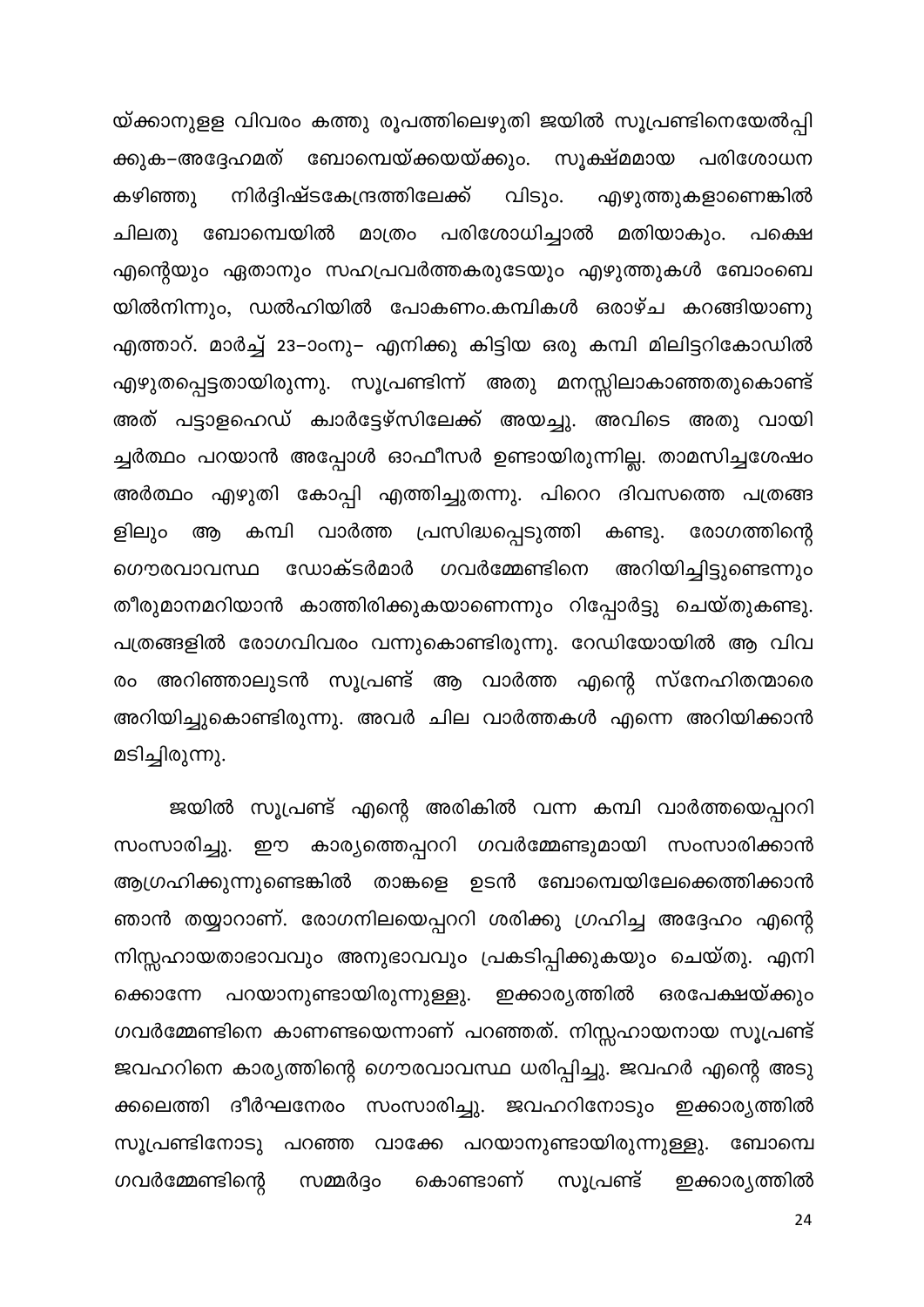യ്ക്കാനുളള വിവരം കത്തു രൂപത്തിലെഴുതി ജയിൽ സൂപ്രണ്ടിനെയേൽപ്പി ക്കുക–അദ്ദേഹമത് ബോമ്പെയ്ക്കയയ്ക്കും. സൂക്ഷ്മമായ പരിശോധന വിടും. നിർദ്ദിഷ്ടകേന്ദ്രത്തിലേക്ക് എഴുത്തുകളാണെങ്കിൽ കഴിഞ്ഞു ചിലതു ബോമ്പെയിൽ മാത്രം പരിശോധിച്ചാൽ മതിയാകും. പക്ഷെ എന്റെയും ഏതാനും സഹപ്രവർത്തകരുടേയും എഴുത്തുകൾ ബോംബെ യിൽനിന്നും, ഡൽഹിയിൽ പോകണം.കമ്പികൾ ഒരാഴ്ച കറങ്ങിയാണു എത്താറ്. മാർച്ച് 23–ാംനു– എനിക്കു കിട്ടിയ ഒരു കമ്പി മിലിട്ടറികോഡിൽ എഴുതപ്പെട്ടതായിരുന്നു. സൂപ്രണ്ടിന്ന് അതു മനസ്സിലാകാഞ്ഞതുകൊണ്ട് അത് പട്ടാളഹെഡ് ക്വാർട്ടേഴ്സിലേക്ക് അയച്ചു. അവിടെ അതു വായി ച്ചർത്ഥം പറയാൻ അപ്പോൾ ഓഫീസർ ഉണ്ടായിരുന്നില്ല. താമസിച്ചശേഷം അർത്ഥം എഴുതി കോപ്പി എത്തിച്ചുതന്നു. പിറെറ ദിവസത്തെ പത്രങ്ങ കമ്പി വാർത്ത പ്രസിദ്ധപ്പെടുത്തി കണ്ടു. രോഗത്തിന്റെ ളിലും ആ അറിയിച്ചിട്ടുണ്ടെന്നും ഡോക്ടർമാർ ഗവർമ്മേണ്ടിനെ ഗൌരവാവസ്ഥ തീരുമാനമറിയാൻ കാത്തിരിക്കുകയാണെന്നും റിപ്പോർട്ടു ചെയ്തുകണ്ടു. പത്രങ്ങളിൽ രോഗവിവരം വന്നുകൊണ്ടിരുന്നു. റേഡിയോയിൽ ആ വിവ രം അറിഞ്ഞാലുടൻ സൂപ്രണ്ട് ആ വാർത്ത എന്റെ സ്നേഹിതന്മാരെ അറിയിച്ചുകൊണ്ടിരുന്നു. അവർ ചില വാർത്തകൾ എന്നെ അറിയിക്കാൻ മടിച്ചിരുന്നു.

ജയിൽ സൂപ്രണ്ട് എന്റെ അരികിൽ വന്ന കമ്പി വാർത്തയെപ്പററി സംസാരിച്ചു. ഈ കാര്യത്തെപ്പററി ഗവർമ്മേണ്ടുമായി സംസാരിക്കാൻ ആഗ്രഹിക്കുന്നുണ്ടെങ്കിൽ താങ്കളെ ഉടൻ ബോമ്പെയിലേക്കെത്തിക്കാൻ ഞാൻ തയ്യാറാണ്. രോഗനിലയെപ്പററി ശരിക്കു ഗ്രഹിച്ച അദ്ദേഹം എന്റെ നിസ്സഹായതാഭാവവും അനുഭാവവും പ്രകടിപ്പിക്കുകയും ചെയ്തു. എനി ക്കൊന്നേ പറയാനുണ്ടായിരുന്നുള്ളു. ഇക്കാര്യത്തിൽ ഒരപേക്ഷയ്ക്കും ഗവർമ്മേണ്ടിനെ കാണണ്ടയെന്നാണ് പറഞ്ഞത്. നിസ്സഹായനായ സൂപ്രണ്ട് ജവഹറിനെ കാര്യത്തിന്റെ ഗൌരവാവസ്ഥ ധരിപ്പിച്ചു. ജവഹർ എന്റെ അടു ക്കലെത്തി ദീർഘനേരം സംസാരിച്ചു. ജവഹറിനോടും ഇക്കാര്യത്തിൽ സൂപ്രണ്ടിനോടു പറഞ്ഞ വാക്കേ പറയാനുണ്ടായിരുന്നുള്ളു. ബോമ്പെ ഗവർമ്മേണ്ടിന്റെ സമ്മർദ്ദം കൊണ്ടാണ് സൂപ്രണ്ട് ഇക്കാര്യത്തിൽ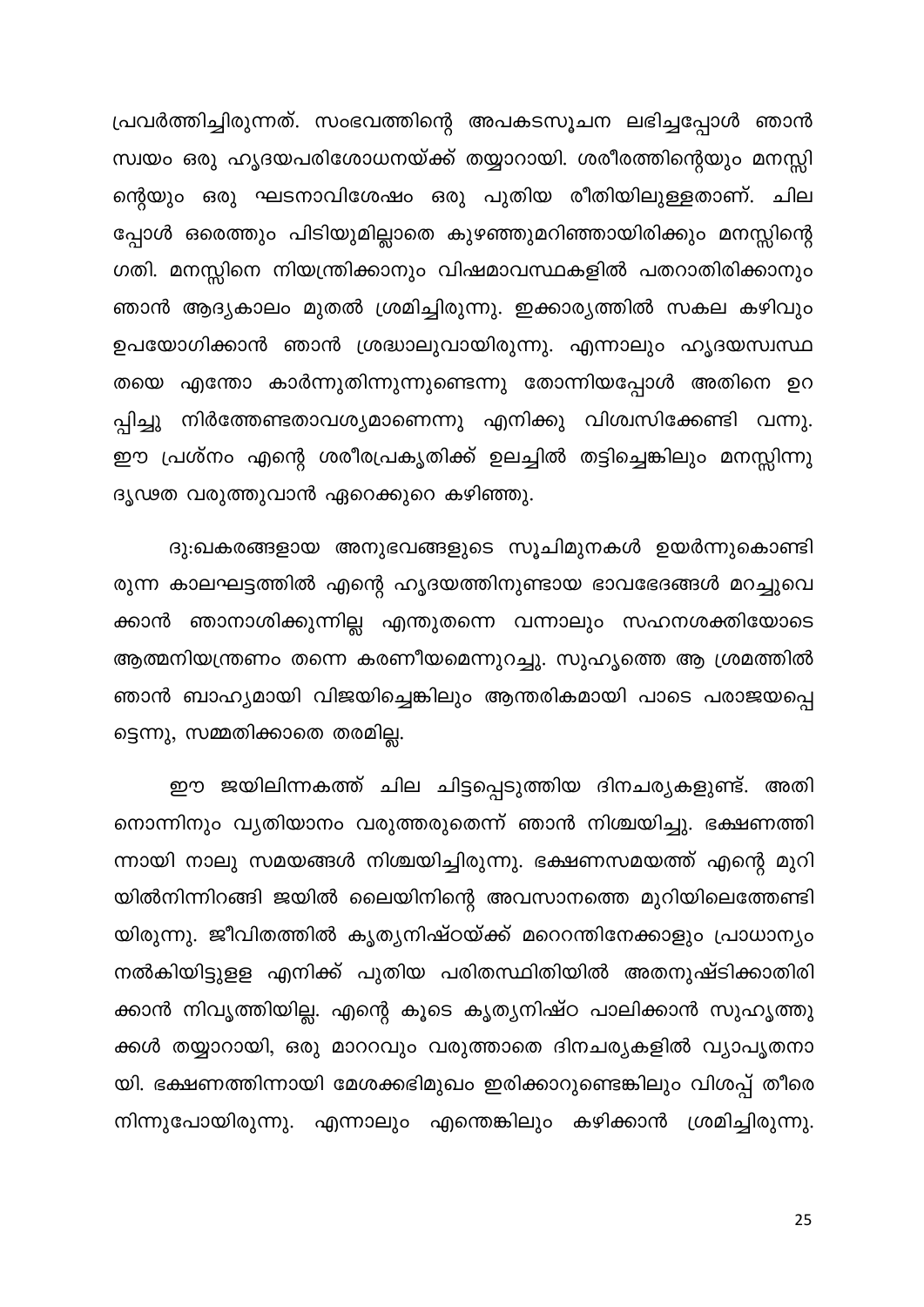പ്രവർത്തിച്ചിരുന്നത്. സംഭവത്തിന്റെ അപകടസൂചന ലഭിച്ചപ്പോൾ ഞാൻ സ്വയം ഒരു ഹൃദയപരിശോധനയ്ക്ക് തയ്യാറായി. ശരീരത്തിന്റെയും മനസ്സി ന്റെയും ഒരു ഘടനാവിശേഷം ഒരു പുതിയ രീതിയിലുള്ളതാണ്. ചില പ്പോൾ ഒരെത്തും പിടിയുമില്ലാതെ കുഴഞ്ഞുമറിഞ്ഞായിരിക്കും മനസ്സിന്റെ ഗതി. മനസ്സിനെ നിയന്ത്രിക്കാനും വിഷമാവസ്ഥകളിൽ പതറാതിരിക്കാനും ഞാൻ ആദ്യകാലം മുതൽ ശ്രമിച്ചിരുന്നു. ഇക്കാര്യത്തിൽ സകല കഴിവും ഉപയോഗിക്കാൻ ഞാൻ ശ്രദ്ധാലുവായിരുന്നു. എന്നാലും ഹൃദയസ്വസ്ഥ തയെ എന്തോ കാർന്നുതിന്നുന്നുണ്ടെന്നു തോന്നിയപ്പോൾ അതിനെ ഉറ പ്പിച്ചു നിർത്തേണ്ടതാവശ്യമാണെന്നു എനിക്കു വിശ്വസിക്കേണ്ടി വന്നു. ഈ പ്രശ്നം എന്റെ ശരീരപ്രകൃതിക്ക് ഉലച്ചിൽ തട്ടിച്ചെങ്കിലും മനസ്സിന്നു ദൃഢത വരുത്തുവാൻ ഏറെക്കുറെ കഴിഞ്ഞു.

ദു:ഖകരങ്ങളായ അനുഭവങ്ങളുടെ സൂചിമുനകൾ ഉയർന്നുകൊണ്ടി രുന്ന കാലഘട്ടത്തിൽ എന്റെ ഹൃദയത്തിനുണ്ടായ ഭാവഭേദങ്ങൾ മറച്ചുവെ ക്കാൻ ഞാനാശിക്കുന്നില്ല എന്തുതന്നെ വന്നാലും സഹനശക്തിയോടെ ആത്മനിയന്ത്രണം തന്നെ കരണീയമെന്നുറച്ചു. സുഹൃത്തെ ആ ശ്രമത്തിൽ ഞാൻ ബാഹ്യമായി വിജയിച്ചെങ്കിലും ആന്തരികമായി പാടെ പരാജയപ്പെ ട്ടെന്നു, സമ്മതിക്കാതെ തരമില്ല.

ഈ ജയിലിന്നകത്ത് ചില ചിട്ടപ്പെടുത്തിയ ദിനചര്യകളുണ്ട്. അതി നൊന്നിനും വ്യതിയാനം വരുത്തരുതെന്ന് ഞാൻ നിശ്ചയിച്ചു. ഭക്ഷണത്തി ന്നായി നാലു സമയങ്ങൾ നിശ്ചയിച്ചിരുന്നു. ഭക്ഷണസമയത്ത് എന്റെ മുറി യിൽനിന്നിറങ്ങി ജയിൽ ലൈയിനിന്റെ അവസാനത്തെ മുറിയിലെത്തേണ്ടി യിരുന്നു. ജീവിതത്തിൽ കൃത്യനിഷ്ഠയ്ക്ക് മറെറന്തിനേക്കാളും പ്രാധാന്യം നൽകിയിട്ടുളള എനിക്ക് പുതിയ പരിതസ്ഥിതിയിൽ അതനുഷ്ടിക്കാതിരി ക്കാൻ നിവൃത്തിയില്ല. എന്റെ കൂടെ കൃത്യനിഷ്ഠ പാലിക്കാൻ സുഹൃത്തു ക്കൾ തയ്യാറായി, ഒരു മാററവും വരുത്താതെ ദിനചര്യകളിൽ വ്യാപൃതനാ യി. ഭക്ഷണത്തിന്നായി മേശക്കഭിമുഖം ഇരിക്കാറുണ്ടെങ്കിലും വിശപ്പ് തീരെ നിന്നുപോയിരുന്നു. എന്നാലും എന്തെങ്കിലും കഴിക്കാൻ ശ്രമിച്ചിരുന്നു.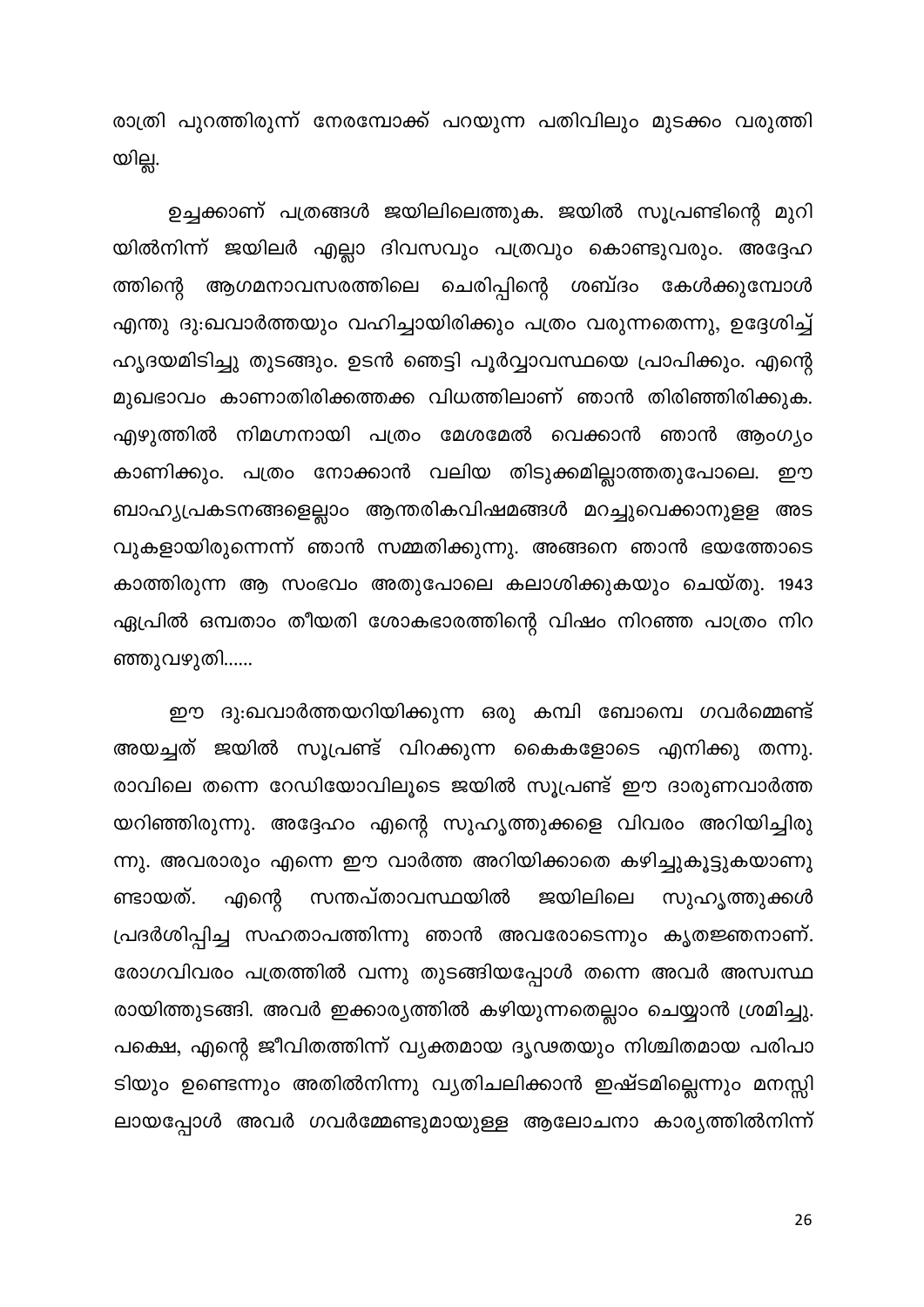രാത്രി പുറത്തിരുന്ന് നേരമ്പോക്ക് പറയുന്ന പതിവിലും മുടക്കം വരുത്തി യില്ല.

ഉച്ചക്കാണ് പത്രങ്ങൾ ജയിലിലെത്തുക. ജയിൽ സൂപ്രണ്ടിന്റെ മുറി യിൽനിന്ന് ജയിലർ എല്ലാ ദിവസവും പത്രവും കൊണ്ടുവരും. അദ്ദേഹ ത്തിന്റെ ആഗമനാവസരത്തിലെ ചെരിപ്പിന്റെ ശബ്ദം കേൾക്കുമ്പോൾ എന്തു ദു:ഖവാർത്തയും വഹിച്ചായിരിക്കും പത്രം വരുന്നതെന്നു, ഉദ്ദേശിച്ച് ഹൃദയമിടിച്ചു തുടങ്ങും. ഉടൻ ഞെട്ടി പൂർവ്വാവസ്ഥയെ പ്രാപിക്കും. എന്റെ മുഖഭാവം കാണാതിരിക്കത്തക്ക വിധത്തിലാണ് ഞാൻ തിരിഞ്ഞിരിക്കുക. എഴുത്തിൽ നിമഗ്നനായി പത്രം മേശമേൽ വെക്കാൻ ഞാൻ ആംഗ്യം കാണിക്കും. പത്രം നോക്കാൻ വലിയ തിടുക്കമില്ലാത്തതുപോലെ. ഈ ബാഹ്യപ്രകടനങ്ങളെല്ലാം ആന്തരികവിഷമങ്ങൾ മറച്ചുവെക്കാനുളള അട വുകളായിരുന്നെന്ന് ഞാൻ സമ്മതിക്കുന്നു. അങ്ങനെ ഞാൻ ഭയത്തോടെ കാത്തിരുന്ന ആ സംഭവം അതുപോലെ കലാശിക്കുകയും ചെയ്തു. 1943 ഏപ്രിൽ ഒമ്പതാം തീയതി ശോകഭാരത്തിന്റെ വിഷം നിറഞ്ഞ പാത്രം നിറ ഞ്ഞുവഴുതി......

ഈ ദു:ഖവാർത്തയറിയിക്കുന്ന ഒരു കമ്പി ബോമ്പെ ഗവർമ്മെണ്ട് അയച്ചത് ജയിൽ സൂപ്രണ്ട് വിറക്കുന്ന കൈകളോടെ എനിക്കു തന്നു. രാവിലെ തന്നെ റേഡിയോവിലൂടെ ജയിൽ സൂപ്രണ്ട് ഈ ദാരുണവാർത്ത യറിഞ്ഞിരുന്നു. അദ്ദേഹം എന്റെ സുഹൃത്തുക്കളെ വിവരം അറിയിച്ചിരു ന്നു. അവരാരും എന്നെ ഈ വാർത്ത അറിയിക്കാതെ കഴിച്ചുകൂട്ടുകയാണു ണ്ടായത്. എന്റെ സന്തപ്താവസ്ഥയിൽ ജയിലിലെ സുഹൃത്തുക്കൾ പ്രദർശിപ്പിച്ച സഹതാപത്തിന്നു ഞാൻ അവരോടെന്നും കൃതജ്ഞനാണ്. രോഗവിവരം പത്രത്തിൽ വന്നു തുടങ്ങിയപ്പോൾ തന്നെ അവർ അസ്വസ്ഥ രായിത്തുടങ്ങി. അവർ ഇക്കാര്യത്തിൽ കഴിയുന്നതെല്ലാം ചെയ്യാൻ ശ്രമിച്ചു. പക്ഷെ, എന്റെ ജീവിതത്തിന്ന് വ്യക്തമായ ദൃഢതയും നിശ്ചിതമായ പരിപാ ടിയും ഉണ്ടെന്നും അതിൽനിന്നു വ്യതിചലിക്കാൻ ഇഷ്ടമില്ലെന്നും മനസ്സി ലായപ്പോൾ അവർ ഗവർമ്മേണ്ടുമായുള്ള ആലോചനാ കാര്യത്തിൽനിന്ന്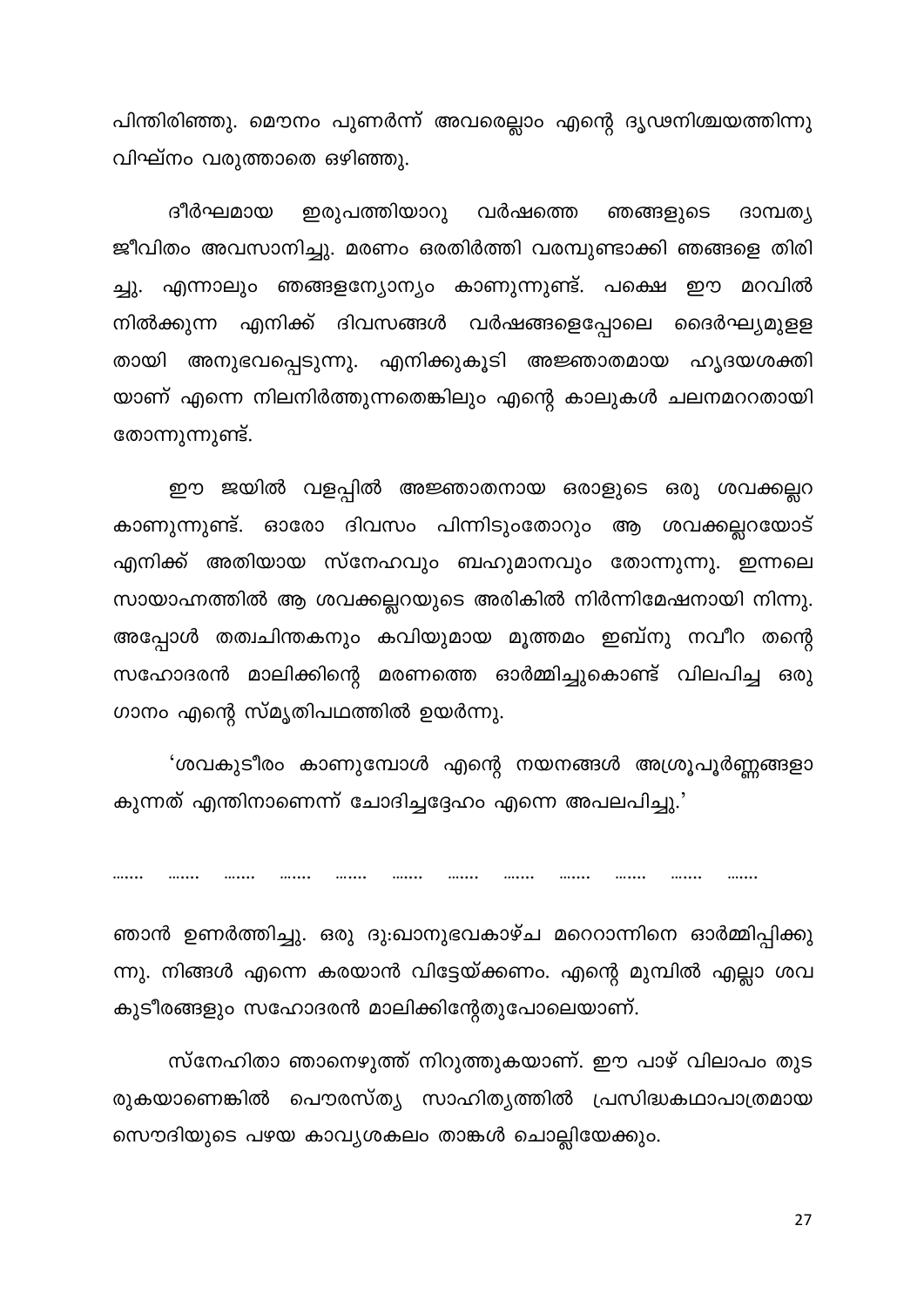പിന്തിരിഞ്ഞു. മൌനം പുണർന്ന് അവരെല്ലാം എന്റെ ദൃഢനിശ്ചയത്തിന്നു വിഘ്നം വരുത്താതെ ഒഴിഞ്ഞു.

ദീർഘമായ ഇരുപത്തിയാറു വർഷത്തെ ഞങ്ങളുടെ ദാമ്പത്യ ജീവിതം അവസാനിച്ചു. മരണം ഒരതിർത്തി വരമ്പുണ്ടാക്കി ഞങ്ങളെ തിരി ച്ചു. എന്നാലും ഞങ്ങളന്യോന്യം കാണുന്നുണ്ട്. പക്ഷെ ഈ മറവിൽ നിൽക്കുന്ന എനിക്ക് ദിവസങ്ങൾ വർഷങ്ങളെപ്പോലെ ദൈർഘ്യമുളള തായി അനുഭവപ്പെടുന്നു. എനിക്കുകൂടി അജ്ഞാതമായ ഹൃദയശക്തി യാണ് എന്നെ നിലനിർത്തുന്നതെങ്കിലും എന്റെ കാലുകൾ ചലനമററതായി തോന്നുന്നുണ്ട്.

ഈ ജയിൽ വളപ്പിൽ അജ്ഞാതനായ ഒരാളുടെ ഒരു ശവക്കല്ലറ കാണുന്നുണ്ട്. ഓരോ ദിവസം പിന്നിടുംതോറും ആ ശവക്കല്ലറയോട് എനിക്ക് അതിയായ സ്നേഹവും ബഹുമാനവും തോന്നുന്നു. ഇന്നലെ സായാഹ്നത്തിൽ ആ ശവക്കല്ലറയുടെ അരികിൽ നിർന്നിമേഷനായി നിന്നു. അപ്പോൾ തത്വചിന്തകനും കവിയുമായ മൂത്തമം ഇബ്നു നവീറ തന്റെ സഹോദരൻ മാലിക്കിന്റെ മരണത്തെ ഓർമ്മിച്ചുകൊണ്ട് വിലപിച്ച ഒരു ഗാനം എന്റെ സ്മൃതിപഥത്തിൽ ഉയർന്നു.

'ശവകുടീരം കാണുമ്പോൾ എന്റെ നയനങ്ങൾ അശ്രൂപൂർണ്ണങ്ങളാ കുന്നത് എന്തിനാണെന്ന് ചോദിച്ചദ്ദേഹം എന്നെ അപലപിച്ചു.'

.......  $.........$ 

ഞാൻ ഉണർത്തിച്ചു. ഒരു ദു:ഖാനുഭവകാഴ്ച മറെറാന്നിനെ ഓർമ്മിപ്പിക്കു ന്നു. നിങ്ങൾ എന്നെ കരയാൻ വിട്ടേയ്ക്കണം. എന്റെ മുമ്പിൽ എല്ലാ ശവ കുടീരങ്ങളും സഹോദരൻ മാലിക്കിന്റേതുപോലെയാണ്.

സ്നേഹിതാ ഞാനെഴുത്ത് നിറുത്തുകയാണ്. ഈ പാഴ് വിലാപം തുട രുകയാണെങ്കിൽ പൌരസ്ത്യ സാഹിത്യത്തിൽ പ്രസിദ്ധകഥാപാത്രമായ സൌദിയുടെ പഴയ കാവ്യശകലം താങ്കൾ ചൊല്ലിയേക്കും.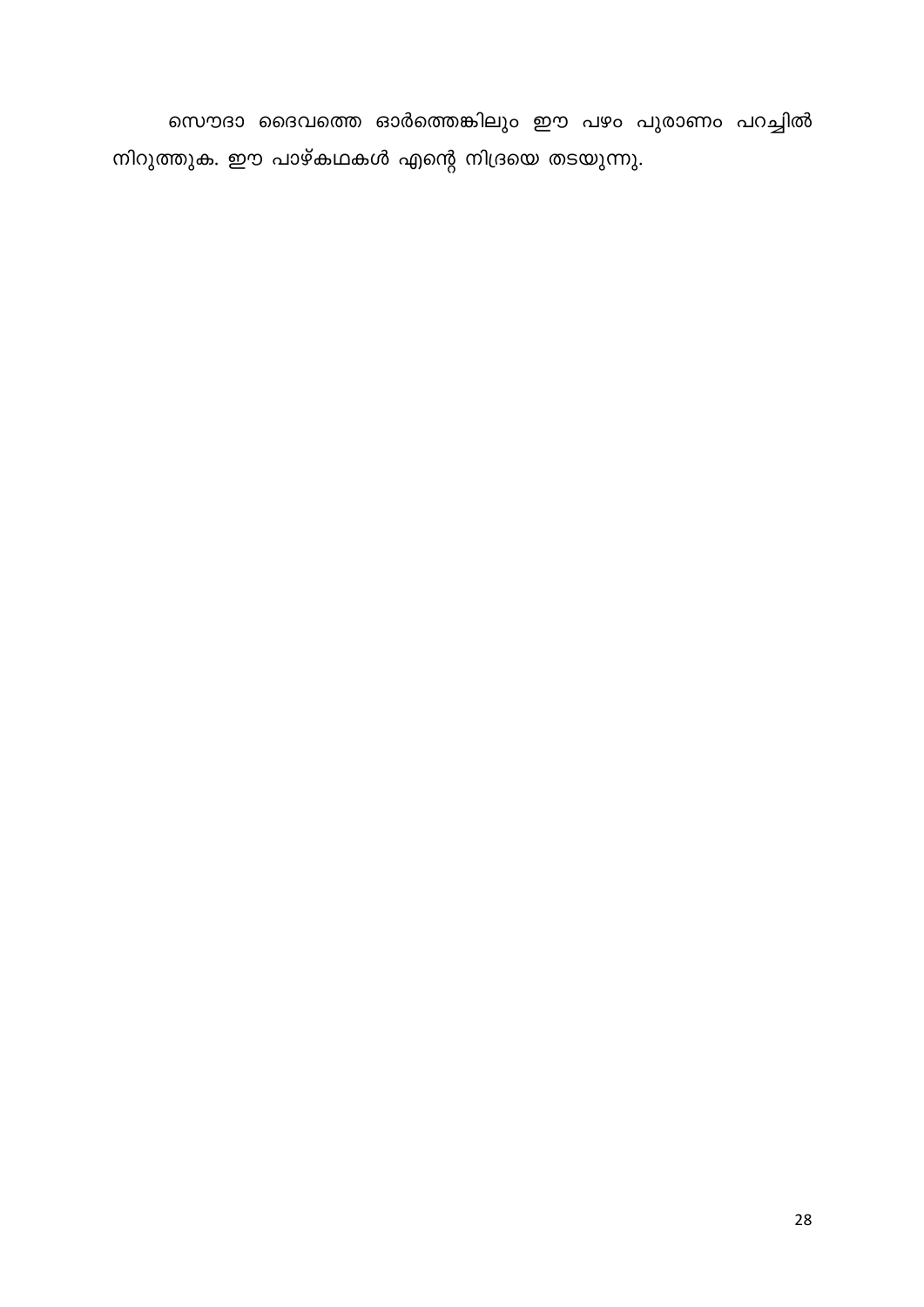സൌദാ ദൈവത്തെ ഓർത്തെങ്കിലും ഈ പഴം പുരാണം പറച്ചിൽ നിറുത്തുക. ഈ പാഴ്കഥകൾ എന്റെ നിദ്രയെ തടയുന്നു.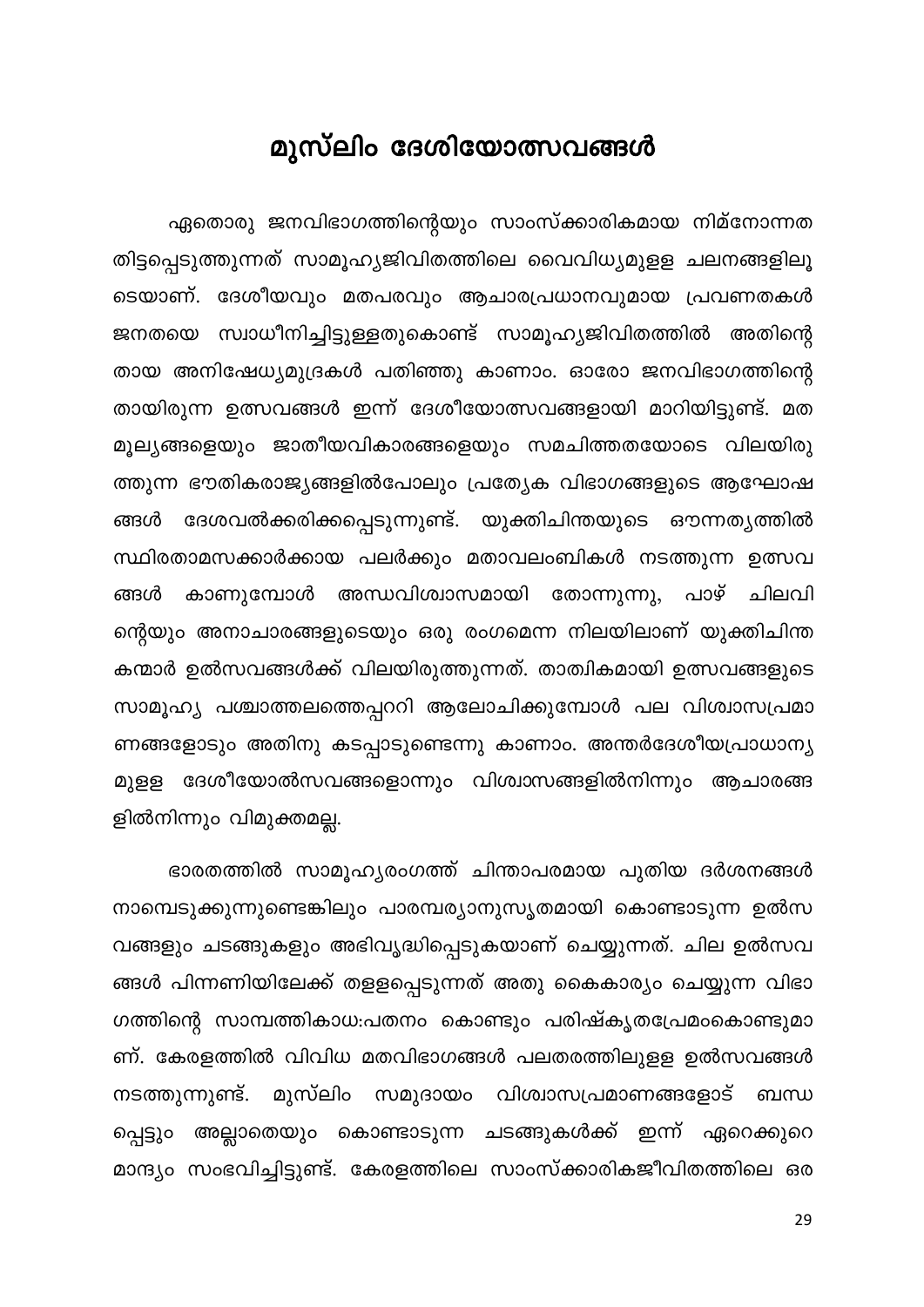### മുസ്ലിം ദേശിയോത്സവങ്ങൾ

<span id="page-29-0"></span>ഏതൊരു ജനവിഭാഗത്തിന്റെയും സാംസ്ക്കാരികമായ നിമ്നോന്നത തിട്ടപ്പെടുത്തുന്നത് സാമൂഹ്യജിവിതത്തിലെ വൈവിധ്യമുളള ചലനങ്ങളിലൂ ടെയാണ്. ദേശീയവും മതപരവും ആചാരപ്രധാനവുമായ പ്രവണതകൾ സ്വാധീനിച്ചിട്ടുള്ളതുകൊണ്ട് സാമൂഹ്യജിവിതത്തിൽ അതിന്റെ ജനതയെ തായ അനിഷേധ്യമുദ്രകൾ പതിഞ്ഞു കാണാം. ഓരോ ജനവിഭാഗത്തിന്റെ തായിരുന്ന ഉത്സവങ്ങൾ ഇന്ന് ദേശീയോത്സവങ്ങളായി മാറിയിട്ടുണ്ട്. മത മൂല്യങ്ങളെയും ജാതീയവികാരങ്ങളെയും സമചിത്തതയോടെ വിലയിരു ത്തുന്ന ഭൗതികരാജ്യങ്ങളിൽപോലും പ്രത്യേക വിഭാഗങ്ങളുടെ ആഘോഷ ദേശവൽക്കരിക്കപ്പെടുന്നുണ്ട്. യുക്തിചിന്തയുടെ ഔന്നത്യത്തിൽ ങ്ങൾ സ്ഥിരതാമസക്കാർക്കായ പലർക്കും മതാവലംബികൾ നടത്തുന്ന ഉത്സവ കാണുമ്പോൾ അന്ധവിശ്വാസമായി തോന്നുന്നു, പാഴ് ങ്ങൾ ചിലവി ന്റെയും അനാചാരങ്ങളുടെയും ഒരു രംഗമെന്ന നിലയിലാണ് യുക്തിചിന്ത കന്മാർ ഉൽസവങ്ങൾക്ക് വിലയിരുത്തുന്നത്. താത്വികമായി ഉത്സവങ്ങളുടെ സാമൂഹ്യ പശ്ചാത്തലത്തെപ്പററി ആലോചിക്കുമ്പോൾ പല വിശ്വാസപ്രമാ ണങ്ങളോടും അതിനു കടപ്പാടുണ്ടെന്നു കാണാം. അന്തർദേശീയപ്രാധാന്യ മുളള ദേശീയോൽസവങ്ങളൊന്നും വിശ്വാസങ്ങളിൽനിന്നും ആചാരങ്ങ ളിൽനിന്നും വിമുക്തമല്ല.

ഭാരതത്തിൽ സാമൂഹ്യരംഗത്ത് ചിന്താപരമായ പുതിയ ദർശനങ്ങൾ നാമ്പെടുക്കുന്നുണ്ടെങ്കിലും പാരമ്പര്യാനുസൃതമായി കൊണ്ടാടുന്ന ഉൽസ വങ്ങളും ചടങ്ങുകളും അഭിവൃദ്ധിപ്പെടുകയാണ് ചെയ്യുന്നത്. ചില ഉൽസവ ങ്ങൾ പിന്നണിയിലേക്ക് തളളപ്പെടുന്നത് അതു കൈകാര്യം ചെയ്യുന്ന വിഭാ ഗത്തിന്റെ സാമ്പത്തികാധ:പതനം കൊണ്ടും പരിഷ്കൃതപ്രേമംകൊണ്ടുമാ ണ്. കേരളത്തിൽ വിവിധ മതവിഭാഗങ്ങൾ പലതരത്തിലുളള ഉൽസവങ്ങൾ സമുദായം വിശ്വാസപ്രമാണങ്ങളോട് നടത്തുന്നുണ്ട്. മുസ്ലിം ബന്ധ പ്പെട്ടും അല്ലാതെയും കൊണ്ടാടുന്ന ചടങ്ങുകൾക്ക് ഇന്ന് ഏറെക്കുറെ മാന്ദ്യം സംഭവിച്ചിട്ടുണ്ട്. കേരളത്തിലെ സാംസ്ക്കാരികജീവിതത്തിലെ ഒര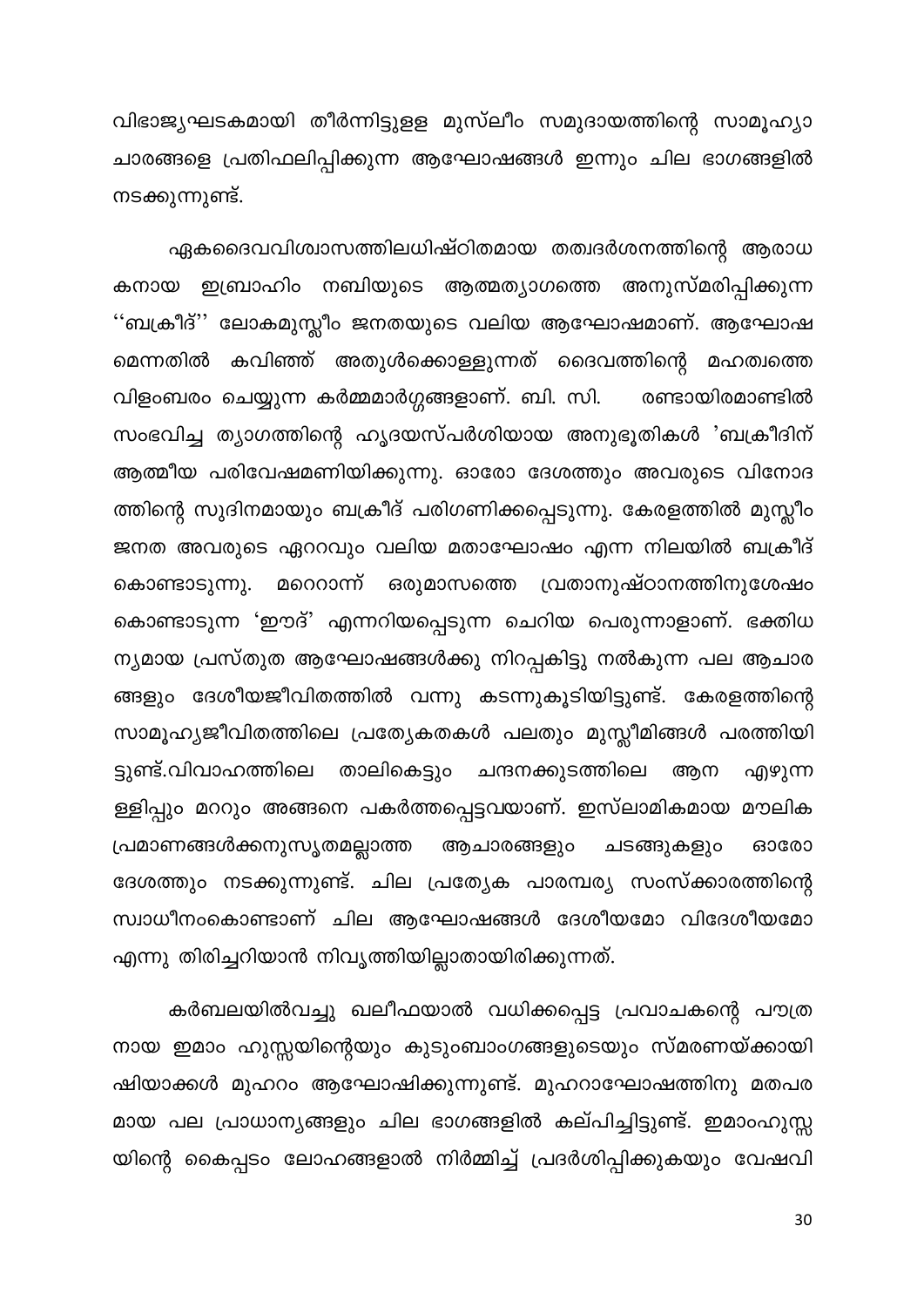വിഭാജ്യഘടകമായി തീർന്നിട്ടുളള മുസ്ലീം സമുദായത്തിന്റെ സാമൂഹ്യാ ചാരങ്ങളെ പ്രതിഫലിപ്പിക്കുന്ന ആഘോഷങ്ങൾ ഇന്നും ചില ഭാഗങ്ങളിൽ നടക്കുന്നുണ്ട്.

ഏകദൈവവിശ്വാസത്തിലധിഷ്ഠിതമായ തത്വദർശനത്തിന്റെ ആരാധ കനായ ഇബ്രാഹിം നബിയുടെ ആത്മത്യാഗത്തെ അനുസ്മരിപ്പിക്കുന്ന ''ബക്രീദ്'' ലോകമുസ്ലീം ജനതയുടെ വലിയ ആഘോഷമാണ്. ആഘോഷ കവിഞ്ഞ് അതുൾക്കൊള്ളുന്നത് ദൈവത്തിന്റെ മഹത്വത്തെ മെന്നതിൽ വിളംബരം ചെയ്യുന്ന കർമ്മമാർഗ്ഗങ്ങളാണ്. ബി. സി. രണ്ടായിരമാണ്ടിൽ സംഭവിച്ച ത്യാഗത്തിന്റെ ഹൃദയസ്പർശിയായ അനുഭൂതികൾ 'ബക്രീദിന് ആത്മീയ പരിവേഷമണിയിക്കുന്നു. ഓരോ ദേശത്തും അവരുടെ വിനോദ ത്തിന്റെ സുദിനമായും ബക്രീദ് പരിഗണിക്കപ്പെടുന്നു. കേരളത്തിൽ മുസ്ലീം ജനത അവരുടെ ഏററവും വലിയ മതാഘോഷം എന്ന നിലയിൽ ബക്രീദ് \_മറെറാന്ന് ഒരുമാസത്തെ വ്രതാനുഷ്ഠാനത്തിനുശേഷം കൊണ്ടാടുന്നു. കൊണ്ടാടുന്ന 'ഈദ്' എന്നറിയപ്പെടുന്ന ചെറിയ പെരുന്നാളാണ്. ഭക്തിധ ന്യമായ പ്രസ്തുത ആഘോഷങ്ങൾക്കു നിറപ്പകിട്ടു നൽകുന്ന പല ആചാര ങ്ങളും ദേശീയജീവിതത്തിൽ വന്നു കടന്നുകൂടിയിട്ടുണ്ട്. കേരളത്തിന്റെ സാമൂഹ്യജീവിതത്തിലെ പ്രത്യേകതകൾ പലതും മുസ്സീമിങ്ങൾ പരത്തിയി ട്ടുണ്ട്.വിവാഹത്തിലെ താലികെട്ടും ചന്ദനക്കുടത്തിലെ ആന എഴുന്ന ള്ളിപ്പും മററും അങ്ങനെ പകർത്തപ്പെട്ടവയാണ്. ഇസ്ലാമികമായ മൗലിക പ്രമാണങ്ങൾക്കനുസൃതമല്ലാത്ത ആചാരങ്ങളും ചടങ്ങുകളും ഓരോ ദേശത്തും നടക്കുന്നുണ്ട്. ചില പ്രത്യേക പാരമ്പര്യ സംസ്ക്കാരത്തിന്റെ സ്വാധീനംകൊണ്ടാണ് ചില ആഘോഷങ്ങൾ ദേശീയമോ വിദേശീയമോ എന്നു തിരിച്ചറിയാൻ നിവൃത്തിയില്ലാതായിരിക്കുന്നത്.

കർബലയിൽവച്ചു ഖലീഫയാൽ വധിക്കപ്പെട്ട പ്രവാചകന്റെ പൗത്ര നായ ഇമാം ഹുസ്സയിന്റെയും കുടുംബാംഗങ്ങളുടെയും സ്മരണയ്ക്കായി ഷിയാക്കൾ മുഹറം ആഘോഷിക്കുന്നുണ്ട്. മുഹറാഘോഷത്തിനു മതപര മായ പല പ്രാധാന്യങ്ങളും ചില ഭാഗങ്ങളിൽ കല്പിച്ചിട്ടുണ്ട്. ഇമാംഹുസ്സ യിന്റെ കൈപ്പടം ലോഹങ്ങളാൽ നിർമ്മിച്ച് പ്രദർശിപ്പിക്കുകയും വേഷവി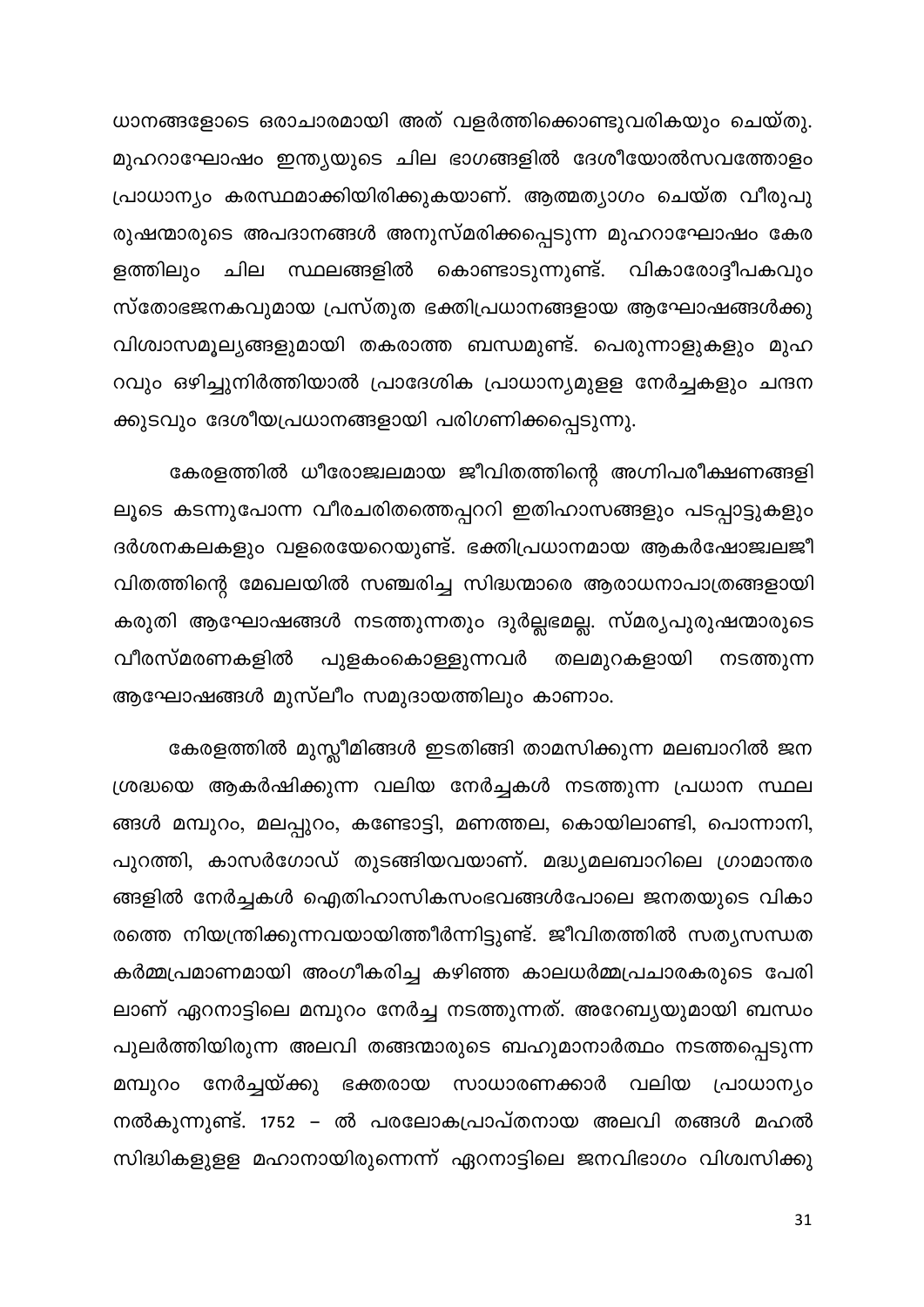ധാനങ്ങളോടെ ഒരാചാരമായി അത് വളർത്തിക്കൊണ്ടുവരികയും ചെയ്തു. മുഹറാഘോഷം ഇന്ത്യയുടെ ചില ഭാഗങ്ങളിൽ ദേശീയോൽസവത്തോളം പ്രാധാന്യം കരസ്ഥമാക്കിയിരിക്കുകയാണ്. ആത്മത്യാഗം ചെയ്ത വീരുപു രുഷന്മാരുടെ അപദാനങ്ങൾ അനുസ്മരിക്കപ്പെടുന്ന മുഹറാഘോഷം കേര ളത്തിലും ചില സ്ഥലങ്ങളിൽ കൊണ്ടാടുന്നുണ്ട്. വികാരോദ്ദീപകവും സ്തോഭജനകവുമായ പ്രസ്തുത ഭക്തിപ്രധാനങ്ങളായ ആഘോഷങ്ങൾക്കു വിശ്വാസമൂല്യങ്ങളുമായി തകരാത്ത ബന്ധമുണ്ട്. പെരുന്നാളുകളും മുഹ റവും ഒഴിച്ചുനിർത്തിയാൽ പ്രാദേശിക പ്രാധാന്യമുളള നേർച്ചകളും ചന്ദന ക്കുടവും ദേശീയപ്രധാനങ്ങളായി പരിഗണിക്കപ്പെടുന്നു.

കേരളത്തിൽ ധീരോജ്വലമായ ജീവിതത്തിന്റെ അഗ്നിപരീക്ഷണങ്ങളി ലൂടെ കടന്നുപോന്ന വീരചരിതത്തെപ്പററി ഇതിഹാസങ്ങളും പടപ്പാട്ടുകളും ദർശനകലകളും വളരെയേറെയുണ്ട്. ഭക്തിപ്രധാനമായ ആകർഷോജ്വലജീ വിതത്തിന്റെ മേഖലയിൽ സഞ്ചരിച്ച സിദ്ധന്മാരെ ആരാധനാപാത്രങ്ങളായി കരുതി ആഘോഷങ്ങൾ നടത്തുന്നതും ദുർല്ലഭമല്ല. സ്മര്യപുരുഷന്മാരുടെ വീരസ്മരണകളിൽ പുളകംകൊള്ളുന്നവർ തലമുറകളായി നടത്തുന്ന ആഘോഷങ്ങൾ മുസ്ലീം സമുദായത്തിലും കാണാം.

കേരളത്തിൽ മുസ്ലീമിങ്ങൾ ഇടതിങ്ങി താമസിക്കുന്ന മലബാറിൽ ജന ശ്രദ്ധയെ ആകർഷിക്കുന്ന വലിയ നേർച്ചകൾ നടത്തുന്ന പ്രധാന സ്ഥല ങ്ങൾ മമ്പുറം, മലപ്പുറം, കണ്ടോട്ടി, മണത്തല, കൊയിലാണ്ടി, പൊന്നാനി, പുറത്തി, കാസർഗോഡ് തുടങ്ങിയവയാണ്. മദ്ധ്യമലബാറിലെ ഗ്രാമാന്തര ങ്ങളിൽ നേർച്ചകൾ ഐതിഹാസികസംഭവങ്ങൾപോലെ ജനതയുടെ വികാ രത്തെ നിയന്ത്രിക്കുന്നവയായിത്തീർന്നിട്ടുണ്ട്. ജീവിതത്തിൽ സത്യസന്ധത കർമ്മപ്രമാണമായി അംഗീകരിച്ച കഴിഞ്ഞ കാലധർമ്മപ്രചാരകരുടെ പേരി ലാണ് ഏറനാട്ടിലെ മമ്പുറം നേർച്ച നടത്തുന്നത്. അറേബ്യയുമായി ബന്ധം പുലർത്തിയിരുന്ന അലവി തങ്ങന്മാരുടെ ബഹുമാനാർത്ഥം നടത്തപ്പെടുന്ന നേർച്ചയ്ക്കു ഭക്തരായ സാധാരണക്കാർ വലിയ പ്രാധാന്യം മമ്പുറം നൽകുന്നുണ്ട്. 1752 – ൽ പരലോകപ്രാപ്തനായ അലവി തങ്ങൾ മഹൽ സിദ്ധികളുളള മഹാനായിരുന്നെന്ന് ഏറനാട്ടിലെ ജനവിഭാഗം വിശ്വസിക്കു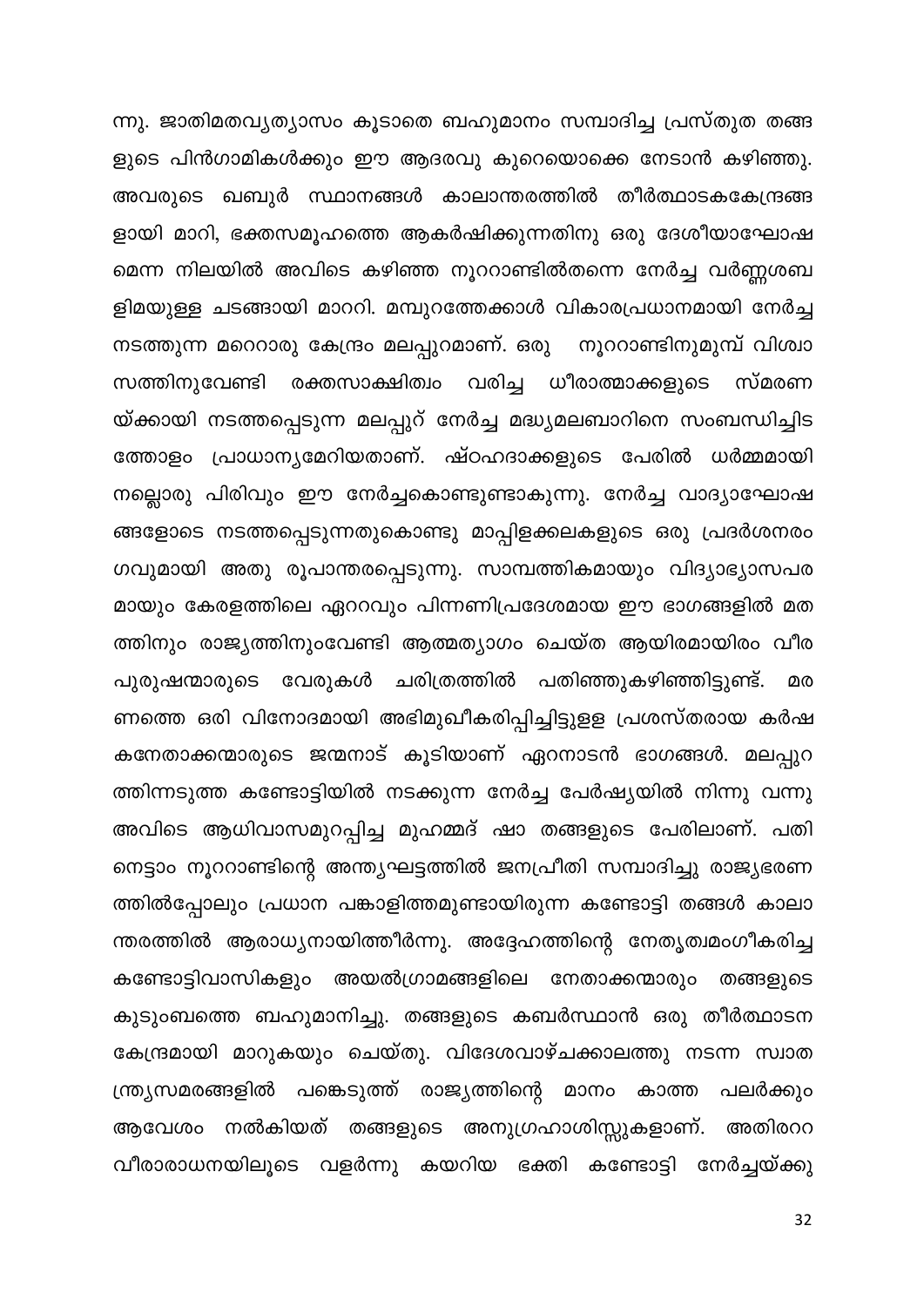ന്നു. ജാതിമതവ്യത്യാസം കൂടാതെ ബഹുമാനം സമ്പാദിച്ച പ്രസ്തുത തങ്ങ ളുടെ പിൻഗാമികൾക്കും ഈ ആദരവു കുറെയൊക്കെ നേടാൻ കഴിഞ്ഞു. അവരുടെ ഖബുർ സ്ഥാനങ്ങൾ കാലാന്തരത്തിൽ തീർത്ഥാടകകേന്ദ്രങ്ങ ളായി മാറി, ഭക്തസമൂഹത്തെ ആകർഷിക്കുന്നതിനു ഒരു ദേശീയാഘോഷ മെന്ന നിലയിൽ അവിടെ കഴിഞ്ഞ നൂററാണ്ടിൽതന്നെ നേർച്ച വർണ്ണശബ ളിമയുള്ള ചടങ്ങായി മാററി. മമ്പുറത്തേക്കാൾ വികാരപ്രധാനമായി നേർച്ച നടത്തുന്ന മറെറാരു കേന്ദ്രം മലപ്പുറമാണ്. ഒരു നൂററാണ്ടിനുമുമ്പ് വിശ്വാ സത്തിനുവേണ്ടി രക്തസാക്ഷിത്വം വരിച്ച ധീരാത്മാക്കളുടെ സ്മരണ യ്ക്കായി നടത്തപ്പെടുന്ന മലപ്പുറ് നേർച്ച മദ്ധ്യമലബാറിനെ സംബന്ധിച്ചിട ത്തോളം പ്രാധാന്യമേറിയതാണ്. ഷ്ഠഹദാക്കളുടെ പേരിൽ ധർമ്മമായി നല്ലൊരു പിരിവും ഈ നേർച്ചകൊണ്ടുണ്ടാകുന്നു. നേർച്ച വാദ്യാഘോഷ ങ്ങളോടെ നടത്തപ്പെടുന്നതുകൊണ്ടു മാപ്പിളക്കലകളുടെ ഒരു പ്രദർശനരം ഗവുമായി അതു രൂപാന്തരപ്പെടുന്നു. സാമ്പത്തികമായും വിദ്യാഭ്യാസപര മായും കേരളത്തിലെ ഏററവും പിന്നണിപ്രദേശമായ ഈ ഭാഗങ്ങളിൽ മത ത്തിനും രാജ്യത്തിനുംവേണ്ടി ആത്മത്യാഗം ചെയ്ത ആയിരമായിരം വീര പുരുഷന്മാരുടെ വേരുകൾ ചരിത്രത്തിൽ പതിഞ്ഞുകഴിഞ്ഞിട്ടുണ്ട്. മര ണത്തെ ഒരി വിനോദമായി അഭിമുഖീകരിപ്പിച്ചിട്ടുളള പ്രശസ്തരായ കർഷ കനേതാക്കന്മാരുടെ ജന്മനാട് കൂടിയാണ് ഏറനാടൻ ഭാഗങ്ങൾ. മലപ്പുറ ത്തിന്നടുത്ത കണ്ടോട്ടിയിൽ നടക്കുന്ന നേർച്ച പേർഷ്യയിൽ നിന്നു വന്നു അവിടെ ആധിവാസമുറപ്പിച്ച മുഹമ്മദ് ഷാ തങ്ങളുടെ പേരിലാണ്. പതി നെട്ടാം നൂററാണ്ടിന്റെ അന്ത്യഘട്ടത്തിൽ ജനപ്രീതി സമ്പാദിച്ചു രാജ്യഭരണ ത്തിൽപ്പോലും പ്രധാന പങ്കാളിത്തമുണ്ടായിരുന്ന കണ്ടോട്ടി തങ്ങൾ കാലാ ന്തരത്തിൽ ആരാധ്യനായിത്തീർന്നു. അദ്ദേഹത്തിന്റെ നേതൃത്വമംഗീകരിച്ച കണ്ടോട്ടിവാസികളും അയൽഗ്രാമങ്ങളിലെ നേതാക്കന്മാരും തങ്ങളുടെ കുടുംബത്തെ ബഹുമാനിച്ചു. തങ്ങളുടെ കബർസ്ഥാൻ ഒരു തീർത്ഥാടന കേന്ദ്രമായി മാറുകയും ചെയ്തു. വിദേശവാഴ്ചക്കാലത്തു നടന്ന സ്വാത ന്ത്ര്യസമരങ്ങളിൽ പങ്കെടുത്ത് രാജ്യത്തിന്റെ മാനം കാത്ത പലർക്കും ആവേശം നൽകിയത് തങ്ങളുടെ അനുഗ്രഹാശിസ്സുകളാണ്. അതിരററ വീരാരാധനയിലൂടെ വളർന്നു കയറിയ ഭക്തി കണ്ടോട്ടി നേർച്ചയ്ക്കു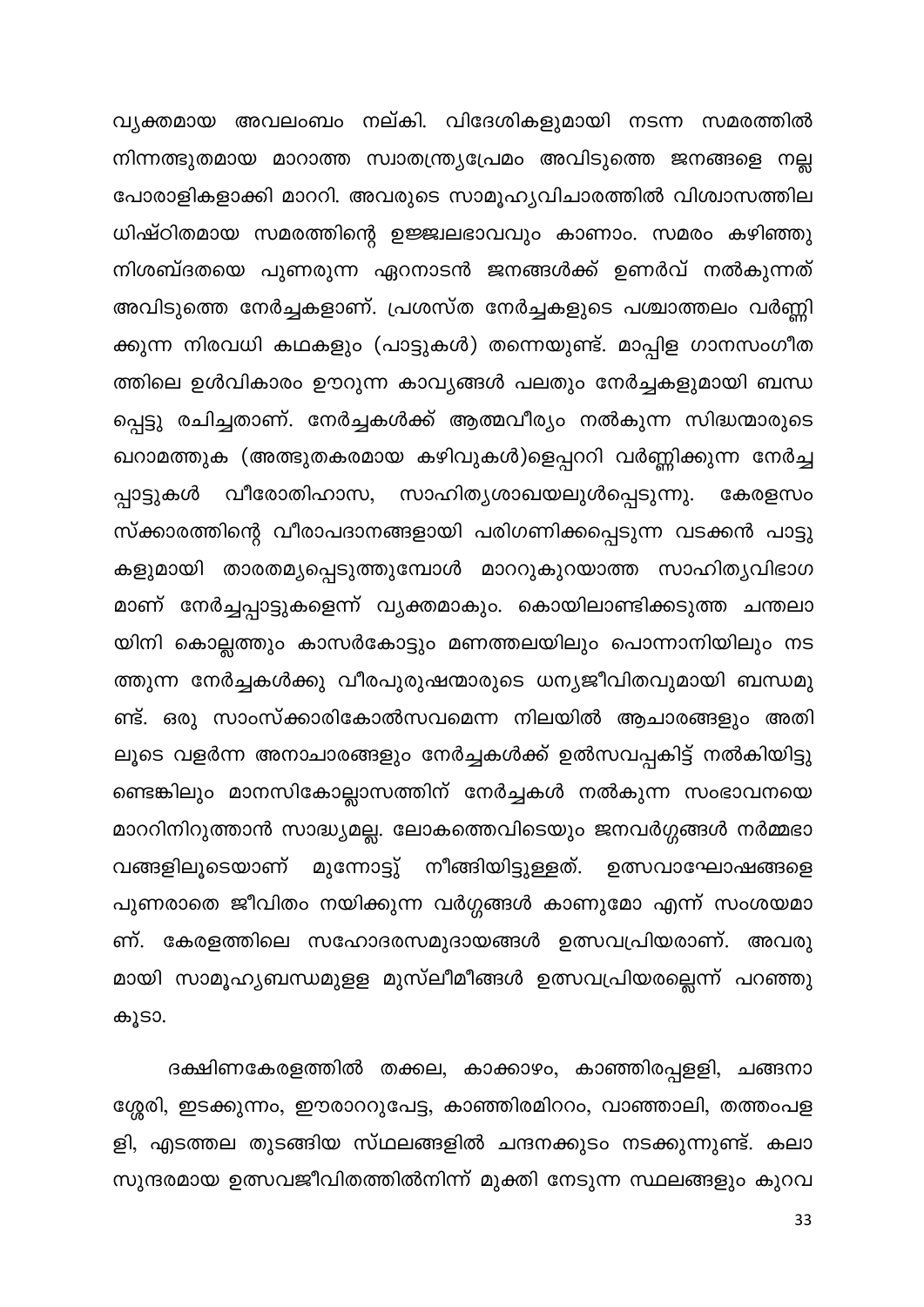വ്യക്തമായ അവലംബം നല്കി. വിദേശികളുമായി നടന്ന സമരത്തിൽ നിന്നത്ഭുതമായ മാറാത്ത സ്വാതന്ത്ര്യപ്രേമം അവിടുത്തെ ജനങ്ങളെ നല്ല പോരാളികളാക്കി മാററി. അവരുടെ സാമൂഹ്യവിചാരത്തിൽ വിശ്വാസത്തില ധിഷ്ഠിതമായ സമരത്തിന്റെ ഉജ്ജ്വലഭാവവും കാണാം. സമരം കഴിഞ്ഞു നിശബ്ദതയെ പുണരുന്ന ഏറനാടൻ ജനങ്ങൾക്ക് ഉണർവ് നൽകുന്നത് അവിടുത്തെ നേർച്ചകളാണ്. പ്രശസ്ത നേർച്ചകളുടെ പശ്ചാത്തലം വർണ്ണി ക്കുന്ന നിരവധി കഥകളും (പാട്ടുകൾ) തന്നെയുണ്ട്. മാപ്പിള ഗാനസംഗീത ത്തിലെ ഉൾവികാരം ഊറുന്ന കാവ്യങ്ങൾ പലതും നേർച്ചകളുമായി ബന്ധ പ്പെട്ടു രചിച്ചതാണ്. നേർച്ചകൾക്ക് ആത്മവീര്യം നൽകുന്ന സിദ്ധന്മാരുടെ ഖറാമത്തുക (അത്ഭുതകരമായ കഴിവുകൾ)ളെപ്പററി വർണ്ണിക്കുന്ന നേർച്ച പ്പാട്ടുകൾ വീരോതിഹാസ, സാഹിത്യശാഖയലുൾപ്പെടുന്നു. കേരളസം സ്ക്കാരത്തിന്റെ വീരാപദാനങ്ങളായി പരിഗണിക്കപ്പെടുന്ന വടക്കൻ പാട്ടു കളുമായി താരതമ്യപ്പെടുത്തുമ്പോൾ മാററുകുറയാത്ത സാഹിത്യവിഭാഗ മാണ് നേർച്ചപ്പാട്ടുകളെന്ന് വൃക്തമാകും. കൊയിലാണ്ടിക്കടുത്ത ചന്തലാ യിനി കൊല്ലത്തും കാസർകോട്ടും മണത്തലയിലും പൊന്നാനിയിലും നട ത്തുന്ന നേർച്ചകൾക്കു വീരപുരുഷന്മാരുടെ ധന്യജീവിതവുമായി ബന്ധമു ണ്ട്. ഒരു സാംസ്ക്കാരികോൽസവമെന്ന നിലയിൽ ആചാരങ്ങളും അതി ലൂടെ വളർന്ന അനാചാരങ്ങളും നേർച്ചകൾക്ക് ഉൽസവപ്പകിട്ട് നൽകിയിട്ടു ണ്ടെങ്കിലും മാനസികോല്ലാസത്തിന് നേർച്ചകൾ നൽകുന്ന സംഭാവനയെ മാററിനിറുത്താൻ സാദ്ധ്യമല്ല. ലോകത്തെവിടെയും ജനവർഗ്ഗങ്ങൾ നർമ്മഭാ വങ്ങളിലൂടെയാണ് മുന്നോട്ടു് നീങ്ങിയിട്ടുള്ളത്. ഉത്സവാഘോഷങ്ങളെ പുണരാതെ ജീവിതം നയിക്കുന്ന വർഗ്ഗങ്ങൾ കാണുമോ എന്ന് സംശയമാ ണ്. കേരളത്തിലെ സഹോദരസമുദായങ്ങൾ ഉത്സവപ്രിയരാണ്. അവരു മായി സാമൂഹ്യബന്ധമുളള മുസ്ലീമീങ്ങൾ ഉത്സവപ്രിയരല്ലെന്ന് പറഞ്ഞു കൂടാ.

ദക്ഷിണകേരളത്തിൽ തക്കല, കാക്കാഴം, കാഞ്ഞിരപ്പളളി, ചങ്ങനാ ശ്ശേരി, ഇടക്കുന്നം, ഈരാററുപേട്ട, കാഞ്ഞിരമിററം, വാഞ്ഞാലി, തത്തംപള ളി, എടത്തല തുടങ്ങിയ സ്ഥലങ്ങളിൽ ചന്ദനക്കുടം നടക്കുന്നുണ്ട്. കലാ സുന്ദരമായ ഉത്സവജീവിതത്തിൽനിന്ന് മുക്തി നേടുന്ന സ്ഥലങ്ങളും കുറവ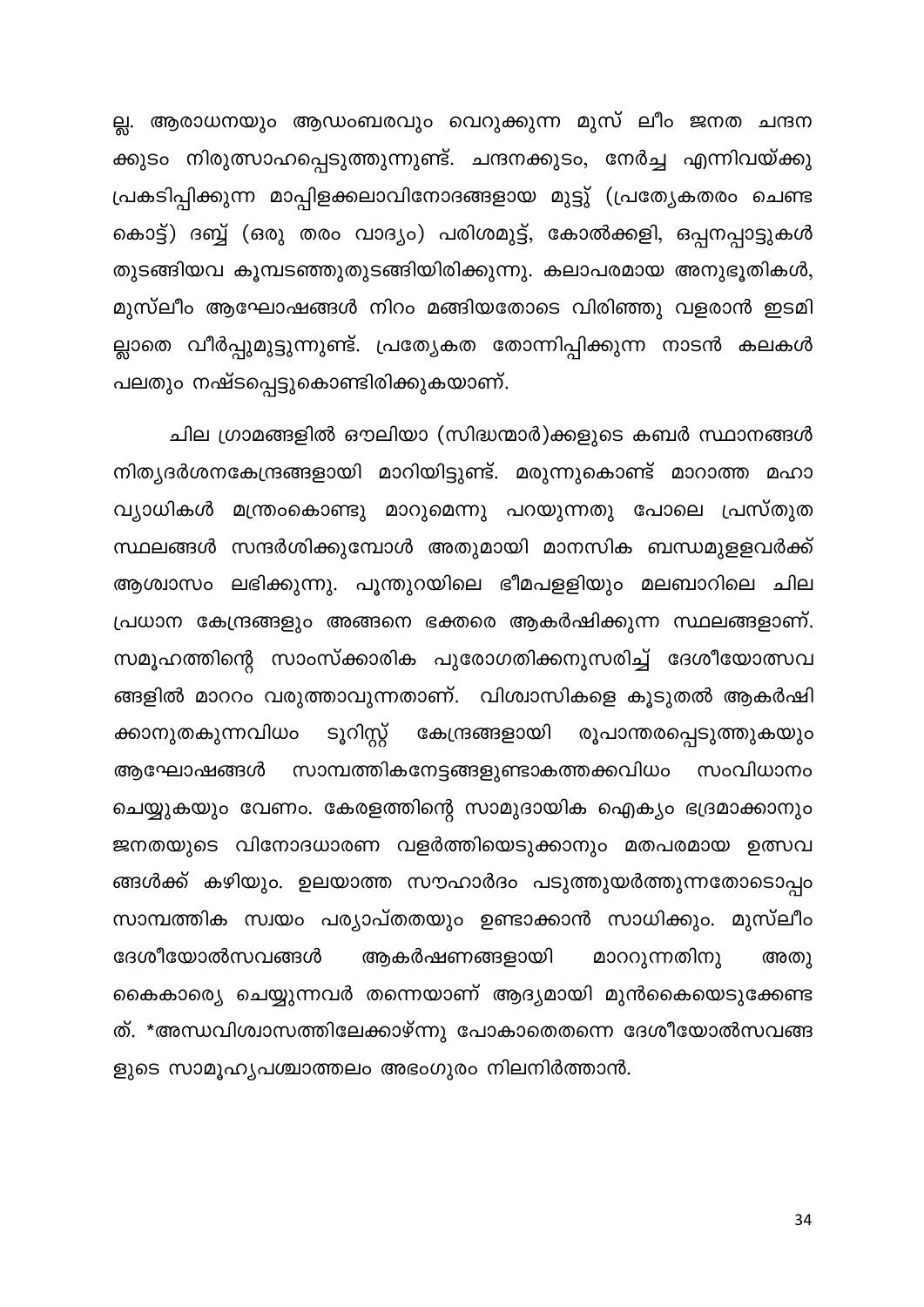ല്ല. ആരാധനയും ആഡംബരവും വെറുക്കുന്ന മുസ് ലീം ജനത ചന്ദന ക്കുടം നിരുത്സാഹപ്പെടുത്തുന്നുണ്ട്. ചന്ദനക്കുടം, നേർച്ച എന്നിവയ്ക്കു പ്രകടിപ്പിക്കുന്ന മാപ്പിളക്കലാവിനോദങ്ങളായ മുട്ടു് (പ്രത്യേകതരം ചെണ്ട കൊട്ട്) ദബ്ബ് (ഒരു തരം വാദ്യം) പരിശമുട്ട്, കോൽക്കളി, ഒപ്പനപ്പാട്ടുകൾ തുടങ്ങിയവ കൂമ്പടഞ്ഞുതുടങ്ങിയിരിക്കുന്നു. കലാപരമായ അനുഭൂതികൾ, മുസ്ലീം ആഘോഷങ്ങൾ നിറം മങ്ങിയതോടെ വിരിഞ്ഞു വളരാൻ ഇടമി ല്ലാതെ വീർപ്പുമുട്ടുന്നുണ്ട്. പ്രത്യേകത തോന്നിപ്പിക്കുന്ന നാടൻ കലകൾ പലതും നഷ്ടപ്പെട്ടുകൊണ്ടിരിക്കുകയാണ്.

ചില ഗ്രാമങ്ങളിൽ ഔലിയാ (സിദ്ധന്മാർ)ക്കളുടെ കബർ സ്ഥാനങ്ങൾ നിത്യദർശനകേന്ദ്രങ്ങളായി മാറിയിട്ടുണ്ട്. മരുന്നുകൊണ്ട് മാറാത്ത മഹാ വ്യാധികൾ മന്ത്രംകൊണ്ടു മാറുമെന്നു പറയുന്നതു പോലെ പ്രസ്തുത സ്ഥലങ്ങൾ സന്ദർശിക്കുമ്പോൾ അതുമായി മാനസിക ബന്ധമുളളവർക്ക് ആശ്വാസം ലഭിക്കുന്നു. പൂന്തുറയിലെ ഭീമപളളിയും മലബാറിലെ ചില പ്രധാന കേന്ദ്രങ്ങളും അങ്ങനെ ഭക്തരെ ആകർഷിക്കുന്ന സ്ഥലങ്ങളാണ്. സമൂഹത്തിന്റെ സാംസ്ക്കാരിക പുരോഗതിക്കനുസരിച്ച് ദേശീയോത്സവ ങ്ങളിൽ മാററം വരുത്താവുന്നതാണ്. വിശ്വാസികളെ കൂടുതൽ ആകർഷി ടൂറിസ്റ്റ് ക്കാനുതകുന്നവിധം കേന്ദ്രങ്ങളായി രൂപാന്തരപ്പെടുത്തുകയും സാമ്പത്തികനേട്ടങ്ങളുണ്ടാകത്തക്കവിധം ആഘോഷങ്ങൾ സംവിധാനം ചെയ്യുകയും വേണം. കേരളത്തിന്റെ സാമുദായിക ഐക്യം ഭദ്രമാക്കാനും ജനതയുടെ വിനോദധാരണ വളർത്തിയെടുക്കാനും മതപരമായ ഉത്സവ ങ്ങൾക്ക് കഴിയും. ഉലയാത്ത സൗഹാർദം പടുത്തുയർത്തുന്നതോടൊപ്പം സാമ്പത്തിക സ്വയം പര്യാപ്തതയും ഉണ്ടാക്കാൻ സാധിക്കും. മുസ്ലീം ദേശീയോൽസവങ്ങൾ ആകർഷണങ്ങളായി മാററുന്നതിനു അതു കൈകാര്യെ ചെയ്യുന്നവർ തന്നെയാണ് ആദ്യമായി മുൻകൈയെടുക്കേണ്ട ത്. \*അന്ധവിശ്വാസത്തിലേക്കാഴ്ന്നു പോകാതെതന്നെ ദേശീയോൽസവങ്ങ ളുടെ സാമൂഹ്യപശ്ചാത്തലം അഭംഗുരം നിലനിർത്താൻ.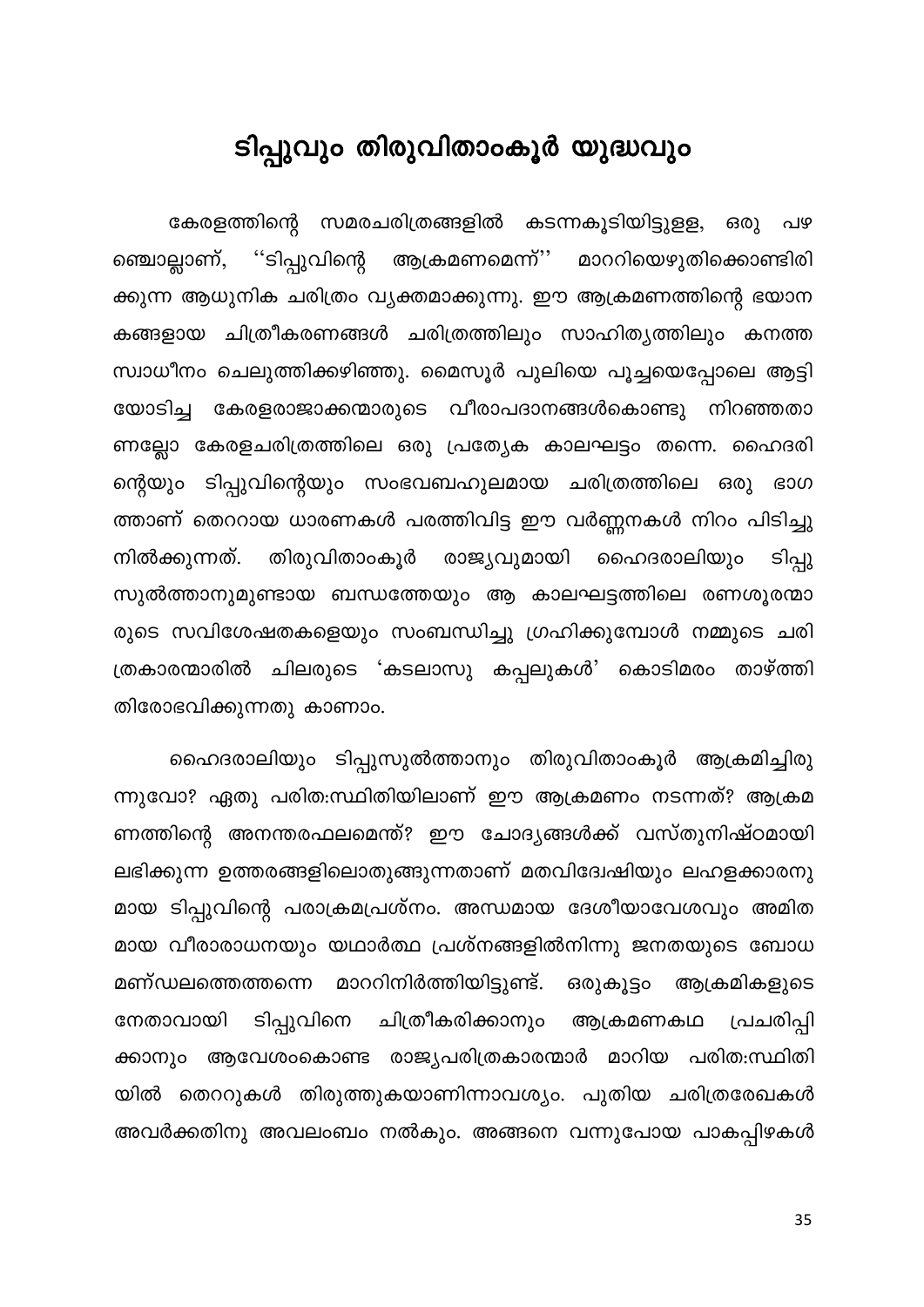#### ടിപ്പുവും തിരുവിതാംകൂർ യുദ്ധവും

<span id="page-35-0"></span>കേരളത്തിന്റെ സമരചരിത്രങ്ങളിൽ കടന്നകൂടിയിട്ടുളള, ഒരു പഴ ''ടിപ്പുവിന്റെ ആക്രമണമെന്ന്'' മാററിയെഴുതിക്കൊണ്ടിരി ഞ്ചൊല്ലാണ്, ക്കുന്ന ആധുനിക ചരിത്രം വ്യക്തമാക്കുന്നു. ഈ ആക്രമണത്തിന്റെ ഭയാന കങ്ങളായ ചിത്രീകരണങ്ങൾ ചരിത്രത്തിലും സാഹിത്യത്തിലും കനത്ത സ്വാധീനം ചെലുത്തിക്കഴിഞ്ഞു. മൈസൂർ പുലിയെ പൂച്ചയെപ്പോലെ ആട്ടി യോടിച്ച കേരളരാജാക്കന്മാരുടെ വീരാപദാനങ്ങൾകൊണ്ടു നിറഞ്ഞതാ ണല്ലോ കേരളചരിത്രത്തിലെ ഒരു പ്രത്യേക കാലഘട്ടം തന്നെ. ഹൈദരി ന്റെയും ടിപ്പുവിന്റെയും സംഭവബഹുലമായ ചരിത്രത്തിലെ ഒരു ഭാഗ ത്താണ് തെററായ ധാരണകൾ പരത്തിവിട്ട ഈ വർണ്ണനകൾ നിറം പിടിച്ചു ടിപ്പു നിൽക്കുന്നത്. തിരുവിതാംകൂർ രാജ്യവുമായി ഹൈദരാലിയും സുൽത്താനുമുണ്ടായ ബന്ധത്തേയും ആ കാലഘട്ടത്തിലെ രണശൂരന്മാ രുടെ സവിശേഷതകളെയും സംബന്ധിച്ചു ഗ്രഹിക്കുമ്പോൾ നമ്മുടെ ചരി ത്രകാരന്മാരിൽ ചിലരുടെ 'കടലാസു കപ്പലുകൾ' കൊടിമരം താഴ്ത്തി തിരോഭവിക്കുന്നതു കാണാം.

ഹൈദരാലിയും ടിപ്പുസുൽത്താനും തിരുവിതാംകൂർ ആക്രമിച്ചിരു ന്നുവോ? ഏതു പരിത:സ്ഥിതിയിലാണ് ഈ ആക്രമണം നടന്നത്? ആക്രമ ണത്തിന്റെ അനന്തരഫലമെന്ത്? ഈ ചോദ്യങ്ങൾക്ക് വസ്തുനിഷ്ഠമായി ലഭിക്കുന്ന ഉത്തരങ്ങളിലൊതുങ്ങുന്നതാണ് മതവിദേേഷിയും ലഹളക്കാരനു മായ ടിപ്പുവിന്റെ പരാക്രമപ്രശ്നം. അന്ധമായ ദേശീയാവേശവും അമിത മായ വീരാരാധനയും യഥാർത്ഥ പ്രശ്നങ്ങളിൽനിന്നു ജനതയുടെ ബോധ മണ്ഡലത്തെത്തന്നെ മാററിനിർത്തിയിട്ടുണ്ട്. ഒരുകൂട്ടം ആക്രമികളുടെ ചിത്രീകരിക്കാനും ടിപ്പുവിനെ പ്രചരിപ്പി നേതാവായി ആക്രമണകഥ ആവേശംകൊണ്ട രാജ്യപരിത്രകാരന്മാർ മാറിയ പരിത:സ്ഥിതി ക്കാനും യിൽ തെററുകൾ തിരുത്തുകയാണിന്നാവശ്യം. പുതിയ ചരിത്രരേഖകൾ അവർക്കതിനു അവലംബം നൽകും. അങ്ങനെ വന്നുപോയ പാകപ്പിഴകൾ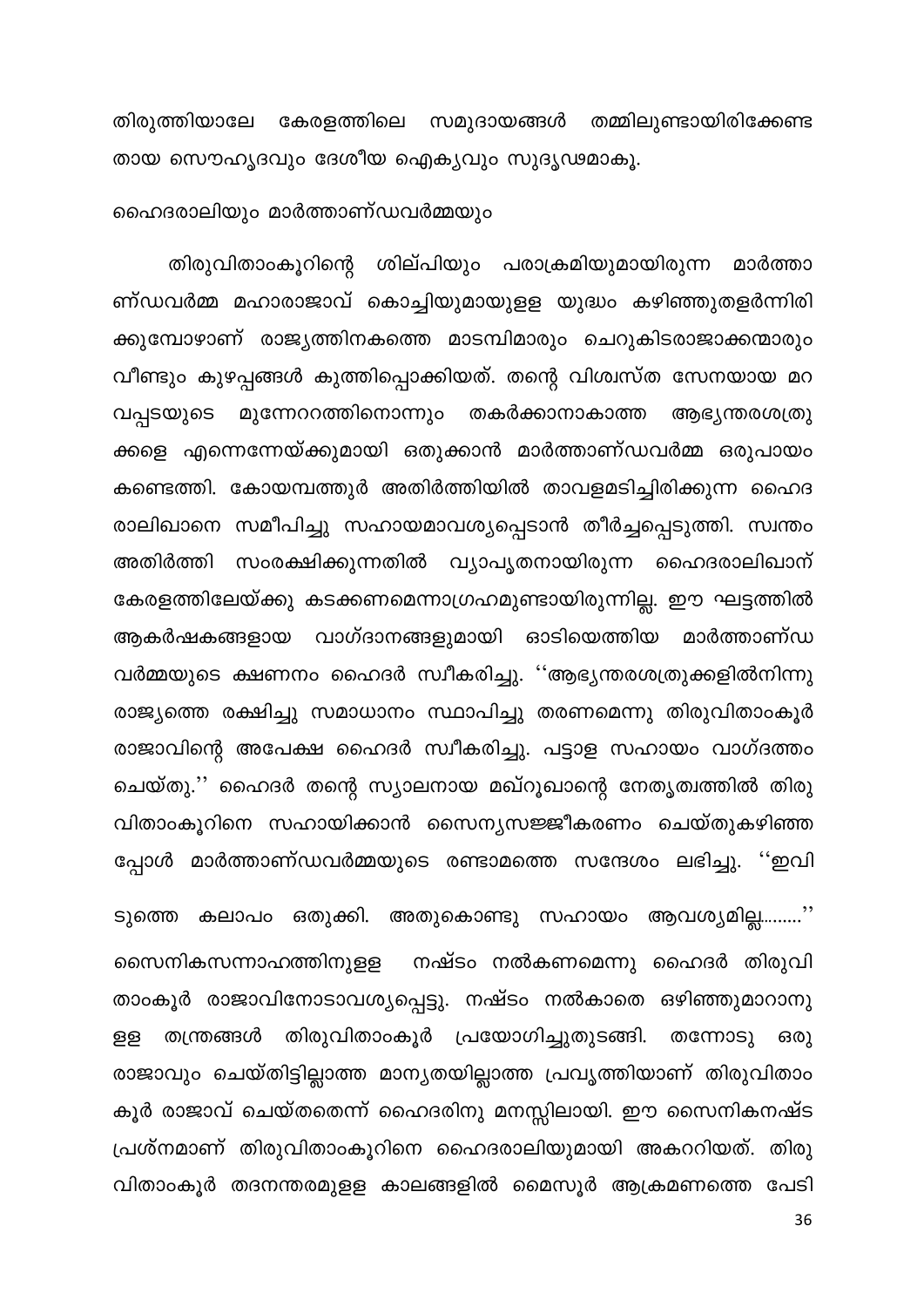തിരുത്തിയാലേ കേരളത്തിലെ സമുദായങ്ങൾ തമ്മിലുണ്ടായിരിക്കേണ്ട തായ സൌഹൃദവും ദേശീയ ഐക്യവും സുദൃഢമാകൂ.

ഹൈദരാലിയും മാർത്താണ്ഡവർമ്മയും

തിരുവിതാംകൂറിന്റെ ശില്പിയും പരാക്രമിയുമായിരുന്ന മാർത്താ ണ്ഡവർമ്മ മഹാരാജാവ് കൊച്ചിയുമായുളള യുദ്ധം കഴിഞ്ഞുതളർന്നിരി ക്കുമ്പോഴാണ് രാജ്യത്തിനകത്തെ മാടമ്പിമാരും ചെറുകിടരാജാക്കന്മാരും വീണ്ടും കുഴപ്പങ്ങൾ കുത്തിപ്പൊക്കിയത്. തന്റെ വിശ്വസ്ത സേനയായ മറ മുന്നേററത്തിനൊന്നും തകർക്കാനാകാത്ത വപ്പടയുടെ ആഭ്യന്തരശത്രു ക്കളെ എന്നെന്നേയ്ക്കുമായി ഒതുക്കാൻ മാർത്താണ്ഡവർമ്മ ഒരുപായം കണ്ടെത്തി. കോയമ്പത്തുർ അതിർത്തിയിൽ താവളമടിച്ചിരിക്കുന്ന ഹൈദ രാലിഖാനെ സമീപിച്ചു സഹായമാവശ്യപ്പെടാൻ തീർച്ചപ്പെടുത്തി. സ്വന്തം അതിർത്തി സംരക്ഷിക്കുന്നതിൽ വ്യാപൃതനായിരുന്ന ഹൈദരാലിഖാന് കേരളത്തിലേയ്ക്കു കടക്കണമെന്നാഗ്രഹമുണ്ടായിരുന്നില്ല. ഈ ഘട്ടത്തിൽ ആകർഷകങ്ങളായ വാഗ്ദാനങ്ങളുമായി ഓടിയെത്തിയ മാർത്താണ്ഡ വർമ്മയുടെ ക്ഷണനം ഹൈദർ സ്വീകരിച്ചു. ''ആഭ്യന്തരശത്രുക്കളിൽനിന്നു രാജ്യത്തെ രക്ഷിച്ചു സമാധാനം സ്ഥാപിച്ചു തരണമെന്നു തിരുവിതാംകൂർ രാജാവിന്റെ അപേക്ഷ ഹൈദർ സ്വീകരിച്ചു. പട്ടാള സഹായം വാഗ്ദത്തം ചെയ്തു.'' ഹൈദർ തന്റെ സ്യാലനായ മഖ്റൂഖാന്റെ നേതൃത്വത്തിൽ തിരു വിതാംകൂറിനെ സഹായിക്കാൻ സൈന്യസജ്ജീകരണം ചെയ്തുകഴിഞ്ഞ പ്പോൾ മാർത്താണ്ഡവർമ്മയുടെ രണ്ടാമത്തെ സന്ദേശം ലഭിച്ചു. ''ഇവി

ടുത്തെ കലാപം ഒതുക്കി. അതുകൊണ്ടു സഹായം ആവശ്യമില്ല.........'' സൈനികസന്നാഹത്തിനുളള നഷ്ടം നൽകണമെന്നു ഹൈദർ തിരുവി താംകൂർ രാജാവിനോടാവശ്യപ്പെട്ടു. നഷ്ടം നൽകാതെ ഒഴിഞ്ഞുമാറാനു തിരുവിതാംകൂർ പ്രയോഗിച്ചുതുടങ്ങി. തന്നോടു ള്ള തന്ത്രങ്ങൾ ഒരു രാജാവും ചെയ്തിട്ടില്ലാത്ത മാന്യതയില്ലാത്ത പ്രവൃത്തിയാണ് തിരുവിതാം കൂർ രാജാവ് ചെയ്തതെന്ന് ഹൈദരിനു മനസ്സിലായി. ഈ സൈനികനഷ്ട പ്രശ്നമാണ് തിരുവിതാംകൂറിനെ ഹൈദരാലിയുമായി അകററിയത്. തിരു വിതാംകൂർ തദനന്തരമുളള കാലങ്ങളിൽ മൈസൂർ ആക്രമണത്തെ പേടി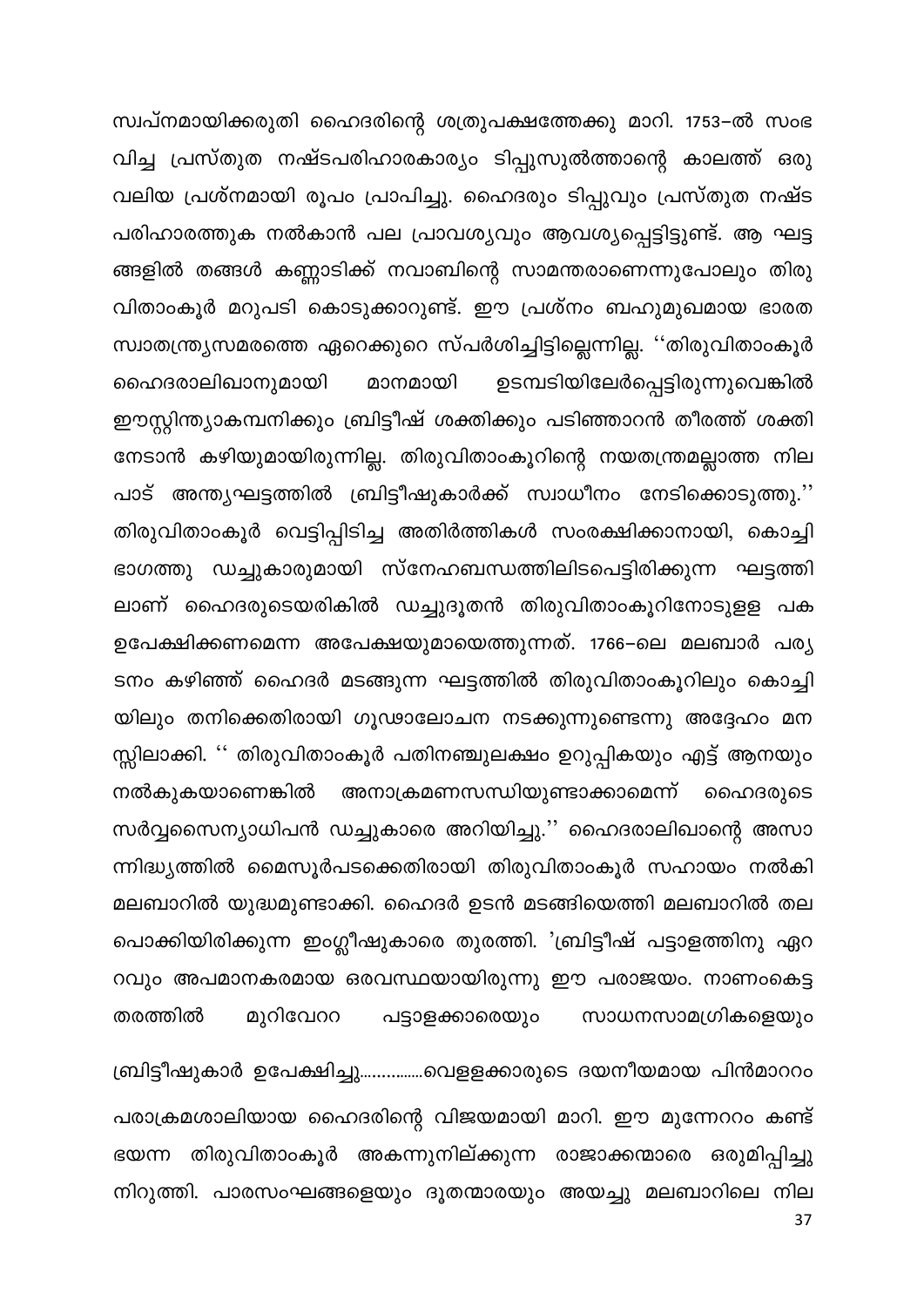സ്വപ്നമായിക്കരുതി ഹൈദരിന്റെ ശത്രുപക്ഷത്തേക്കു മാറി. 1753–ൽ സംഭ വിച്ച പ്രസ്തുത നഷ്ടപരിഹാരകാര്യം ടിപ്പുസുൽത്താന്റെ കാലത്ത് ഒരു വലിയ പ്രശ്നമായി രൂപം പ്രാപിച്ചു. ഹൈദരും ടിപ്പുവും പ്രസ്തുത നഷ്ട പരിഹാരത്തുക നൽകാൻ പല പ്രാവശ്യവും ആവശ്യപ്പെട്ടിട്ടുണ്ട്. ആ ഘട്ട ങ്ങളിൽ തങ്ങൾ കണ്ണാടിക്ക് നവാബിന്റെ സാമന്തരാണെന്നുപോലും തിരു വിതാംകൂർ മറുപടി കൊടുക്കാറുണ്ട്. ഈ പ്രശ്നം ബഹുമുഖമായ ഭാരത സ്വാതന്ത്ര്യസമരത്തെ ഏറെക്കുറെ സ്പർശിച്ചിട്ടില്ലെന്നില്ല. ''തിരുവിതാംകൂർ ഉടമ്പടിയിലേർപ്പെട്ടിരുന്നുവെങ്കിൽ മാനമായി ഹൈദരാലിഖാനുമായി ഈസ്റ്റിന്ത്യാകമ്പനിക്കും ബ്രിട്ടീഷ് ശക്തിക്കും പടിഞ്ഞാറൻ തീരത്ത് ശക്തി നേടാൻ കഴിയുമായിരുന്നില്ല. തിരുവിതാംകൂറിന്റെ നയതന്ത്രമല്ലാത്ത നില പാട് അന്ത്യഘട്ടത്തിൽ ബ്രിട്ടീഷുകാർക്ക് സ്വാധീനം നേടിക്കൊടുത്തു.'' തിരുവിതാംകൂർ വെട്ടിപ്പിടിച്ച അതിർത്തികൾ സംരക്ഷിക്കാനായി, കൊച്ചി ഭാഗത്തു ഡച്ചുകാരുമായി സ്നേഹബന്ധത്തിലിടപെട്ടിരിക്കുന്ന ഘട്ടത്തി ലാണ് ഹൈദരുടെയരികിൽ ഡച്ചുദൂതൻ തിരുവിതാംകൂറിനോടുളള പക ഉപേക്ഷിക്കണമെന്ന അപേക്ഷയുമായെത്തുന്നത്. 1766–ലെ മലബാർ പര്യ ടനം കഴിഞ്ഞ് ഹൈദർ മടങ്ങുന്ന ഘട്ടത്തിൽ തിരുവിതാംകൂറിലും കൊച്ചി യിലും തനിക്കെതിരായി ഗൂഢാലോചന നടക്കുന്നുണ്ടെന്നു അദ്ദേഹം മന സ്സിലാക്കി. '' തിരുവിതാംകൂർ പതിനഞ്ചുലക്ഷം ഉറുപ്പികയും എട്ട് ആനയും അനാക്രമണസന്ധിയുണ്ടാക്കാമെന്ന് ഹൈദരുടെ നൽകുകയാണെങ്കിൽ സർവ്വസൈന്യാധിപൻ ഡച്ചുകാരെ അറിയിച്ചു.'' ഹൈദരാലിഖാന്റെ അസാ ന്നിദ്ധ്യത്തിൽ മൈസൂർപടക്കെതിരായി തിരുവിതാംകൂർ സഹായം നൽകി മലബാറിൽ യുദ്ധമുണ്ടാക്കി. ഹൈദർ ഉടൻ മടങ്ങിയെത്തി മലബാറിൽ തല പൊക്കിയിരിക്കുന്ന ഇംഗ്ലീഷുകാരെ തുരത്തി. 'ബ്രിട്ടീഷ് പട്ടാളത്തിനു ഏറ റവും അപമാനകരമായ ഒരവസ്ഥയായിരുന്നു ഈ പരാജയം. നാണംകെട്ട തരത്തിൽ മുറിവേററ സാധനസാമഗ്രികളെയും പട്ടാളക്കാരെയും

ബ്രിട്ടീഷുകാർ ഉപേക്ഷിച്ചു...............വെളളക്കാരുടെ ദയനീയമായ പിൻമാററം പരാക്രമശാലിയായ ഹൈദരിന്റെ വിജയമായി മാറി. ഈ മുന്നേററം കണ്ട് ഭയന്ന തിരുവിതാംകൂർ അകന്നുനില്ക്കുന്ന രാജാക്കന്മാരെ ഒരുമിപ്പിച്ചു നിറുത്തി. പാരസംഘങ്ങളെയും ദൂതന്മാരയും അയച്ചു മലബാറിലെ നില 37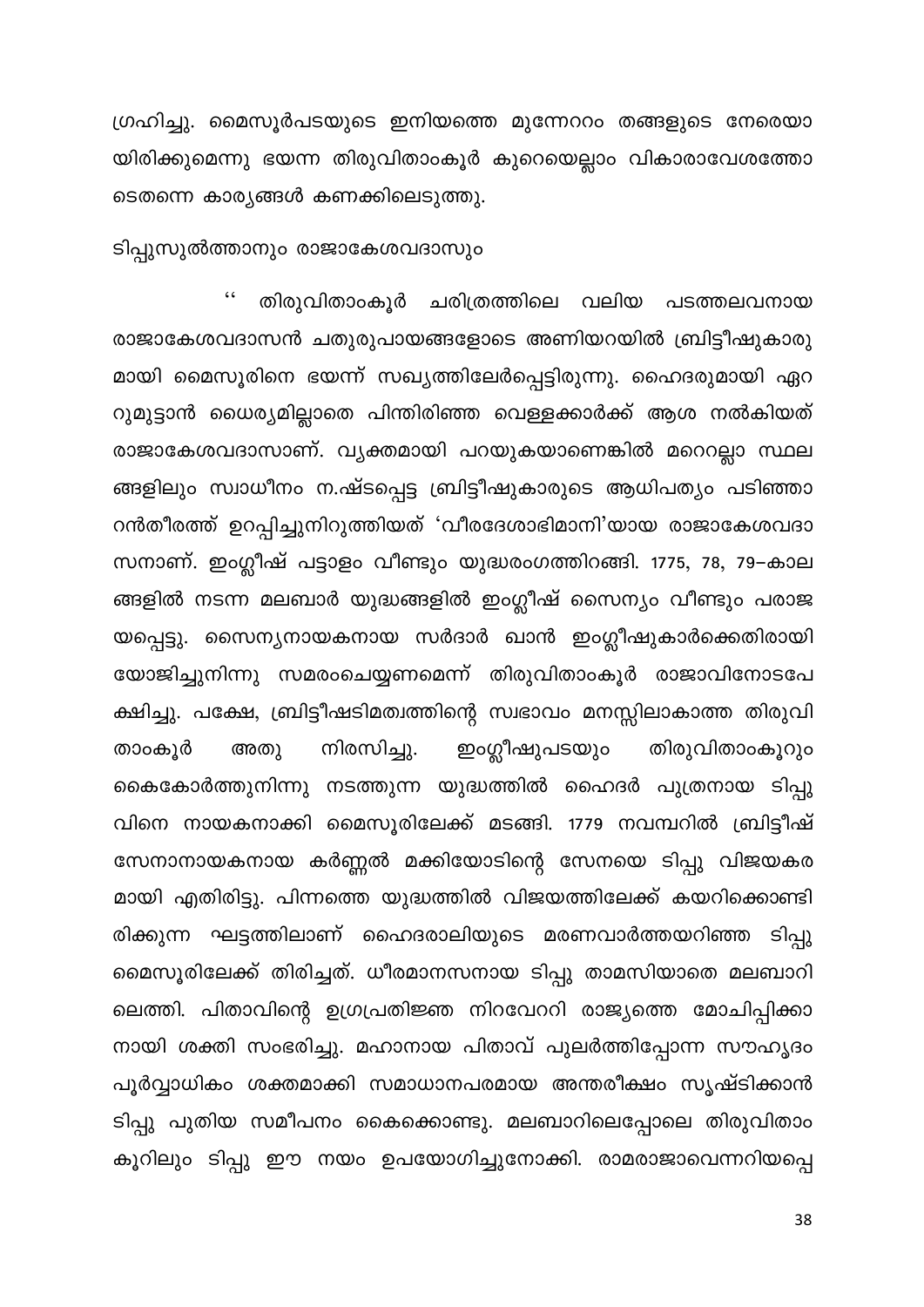ഗ്രഹിച്ചു. മൈസൂർപടയുടെ ഇനിയത്തെ മുന്നേററം തങ്ങളുടെ നേരെയാ യിരിക്കുമെന്നു ഭയന്ന തിരുവിതാംകൂർ കുറെയെല്ലാം വികാരാവേശത്തോ ടെതന്നെ കാര്യങ്ങൾ കണക്കിലെടുത്തു.

ടിപ്പുസുൽത്താനും രാജാകേശവദാസും

തിരുവിതാംകൂർ ചരിത്രത്തിലെ വലിയ പടത്തലവനായ രാജാകേശവദാസൻ ചതുരുപായങ്ങളോടെ അണിയറയിൽ ബ്രിട്ടീഷുകാരു മായി മൈസൂരിനെ ഭയന്ന് സഖ്യത്തിലേർപ്പെട്ടിരുന്നു. ഹൈദരുമായി ഏറ റുമുട്ടാൻ ധൈര്യമില്ലാതെ പിന്തിരിഞ്ഞ വെള്ളക്കാർക്ക് ആശ നൽകിയത് രാജാകേശവദാസാണ്. വ്യക്തമായി പറയുകയാണെങ്കിൽ മറെറല്ലാ സ്ഥല ങ്ങളിലും സ്വാധീനം ന.ഷ്ടപ്പെട്ട ബ്രിട്ടീഷുകാരുടെ ആധിപത്യം പടിഞ്ഞാ റൻതീരത്ത് ഉറപ്പിച്ചുനിറുത്തിയത് 'വീരദേശാഭിമാനി'യായ രാജാകേശവദാ സനാണ്. ഇംഗ്ലീഷ് പട്ടാളം വീണ്ടും യുദ്ധരംഗത്തിറങ്ങി. 1775, 78, 79–കാല ങ്ങളിൽ നടന്ന മലബാർ യുദ്ധങ്ങളിൽ ഇംഗ്ലീഷ് സൈന്യം വീണ്ടും പരാജ യപ്പെട്ടു. സൈന്യനായകനായ സർദാർ ഖാൻ ഇംഗ്ലീഷുകാർക്കെതിരായി യോജിച്ചുനിന്നു സമരംചെയ്യണമെന്ന് തിരുവിതാംകൂർ രാജാവിനോടപേ ക്ഷിച്ചു. പക്ഷേ, ബ്രിട്ടീഷടിമത്വത്തിന്റെ സ്വഭാവം മനസ്സിലാകാത്ത തിരുവി നിരസിച്ചു. ഇംഗ്ലീഷുപടയും തിരുവിതാംകൂറും താംകൂർ അതു കൈകോർത്തുനിന്നു നടത്തുന്ന യുദ്ധത്തിൽ ഹൈദർ പുത്രനായ ടിപ്പു വിനെ നായകനാക്കി മൈസൂരിലേക്ക് മടങ്ങി. 1779 നവമ്പറിൽ ബ്രിട്ടീഷ് സേനാനായകനായ കർണ്ണൽ മക്കിയോടിന്റെ സേനയെ ടിപ്പു വിജയകര മായി എതിരിട്ടു. പിന്നത്തെ യുദ്ധത്തിൽ വിജയത്തിലേക്ക് കയറിക്കൊണ്ടി രിക്കുന്ന ഘട്ടത്തിലാണ് ഹൈദരാലിയുടെ മരണവാർത്തയറിഞ്ഞ ടിപ്പു മൈസൂരിലേക്ക് തിരിച്ചത്. ധീരമാനസനായ ടിപ്പു താമസിയാതെ മലബാറി ലെത്തി. പിതാവിന്റെ ഉഗ്രപ്രതിജ്ഞ നിറവേററി രാജ്യത്തെ മോചിപ്പിക്കാ നായി ശക്തി സംഭരിച്ചു. മഹാനായ പിതാവ് പുലർത്തിപ്പോന്ന സൗഹൃദം പൂർവ്വാധികം ശക്തമാക്കി സമാധാനപരമായ അന്തരീക്ഷം സൃഷ്ടിക്കാൻ ടിപ്പു പുതിയ സമീപനം കൈക്കൊണ്ടു. മലബാറിലെപ്പോലെ തിരുവിതാം കൂറിലും ടിപ്പു ഈ നയം ഉപയോഗിച്ചുനോക്കി. രാമരാജാവെന്നറിയപ്പെ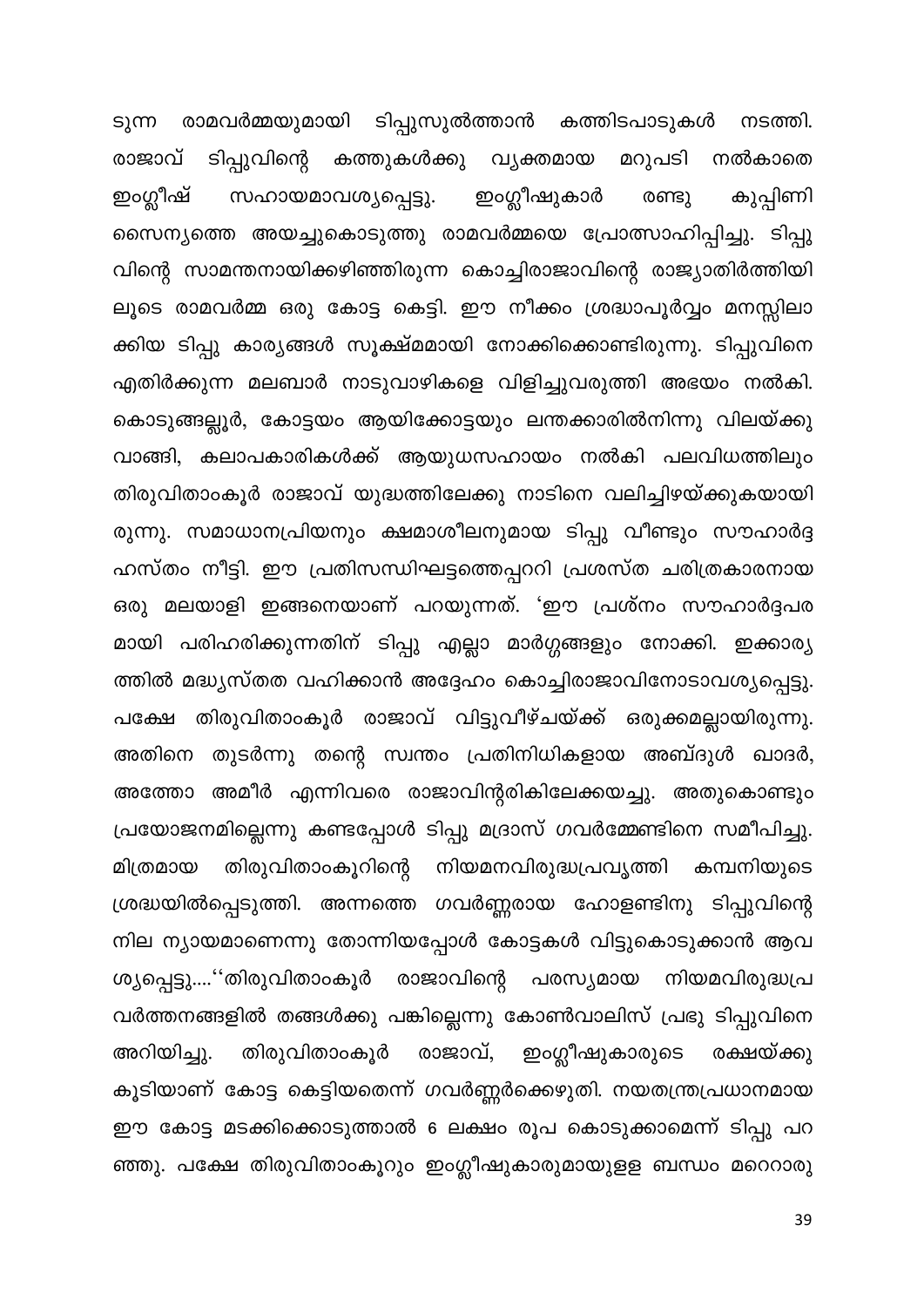ടുന്ന രാമവർമ്മയുമായി ടിപ്പുസുൽത്താൻ കത്തിടപാടുകൾ നടത്തി. രാജാവ് ടിപ്പുവിന്റെ കത്തുകൾക്കു വ്യക്തമായ മറുപടി നൽകാതെ ഇംഗ്ലീഷ് ഇംഗ്ലീഷുകാർ സഹായമാവശ്യപ്പെട്ടു. കുപ്പിണി രണ്ടു സൈന്യത്തെ അയച്ചുകൊടുത്തു രാമവർമ്മയെ പ്രോത്സാഹിപ്പിച്ചു. ടിപ്പു വിന്റെ സാമന്തനായിക്കഴിഞ്ഞിരുന്ന കൊച്ചിരാജാവിന്റെ രാജ്യാതിർത്തിയി ലൂടെ രാമവർമ്മ ഒരു കോട്ട കെട്ടി. ഈ നീക്കം ശ്രദ്ധാപൂർവ്വം മനസ്സിലാ ക്കിയ ടിപ്പു കാര്യങ്ങൾ സൂക്ഷ്മമായി നോക്കിക്കൊണ്ടിരുന്നു. ടിപ്പുവിനെ എതിർക്കുന്ന മലബാർ നാടുവാഴികളെ വിളിച്ചുവരുത്തി അഭയം നൽകി. കൊടുങ്ങല്ലൂർ, കോട്ടയം ആയിക്കോട്ടയും ലന്തക്കാരിൽനിന്നു വിലയ്ക്കു വാങ്ങി, കലാപകാരികൾക്ക് ആയുധസഹായം നൽകി പലവിധത്തിലും തിരുവിതാംകൂർ രാജാവ് യുദ്ധത്തിലേക്കു നാടിനെ വലിച്ചിഴയ്ക്കുകയായി രുന്നു. സമാധാനപ്രിയനും ക്ഷമാശീലനുമായ ടിപ്പു വീണ്ടും സൗഹാർദ്ദ ഹസ്തം നീട്ടി. ഈ പ്രതിസന്ധിഘട്ടത്തെപ്പററി പ്രശസ്ത ചരിത്രകാരനായ ഒരു മലയാളി ഇങ്ങനെയാണ് പറയുന്നത്. 'ഈ പ്രശ്നം സൗഹാർദ്ദപര മായി പരിഹരിക്കുന്നതിന് ടിപ്പു എല്ലാ മാർഗ്ഗങ്ങളും നോക്കി. ഇക്കാര്യ ത്തിൽ മദ്ധ്യസ്തത വഹിക്കാൻ അദ്ദേഹം കൊച്ചിരാജാവിനോടാവശ്യപ്പെട്ടു. പക്ഷേ തിരുവിതാംകൂർ രാജാവ് വിട്ടുവീഴ്ചയ്ക്ക് ഒരുക്കമല്ലായിരുന്നു. അതിനെ തുടർന്നു തന്റെ സ്വന്തം പ്രതിനിധികളായ അബ്ദുൾ ഖാദർ, അത്തോ അമീർ എന്നിവരെ രാജാവിന്റരികിലേക്കയച്ചു. അതുകൊണ്ടും പ്രയോജനമില്ലെന്നു കണ്ടപ്പോൾ ടിപ്പു മദ്രാസ് ഗവർമ്മേണ്ടിനെ സമീപിച്ചു. തിരുവിതാംകൂറിന്റെ നിയമനവിരുദ്ധപ്രവൃത്തി കമ്പനിയുടെ മിത്രമായ ശ്രദ്ധയിൽപ്പെടുത്തി. അന്നത്തെ ഗവർണ്ണരായ ഹോളണ്ടിനു ടിപ്പുവിന്റെ നില ന്യായമാണെന്നു തോന്നിയപ്പോൾ കോട്ടകൾ വിട്ടുകൊടുക്കാൻ ആവ ശ്യപ്പെട്ടു....''തിരുവിതാംകൂർ രാജാവിന്റെ പരസ്യമായ നിയമവിരുദ്ധപ്ര വർത്തനങ്ങളിൽ തങ്ങൾക്കു പങ്കില്ലെന്നു കോൺവാലിസ് പ്രഭു ടിപ്പുവിനെ ഇംഗ്ലീഷുകാരുടെ തിരുവിതാംകൂർ അറിയിച്ചു. രാജാവ്, രക്ഷയ്ക്കു കൂടിയാണ് കോട്ട കെട്ടിയതെന്ന് ഗവർണ്ണർക്കെഴുതി. നയതന്ത്രപ്രധാനമായ ഈ കോട്ട മടക്കിക്കൊടുത്താൽ 6 ലക്ഷം രൂപ കൊടുക്കാമെന്ന് ടിപ്പു പറ ഞ്ഞു. പക്ഷേ തിരുവിതാംകൂറും ഇംഗ്ലീഷുകാരുമായുളള ബന്ധം മറെറാരു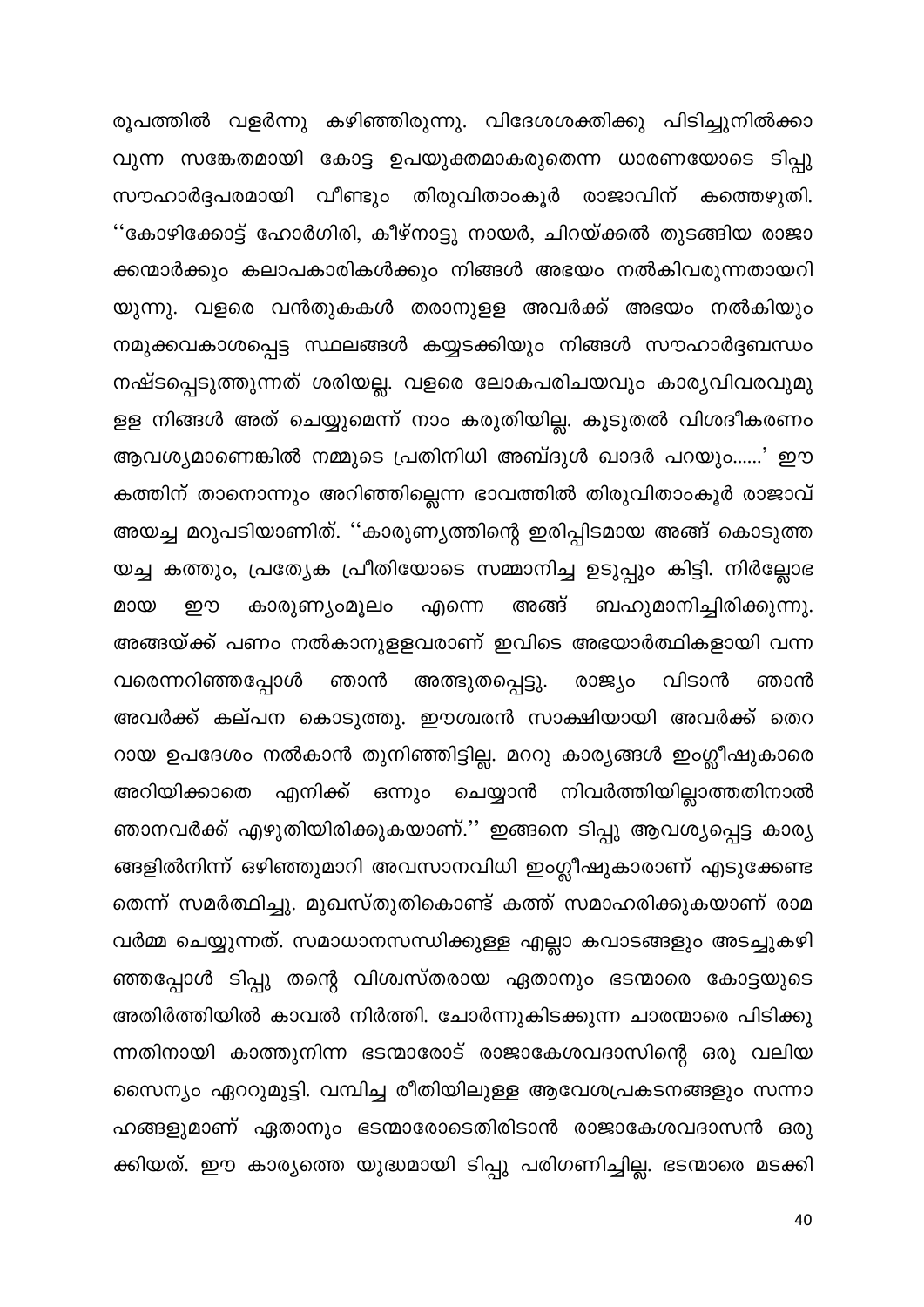രൂപത്തിൽ വളർന്നു കഴിഞ്ഞിരുന്നു. വിദേശശക്തിക്കു പിടിച്ചുനിൽക്കാ വുന്ന സങ്കേതമായി കോട്ട ഉപയുക്തമാകരുതെന്ന ധാരണയോടെ ടിപ്പു സൗഹാർദ്ദപരമായി വീണ്ടും തിരുവിതാംകൂർ രാജാവിന് കത്തെഴുതി. ''കോഴിക്കോട്ട് ഹോർഗിരി, കീഴ്നാട്ടു നായർ, ചിറയ്ക്കൽ തുടങ്ങിയ രാജാ ക്കന്മാർക്കും കലാപകാരികൾക്കും നിങ്ങൾ അഭയം നൽകിവരുന്നതായറി യുന്നു. വളരെ വൻതുകകൾ തരാനുളള അവർക്ക് അഭയം നൽകിയും നമുക്കവകാശപ്പെട്ട സ്ഥലങ്ങൾ കയ്യടക്കിയും നിങ്ങൾ സൗഹാർദ്ദബന്ധം നഷ്ടപ്പെടുത്തുന്നത് ശരിയല്ല. വളരെ ലോകപരിചയവും കാര്യവിവരവുമു ളള നിങ്ങൾ അത് ചെയ്യുമെന്ന് നാം കരുതിയില്ല. കൂടുതൽ വിശദീകരണം ആവശ്യമാണെങ്കിൽ നമ്മുടെ പ്രതിനിധി അബ്ദുൾ ഖാദർ പറയും......' ഈ കത്തിന് താനൊന്നും അറിഞ്ഞില്ലെന്ന ഭാവത്തിൽ തിരുവിതാംകൂർ രാജാവ് അയച്ച മറുപടിയാണിത്. ''കാരുണ്യത്തിന്റെ ഇരിപ്പിടമായ അങ്ങ് കൊടുത്ത യച്ച കത്തും, പ്രത്യേക പ്രീതിയോടെ സമ്മാനിച്ച ഉടുപ്പും കിട്ടി. നിർല്ലോഭ അങ്ങ് ബഹുമാനിച്ചിരിക്കുന്നു. മായ றற കാരുണ്യാമൂലം എന്നെ അങ്ങയ്ക്ക് പണം നൽകാനുളളവരാണ് ഇവിടെ അഭയാർത്ഥികളായി വന്ന വരെന്നറിഞ്ഞപ്പോൾ ഞാൻ അത്ഭുതപ്പെട്ടു. രാജ്യം വിടാൻ ഞാൻ അവർക്ക് കല്പന കൊടുത്തു. ഈശ്വരൻ സാക്ഷിയായി അവർക്ക് തെറ റായ ഉപദേശം നൽകാൻ തുനിഞ്ഞിട്ടില്ല. മററു കാര്യങ്ങൾ ഇംഗ്ലീഷുകാരെ എനിക്ക് ഒന്നും ചെയ്യാൻ നിവർത്തിയില്ലാത്തതിനാൽ അറിയിക്കാതെ ഞാനവർക്ക് എഴുതിയിരിക്കുകയാണ്.'' ഇങ്ങനെ ടിപ്പു ആവശ്യപ്പെട്ട കാര്യ ങ്ങളിൽനിന്ന് ഒഴിഞ്ഞുമാറി അവസാനവിധി ഇംഗ്ലീഷുകാരാണ് എടുക്കേണ്ട തെന്ന് സമർത്ഥിച്ചു. മുഖസ്തുതികൊണ്ട് കത്ത് സമാഹരിക്കുകയാണ് രാമ വർമ്മ ചെയ്യുന്നത്. സമാധാനസന്ധിക്കുള്ള എല്ലാ കവാടങ്ങളും അടച്ചുകഴി ഞ്ഞപ്പോൾ ടിപ്പു തന്റെ വിശ്വസ്തരായ ഏതാനും ഭടന്മാരെ കോട്ടയുടെ അതിർത്തിയിൽ കാവൽ നിർത്തി. ചോർന്നുകിടക്കുന്ന ചാരന്മാരെ പിടിക്കു ന്നതിനായി കാത്തുനിന്ന ഭടന്മാരോട് രാജാകേശവദാസിന്റെ ഒരു വലിയ സൈന്യം ഏററുമുട്ടി. വമ്പിച്ച രീതിയിലുള്ള ആവേശപ്രകടനങ്ങളും സന്നാ ഹങ്ങളുമാണ് ഏതാനും ഭടന്മാരോടെതിരിടാൻ രാജാകേശവദാസൻ ഒരു ക്കിയത്. ഈ കാര്യത്തെ യുദ്ധമായി ടിപ്പു പരിഗണിച്ചില്ല. ഭടന്മാരെ മടക്കി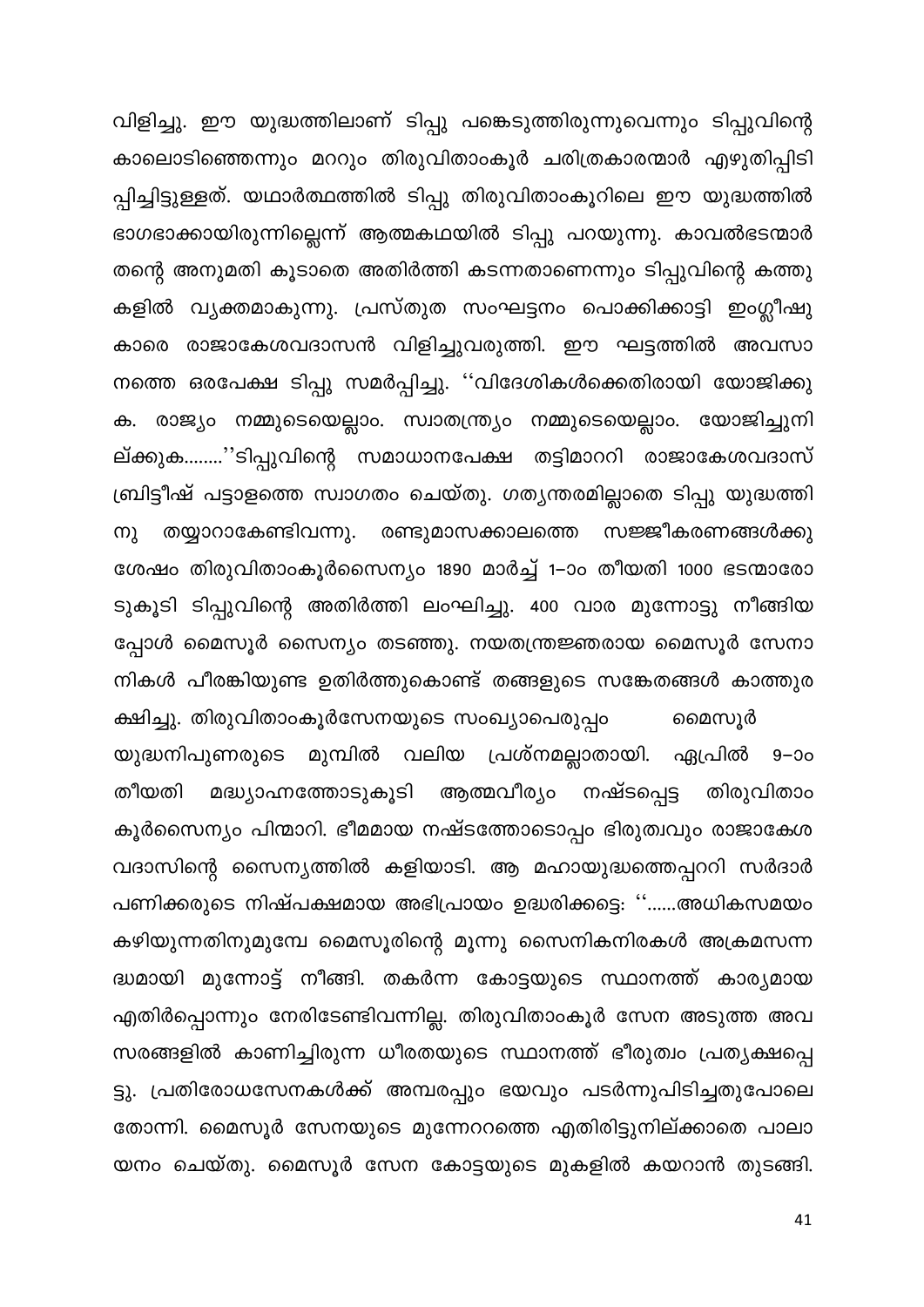വിളിച്ചു. ഈ യുദ്ധത്തിലാണ് ടിപ്പു പങ്കെടുത്തിരുന്നുവെന്നും ടിപ്പുവിന്റെ കാലൊടിഞ്ഞെന്നും മററും തിരുവിതാംകൂർ ചരിത്രകാരന്മാർ എഴുതിപ്പിടി പ്പിച്ചിട്ടുള്ളത്. യഥാർത്ഥത്തിൽ ടിപ്പു തിരുവിതാംകൂറിലെ ഈ യുദ്ധത്തിൽ ഭാഗഭാക്കായിരുന്നില്ലെന്ന് ആത്മകഥയിൽ ടിപ്പു പറയുന്നു. കാവൽഭടന്മാർ തന്റെ അനുമതി കൂടാതെ അതിർത്തി കടന്നതാണെന്നും ടിപ്പുവിന്റെ കത്തു കളിൽ വ്യക്തമാകുന്നു. പ്രസ്തുത സംഘട്ടനം പൊക്കിക്കാട്ടി ഇംഗ്ലീഷു കാരെ രാജാകേശവദാസൻ വിളിച്ചുവരുത്തി. ഈ ഘട്ടത്തിൽ അവസാ നത്തെ ഒരപേക്ഷ ടിപ്പു സമർപ്പിച്ചു. ''വിദേശികൾക്കെതിരായി യോജിക്കു ക. രാജ്യം നമ്മുടെയെല്ലാം. സ്വാതന്ത്ര്യം നമ്മുടെയെല്ലാം. യോജിച്ചുനി ല്ക്കുക........''ടിപ്പുവിന്റെ സമാധാനപേക്ഷ തട്ടിമാററി രാജാകേശവദാസ് ബ്രിട്ടീഷ് പട്ടാളത്തെ സ്വാഗതം ചെയ്തു. ഗതൃന്തരമില്ലാതെ ടിപ്പു യുദ്ധത്തി തയ്യാറാകേണ്ടിവന്നു. രണ്ടുമാസക്കാലത്തെ സജ്ജീകരണങ്ങൾക്കു നു ശേഷം തിരുവിതാംകൂർസൈന്യം 1890 മാർച്ച് 1–ാം തീയതി 1000 ഭടന്മാരോ ടുകൂടി ടിപ്പുവിന്റെ അതിർത്തി ലംഘിച്ചു. 400 വാര മുന്നോട്ടു നീങ്ങിയ പ്പോൾ മൈസൂർ സൈന്യം തടഞ്ഞു. നയതന്ത്രജ്ഞരായ മൈസൂർ സേനാ നികൾ പീരങ്കിയുണ്ട ഉതിർത്തുകൊണ്ട് തങ്ങളുടെ സങ്കേതങ്ങൾ കാത്തുര

ക്ഷിച്ചു. തിരുവിതാംകൂർസേനയുടെ സംഖ്യാപെരുപ്പം മൈസൂർ യുദ്ധനിപുണരുടെ മുമ്പിൽ വലിയ പ്രശ്നമല്ലാതായി. ഏപ്രിൽ 9–ാം മദ്ധ്യാഹ്നത്തോടുകൂടി ആത്മവീര്യം നഷ്ടപ്പെട്ട തിരുവിതാം തീയതി കൂർസൈന്യം പിന്മാറി. ഭീമമായ നഷ്ടത്തോടൊപ്പം ഭിരുത്വവും രാജാകേശ വദാസിന്റെ സൈന്യത്തിൽ കളിയാടി. ആ മഹായുദ്ധത്തെപ്പററി സർദാർ പണിക്കരുടെ നിഷ്പക്ഷമായ അഭിപ്രായം ഉദ്ധരിക്കട്ടെ: ''……അധികസമയം കഴിയുന്നതിനുമുമ്പേ മൈസൂരിന്റെ മൂന്നു സൈനികനിരകൾ അക്രമസന്ന ദ്ധമായി മുന്നോട്ട് നീങ്ങി. തകർന്ന കോട്ടയുടെ സ്ഥാനത്ത് കാര്യമായ എതിർപ്പൊന്നും നേരിടേണ്ടിവന്നില്ല. തിരുവിതാംകൂർ സേന അടുത്ത അവ സരങ്ങളിൽ കാണിച്ചിരുന്ന ധീരതയുടെ സ്ഥാനത്ത് ഭീരുത്വം പ്രത്യക്ഷപ്പെ ട്ടു. പ്രതിരോധസേനകൾക്ക് അമ്പരപ്പും ഭയവും പടർന്നുപിടിച്ചതുപോലെ തോന്നി. മൈസൂർ സേനയുടെ മുന്നേററത്തെ എതിരിട്ടുനില്ക്കാതെ പാലാ യനം ചെയ്തു. മൈസൂർ സേന കോട്ടയുടെ മുകളിൽ കയറാൻ തുടങ്ങി.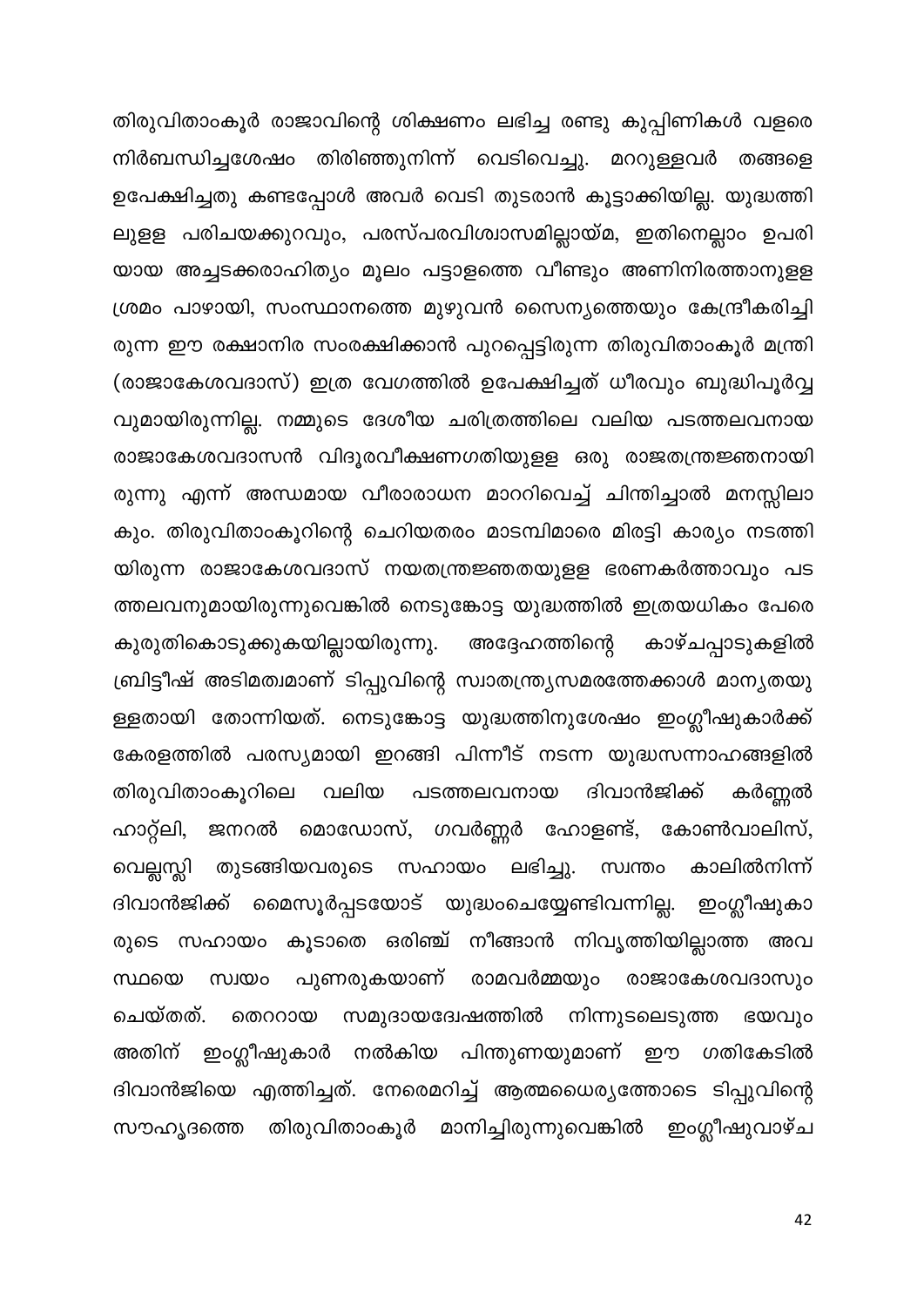തിരുവിതാംകൂർ രാജാവിന്റെ ശിക്ഷണം ലഭിച്ച രണ്ടു കുപ്പിണികൾ വളരെ നിർബന്ധിച്ചശേഷം തിരിഞ്ഞുനിന്ന് വെടിവെച്ചു. മററുള്ളവർ തങ്ങളെ ഉപേക്ഷിച്ചതു കണ്ടപ്പോൾ അവർ വെടി തുടരാൻ കൂട്ടാക്കിയില്ല. യുദ്ധത്തി ലുളള പരിചയക്കുറവും, പരസ്പരവിശ്വാസമില്ലായ്മ, ഇതിനെല്ലാം ഉപരി യായ അച്ചടക്കരാഹിത്യം മൂലം പട്ടാളത്തെ വീണ്ടും അണിനിരത്താനുളള ശ്രമം പാഴായി, സംസ്ഥാനത്തെ മുഴുവൻ സൈന്യത്തെയും കേന്ദ്രീകരിച്ചി രുന്ന ഈ രക്ഷാനിര സംരക്ഷിക്കാൻ പുറപ്പെട്ടിരുന്ന തിരുവിതാംകൂർ മന്ത്രി (രാജാകേശവദാസ്) ഇത്ര വേഗത്തിൽ ഉപേക്ഷിച്ചത് ധീരവും ബുദ്ധിപൂർവ്വ വുമായിരുന്നില്ല. നമ്മുടെ ദേശീയ ചരിത്രത്തിലെ വലിയ പടത്തലവനായ രാജാകേശവദാസൻ വിദൂരവീക്ഷണഗതിയുളള ഒരു രാജതന്ത്രജ്ഞനായി രുന്നു എന്ന് അന്ധമായ വീരാരാധന മാററിവെച്ച് ചിന്തിച്ചാൽ മനസ്സിലാ കും. തിരുവിതാംകൂറിന്റെ ചെറിയതരം മാടമ്പിമാരെ മിരട്ടി കാര്യം നടത്തി യിരുന്ന രാജാകേശവദാസ് നയതന്ത്രജ്ഞതയുളള ഭരണകർത്താവും പട ത്തലവനുമായിരുന്നുവെങ്കിൽ നെടുങ്കോട്ട യുദ്ധത്തിൽ ഇത്രയധികം പേരെ കുരുതികൊടുക്കുകയില്ലായിരുന്നു. അദ്ദേഹത്തിന്റെ കാഴ്ചപ്പാടുകളിൽ ബ്രിട്ടീഷ് അടിമത്വമാണ് ടിപ്പുവിന്റെ സ്വാതന്ത്ര്യസമരത്തേക്കാൾ മാന്യതയു ള്ളതായി തോന്നിയത്. നെടുങ്കോട്ട യുദ്ധത്തിനുശേഷം ഇംഗ്ലീഷുകാർക്ക് കേരളത്തിൽ പരസ്യമായി ഇറങ്ങി പിന്നീട് നടന്ന യുദ്ധസന്നാഹങ്ങളിൽ തിരുവിതാംകൂറിലെ വലിയ പടത്തലവനായ ദിവാൻജിക്ക് കർണ്ണൽ ഹാറ്റ്ലി, ജനറൽ മൊഡോസ്, ഗവർണ്ണർ ഹോളണ്ട്, കോൺവാലിസ്, വെല്ലസ്ലി തുടങ്ങിയവരുടെ സഹായം ലഭിച്ചു. കാലിൽനിന്ന് സ്വന്തം ദിവാൻജിക്ക് മൈസൂർപ്പടയോട് യുദ്ധംചെയ്യേണ്ടിവന്നില്ല. ഇംഗ്ലീഷുകാ രുടെ സഹായം കൂടാതെ ഒരിഞ്ച് നീങ്ങാൻ നിവൃത്തിയില്ലാത്ത അവ പുണരുകയാണ് രാമവർമ്മയും രാജാകേശവദാസും സ്ഥയെ സ്വയം നിന്നുടലെടുത്ത ചെയ്തത്. തെററായ സമുദായദ്വേഷത്തിൽ ഭയവും അതിന് ഇംഗ്ലീഷുകാർ നൽകിയ പിന്തുണയുമാണ് ഈ ഗതികേടിൽ ദിവാൻജിയെ എത്തിച്ചത്. നേരെമറിച്ച് ആത്മധൈര്യത്തോടെ ടിപ്പുവിന്റെ ഇംഗ്ലീഷുവാഴ്ച തിരുവിതാംകൂർ മാനിച്ചിരുന്നുവെങ്കിൽ സൗഹ്യദത്തെ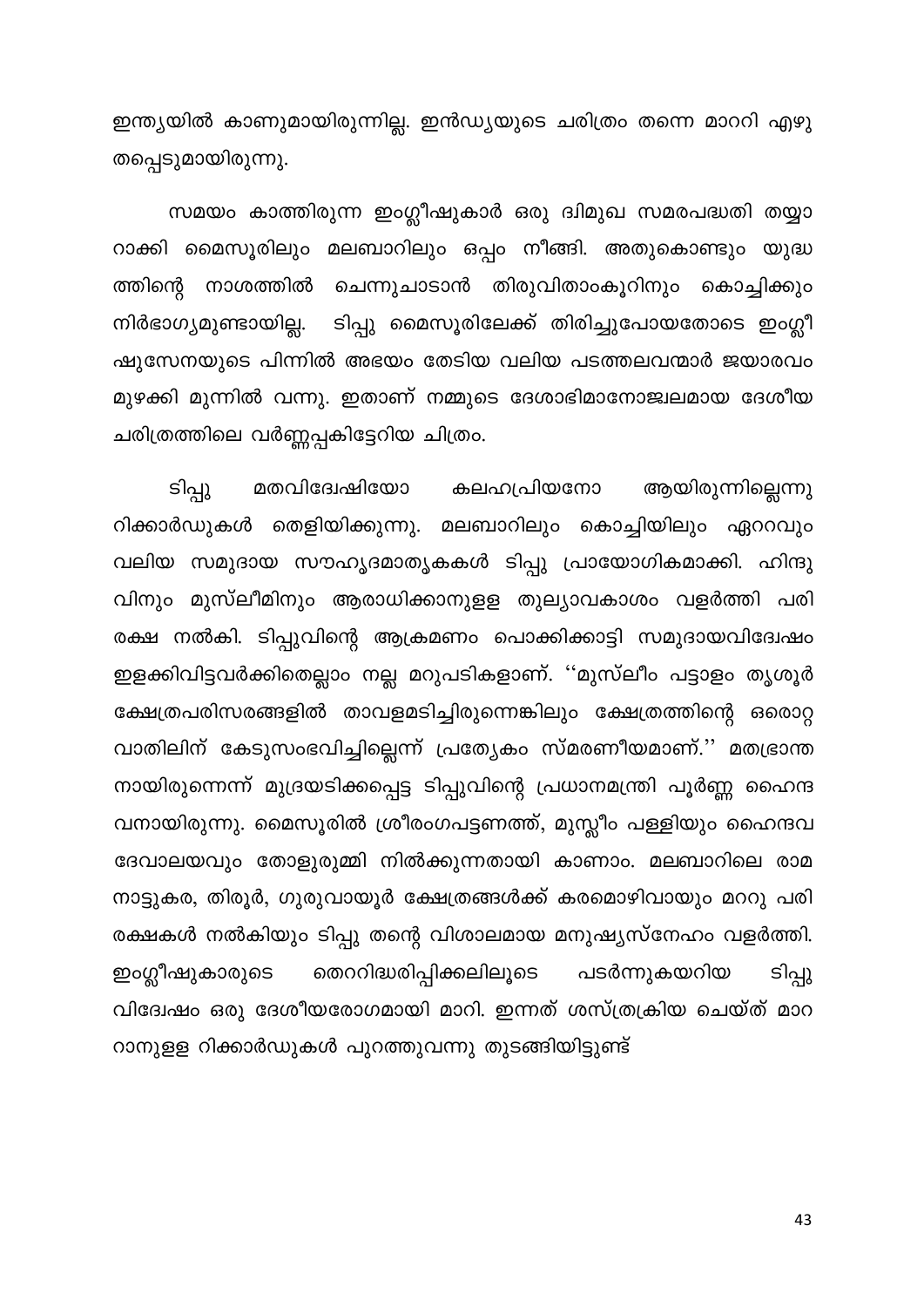ഇന്ത്യയിൽ കാണുമായിരുന്നില്ല. ഇൻഡ്യയുടെ ചരിത്രം തന്നെ മാററി എഴു തപ്പെടുമായിരുന്നു.

സമയം കാത്തിരുന്ന ഇംഗ്ലീഷുകാർ ഒരു ദ്വിമുഖ സമരപദ്ധതി തയ്യാ റാക്കി മൈസൂരിലും മലബാറിലും ഒപ്പം നീങ്ങി. അതുകൊണ്ടും യുദ്ധ ത്തിന്റെ നാശത്തിൽ ചെന്നുചാടാൻ തിരുവിതാംകൂറിനും കൊച്ചിക്കും നിർഭാഗ്യമുണ്ടായില്ല. ടിപ്പു മൈസൂരിലേക്ക് തിരിച്ചുപോയതോടെ ഇംഗ്ലീ ഷുസേനയുടെ പിന്നിൽ അഭയം തേടിയ വലിയ പടത്തലവന്മാർ ജയാരവം മുഴക്കി മുന്നിൽ വന്നു. ഇതാണ് നമ്മുടെ ദേശാഭിമാനോജ്വലമായ ദേശീയ ചരിത്രത്തിലെ വർണ്ണപ്പകിട്ടേറിയ ചിത്രം.

ടിപ്പു ആയിരുന്നില്ലെന്നു മതവിദേേഷിയോ കലഹപ്രിയനോ റിക്കാർഡുകൾ തെളിയിക്കുന്നു. മലബാറിലും കൊച്ചിയിലും ഏററവും വലിയ സമുദായ സൗഹൃദമാതൃകകൾ ടിപ്പു പ്രായോഗികമാക്കി. ഹിന്ദു വിനും മുസ്ലീമിനും ആരാധിക്കാനുളള തുല്യാവകാശം വളർത്തി പരി രക്ഷ നൽകി. ടിപ്പുവിന്റെ ആക്രമണം പൊക്കിക്കാട്ടി സമുദായവിദേഃഷം ഇളക്കിവിട്ടവർക്കിതെല്ലാം നല്ല മറുപടികളാണ്. ''മുസ്ലീം പട്ടാളം തൃശൂർ ക്ഷേത്രപരിസരങ്ങളിൽ താവളമടിച്ചിരുന്നെങ്കിലും ക്ഷേത്രത്തിന്റെ ഒരൊറ്റ വാതിലിന് കേടുസംഭവിച്ചില്ലെന്ന് പ്രത്യേകം സ്മരണീയമാണ്.'' മതഭ്രാന്ത നായിരുന്നെന്ന് മുദ്രയടിക്കപ്പെട്ട ടിപ്പുവിന്റെ പ്രധാനമന്ത്രി പൂർണ്ണ ഹൈന്ദ വനായിരുന്നു. മൈസൂരിൽ ശ്രീരംഗപട്ടണത്ത്, മുസ്ലീം പള്ളിയും ഹൈന്ദവ ദേവാലയവും തോളുരുമ്മി നിൽക്കുന്നതായി കാണാം. മലബാറിലെ രാമ നാട്ടുകര, തിരൂർ, ഗുരുവായൂർ ക്ഷേത്രങ്ങൾക്ക് കരമൊഴിവായും മററു പരി രക്ഷകൾ നൽകിയും ടിപ്പു തന്റെ വിശാലമായ മനുഷ്യസ്നേഹം വളർത്തി. ഇംഗ്ലീഷുകാരുടെ തെററിദ്ധരിപ്പിക്കലിലൂടെ പടർന്നുകയറിയ ടിപ്പു വിദ്വേഷം ഒരു ദേശീയരോഗമായി മാറി. ഇന്നത് ശസ്ത്രക്രിയ ചെയ്ത് മാറ റാനുളള റിക്കാർഡുകൾ പുറത്തുവന്നു തുടങ്ങിയിട്ടുണ്ട്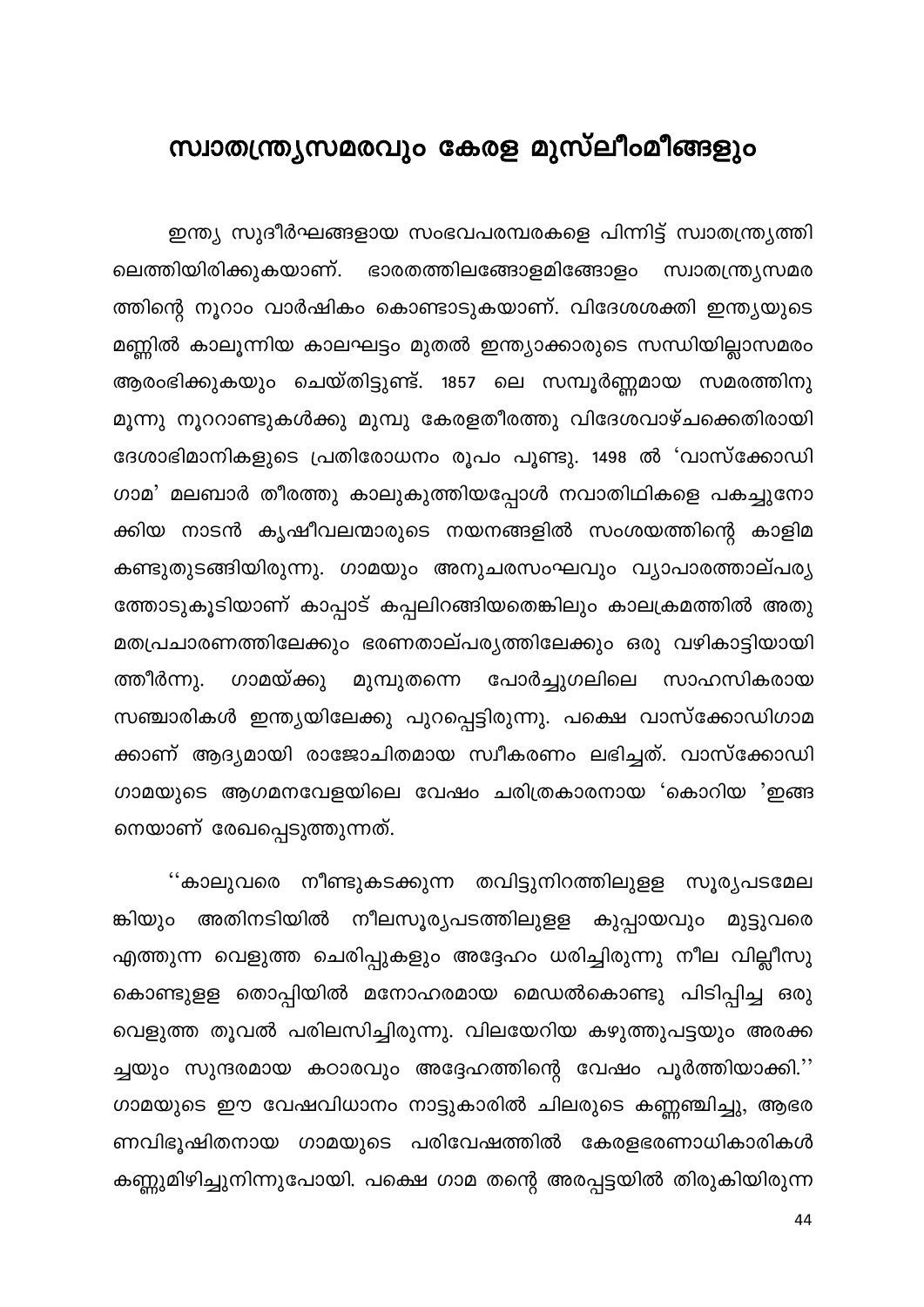## സ്വാതന്ത്ര്യസമരവും കേരള മുസ്ലീംമീങ്ങളും

ഇന്ത്യ സുദീർഘങ്ങളായ സംഭവപരമ്പരകളെ പിന്നിട്ട് സ്വാതന്ത്ര്യത്തി ലെത്തിയിരിക്കുകയാണ്. ഭാരതത്തിലങ്ങോളമിങ്ങോളം സ്വാതന്ത്ര്യസമര ത്തിന്റെ നൂറാം വാർഷികം കൊണ്ടാടുകയാണ്. വിദേശശക്തി ഇന്ത്യയുടെ മണ്ണിൽ കാലൂന്നിയ കാലഘട്ടം മുതൽ ഇന്ത്യാക്കാരുടെ സന്ധിയില്ലാസമരം ആരംഭിക്കുകയും ചെയ്തിട്ടുണ്ട്. 1857 ലെ സമ്പൂർണ്ണമായ സമരത്തിനു മൂന്നു നൂററാണ്ടുകൾക്കു മുമ്പു കേരളതീരത്തു വിദേശവാഴ്ചക്കെതിരായി ദേശാഭിമാനികളുടെ പ്രതിരോധനം രൂപം പൂണ്ടു. 1498 ൽ 'വാസ്ക്കോഡി ഗാമ' മലബാർ തീരത്തു കാലുകുത്തിയപ്പോൾ നവാതിഥികളെ പകച്ചുനോ ക്കിയ നാടൻ കൃഷീവലന്മാരുടെ നയനങ്ങളിൽ സംശയത്തിന്റെ കാളിമ കണ്ടുതുടങ്ങിയിരുന്നു. ഗാമയും അനുചരസംഘവും വ്യാപാരത്താല്പര്യ ത്തോടുകൂടിയാണ് കാപ്പാട് കപ്പലിറങ്ങിയതെങ്കിലും കാലക്രമത്തിൽ അതു മതപ്രചാരണത്തിലേക്കും ഭരണതാല്പര്യത്തിലേക്കും ഒരു വഴികാട്ടിയായി ത്തീർന്നു. ഗാമയ്ക്കു മുമ്പുതന്നെ പോർച്ചുഗലിലെ സാഹസികരായ സഞ്ചാരികൾ ഇന്ത്യയിലേക്കു പുറപ്പെട്ടിരുന്നു. പക്ഷെ വാസ്ക്കോഡിഗാമ ക്കാണ് ആദ്യമായി രാജോചിതമായ സ്വീകരണം ലഭിച്ചത്. വാസ്ക്കോഡി ഗാമയുടെ ആഗമനവേളയിലെ വേഷം ചരിത്രകാരനായ 'കൊറിയ 'ഇങ്ങ നെയാണ് രേഖപ്പെടുത്തുന്നത്.

''കാലുവരെ നീണ്ടുകടക്കുന്ന തവിട്ടുനിറത്തിലുളള സൂര്യപടമേല ങ്കിയും അതിനടിയിൽ നീലസൂര്യപടത്തിലുളള കുപ്പായവും മുട്ടുവരെ എത്തുന്ന വെളുത്ത ചെരിപ്പുകളും അദ്ദേഹം ധരിച്ചിരുന്നു നീല വില്ലീസു കൊണ്ടുളള തൊപ്പിയിൽ മനോഹരമായ മെഡൽകൊണ്ടു പിടിപ്പിച്ച ഒരു വെളുത്ത തൂവൽ പരിലസിച്ചിരുന്നു. വിലയേറിയ കഴുത്തുപട്ടയും അരക്ക ച്ചയും സുന്ദരമായ കഠാരവും അദ്ദേഹത്തിന്റെ വേഷം പൂർത്തിയാക്കി.'' ഗാമയുടെ ഈ വേഷവിധാനം നാട്ടുകാരിൽ ചിലരുടെ കണ്ണഞ്ചിച്ചു, ആഭര ണവിഭൂഷിതനായ ഗാമയുടെ പരിവേഷത്തിൽ കേരളഭരണാധികാരികൾ കണ്ണുമിഴിച്ചുനിന്നുപോയി. പക്ഷെ ഗാമ തന്റെ അരപ്പട്ടയിൽ തിരുകിയിരുന്ന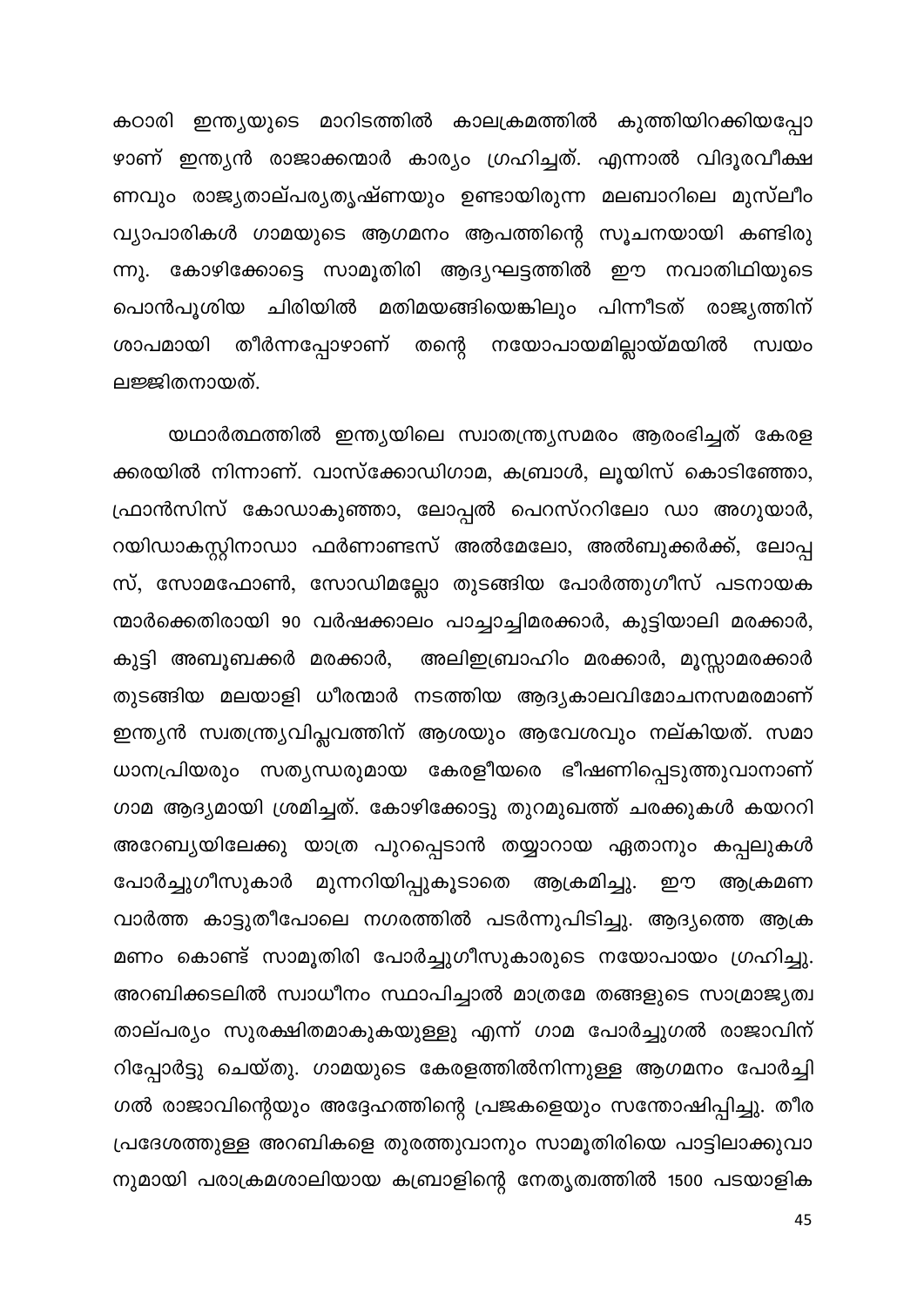കഠാരി ഇന്ത്യയുടെ മാറിടത്തിൽ കാലക്രമത്തിൽ കുത്തിയിറക്കിയപ്പോ ഴാണ് ഇന്ത്യൻ രാജാക്കന്മാർ കാര്യം ഗ്രഹിച്ചത്. എന്നാൽ വിദൂരവീക്ഷ ണവും രാജ്യതാല്പര്യതൃഷ്ണയും ഉണ്ടായിരുന്ന മലബാറിലെ മുസ്ലീം വ്യാപാരികൾ ഗാമയുടെ ആഗമനം ആപത്തിന്റെ സൂചനയായി കണ്ടിരു ന്നു. കോഴിക്കോട്ടെ സാമൂതിരി ആദ്യഘട്ടത്തിൽ ഈ നവാതിഥിയുടെ പൊൻപൂശിയ ചിരിയിൽ മതിമയങ്ങിയെങ്കിലും പിന്നീടത് രാജ്യത്തിന് ശാപമായി തീർന്നപ്പോഴാണ് തന്റെ നയോപായമില്ലായ്മയിൽ സ്വയം ലജ്ജിതനായത്.

യഥാർത്ഥത്തിൽ ഇന്ത്യയിലെ സ്വാതന്ത്ര്യസമരം ആരംഭിച്ചത് കേരള ക്കരയിൽ നിന്നാണ്. വാസ്ക്കോഡിഗാമ, കബ്രാൾ, ലൂയിസ് കൊടിഞ്ഞോ, ഫ്രാൻസിസ് കോഡാകുഞ്ഞാ, ലോപ്പൽ പെറസ്ററിലോ ഡാ അഗുയാർ, റയിഡാകസ്റ്റിനാഡാ ഫർണാണ്ടസ് അൽമേലോ, അൽബുക്കർക്ക്, ലോപ്പ സ്, സോമഫോൺ, സോഡിമല്ലോ തുടങ്ങിയ പോർത്തുഗീസ് പടനായക ന്മാർക്കെതിരായി 90 വർഷക്കാലം പാച്ചാച്ചിമരക്കാർ, കുട്ടിയാലി മരക്കാർ, കുട്ടി അബൂബക്കർ മരക്കാർ, അലിഇബ്രാഹിം മരക്കാർ, മൂസ്സാമരക്കാർ തുടങ്ങിയ മലയാളി ധീരന്മാർ നടത്തിയ ആദ്യകാലവിമോചനസമരമാണ് ഇന്ത്യൻ സ്വതന്ത്ര്യവിപ്ലവത്തിന് ആശയും ആവേശവും നല്കിയത്. സമാ ധാനപ്രിയരും സത്യന്ധരുമായ കേരളീയരെ ഭീഷണിപ്പെടുത്തുവാനാണ് ഗാമ ആദ്യമായി ശ്രമിച്ചത്. കോഴിക്കോട്ടു തുറമുഖത്ത് ചരക്കുകൾ കയററി അറേബ്യയിലേക്കു യാത്ര പുറപ്പെടാൻ തയ്യാറായ ഏതാനും കപ്പലുകൾ പോർച്ചുഗീസുകാർ മുന്നറിയിപ്പുകൂടാതെ ആക്രമിച്ചു. ഈ ആക്രമണ വാർത്ത കാട്ടുതീപോലെ നഗരത്തിൽ പടർന്നുപിടിച്ചു. ആദ്യത്തെ ആക്ര മണം കൊണ്ട് സാമൂതിരി പോർച്ചുഗീസുകാരുടെ നയോപായം ഗ്രഹിച്ചു. അറബിക്കടലിൽ സ്വാധീനം സ്ഥാപിച്ചാൽ മാത്രമേ തങ്ങളുടെ സാമ്രാജ്യത്വ താല്പര്യം സുരക്ഷിതമാകുകയുള്ളു എന്ന് ഗാമ പോർച്ചുഗൽ രാജാവിന് റിപ്പോർട്ടു ചെയ്തു. ഗാമയുടെ കേരളത്തിൽനിന്നുള്ള ആഗമനം പോർച്ചി ഗൽ രാജാവിന്റെയും അദ്ദേഹത്തിന്റെ പ്രജകളെയും സന്തോഷിപ്പിച്ചു. തീര പ്രദേശത്തുള്ള അറബികളെ തുരത്തുവാനും സാമൂതിരിയെ പാട്ടിലാക്കുവാ നുമായി പരാക്രമശാലിയായ കബ്രാളിന്റെ നേതൃത്വത്തിൽ 1500 പടയാളിക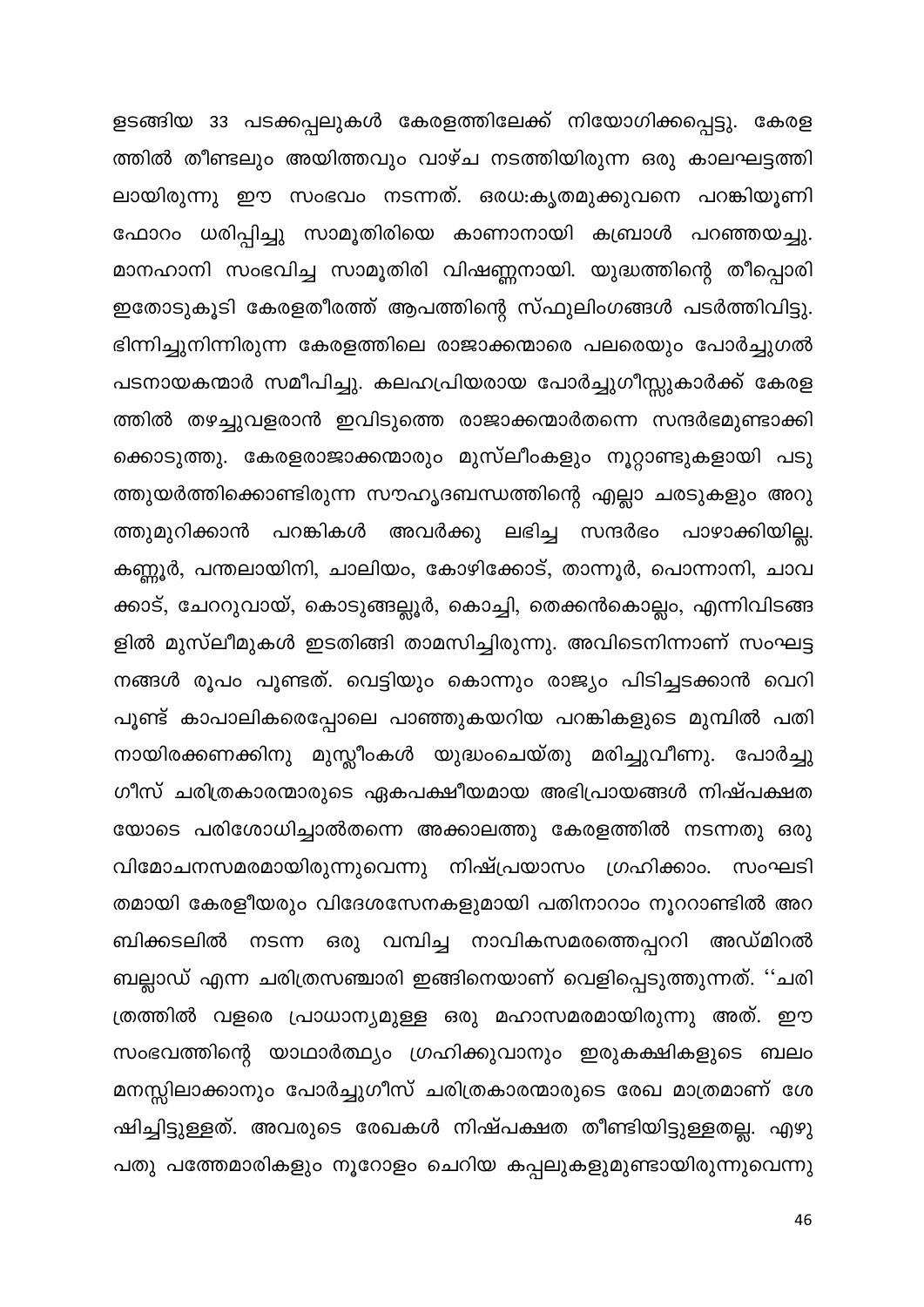ളടങ്ങിയ 33 പടക്കപ്പലുകൾ കേരളത്തിലേക്ക് നിയോഗിക്കപ്പെട്ടു. കേരള ത്തിൽ തീണ്ടലും അയിത്തവും വാഴ്ച നടത്തിയിരുന്ന ഒരു കാലഘട്ടത്തി ലായിരുന്നു ഈ സംഭവം നടന്നത്. ഒരധ:കൃതമുക്കുവനെ പറങ്കിയൂണി ഫോറം ധരിപ്പിച്ചു സാമൂതിരിയെ കാണാനായി കബ്രാൾ പറഞ്ഞയച്ചു. മാനഹാനി സംഭവിച്ച സാമൂതിരി വിഷണ്ണനായി. യുദ്ധത്തിന്റെ തീപ്പൊരി ഇതോടുകൂടി കേരളതീരത്ത് ആപത്തിന്റെ സ്ഫുലിംഗങ്ങൾ പടർത്തിവിട്ടു. ഭിന്നിച്ചുനിന്നിരുന്ന കേരളത്തിലെ രാജാക്കന്മാരെ പലരെയും പോർച്ചുഗൽ പടനായകന്മാർ സമീപിച്ചു. കലഹപ്രിയരായ പോർച്ചുഗീസ്സുകാർക്ക് കേരള ത്തിൽ തഴച്ചുവളരാൻ ഇവിടുത്തെ രാജാക്കന്മാർതന്നെ സന്ദർഭമുണ്ടാക്കി ക്കൊടുത്തു. കേരളരാജാക്കന്മാരും മുസ്ലീംകളും നൂറ്റാണ്ടുകളായി പടു ത്തുയർത്തിക്കൊണ്ടിരുന്ന സൗഹൃദബന്ധത്തിന്റെ എല്ലാ ചരടുകളും അറു ത്തുമുറിക്കാൻ പറങ്കികൾ അവർക്കു ലഭിച്ച സന്ദർഭം പാഴാക്കിയില്ല. കണ്ണൂർ, പന്തലായിനി, ചാലിയം, കോഴിക്കോട്, താന്നൂർ, പൊന്നാനി, ചാവ ക്കാട്, ചേററുവായ്, കൊടുങ്ങല്ലൂർ, കൊച്ചി, തെക്കൻകൊല്ലം, എന്നിവിടങ്ങ ളിൽ മുസ്ലീമുകൾ ഇടതിങ്ങി താമസിച്ചിരുന്നു. അവിടെനിന്നാണ് സംഘട്ട നങ്ങൾ രൂപം പൂണ്ടത്. വെട്ടിയും കൊന്നും രാജ്യം പിടിച്ചടക്കാൻ വെറി പൂണ്ട് കാപാലികരെപ്പോലെ പാഞ്ഞുകയറിയ പറങ്കികളുടെ മുമ്പിൽ പതി നായിരക്കണക്കിനു മുസ്ലീംകൾ യുദ്ധംചെയ്തു മരിച്ചുവീണു. പോർച്ചു ഗീസ് ചരിത്രകാരന്മാരുടെ ഏകപക്ഷീയമായ അഭിപ്രായങ്ങൾ നിഷ്പക്ഷത യോടെ പരിശോധിച്ചാൽതന്നെ അക്കാലത്തു കേരളത്തിൽ നടന്നതു ഒരു വിമോചനസമരമായിരുന്നുവെന്നു നിഷ്പ്രയാസം ഗ്രഹിക്കാം. സംഘടി തമായി കേരളീയരും വിദേശസേനകളുമായി പതിനാറാം നൂററാണ്ടിൽ അറ ബിക്കടലിൽ നടന്ന ഒരു വമ്പിച്ച നാവികസമരത്തെപ്പററി അഡ്മിറൽ ബല്ലാഡ് എന്ന ചരിത്രസഞ്ചാരി ഇങ്ങിനെയാണ് വെളിപ്പെടുത്തുന്നത്. ''ചരി ത്രത്തിൽ വളരെ പ്രാധാന്യമുള്ള ഒരു മഹാസമരമായിരുന്നു അത്. ഈ സംഭവത്തിന്റെ യാഥാർത്ഥ്യം ഗ്രഹിക്കുവാനും ഇരുകക്ഷികളുടെ ബലം മനസ്സിലാക്കാനും പോർച്ചുഗീസ് ചരിത്രകാരന്മാരുടെ രേഖ മാത്രമാണ് ശേ ഷിച്ചിട്ടുള്ളത്. അവരുടെ രേഖകൾ നിഷ്പക്ഷത തീണ്ടിയിട്ടുള്ളതല്ല. എഴു പതു പത്തേമാരികളും നൂറോളം ചെറിയ കപ്പലുകളുമുണ്ടായിരുന്നുവെന്നു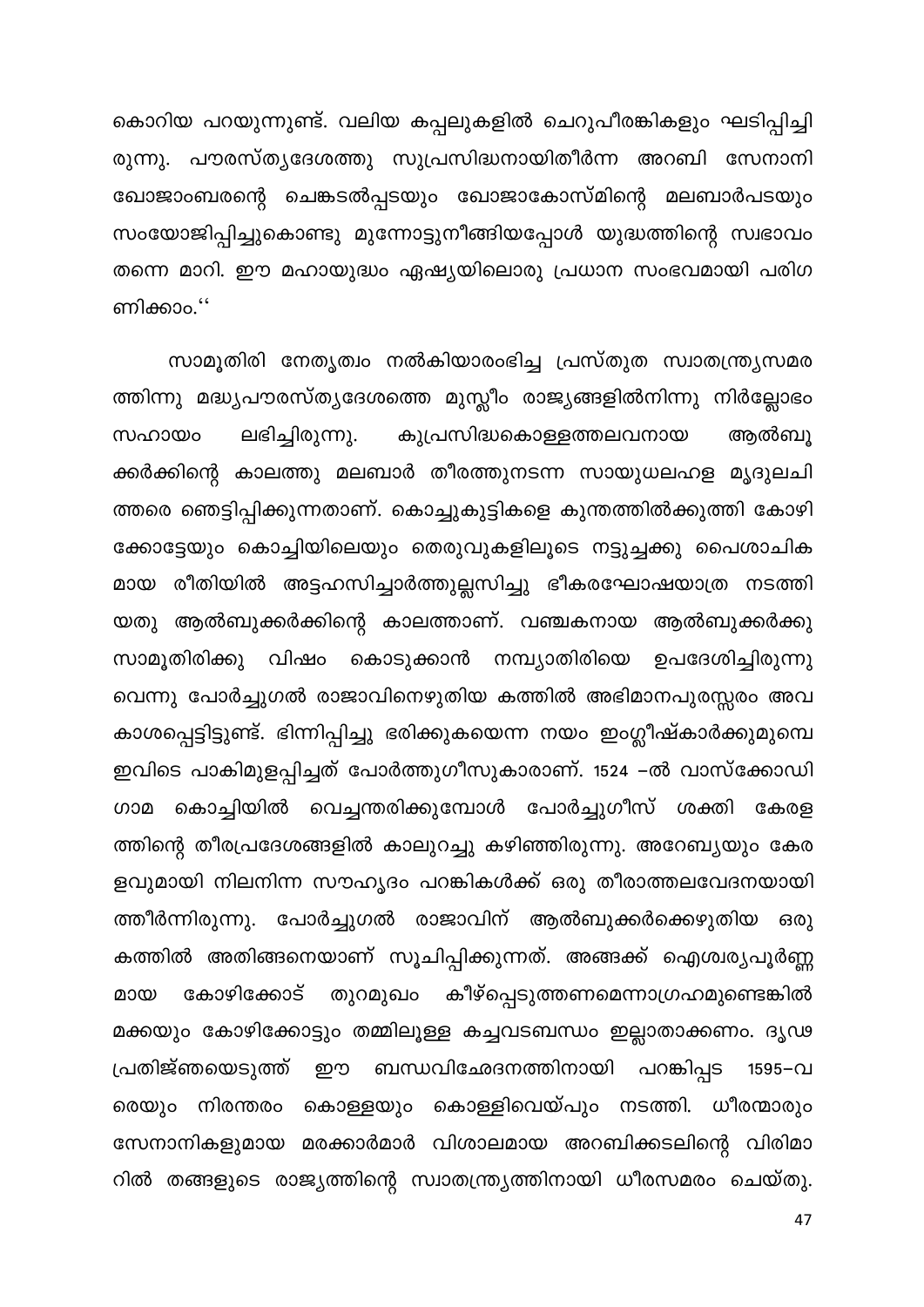കൊറിയ പറയുന്നുണ്ട്. വലിയ കപ്പലുകളിൽ ചെറുപീരങ്കികളും ഘടിപ്പിച്ചി രുന്നു. പൗരസ്ത്യദേശത്തു സുപ്രസിദ്ധനായിതീർന്ന അറബി സേനാനി ഖോജാംബരന്റെ ചെങ്കടൽപ്പടയും ഖോജാകോസ്മിന്റെ മലബാർപടയും സംയോജിപ്പിച്ചുകൊണ്ടു മുന്നോട്ടുനീങ്ങിയപ്പോൾ യുദ്ധത്തിന്റെ സ്വഭാവം തന്നെ മാറി. ഈ മഹായുദ്ധം ഏഷ്യയിലൊരു പ്രധാന സംഭവമായി പരിഗ ണിക്കാം."

സാമൂതിരി നേതൃത്വം നൽകിയാരംഭിച്ച പ്രസ്തുത സ്വാതന്ത്ര്യസമര ത്തിന്നു മദ്ധ്യപൗരസ്ത്യദേശത്തെ മുസ്ലീം രാജ്യങ്ങളിൽനിന്നു നിർല്ലോഭം ലഭിച്ചിരുന്നു. കുപ്രസിദ്ധകൊള്ളത്തലവനായ സഹായം ആൽബു ക്കർക്കിന്റെ കാലത്തു മലബാർ തീരത്തുനടന്ന സായുധലഹള മൃദുലചി ത്തരെ ഞെട്ടിപ്പിക്കുന്നതാണ്. കൊച്ചുകുട്ടികളെ കുന്തത്തിൽക്കുത്തി കോഴി ക്കോട്ടേയും കൊച്ചിയിലെയും തെരുവുകളിലൂടെ നട്ടുച്ചക്കു പൈശാചിക മായ രീതിയിൽ അട്ടഹസിച്ചാർത്തുല്ലസിച്ചു ഭീകരഘോഷയാത്ര നടത്തി യതു ആൽബുക്കർക്കിന്റെ കാലത്താണ്. വഞ്ചകനായ ആൽബുക്കർക്കു സാമൂതിരിക്കു വിഷം കൊടുക്കാൻ നമ്പ്യാതിരിയെ ഉപദേശിച്ചിരുന്നു വെന്നു പോർച്ചുഗൽ രാജാവിനെഴുതിയ കത്തിൽ അഭിമാനപുരസ്സരം അവ കാശപ്പെട്ടിട്ടുണ്ട്. ഭിന്നിപ്പിച്ചു ഭരിക്കുകയെന്ന നയം ഇംഗ്ലീഷ്കാർക്കുമുമ്പെ ഇവിടെ പാകിമുളപ്പിച്ചത് പോർത്തുഗീസുകാരാണ്. 1524 –ൽ വാസ്ക്കോഡി ഗാമ കൊച്ചിയിൽ വെച്ചന്തരിക്കുമ്പോൾ പോർച്ചുഗീസ് ശക്തി കേരള ത്തിന്റെ തീരപ്രദേശങ്ങളിൽ കാലുറച്ചു കഴിഞ്ഞിരുന്നു. അറേബ്യയും കേര ളവുമായി നിലനിന്ന സൗഹൃദം പറങ്കികൾക്ക് ഒരു തീരാത്തലവേദനയായി ത്തീർന്നിരുന്നു. പോർച്ചുഗൽ രാജാവിന് ആൽബുക്കർക്കെഴുതിയ ഒരു കത്തിൽ അതിങ്ങനെയാണ് സൂചിപ്പിക്കുന്നത്. അങ്ങക്ക് ഐശ്വര്യപൂർണ്ണ കോഴിക്കോട് തുറമുഖം കീഴ്പ്പെടുത്തണമെന്നാഗ്രഹമുണ്ടെങ്കിൽ മായ മക്കയും കോഴിക്കോട്ടും തമ്മിലൂള്ള കച്ചവടബന്ധം ഇല്ലാതാക്കണം. ദൃഢ പ്രതിജ്ഞയെടുത്ത് ഈ ബന്ധവിഛേദനത്തിനായി പറങ്കിപ്പട 1595–വ രെയും നിരന്തരം കൊള്ളയും കൊള്ളിവെയ്പും നടത്തി. ധീരന്മാരും സേനാനികളുമായ മരക്കാർമാർ വിശാലമായ അറബിക്കടലിന്റെ വിരിമാ റിൽ തങ്ങളുടെ രാജ്യത്തിന്റെ സ്വാതന്ത്ര്യത്തിനായി ധീരസമരം ചെയ്തു.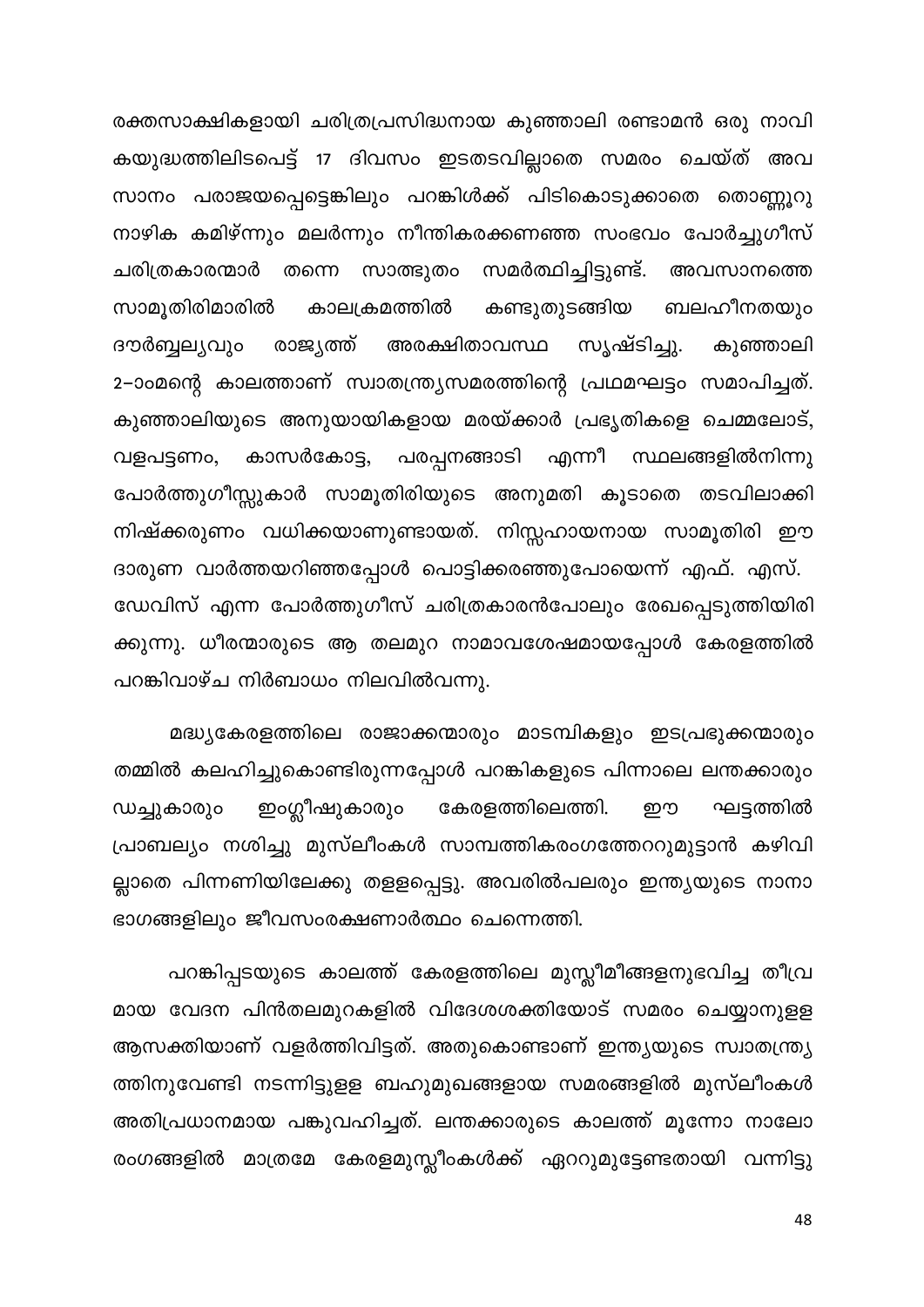രക്തസാക്ഷികളായി ചരിത്രപ്രസിദ്ധനായ കുഞ്ഞാലി രണ്ടാമൻ ഒരു നാവി കയുദ്ധത്തിലിടപെട്ട് 17 ദിവസം ഇടതടവില്ലാതെ സമരം ചെയ്ത് അവ സാനം പരാജയപ്പെട്ടെങ്കിലും പറങ്കിൾക്ക് പിടികൊടുക്കാതെ തൊണ്ണൂറു നാഴിക കമിഴ്ന്നും മലർന്നും നീന്തികരക്കണഞ്ഞ സംഭവം പോർച്ചുഗീസ് തന്നെ സാത്ഭുതം സമർത്ഥിച്ചിട്ടുണ്ട്. അവസാനത്തെ ചരിത്രകാരന്മാർ ബലഹീനതയും സാമൂതിരിമാരിൽ കാലക്രമത്തിൽ കണ്ടുതുടങ്ങിയ ദൗർബ്ബല്യവും സൃഷ്ടിച്ചു. രാജ്യത്ത് അരക്ഷിതാവസ്ഥ കുഞ്ഞാലി 2–ാംമന്റെ കാലത്താണ് സ്വാതന്ത്ര്യസമരത്തിന്റെ പ്രഥമഘട്ടം സമാപിച്ചത്. കുഞ്ഞാലിയുടെ അനുയായികളായ മരയ്ക്കാർ പ്രഭൃതികളെ ചെമ്മലോട്, പരപ്പനങ്ങാടി എന്നീ സ്ഥലങ്ങളിൽനിന്നു കാസർകോട്ട, വളപട്ടണം, പോർത്തുഗീസ്സുകാർ സാമൂതിരിയുടെ അനുമതി കൂടാതെ തടവിലാക്കി നിഷ്ക്കരുണം വധിക്കയാണുണ്ടായത്. നിസ്സഹായനായ സാമൂതിരി ഈ ദാരുണ വാർത്തയറിഞ്ഞപ്പോൾ പൊട്ടിക്കരഞ്ഞുപോയെന്ന് എഫ്. എസ്. ഡേവിസ് എന്ന പോർത്തുഗീസ് ചരിത്രകാരൻപോലും രേഖപ്പെടുത്തിയിരി ക്കുന്നു. ധീരന്മാരുടെ ആ തലമുറ നാമാവശേഷമായപ്പോൾ കേരളത്തിൽ പറങ്കിവാഴ്ച നിർബാധം നിലവിൽവന്നു.

മദ്ധ്യകേരളത്തിലെ രാജാക്കന്മാരും മാടമ്പികളും ഇടപ്രഭുക്കന്മാരും തമ്മിൽ കലഹിച്ചുകൊണ്ടിരുന്നപ്പോൾ പറങ്കികളുടെ പിന്നാലെ ലന്തക്കാരും ഇംഗ്ലീഷുകാരും കേരളത്തിലെത്തി. ഡച്ചുകാരും ഈ ഘട്ടത്തിൽ പ്രാബല്യം നശിച്ചു മുസ്ലീംകൾ സാമ്പത്തികരംഗത്തേററുമുട്ടാൻ കഴിവി ല്ലാതെ പിന്നണിയിലേക്കു തളളപ്പെട്ടു. അവരിൽപലരും ഇന്ത്യയുടെ നാനാ ഭാഗങ്ങളിലും ജീവസംരക്ഷണാർത്ഥം ചെന്നെത്തി.

പറങ്കിപ്പടയുടെ കാലത്ത് കേരളത്തിലെ മുസ്ലീമീങ്ങളനുഭവിച്ച തീവ്ര മായ വേദന പിൻതലമുറകളിൽ വിദേശശക്തിയോട് സമരം ചെയ്യാനുളള ആസക്തിയാണ് വളർത്തിവിട്ടത്. അതുകൊണ്ടാണ് ഇന്ത്യയുടെ സ്വാതന്ത്ര്യ ത്തിനുവേണ്ടി നടന്നിട്ടുളള ബഹുമുഖങ്ങളായ സമരങ്ങളിൽ മുസ്ലീംകൾ അതിപ്രധാനമായ പങ്കുവഹിച്ചത്. ലന്തക്കാരുടെ കാലത്ത് മൂന്നോ നാലോ രംഗങ്ങളിൽ മാത്രമേ കേരളമുസ്ലീംകൾക്ക് ഏററുമുട്ടേണ്ടതായി വന്നിട്ടു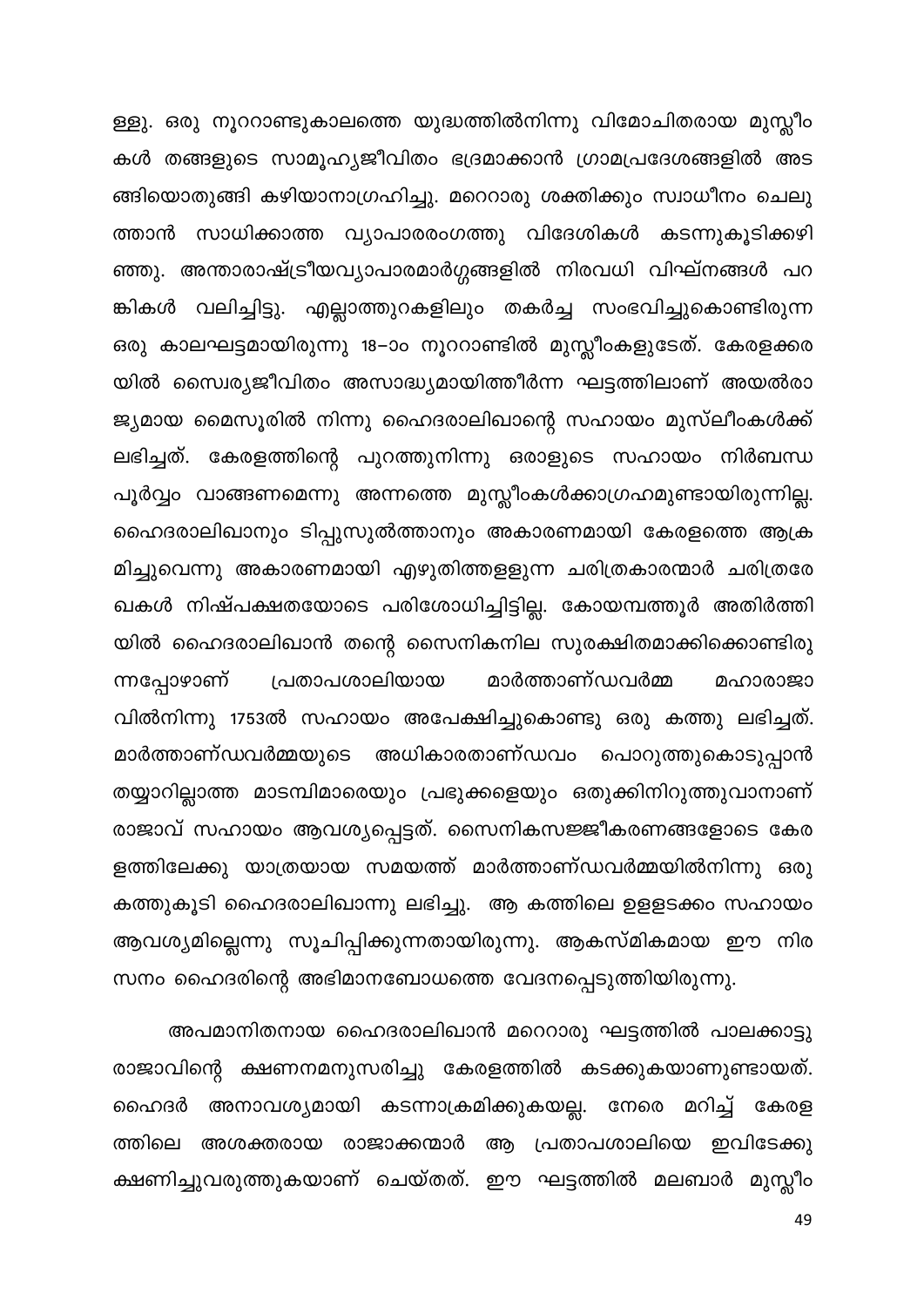ള്ളു. ഒരു നൂററാണ്ടുകാലത്തെ യുദ്ധത്തിൽനിന്നു വിമോചിതരായ മുസ്ലീം കൾ തങ്ങളുടെ സാമൂഹ്യജീവിതം ഭദ്രമാക്കാൻ ഗ്രാമപ്രദേശങ്ങളിൽ അട ങ്ങിയൊതുങ്ങി കഴിയാനാഗ്രഹിച്ചു. മറെറാരു ശക്തിക്കും സ്വാധീനം ചെലു ത്താൻ സാധിക്കാത്ത വ്യാപാരരംഗത്തു വിദേശികൾ കടന്നുകൂടിക്കഴി ഞ്ഞു. അന്താരാഷ്ട്രീയവ്യാപാരമാർഗ്ഗങ്ങളിൽ നിരവധി വിഘ്നങ്ങൾ പറ ങ്കികൾ വലിച്ചിട്ടു. എല്ലാത്തുറകളിലും തകർച്ച സംഭവിച്ചുകൊണ്ടിരുന്ന ഒരു കാലഘട്ടമായിരുന്നു 18–ാം നൂററാണ്ടിൽ മുസ്ലീംകളുടേത്. കേരളക്കര യിൽ സൈ്വെ ജീവിതം അസാദ്ധ്യമായിത്തീർന്ന ഘട്ടത്തിലാണ് അയൽരാ ജ്യമായ മൈസൂരിൽ നിന്നു ഹൈദരാലിഖാന്റെ സഹായം മുസ്ലീംകൾക്ക് ലഭിച്ചത്. കേരളത്തിന്റെ പുറത്തുനിന്നു ഒരാളുടെ സഹായം നിർബന്ധ പൂർവ്വം വാങ്ങണമെന്നു അന്നത്തെ മുസ്ലീംകൾക്കാഗ്രഹമുണ്ടായിരുന്നില്ല. ഹൈദരാലിഖാനും ടിപ്പുസുൽത്താനും അകാരണമായി കേരളത്തെ ആക്ര മിച്ചുവെന്നു അകാരണമായി എഴുതിത്തളളുന്ന ചരിത്രകാരന്മാർ ചരിത്രരേ ഖകൾ നിഷ്പക്ഷതയോടെ പരിശോധിച്ചിട്ടില്ല. കോയമ്പത്തൂർ അതിർത്തി യിൽ ഹൈദരാലിഖാൻ തന്റെ സൈനികനില സുരക്ഷിതമാക്കിക്കൊണ്ടിരു പ്രതാപശാലിയായ ന്നപ്പോഴാണ് മാർത്താണ്ഡവർമ്മ മഹാരാജാ വിൽനിന്നു 1753ൽ സഹായം അപേക്ഷിച്ചുകൊണ്ടു ഒരു കത്തു ലഭിച്ചത്. മാർത്താണ്ഡവർമ്മയുടെ അധികാരതാണ്ഡവം പൊറുത്തുകൊടുപ്പാൻ തയ്യാറില്ലാത്ത മാടമ്പിമാരെയും പ്രഭുക്കളെയും ഒതുക്കിനിറുത്തുവാനാണ് രാജാവ് സഹായം ആവശ്യപ്പെട്ടത്. സൈനികസജ്ജീകരണങ്ങളോടെ കേര ളത്തിലേക്കു യാത്രയായ സമയത്ത് മാർത്താണ്ഡവർമ്മയിൽനിന്നു ഒരു കത്തുകൂടി ഹൈദരാലിഖാന്നു ലഭിച്ചു. ആ കത്തിലെ ഉളളടക്കം സഹായം ആവശ്യമില്ലെന്നു സൂചിപ്പിക്കുന്നതായിരുന്നു. ആകസ്മികമായ ഈ നിര സനം ഹൈദരിന്റെ അഭിമാനബോധത്തെ വേദനപ്പെടുത്തിയിരുന്നു.

അപമാനിതനായ ഹൈദരാലിഖാൻ മറെറാരു ഘട്ടത്തിൽ പാലക്കാട്ടു രാജാവിന്റെ ക്ഷണനമനുസരിച്ചു കേരളത്തിൽ കടക്കുകയാണുണ്ടായത്. ഹൈദർ അനാവശ്യമായി കടന്നാക്രമിക്കുകയല്ല. നേരെ മറിച്ച് കേരള ത്തിലെ അശക്തരായ രാജാക്കന്മാർ ആ പ്രതാപശാലിയെ ഇവിടേക്കു ക്ഷണിച്ചുവരുത്തുകയാണ് ചെയ്തത്. ഈ ഘട്ടത്തിൽ മലബാർ മുസ്ലീം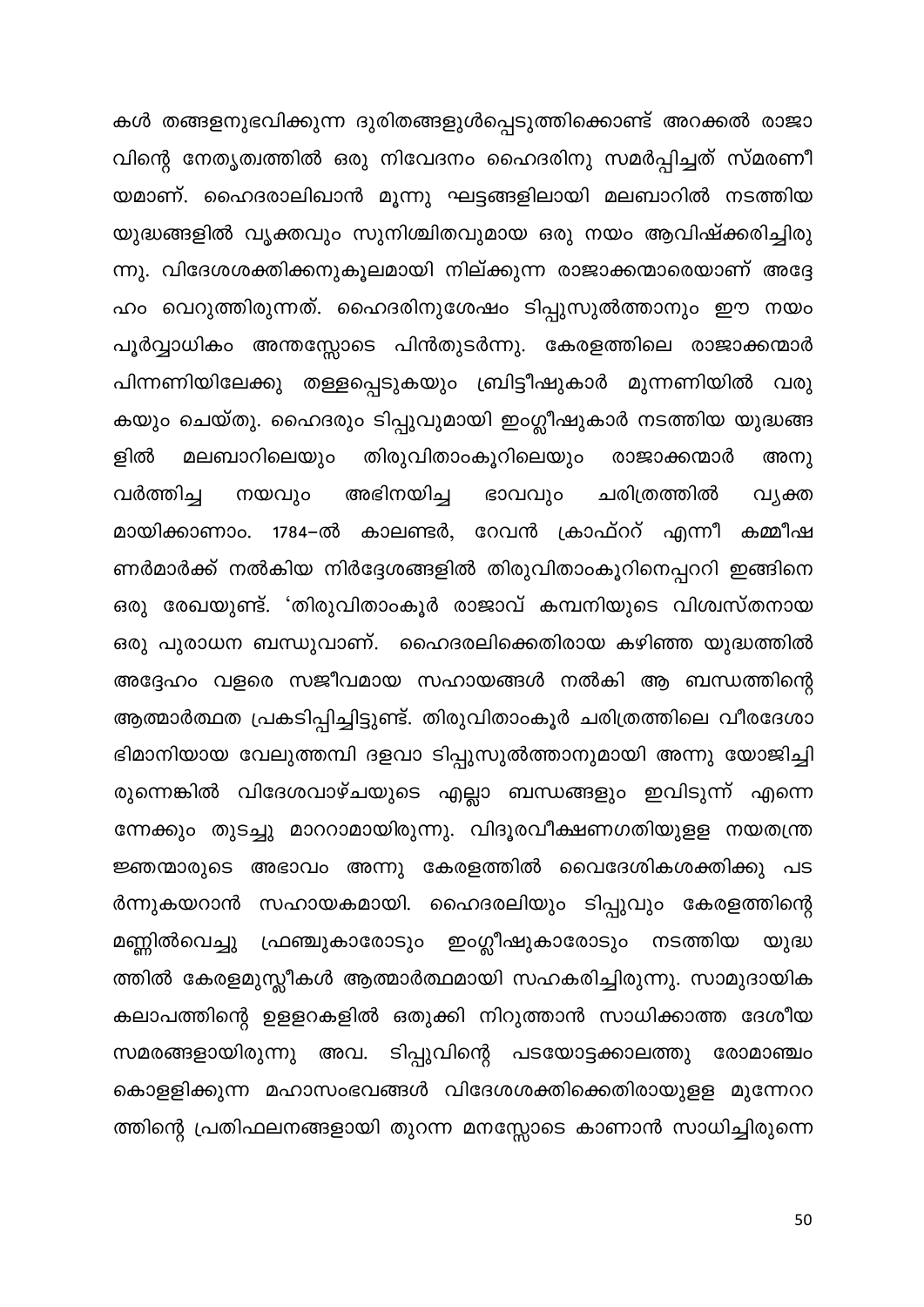കൾ തങ്ങളനുഭവിക്കുന്ന ദുരിതങ്ങളുൾപ്പെടുത്തിക്കൊണ്ട് അറക്കൽ രാജാ വിന്റെ നേതൃത്വത്തിൽ ഒരു നിവേദനം ഹൈദരിനു സമർപ്പിച്ചത് സ്മരണീ യമാണ്. ഹൈദരാലിഖാൻ മൂന്നു ഘട്ടങ്ങളിലായി മലബാറിൽ നടത്തിയ യുദ്ധങ്ങളിൽ വൃക്തവും സുനിശ്ചിതവുമായ ഒരു നയം ആവിഷ്ക്കരിച്ചിരു ന്നു. വിദേശശക്തിക്കനുകൂലമായി നില്ക്കുന്ന രാജാക്കന്മാരെയാണ് അദ്ദേ ഹം വെറുത്തിരുന്നത്. ഹൈദരിനുശേഷം ടിപ്പുസുൽത്താനും ഈ നയം പൂർവ്വാധികം അന്തസ്സോടെ പിൻതുടർന്നു. കേരളത്തിലെ രാജാക്കന്മാർ പിന്നണിയിലേക്കു തള്ളപ്പെടുകയും ബ്രിട്ടീഷുകാർ മുന്നണിയിൽ വരു കയും ചെയ്തു. ഹൈദരും ടിപ്പുവുമായി ഇംഗ്ലീഷുകാർ നടത്തിയ യുദ്ധങ്ങ ളിൽ തിരുവിതാംകൂറിലെയും മലബാറിലെയും രാജാക്കന്മാർ അനു അഭിനയിച്ച ചരിത്രത്തിൽ വർത്തിച്ച നയവും ഭാവവും വ്യക്ത മായിക്കാണാം. 1784–ൽ കാലണ്ടർ, റേവൻ ക്രാഫ്ററ് എന്നീ കമ്മീഷ ണർമാർക്ക് നൽകിയ നിർദ്ദേശങ്ങളിൽ തിരുവിതാംകൂറിനെപ്പററി ഇങ്ങിനെ ഒരു രേഖയുണ്ട്. 'തിരുവിതാംകൂർ രാജാവ് കമ്പനിയുടെ വിശ്വസ്തനായ ഒരു പുരാധന ബന്ധുവാണ്. ഹൈദരലിക്കെതിരായ കഴിഞ്ഞ യുദ്ധത്തിൽ അദ്ദേഹം വളരെ സജീവമായ സഹായങ്ങൾ നൽകി ആ ബന്ധത്തിന്റെ ആത്മാർത്ഥത പ്രകടിപ്പിച്ചിട്ടുണ്ട്. തിരുവിതാംകൂർ ചരിത്രത്തിലെ വീരദേശാ ഭിമാനിയായ വേലുത്തമ്പി ദളവാ ടിപ്പുസുൽത്താനുമായി അന്നു യോജിച്ചി രുന്നെങ്കിൽ വിദേശവാഴ്ചയുടെ എല്ലാ ബന്ധങ്ങളും ഇവിടുന്ന് എന്നെ ന്നേക്കും തുടച്ചു മാററാമായിരുന്നു. വിദൂരവീക്ഷണഗതിയുളള നയതന്ത്ര ജ്ഞന്മാരുടെ അഭാവം അന്നു കേരളത്തിൽ വൈദേശികശക്തിക്കു പട ർന്നുകയറാൻ സഹായകമായി. ഹൈദരലിയും ടിപ്പുവും കേരളത്തിന്റെ മണ്ണിൽവെച്ചു ഫ്രഞ്ചുകാരോടും ഇംഗ്ലീഷുകാരോടും നടത്തിയ യുദ്ധ ത്തിൽ കേരളമുസ്ലീകൾ ആത്മാർത്ഥമായി സഹകരിച്ചിരുന്നു. സാമുദായിക കലാപത്തിന്റെ ഉളളറകളിൽ ഒതുക്കി നിറുത്താൻ സാധിക്കാത്ത ദേശീയ സമരങ്ങളായിരുന്നു അവ. ടിപ്പുവിന്റെ പടയോട്ടക്കാലത്തു രോമാഞ്ചം കൊളളിക്കുന്ന മഹാസംഭവങ്ങൾ വിദേശശക്തിക്കെതിരായുളള മുന്നേററ ത്തിന്റെ പ്രതിഫലനങ്ങളായി തുറന്ന മനസ്സോടെ കാണാൻ സാധിച്ചിരുന്നെ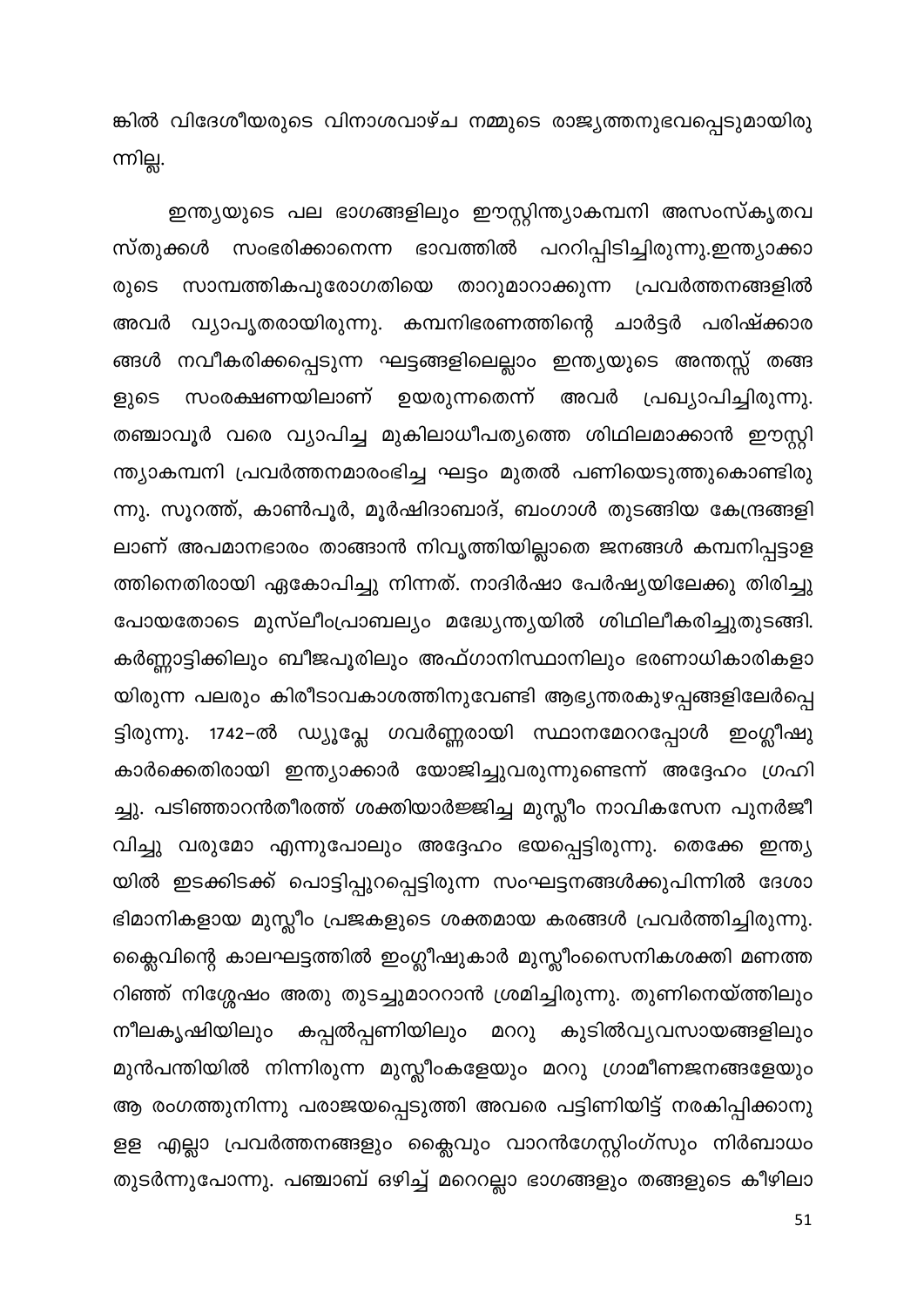ങ്കിൽ വിദേശീയരുടെ വിനാശവാഴ്ച നമ്മുടെ രാജ്യത്തനുഭവപ്പെടുമായിരു ന്നില്ല.

ഇന്ത്യയുടെ പല ഭാഗങ്ങളിലും ഈസ്റ്റിന്ത്യാകമ്പനി അസംസ്കൃതവ സ്തുക്കൾ സംഭരിക്കാനെന്ന ഭാവത്തിൽ പററിപ്പിടിച്ചിരുന്നു.ഇന്ത്യാക്കാ സാമ്പത്തികപുരോഗതിയെ താറുമാറാക്കുന്ന പ്രവർത്തനങ്ങളിൽ രുടെ വ്യാപൃതരായിരുന്നു. കമ്പനിഭരണത്തിന്റെ ചാർട്ടർ പരിഷ്ക്കാര അവർ ങ്ങൾ നവീകരിക്കപ്പെടുന്ന ഘട്ടങ്ങളിലെല്ലാം ഇന്ത്യയുടെ അന്തസ്സ് തങ്ങ സംരക്ഷണയിലാണ് ഉയരുന്നതെന്ന് അവർ പ്രഖ്യാപിച്ചിരുന്നു. ളുടെ തഞ്ചാവൂർ വരെ വ്യാപിച്ച മുകിലാധീപത്യത്തെ ശിഥിലമാക്കാൻ ഈസ്റ്റി ന്ത്യാകമ്പനി പ്രവർത്തനമാരംഭിച്ച ഘട്ടം മുതൽ പണിയെടുത്തുകൊണ്ടിരു ന്നു. സൂറത്ത്, കാൺപൂർ, മൂർഷിദാബാദ്, ബംഗാൾ തുടങ്ങിയ കേന്ദ്രങ്ങളി ലാണ് അപമാനഭാരം താങ്ങാൻ നിവൃത്തിയില്ലാതെ ജനങ്ങൾ കമ്പനിപ്പട്ടാള ത്തിനെതിരായി ഏകോപിച്ചു നിന്നത്. നാദിർഷാ പേർഷ്യയിലേക്കു തിരിച്ചു പോയതോടെ മുസ്ലീംപ്രാബല്യം മദ്ധ്യേന്ത്യയിൽ ശിഥിലീകരിച്ചുതുടങ്ങി. കർണ്ണാട്ടിക്കിലും ബീജപൂരിലും അഫ്ഗാനിസ്ഥാനിലും ഭരണാധികാരികളാ യിരുന്ന പലരും കിരീടാവകാശത്തിനുവേണ്ടി ആഭ്യന്തരകുഴപ്പങ്ങളിലേർപ്പെ ട്ടിരുന്നു. 1742–ൽ ഡ്യൂപ്ലേ ഗവർണ്ണരായി സ്ഥാനമേററപ്പോൾ ഇംഗ്ലീഷു കാർക്കെതിരായി ഇന്ത്യാക്കാർ യോജിച്ചുവരുന്നുണ്ടെന്ന് അദ്ദേഹം ഗ്രഹി ച്ചു. പടിഞ്ഞാറൻതീരത്ത് ശക്തിയാർജ്ജിച്ച മുസ്ലീം നാവികസേന പുനർജീ വിച്ചു വരുമോ എന്നുപോലും അദ്ദേഹം ഭയപ്പെട്ടിരുന്നു. തെക്കേ ഇന്ത്യ യിൽ ഇടക്കിടക്ക് പൊട്ടിപ്പുറപ്പെട്ടിരുന്ന സംഘട്ടനങ്ങൾക്കുപിന്നിൽ ദേശാ ഭിമാനികളായ മുസ്ലീം പ്രജകളുടെ ശക്തമായ കരങ്ങൾ പ്രവർത്തിച്ചിരുന്നു. ക്ലൈവിന്റെ കാലഘട്ടത്തിൽ ഇംഗ്ലീഷുകാർ മുസ്ലീംസൈനികശക്തി മണത്ത റിഞ്ഞ് നിശ്ശേഷം അതു തുടച്ചുമാററാൻ ശ്രമിച്ചിരുന്നു. തുണിനെയ്ത്തിലും കപ്പൽപ്പണിയിലും മററു കുടിൽവ്യവസായങ്ങളിലും നീലകൃഷിയിലും മുൻപന്തിയിൽ നിന്നിരുന്ന മുസ്ലീംകളേയും മററു ഗ്രാമീണജനങ്ങളേയും ആ രംഗത്തുനിന്നു പരാജയപ്പെടുത്തി അവരെ പട്ടിണിയിട്ട് നരകിപ്പിക്കാനു ളള എല്ലാ പ്രവർത്തനങ്ങളും ക്ലൈവും വാറൻഗേസ്റ്റിംഗ്സും നിർബാധം തുടർന്നുപോന്നു. പഞ്ചാബ് ഒഴിച്ച് മറെറല്ലാ ഭാഗങ്ങളും തങ്ങളുടെ കീഴിലാ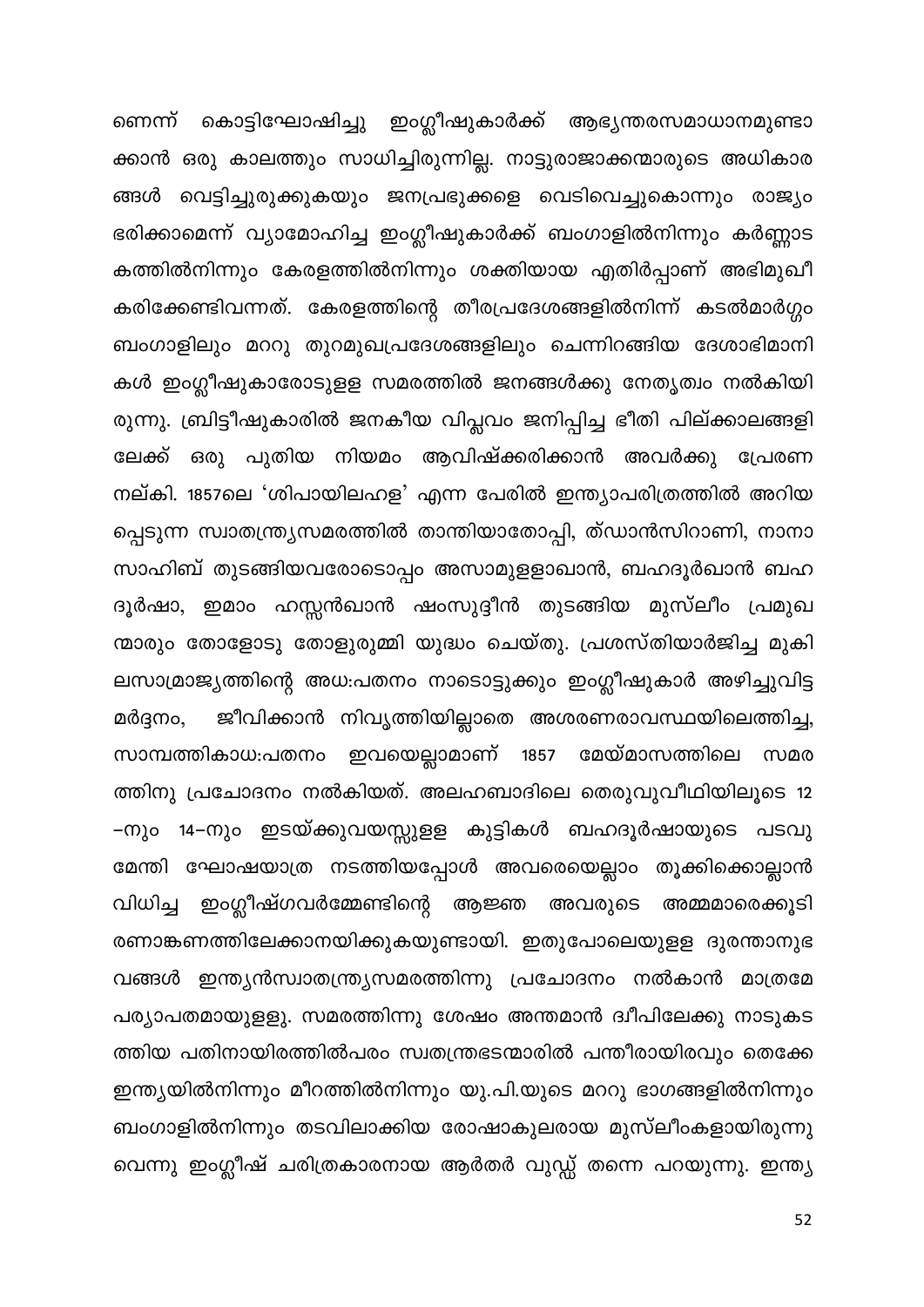ണെന്ന് കൊട്ടിഘോഷിച്ചു ഇംഗ്ലീഷുകാർക്ക് ആഭ്യന്തരസമാധാനമുണ്ടാ ക്കാൻ ഒരു കാലത്തും സാധിച്ചിരുന്നില്ല. നാട്ടുരാജാക്കന്മാരുടെ അധികാര ങ്ങൾ വെട്ടിച്ചുരുക്കുകയും ജനപ്രഭുക്കളെ വെടിവെച്ചുകൊന്നും രാജ്യം ഭരിക്കാമെന്ന് വ്യാമോഹിച്ച ഇംഗ്ലീഷുകാർക്ക് ബംഗാളിൽനിന്നും കർണ്ണാട കത്തിൽനിന്നും കേരളത്തിൽനിന്നും ശക്തിയായ എതിർപ്പാണ് അഭിമുഖീ കരിക്കേണ്ടിവന്നത്. കേരളത്തിന്റെ തീരപ്രദേശങ്ങളിൽനിന്ന് കടൽമാർഗ്ഗം ബംഗാളിലും മററു തുറമുഖപ്രദേശങ്ങളിലും ചെന്നിറങ്ങിയ ദേശാഭിമാനി കൾ ഇംഗ്ലീഷുകാരോടുളള സമരത്തിൽ ജനങ്ങൾക്കു നേതൃത്വം നൽകിയി രുന്നു. ബ്രിട്ടീഷുകാരിൽ ജനകീയ വിപ്ലവം ജനിപ്പിച്ച ഭീതി പില്ക്കാലങ്ങളി ലേക്ക് ഒരു പുതിയ നിയമം ആവിഷ്ക്കരിക്കാൻ അവർക്കു പ്രേരണ നല്കി. 1857ലെ 'ശിപായിലഹള' എന്ന പേരിൽ ഇന്ത്യാപരിത്രത്തിൽ അറിയ പ്പെടുന്ന സ്വാതന്ത്ര്യസമരത്തിൽ താന്തിയാതോപ്പി, ത്ഡാൻസിറാണി, നാനാ സാഹിബ് തുടങ്ങിയവരോടൊപ്പം അസാമുളളാഖാൻ, ബഹദൂർഖാൻ ബഹ ദൂർഷാ, ഇമാം ഹസ്സൻഖാൻ ഷംസുദ്ദീൻ തുടങ്ങിയ മുസ്ലീം പ്രമുഖ ന്മാരും തോളോടു തോളുരുമ്മി യുദ്ധം ചെയ്തു. പ്രശസ്തിയാർജിച്ച മുകി ലസാമ്രാജ്യത്തിന്റെ അധ:പതനം നാടൊട്ടുക്കും ഇംഗ്ലീഷുകാർ അഴിച്ചുവിട്ട ജീവിക്കാൻ നിവൃത്തിയില്ലാതെ അശരണരാവസ്ഥയിലെത്തിച്ച, മർദ്ദനം, സാമ്പത്തികാധ:പതനം ഇവയെല്ലാമാണ് 1857 മേയ്മാസത്തിലെ സമര ത്തിനു പ്രചോദനം നൽകിയത്. അലഹബാദിലെ തെരുവുവീഥിയിലൂടെ 12 –നും 14–നും ഇടയ്ക്കുവയസ്സുളള കുട്ടികൾ ബഹദൂർഷായുടെ പടവു മേന്തി ഘോഷയാത്ര നടത്തിയപ്പോൾ അവരെയെല്ലാം തൂക്കിക്കൊല്ലാൻ വിധിച്ച ഇംഗ്ലീഷ്ഗവർമ്മേണ്ടിന്റെ ആജ്ഞ അവരുടെ അമ്മമാരെക്കൂടി രണാങ്കണത്തിലേക്കാനയിക്കുകയുണ്ടായി. ഇതുപോലെയുളള ദുരന്താനുഭ വങ്ങൾ ഇന്ത്യൻസ്വാതന്ത്ര്യസമരത്തിന്നു പ്രചോദനം നൽകാൻ മാത്രമേ പര്യാപതമായുളളു. സമരത്തിന്നു ശേഷം അന്തമാൻ ദ്വീപിലേക്കു നാടുകട ത്തിയ പതിനായിരത്തിൽപരം സ്വതന്ത്രഭടന്മാരിൽ പന്തീരായിരവും തെക്കേ ഇന്ത്യയിൽനിന്നും മീറത്തിൽനിന്നും യു.പി.യുടെ മററു ഭാഗങ്ങളിൽനിന്നും ബംഗാളിൽനിന്നും തടവിലാക്കിയ രോഷാകുലരായ മുസ്ലീംകളായിരുന്നു വെന്നു ഇംഗ്ലീഷ് ചരിത്രകാരനായ ആർതർ വുഡ്ഡ് തന്നെ പറയുന്നു. ഇന്ത്യ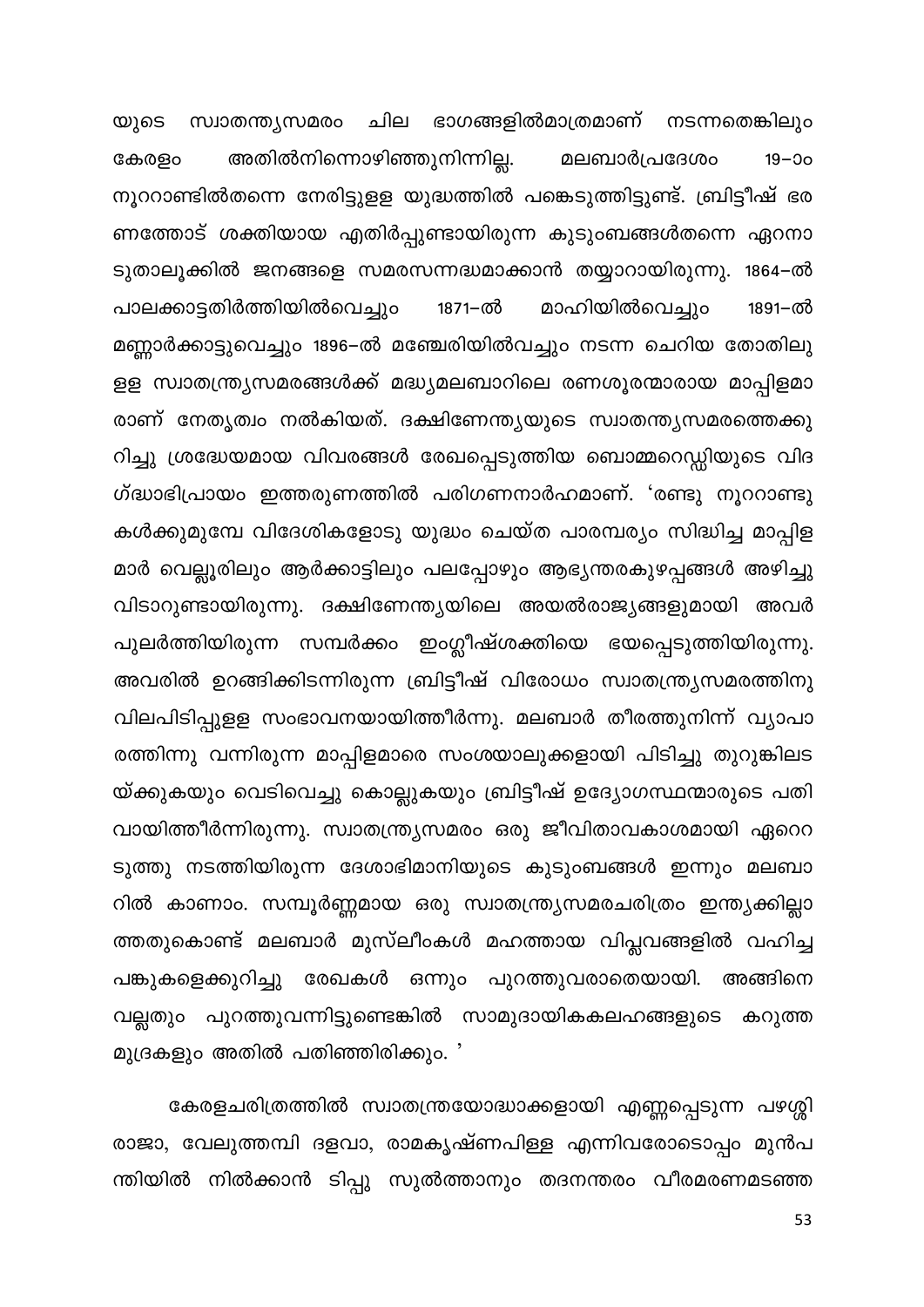യുടെ സ്വാതന്ത്യസമരം ചില ഭാഗങ്ങളിൽമാത്രമാണ് നടന്നതെങ്കിലും അതിൽനിന്നൊഴിഞ്ഞുനിന്നില്ല. കേരളം മലബാർപ്രദേശം  $19 - 00$ നൂററാണ്ടിൽതന്നെ നേരിട്ടുളള യുദ്ധത്തിൽ പങ്കെടുത്തിട്ടുണ്ട്. ബ്രിട്ടീഷ് ഭര ണത്തോട് ശക്തിയായ എതിർപ്പുണ്ടായിരുന്ന കുടുംബങ്ങൾതന്നെ ഏറനാ ടുതാലൂക്കിൽ ജനങ്ങളെ സമരസന്നദ്ധമാക്കാൻ തയ്യാറായിരുന്നു. 1864–ൽ പാലക്കാട്ടതിർത്തിയിൽവെച്ചും 1871–ൽ മാഹിയിൽവെച്ചും 1891-ൽ മണ്ണാർക്കാട്ടുവെച്ചും 1896–ൽ മഞ്ചേരിയിൽവച്ചും നടന്ന ചെറിയ തോതിലു ളള സ്വാതന്ത്ര്യസമരങ്ങൾക്ക് മദ്ധ്യമലബാറിലെ രണശൂരന്മാരായ മാപ്പിളമാ രാണ് നേതൃത്വം നൽകിയത്. ദക്ഷിണേന്ത്യയുടെ സ്വാതന്ത്യസമരത്തെക്കു റിച്ചു ശ്രദ്ധേയമായ വിവരങ്ങൾ രേഖപ്പെടുത്തിയ ബൊമ്മറെഡ്ഡിയുടെ വിദ ഗ്ദ്ധാഭിപ്രായം ഇത്തരുണത്തിൽ പരിഗണനാർഹമാണ്. 'രണ്ടു നൂററാണ്ടു കൾക്കുമുമ്പേ വിദേശികളോടു യുദ്ധം ചെയ്ത പാരമ്പര്യം സിദ്ധിച്ച മാപ്പിള മാർ വെല്ലൂരിലും ആർക്കാട്ടിലും പലപ്പോഴും ആഭ്യന്തരകുഴപ്പങ്ങൾ അഴിച്ചു വിടാറുണ്ടായിരുന്നു. ദക്ഷിണേന്ത്യയിലെ അയൽരാജ്യങ്ങളുമായി അവർ പുലർത്തിയിരുന്ന സമ്പർക്കം ഇംഗ്ലീഷ്ശക്തിയെ ഭയപ്പെടുത്തിയിരുന്നു. അവരിൽ ഉറങ്ങിക്കിടന്നിരുന്ന ബ്രിട്ടീഷ് വിരോധം സ്വാതന്ത്ര്യസമരത്തിനു വിലപിടിപ്പുളള സംഭാവനയായിത്തീർന്നു. മലബാർ തീരത്തുനിന്ന് വ്യാപാ രത്തിന്നു വന്നിരുന്ന മാപ്പിളമാരെ സംശയാലുക്കളായി പിടിച്ചു തുറുങ്കിലട യ്ക്കുകയും വെടിവെച്ചു കൊല്ലുകയും ബ്രിട്ടീഷ് ഉദ്യോഗസ്ഥന്മാരുടെ പതി വായിത്തീർന്നിരുന്നു. സ്വാതന്ത്ര്യസമരം ഒരു ജീവിതാവകാശമായി ഏറെറ ടുത്തു നടത്തിയിരുന്ന ദേശാഭിമാനിയുടെ കുടുംബങ്ങൾ ഇന്നും മലബാ റിൽ കാണാം. സമ്പൂർണ്ണമായ ഒരു സ്വാതന്ത്ര്യസമരചരിത്രം ഇന്ത്യക്കില്ലാ ത്തതുകൊണ്ട് മലബാർ മുസ്ലീംകൾ മഹത്തായ വിപ്ലവങ്ങളിൽ വഹിച്ച പങ്കുകളെക്കുറിച്ചു രേഖകൾ ഒന്നും പുറത്തുവരാതെയായി. അങ്ങിനെ വല്ലതും പുറത്തുവന്നിട്ടുണ്ടെങ്കിൽ സാമുദായികകലഹങ്ങളുടെ കറുത്ത മുദ്രകളും അതിൽ പതിഞ്ഞിരിക്കും. '

കേരളചരിത്രത്തിൽ സ്വാതന്ത്രയോദ്ധാക്കളായി എണ്ണപ്പെടുന്ന പഴശ്ശി രാജാ, വേലുത്തമ്പി ദളവാ, രാമകൃഷ്ണപിള്ള എന്നിവരോടൊപ്പം മുൻപ ന്തിയിൽ നിൽക്കാൻ ടിപ്പു സുൽത്താനും തദനന്തരം വീരമരണമടഞ്ഞ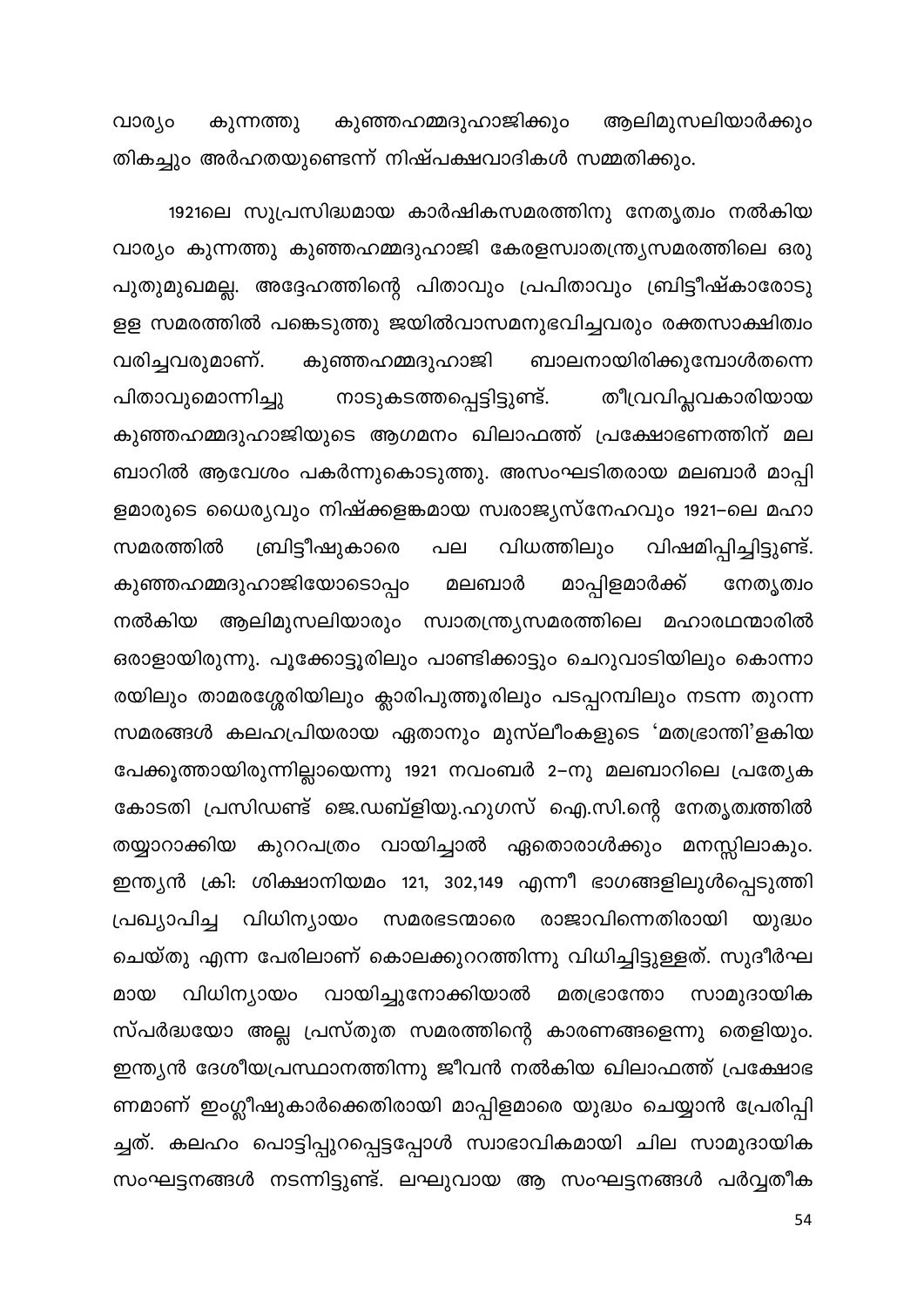വാര്യം കുഞ്ഞഹമ്മദുഹാജിക്കും ആലിമുസലിയാർക്കും കുന്നത്തു തികച്ചും അർഹതയുണ്ടെന്ന് നിഷ്പക്ഷവാദികൾ സമ്മതിക്കും.

1921ലെ സുപ്രസിദ്ധമായ കാർഷികസമരത്തിനു നേതൃത്വം നൽകിയ വാര്യം കുന്നത്തു കുഞ്ഞഹമ്മദുഹാജി കേരളസ്വാതന്ത്ര്യസമരത്തിലെ ഒരു പുതുമുഖമല്ല. അദ്ദേഹത്തിന്റെ പിതാവും പ്രപിതാവും ബ്രിട്ടീഷ്കാരോടു ളള സമരത്തിൽ പങ്കെടുത്തു ജയിൽവാസമനുഭവിച്ചവരും രക്തസാക്ഷിത്വം കുഞ്ഞഹമ്മദുഹാജി വരിച്ചവരുമാണ്. ബാലനായിരിക്കുമ്പോൾതന്നെ നാടുകടത്തപ്പെട്ടിട്ടുണ്ട്. പിതാവുമൊന്നിച്ചു തീവ്രവിപ്ലവകാരിയായ കുഞ്ഞഹമ്മദുഹാജിയുടെ ആഗമനം ഖിലാഫത്ത് പ്രക്ഷോഭണത്തിന് മല ബാറിൽ ആവേശം പകർന്നുകൊടുത്തു. അസംഘടിതരായ മലബാർ മാപ്പി ളമാരുടെ ധൈര്യവും നിഷ്ക്കളങ്കമായ സ്വരാജ്യസ്നേഹവും 1921–ലെ മഹാ വിധത്തിലും വിഷമിപ്പിച്ചിട്ടുണ്ട്. സമരത്തിൽ ബ്രിട്ടീഷുകാരെ പല മാപ്പിളമാർക്ക് കുഞ്ഞഹമ്മദുഹാജിയോടൊപ്പം മലബാർ നേതൃത്വം നൽകിയ ആലിമുസലിയാരും സ്വാതന്ത്ര്യസമരത്തിലെ മഹാരഥന്മാരിൽ ഒരാളായിരുന്നു. പൂക്കോട്ടൂരിലും പാണ്ടിക്കാട്ടും ചെറുവാടിയിലും കൊന്നാ രയിലും താമരശ്ശേരിയിലും ക്ലാരിപുത്തൂരിലും പടപ്പറമ്പിലും നടന്ന തുറന്ന സമരങ്ങൾ കലഹപ്രിയരായ ഏതാനും മുസ്ലീംകളുടെ 'മതഭ്രാന്തി'ളകിയ പേക്കൂത്തായിരുന്നില്ലായെന്നു 1921 നവംബർ 2–നു മലബാറിലെ പ്രത്യേക കോടതി പ്രസിഡണ്ട് ജെ.ഡബ്ളിയു.ഹുഗസ് ഐ.സി.ന്റെ നേതൃത്വത്തിൽ തയ്യാറാക്കിയ കുററപത്രം വായിച്ചാൽ ഏതൊരാൾക്കും മനസ്സിലാകും. ഇന്ത്യൻ ക്രി: ശിക്ഷാനിയമം 121, 302,149 എന്നീ ഭാഗങ്ങളിലുൾപ്പെടുത്തി പ്രഖ്യാപിച്ച വിധിന്യായം സമരഭടന്മാരെ രാജാവിന്നെതിരായി യുദ്ധം ചെയ്തു എന്ന പേരിലാണ് കൊലക്കുററത്തിന്നു വിധിച്ചിട്ടുള്ളത്. സുദീർഘ വിധിന്യായം വായിച്ചുനോക്കിയാൽ മതഭ്രാന്തോ മായ സാമുദായിക സ്പർദ്ധയോ അല്ല പ്രസ്തുത സമരത്തിന്റെ കാരണങ്ങളെന്നു തെളിയും. ഇന്ത്യൻ ദേശീയപ്രസ്ഥാനത്തിന്നു ജീവൻ നൽകിയ ഖിലാഫത്ത് പ്രക്ഷോഭ ണമാണ് ഇംഗ്ലീഷുകാർക്കെതിരായി മാപ്പിളമാരെ യുദ്ധം ചെയ്യാൻ പ്രേരിപ്പി ച്ചത്. കലഹം പൊട്ടിപ്പുറപ്പെട്ടപ്പോൾ സ്വാഭാവികമായി ചില സാമുദായിക സംഘട്ടനങ്ങൾ നടന്നിട്ടുണ്ട്. ലഘുവായ ആ സംഘട്ടനങ്ങൾ പർവ്വതീക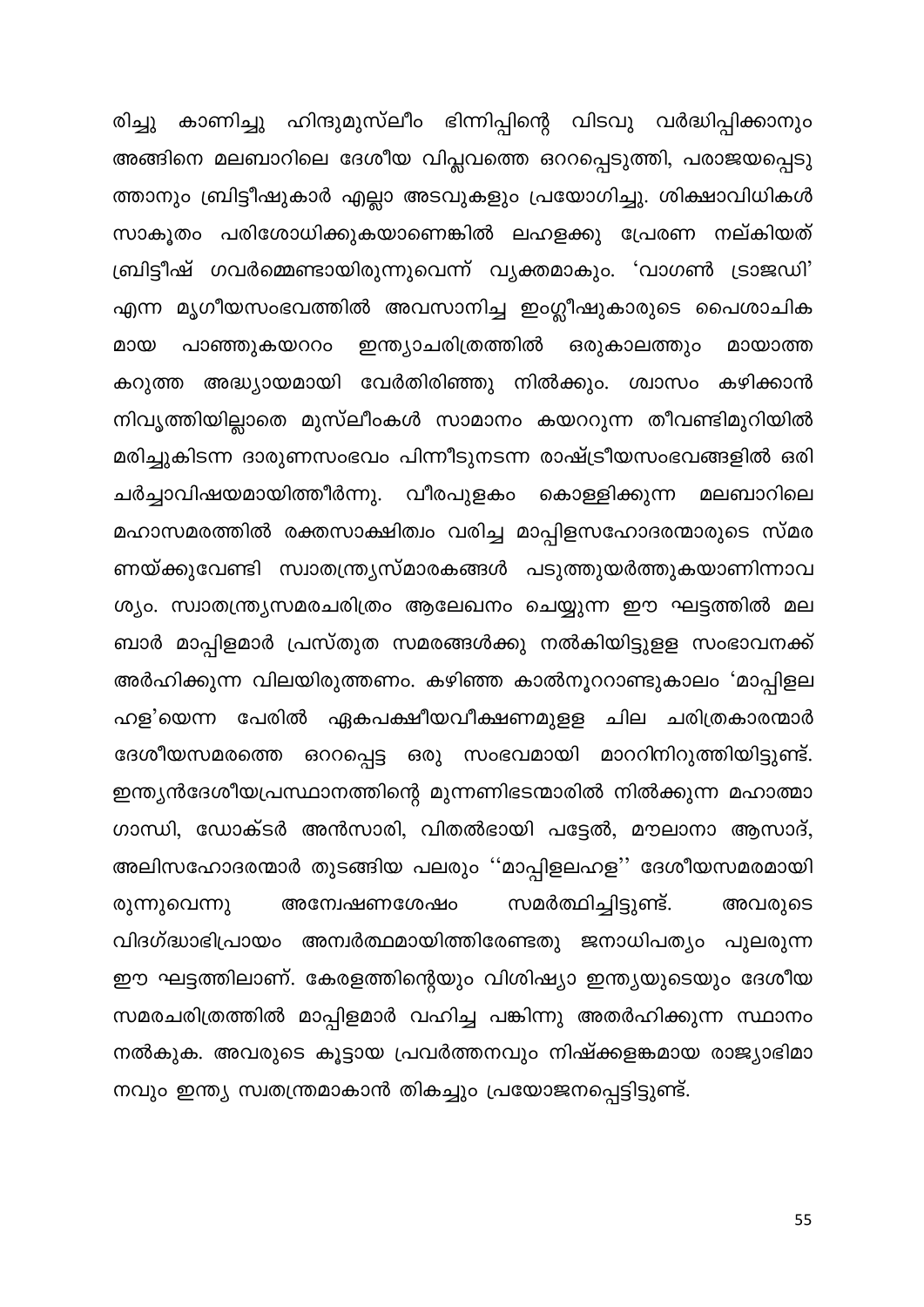രിച്ചു കാണിച്ചു ഹിന്ദുമുസ്ലീം ഭിന്നിപ്പിന്റെ വിടവു വർദ്ധിപ്പിക്കാനും അങ്ങിനെ മലബാറിലെ ദേശീയ വിപ്ലവത്തെ ഒററപ്പെടുത്തി, പരാജയപ്പെടു ത്താനും ബ്രിട്ടീഷുകാർ എല്ലാ അടവുകളും പ്രയോഗിച്ചു. ശിക്ഷാവിധികൾ സാകൂതം പരിശോധിക്കുകയാണെങ്കിൽ ലഹളക്കു പ്രേരണ നല്കിയത് ബ്രിട്ടീഷ് ഗവർമ്മെണ്ടായിരുന്നുവെന്ന് വ്യക്തമാകും. 'വാഗൺ ട്രാജഡി' എന്ന മൃഗീയസംഭവത്തിൽ അവസാനിച്ച ഇംഗ്ലീഷുകാരുടെ പൈശാചിക പാഞ്ഞുകയററം ഇന്ത്യാചരിത്രത്തിൽ മായ ഒരുകാലത്തും മായാത്ത കറുത്ത അദ്ധ്യായമായി വേർതിരിഞ്ഞു നിൽക്കും. ശ്വാസം കഴിക്കാൻ നിവൃത്തിയില്ലാതെ മുസ്ലീംകൾ സാമാനം കയററുന്ന തീവണ്ടിമുറിയിൽ മരിച്ചുകിടന്ന ദാരുണസംഭവം പിന്നീടുനടന്ന രാഷ്ട്രീയസംഭവങ്ങളിൽ ഒരി ചർച്ചാവിഷയമായിത്തീർന്നു. വീരപുളകം മലബാറിലെ കൊള്ളിക്കുന്ന മഹാസമരത്തിൽ രക്തസാക്ഷിത്വം വരിച്ച മാപ്പിളസഹോദരന്മാരുടെ സ്മര ണയ്ക്കുവേണ്ടി സ്വാതന്ത്ര്യസ്മാരകങ്ങൾ പടുത്തുയർത്തുകയാണിന്നാവ ശ്യം. സ്വാതന്ത്ര്യസമരചരിത്രം ആലേഖനം ചെയ്യുന്ന ഈ ഘട്ടത്തിൽ മല ബാർ മാപ്പിളമാർ പ്രസ്തുത സമരങ്ങൾക്കു നൽകിയിട്ടുളള സംഭാവനക്ക് അർഹിക്കുന്ന വിലയിരുത്തണം. കഴിഞ്ഞ കാൽനൂററാണ്ടുകാലം 'മാപ്പിളല ഹള'യെന്ന പേരിൽ ഏകപക്ഷീയവീക്ഷണമുളള ചില ചരിത്രകാരന്മാർ ദേശീയസമരത്തെ ഒററപ്പെട്ട ഒരു സംഭവമായി മാററിനിറുത്തിയിട്ടുണ്ട്. ഇന്ത്യൻദേശീയപ്രസ്ഥാനത്തിന്റെ മുന്നണിഭടന്മാരിൽ നിൽക്കുന്ന മഹാത്മാ ഗാന്ധി, ഡോക്ടർ അൻസാരി, വിതൽഭായി പട്ടേൽ, മൗലാനാ ആസാദ്, അലിസഹോദരന്മാർ തുടങ്ങിയ പലരും ''മാപ്പിളലഹള'' ദേശീയസമരമായി അവരുടെ അന്വേഷണശേഷം സമർത്ഥിച്ചിട്ടുണ്ട്. രുന്നുവെന്നു വിദഗ്ദ്ധാഭിപ്രായം അന്വർത്ഥമായിത്തിരേണ്ടതു ജനാധിപത്യം പുലരുന്ന ഈ ഘട്ടത്തിലാണ്. കേരളത്തിന്റെയും വിശിഷ്യാ ഇന്ത്യയുടെയും ദേശീയ സമരചരിത്രത്തിൽ മാപ്പിളമാർ വഹിച്ച പങ്കിന്നു അതർഹിക്കുന്ന സ്ഥാനം നൽകുക. അവരുടെ കൂട്ടായ പ്രവർത്തനവും നിഷ്ക്കളങ്കമായ രാജ്യാഭിമാ നവും ഇന്ത്യ സ്വതന്ത്രമാകാൻ തികച്ചും പ്രയോജനപ്പെട്ടിട്ടുണ്ട്.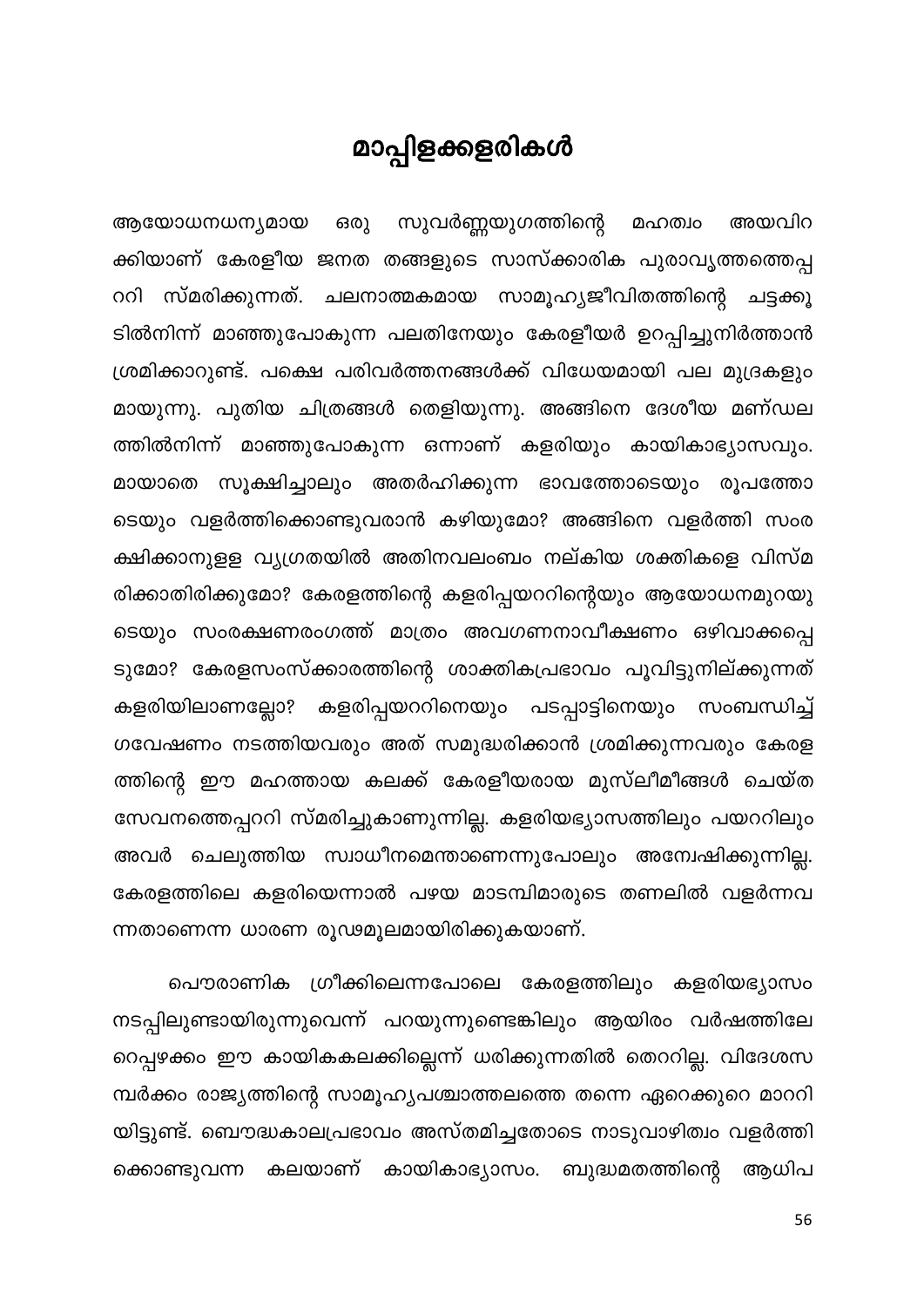## മാപ്പിളക്കളരികൾ

ഒരു സുവർണ്ണയുഗത്തിന്റെ ആയോധനധന്യമായ മഹത്വം അയവിറ ക്കിയാണ് കേരളീയ ജനത തങ്ങളുടെ സാസ്ക്കാരിക പുരാവൃത്തത്തെപ്പ ററി സ്മരിക്കുന്നത്. ചലനാത്മകമായ സാമൂഹ്യജീവിതത്തിന്റെ ചട്ടക്കൂ ടിൽനിന്ന് മാഞ്ഞുപോകുന്ന പലതിനേയും കേരളീയർ ഉറപ്പിച്ചുനിർത്താൻ ശ്രമിക്കാറുണ്ട്. പക്ഷെ പരിവർത്തനങ്ങൾക്ക് വിധേയമായി പല മുദ്രകളും മായുന്നു. പുതിയ ചിത്രങ്ങൾ തെളിയുന്നു. അങ്ങിനെ ദേശീയ മണ്ഡല ത്തിൽനിന്ന് മാഞ്ഞുപോകുന്ന ഒന്നാണ് കളരിയും കായികാഭ്യാസവും. മായാതെ സൂക്ഷിച്ചാലും അതർഹിക്കുന്ന ഭാവത്തോടെയും രൂപത്തോ ടെയും വളർത്തിക്കൊണ്ടുവരാൻ കഴിയുമോ? അങ്ങിനെ വളർത്തി സംര ക്ഷിക്കാനുളള വ്യഗ്രതയിൽ അതിനവലംബം നല്കിയ ശക്തികളെ വിസ്മ രിക്കാതിരിക്കുമോ? കേരളത്തിന്റെ കളരിപ്പയററിന്റെയും ആയോധനമുറയു ടെയും സംരക്ഷണരംഗത്ത് മാത്രം അവഗണനാവീക്ഷണം ഒഴിവാക്കപ്പെ ടുമോ? കേരളസംസ്ക്കാരത്തിന്റെ ശാക്തികപ്രഭാവം പൂവിട്ടുനില്ക്കുന്നത് കളരിയിലാണല്ലോ? കളരിപ്പയററിനെയും പടപ്പാട്ടിനെയും സംബന്ധിച്ച് ഗവേഷണം നടത്തിയവരും അത് സമുദ്ധരിക്കാൻ ശ്രമിക്കുന്നവരും കേരള ത്തിന്റെ ഈ മഹത്തായ കലക്ക് കേരളീയരായ മുസ്ലീമീങ്ങൾ ചെയ്ത സേവനത്തെപ്പററി സ്മരിച്ചുകാണുന്നില്ല. കളരിയഭ്യാസത്തിലും പയററിലും അവർ ചെലുത്തിയ സ്വാധീനമെന്താണെന്നുപോലും അന്വേഷിക്കുന്നില്ല. കേരളത്തിലെ കളരിയെന്നാൽ പഴയ മാടമ്പിമാരുടെ തണലിൽ വളർന്നവ ന്നതാണെന്ന ധാരണ രൂഢമൂലമായിരിക്കുകയാണ്.

പൌരാണിക ഗ്രീക്കിലെന്നപോലെ കേരളത്തിലും കളരിയഭ്യാസം നടപ്പിലുണ്ടായിരുന്നുവെന്ന് പറയുന്നുണ്ടെങ്കിലും ആയിരം വർഷത്തിലേ റെപ്പഴക്കം ഈ കായികകലക്കില്ലെന്ന് ധരിക്കുന്നതിൽ തെററില്ല. വിദേശസ മ്പർക്കം രാജ്യത്തിന്റെ സാമൂഹ്യപശ്ചാത്തലത്തെ തന്നെ ഏറെക്കുറെ മാററി യിട്ടുണ്ട്. ബൌദ്ധകാലപ്രഭാവം അസ്തമിച്ചതോടെ നാടുവാഴിത്വം വളർത്തി ക്കൊണ്ടുവന്ന കലയാണ് കായികാഭ്യാസം. ബുദ്ധമതത്തിന്റെ ആധിപ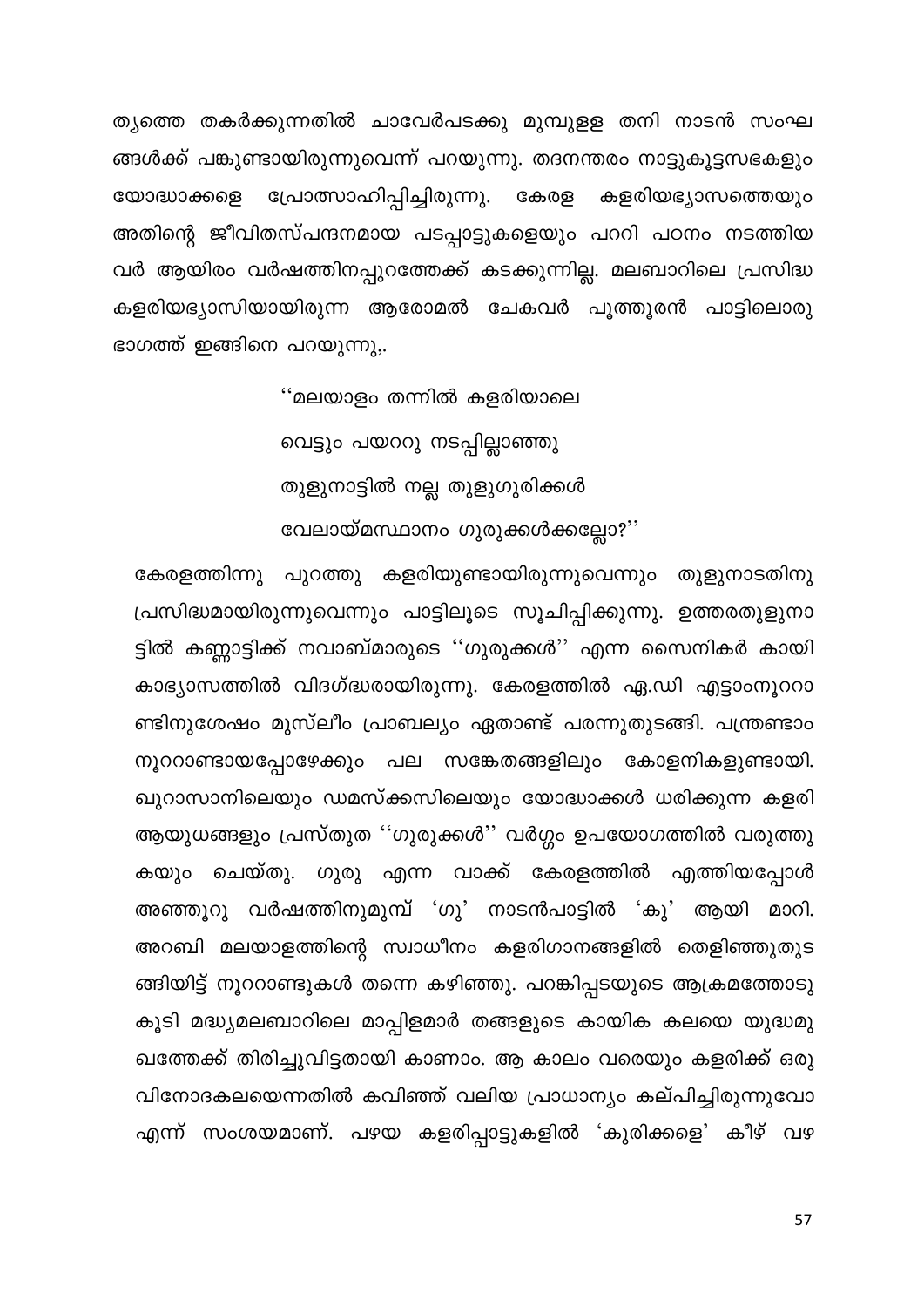ത്യത്തെ തകർക്കുന്നതിൽ ചാവേർപടക്കു മുമ്പുളള തനി നാടൻ സംഘ ങ്ങൾക്ക് പങ്കുണ്ടായിരുന്നുവെന്ന് പറയുന്നു. തദനന്തരം നാട്ടുകൂട്ടസഭകളും പ്രോത്സാഹിപ്പിച്ചിരുന്നു. കേരള യോദ്ധാക്കളെ കളരിയഭ്യാസത്തെയും അതിന്റെ ജീവിതസ്പന്ദനമായ പടപ്പാട്ടുകളെയും പററി പഠനം നടത്തിയ വർ ആയിരം വർഷത്തിനപ്പുറത്തേക്ക് കടക്കുന്നില്ല. മലബാറിലെ പ്രസിദ്ധ കളരിയഭ്യാസിയായിരുന്ന ആരോമൽ ചേകവർ പൂത്തൂരൻ പാട്ടിലൊരു ഭാഗത്ത് ഇങ്ങിനെ പറയുന്നു,.

> ''മലയാളം തന്നിൽ കളരിയാലെ വെട്ടും പയററു നടപ്പില്ലാഞ്ഞു തുളുനാട്ടിൽ നല്ല തുളുഗുരിക്കൾ വേലായ്മസ്ഥാനം ഗുരുക്കൾക്കല്ലോ?''

കേരളത്തിന്നു പുറത്തു കളരിയുണ്ടായിരുന്നുവെന്നും തുളുനാടതിനു പ്രസിദ്ധമായിരുന്നുവെന്നും പാട്ടിലൂടെ സൂചിപ്പിക്കുന്നു. ഉത്തരതുളുനാ ട്ടിൽ കണ്ണാട്ടിക്ക് നവാബ്മാരുടെ ''ഗുരുക്കൾ'' എന്ന സൈനികർ കായി കാഭ്യാസത്തിൽ വിദഗ്ദ്ധരായിരുന്നു. കേരളത്തിൽ ഏ.ഡി എട്ടാംനൂററാ ണ്ടിനുശേഷം മുസ്ലീം പ്രാബല്യം ഏതാണ്ട് പരന്നുതുടങ്ങി. പന്ത്രണ്ടാം നൂററാണ്ടായപ്പോഴേക്കും പല സങ്കേതങ്ങളിലും കോളനികളുണ്ടായി. ഖുറാസാനിലെയും ഡമസ്ക്കസിലെയും യോദ്ധാക്കൾ ധരിക്കുന്ന കളരി ആയുധങ്ങളും പ്രസ്തുത ''ഗുരുക്കൾ'' വർഗ്ഗം ഉപയോഗത്തിൽ വരുത്തു കയും ചെയ്തു. ഗുരു എന്ന വാക്ക് കേരളത്തിൽ എത്തിയപ്പോൾ അഞ്ഞൂറു വർഷത്തിനുമുമ്പ് 'ഗു' നാടൻപാട്ടിൽ 'കു' ആയി മാറി. അറബി മലയാളത്തിന്റെ സ്വാധീനം കളരിഗാനങ്ങളിൽ തെളിഞ്ഞുതുട ങ്ങിയിട്ട് നൂററാണ്ടുകൾ തന്നെ കഴിഞ്ഞു. പറങ്കിപ്പടയുടെ ആക്രമത്തോടു കൂടി മദ്ധ്യമലബാറിലെ മാപ്പിളമാർ തങ്ങളുടെ കായിക കലയെ യുദ്ധമു ഖത്തേക്ക് തിരിച്ചുവിട്ടതായി കാണാം. ആ കാലം വരെയും കളരിക്ക് ഒരു വിനോദകലയെന്നതിൽ കവിഞ്ഞ് വലിയ പ്രാധാന്യം കല്പിച്ചിരുന്നുവോ എന്ന് സംശയമാണ്. പഴയ കളരിപ്പാട്ടുകളിൽ 'കുരിക്കളെ' കീഴ് വഴ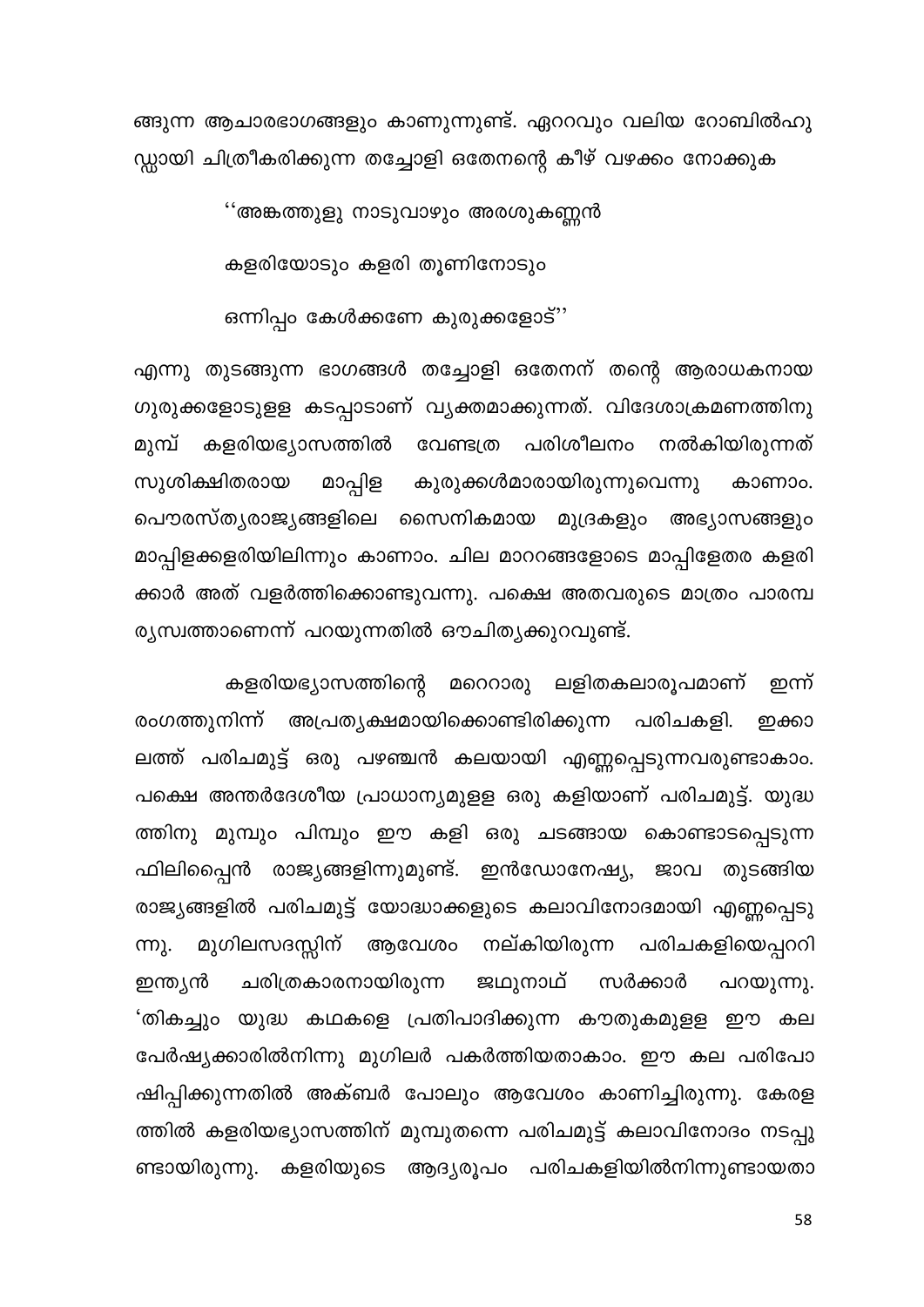ങ്ങുന്ന ആചാരഭാഗങ്ങളും കാണുന്നുണ്ട്. ഏററവും വലിയ റോബിൽഹു ഡ്ഡായി ചിത്രീകരിക്കുന്ന തച്ചോളി ഒതേനന്റെ കീഴ് വഴക്കം നോക്കുക

''അങ്കത്തുളു നാടുവാഴും അരശുകണ്ണൻ

കളരിയോടും കളരി തൂണിനോടും

ഒന്നിപ്പം കേൾക്കണേ കുരുക്കളോട്''

എന്നു തുടങ്ങുന്ന ഭാഗങ്ങൾ തച്ചോളി ഒതേനന് തന്റെ ആരാധകനായ ഗുരുക്കളോടുളള കടപ്പാടാണ് വ്യക്തമാക്കുന്നത്. വിദേശാക്രമണത്തിനു മുമ്പ് കളരിയഭ്യാസത്തിൽ വേണ്ടത്ര പരിശീലനം നൽകിയിരുന്നത് മാപ്പിള കുരുക്കൾമാരായിരുന്നുവെന്നു സുശിക്ഷിതരായ കാണാം. പൌരസ്ത്യരാജ്യങ്ങളിലെ സൈനികമായ മുദ്രകളും അഭ്യാസങ്ങളും മാപ്പിളക്കളരിയിലിന്നും കാണാം. ചില മാററങ്ങളോടെ മാപ്പിളേതര കളരി ക്കാർ അത് വളർത്തിക്കൊണ്ടുവന്നു. പക്ഷെ അതവരുടെ മാത്രം പാരമ്പ ര്യസ്വത്താണെന്ന് പറയുന്നതിൽ ഔചിത്യക്കുറവുണ്ട്.

കളരിയഭ്യാസത്തിന്റെ മറെറാരു ലളിതകലാരൂപമാണ് ഇന്ന് രംഗത്തുനിന്ന് അപ്രത്യക്ഷമായിക്കൊണ്ടിരിക്കുന്ന പരിചകളി. ഇക്കാ ലത്ത് പരിചമുട്ട് ഒരു പഴഞ്ചൻ കലയായി എണ്ണപ്പെടുന്നവരുണ്ടാകാം. പക്ഷെ അന്തർദേശീയ പ്രാധാന്യമുളള ഒരു കളിയാണ് പരിചമുട്ട്. യുദ്ധ ത്തിനു മുമ്പും പിമ്പും ഈ കളി ഒരു ചടങ്ങായ കൊണ്ടാടപ്പെടുന്ന ഫിലിപ്പൈൻ രാജ്യങ്ങളിന്നുമുണ്ട്. ഇൻഡോനേഷ്യ, ജാവ തുടങ്ങിയ രാജ്യങ്ങളിൽ പരിചമുട്ട് യോദ്ധാക്കളുടെ കലാവിനോദമായി എണ്ണപ്പെടു നല്കിയിരുന്ന മുഗിലസദസ്സിന് ആവേശം പരിചകളിയെപ്പററി <u>m)</u>. ചരിത്രകാരനായിരുന്ന ജഥുനാഥ് സർക്കാർ ഇന്ത്യൻ പറയുന്നു. 'തികച്ചും യുദ്ധ കഥകളെ പ്രതിപാദിക്കുന്ന കൗതുകമുളള ഈ കല പേർഷ്യക്കാരിൽനിന്നു മുഗിലർ പകർത്തിയതാകാം. ഈ കല പരിപോ ഷിപ്പിക്കുന്നതിൽ അക്ബർ പോലും ആവേശം കാണിച്ചിരുന്നു. കേരള ത്തിൽ കളരിയഭ്യാസത്തിന് മുമ്പുതന്നെ പരിചമുട്ട് കലാവിനോദം നടപ്പു ണ്ടായിരുന്നു. കളരിയുടെ ആദ്യരൂപം പരിചകളിയിൽനിന്നുണ്ടായതാ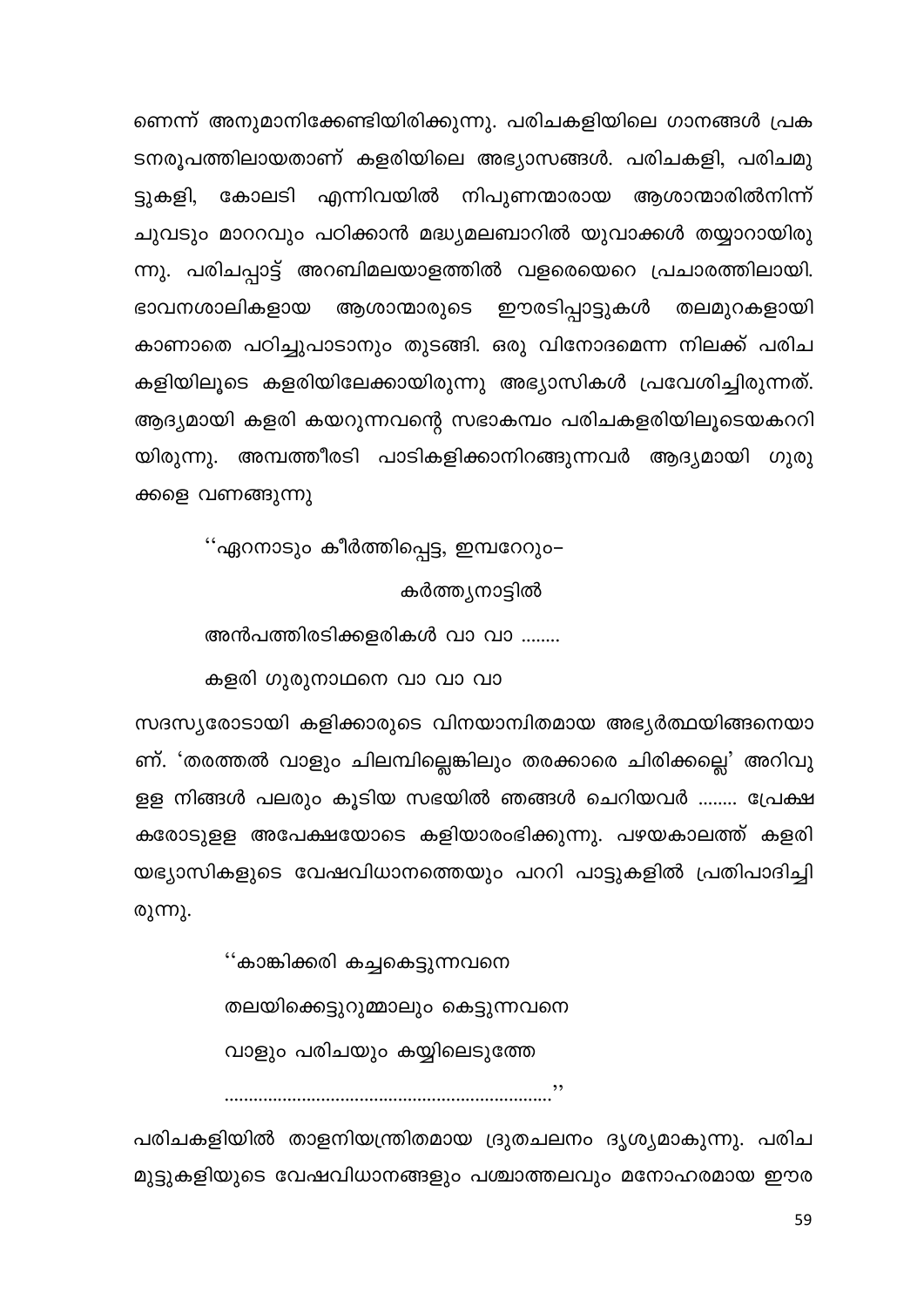ണെന്ന് അനുമാനിക്കേണ്ടിയിരിക്കുന്നു. പരിചകളിയിലെ ഗാനങ്ങൾ പ്രക ടനരൂപത്തിലായതാണ് കളരിയിലെ അഭ്യാസങ്ങൾ. പരിചകളി, പരിചമു ട്ടുകളി, കോലടി എന്നിവയിൽ നിപുണന്മാരായ ആശാന്മാരിൽനിന്ന് ചുവടും മാററവും പഠിക്കാൻ മദ്ധ്യമലബാറിൽ യുവാക്കൾ തയ്യാറായിരു ന്നു. പരിചപ്പാട്ട് അറബിമലയാളത്തിൽ വളരെയെറെ പ്രചാരത്തിലായി. ഈരടിപ്പാട്ടുകൾ തലമുറകളായി ഭാവനശാലികളായ ആശാന്മാരുടെ കാണാതെ പഠിച്ചുപാടാനും തുടങ്ങി. ഒരു വിനോദമെന്ന നിലക്ക് പരിച കളിയിലൂടെ കളരിയിലേക്കായിരുന്നു അഭ്യാസികൾ പ്രവേശിച്ചിരുന്നത്. ആദ്യമായി കളരി കയറുന്നവന്റെ സഭാകമ്പം പരിചകളരിയിലൂടെയകററി യിരുന്നു. അമ്പത്തീരടി പാടികളിക്കാനിറങ്ങുന്നവർ ആദ്യമായി ഗുരു ക്കളെ വണങ്ങുന്നു

''ഏറനാടും കീർത്തിപ്പെട്ട, ഇമ്പറേറും– കർത്ത്യനാട്ടിൽ

അൻപത്തിരടിക്കളരികൾ വാ വാ ........

കളരി ഗുരുനാഥനെ വാ വാ വാ

സദസ്യരോടായി കളിക്കാരുടെ വിനയാന്വിതമായ അഭ്യർത്ഥയിങ്ങനെയാ ണ്. 'തരത്തൽ വാളും ചിലമ്പില്ലെങ്കിലും തരക്കാരെ ചിരിക്കല്ലെ' അറിവു ളള നിങ്ങൾ പലരും കൂടിയ സഭയിൽ ഞങ്ങൾ ചെറിയവർ ........ പ്രേക്ഷ കരോടുളള അപേക്ഷയോടെ കളിയാരംഭിക്കുന്നു. പഴയകാലത്ത് കളരി യഭ്യാസികളുടെ വേഷവിധാനത്തെയും പററി പാട്ടുകളിൽ പ്രതിപാദിച്ചി രുന്നു.

> ''കാങ്കിക്കരി കച്ചകെട്ടുന്നവനെ തലയിക്കെട്ടുറുമ്മാലും കെട്ടുന്നവനെ വാളും പരിചയും കയ്യിലെടുത്തേ

പരിചകളിയിൽ താളനിയന്ത്രിതമായ ദ്രുതചലനം ദൃശ്യമാകുന്നു. പരിച മുട്ടുകളിയുടെ വേഷവിധാനങ്ങളും പശ്ചാത്തലവും മനോഹരമായ ഈര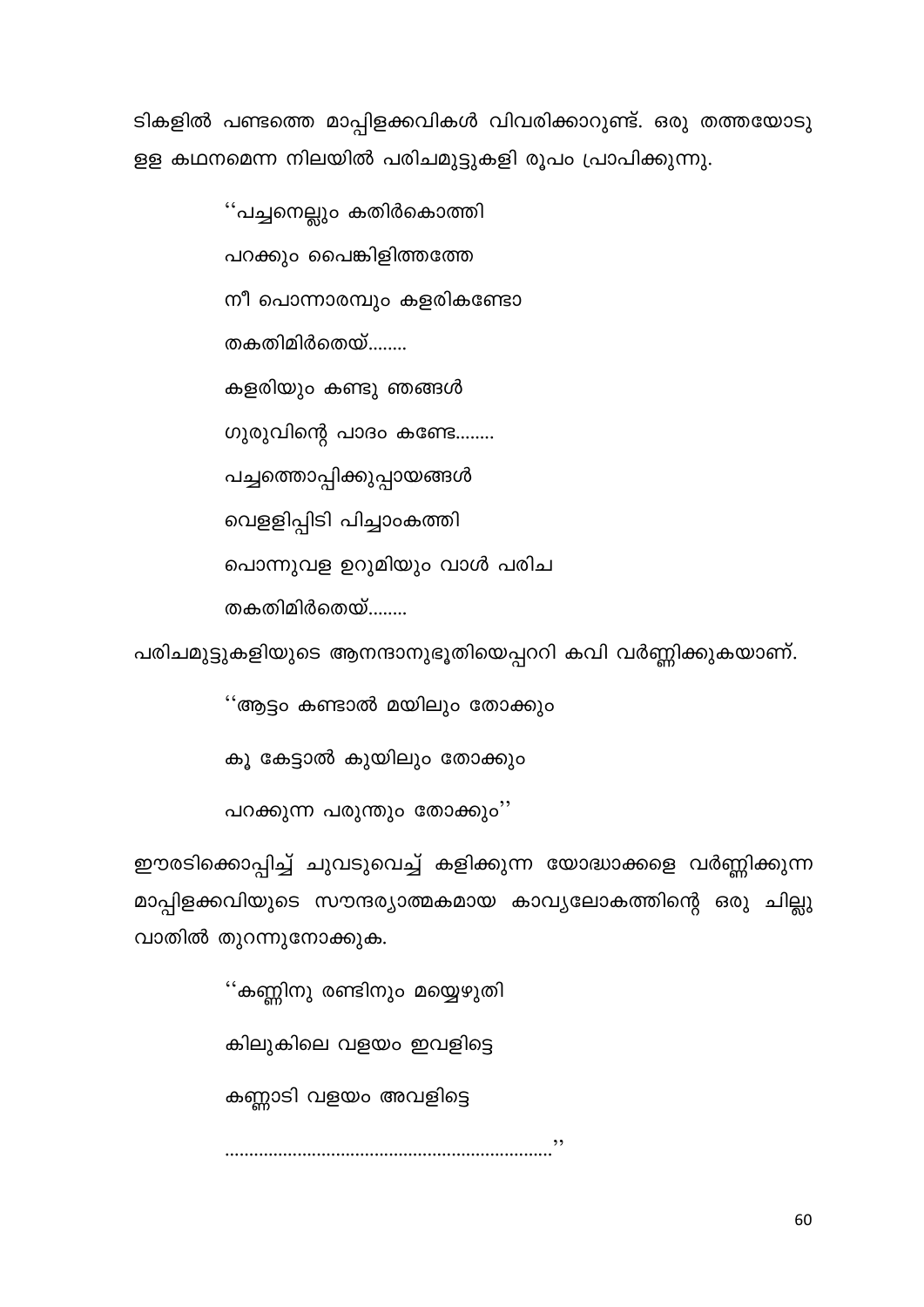ടികളിൽ പണ്ടത്തെ മാപ്പിളക്കവികൾ വിവരിക്കാറുണ്ട്. ഒരു തത്തയോടു ളള കഥനമെന്ന നിലയിൽ പരിചമുട്ടുകളി രൂപം പ്രാപിക്കുന്നു.

> ''പച്ചനെല്ലും കതിർകൊത്തി പറക്കും പൈങ്കിളിത്തത്തേ നീ പൊന്നാരമ്പും കളരികണ്ടോ തകതിമിർതെയ്........ കളരിയും കണ്ടു ഞങ്ങൾ ഗുരുവിന്റെ പാദം കണ്ടേ........ പച്ചത്തൊപ്പിക്കുപ്പായങ്ങൾ വെളളിപ്പിടി പിച്ചാംകത്തി പൊന്നുവള ഉറുമിയും വാൾ പരിച തകതിമിർതെയ്........

പരിചമുട്ടുകളിയുടെ ആനന്ദാനുഭൂതിയെപ്പററി കവി വർണ്ണിക്കുകയാണ്.

''ആട്ടം കണ്ടാൽ മയിലും തോക്കും

കൂ കേട്ടാൽ കുയിലും തോക്കും

പറക്കുന്ന പരുന്തും തോക്കും"

ഈരടിക്കൊപ്പിച്ച് ചുവടുവെച്ച് കളിക്കുന്ന യോദ്ധാക്കളെ വർണ്ണിക്കുന്ന മാപ്പിളക്കവിയുടെ സൗന്ദര്യാത്മകമായ കാവ്യലോകത്തിന്റെ ഒരു ചില്ലു വാതിൽ തുറന്നുനോക്കുക.

> ''കണ്ണിനു രണ്ടിനും മയ്യെഴുതി കിലുകിലെ വളയം ഇവളിട്ടെ കണ്ണാടി വളയം അവളിട്ടെ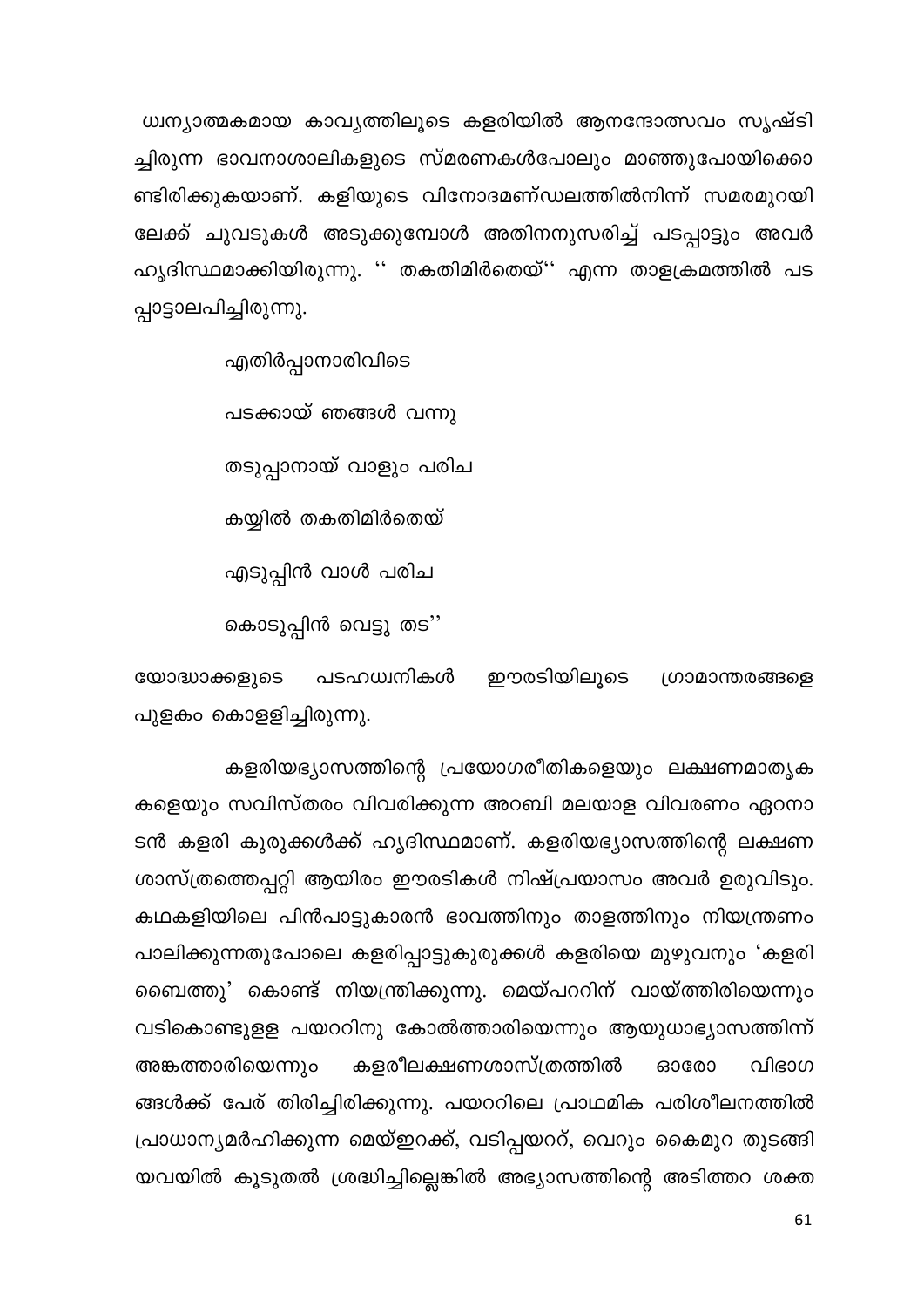ധ്വന്യാത്മകമായ കാവ്യത്തിലൂടെ കളരിയിൽ ആനന്ദോത്സവം സൃഷ്ടി ച്ചിരുന്ന ഭാവനാശാലികളുടെ സ്മരണകൾപോലും മാഞ്ഞുപോയിക്കൊ ണ്ടിരിക്കുകയാണ്. കളിയുടെ വിനോദമണ്ഡലത്തിൽനിന്ന് സമരമുറയി ലേക്ക് ചുവടുകൾ അടുക്കുമ്പോൾ അതിനനുസരിച്ച് പടപ്പാട്ടും അവർ ഹൃദിസ്ഥമാക്കിയിരുന്നു. '' തകതിമിർതെയ്'' എന്ന താളക്രമത്തിൽ പട പ്പാട്ടാലപിച്ചിരുന്നു.

എതിർപ്പാനാരിവിടെ

പടക്കായ് ഞങ്ങൾ വന്നു

തടുപ്പാനായ് വാളും പരിച

കയ്യിൽ തകതിമിർതെയ്

എടുപ്പിൻ വാൾ പരിച

കൊടുപ്പിൻ വെട്ടു തട''

യോദ്ധാക്കളുടെ പടഹധ്വനികൾ ഈരടിയിലൂടെ ഗ്രാമാന്തരങ്ങളെ പുളകം കൊളളിച്ചിരുന്നു.

കളരിയഭ്യാസത്തിന്റെ പ്രയോഗരീതികളെയും ലക്ഷണമാതൃക കളെയും സവിസ്തരം വിവരിക്കുന്ന അറബി മലയാള വിവരണം ഏറനാ ടൻ കളരി കുരുക്കൾക്ക് ഹൃദിസ്ഥമാണ്. കളരിയഭ്യാസത്തിന്റെ ലക്ഷണ ശാസ്ത്രത്തെപ്പറ്റി ആയിരം ഈരടികൾ നിഷ്പ്രയാസം അവർ ഉരുവിടും. കഥകളിയിലെ പിൻപാട്ടുകാരൻ ഭാവത്തിനും താളത്തിനും നിയന്ത്രണം പാലിക്കുന്നതുപോലെ കളരിപ്പാട്ടുകുരുക്കൾ കളരിയെ മുഴുവനും 'കളരി ബൈത്തു' കൊണ്ട് നിയന്ത്രിക്കുന്നു. മെയ്പററിന് വായ്ത്തിരിയെന്നും വടികൊണ്ടുളള പയററിനു കോൽത്താരിയെന്നും ആയുധാഭ്യാസത്തിന്ന് കളരീലക്ഷണശാസ്ത്രത്തിൽ അങ്കത്താരിയെന്നും വിഭാഗ 630000 ങ്ങൾക്ക് പേര് തിരിച്ചിരിക്കുന്നു. പയററിലെ പ്രാഥമിക പരിശീലനത്തിൽ പ്രാധാന്യമർഹിക്കുന്ന മെയ്ഇറക്ക്, വടിപ്പയററ്, വെറും കൈമുറ തുടങ്ങി യവയിൽ കൂടുതൽ ശ്രദ്ധിച്ചില്ലെങ്കിൽ അഭ്യാസത്തിന്റെ അടിത്തറ ശക്ത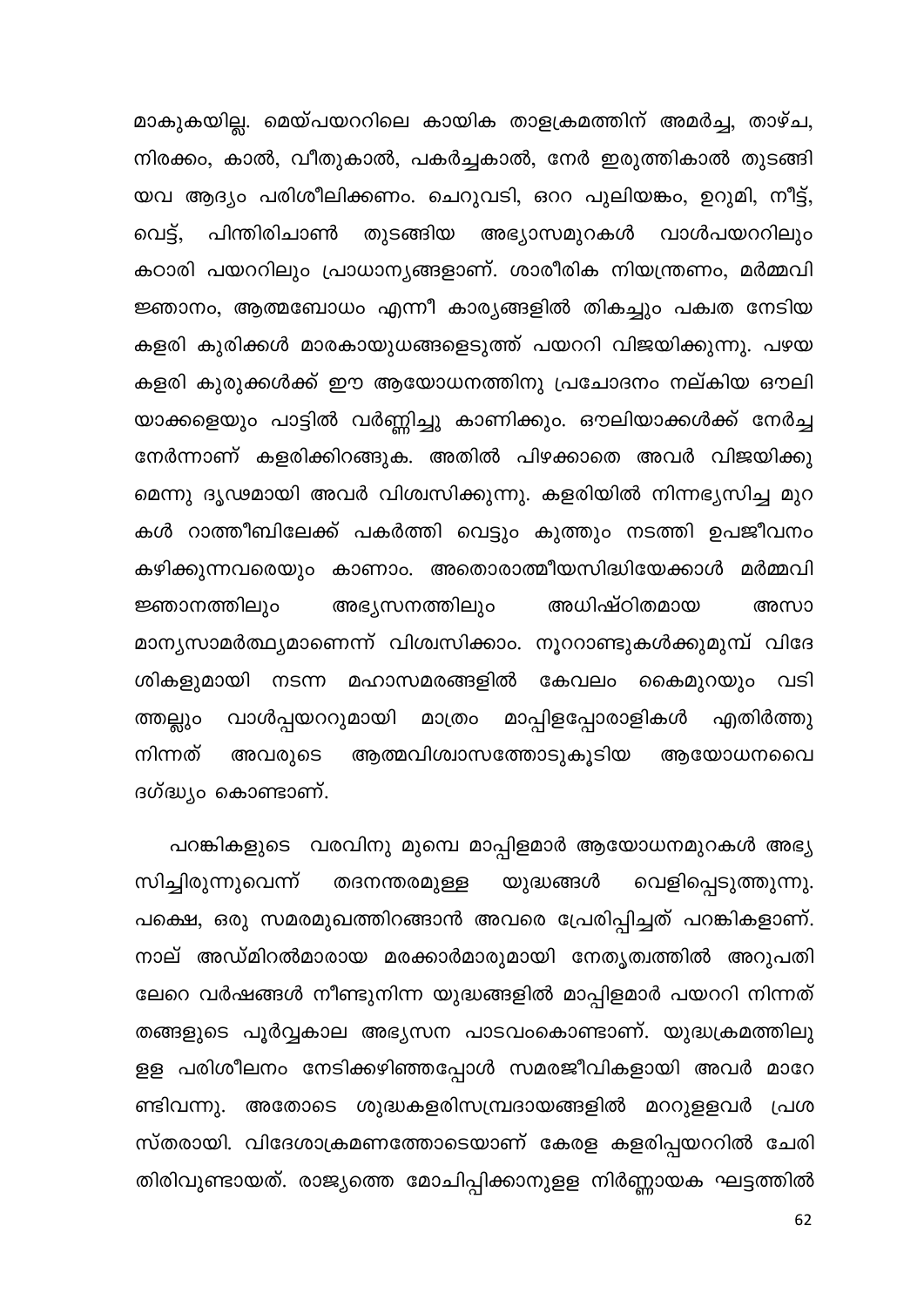മാകുകയില്ല. മെയ്പയററിലെ കായിക താളക്രമത്തിന് അമർച്ച, താഴ്ച, നിരക്കം, കാൽ, വീതുകാൽ, പകർച്ചകാൽ, നേർ ഇരുത്തികാൽ തുടങ്ങി യവ ആദ്യം പരിശീലിക്കണം. ചെറുവടി, ഒററ പുലിയങ്കം, ഉറുമി, നീട്ട്, തുടങ്ങിയ അഭ്യാസമുറകൾ വാൾപയററിലും വെട്. പിന്തിരിചാൺ കഠാരി പയററിലും പ്രാധാന്യങ്ങളാണ്. ശാരീരിക നിയന്ത്രണം, മർമ്മവി ജ്ഞാനം, ആത്മബോധം എന്നീ കാര്യങ്ങളിൽ തികച്ചും പക്വത നേടിയ കളരി കുരിക്കൾ മാരകായുധങ്ങളെടുത്ത് പയററി വിജയിക്കുന്നു. പഴയ കളരി കുരുക്കൾക്ക് ഈ ആയോധനത്തിനു പ്രചോദനം നല്കിയ ഔലി യാക്കളെയും പാട്ടിൽ വർണ്ണിച്ചു കാണിക്കും. ഔലിയാക്കൾക്ക് നേർച്ച നേർന്നാണ് കളരിക്കിറങ്ങുക. അതിൽ പിഴക്കാതെ അവർ വിജയിക്കു മെന്നു ദൃഢമായി അവർ വിശ്വസിക്കുന്നു. കളരിയിൽ നിന്നഭൃസിച്ച മുറ കൾ റാത്തീബിലേക്ക് പകർത്തി വെട്ടും കുത്തും നടത്തി ഉപജീവനം കഴിക്കുന്നവരെയും കാണാം. അതൊരാത്മീയസിദ്ധിയേക്കാൾ മർമ്മവി അഭ്യസനത്തിലും ജ്ഞാനത്തിലും അധിഷ്ഠിതമായ അസാ മാന്യസാമർത്ഥ്യമാണെന്ന് വിശ്വസിക്കാം. നൂററാണ്ടുകൾക്കുമുമ്പ് വിദേ ശികളുമായി നടന്ന മഹാസമരങ്ങളിൽ കേവലം കൈമുറയും വടി വാൾപ്പയററുമായി മാത്രം മാപ്പിളപ്പോരാളികൾ ത്തല്ലും എതിർത്തു നിന്നത് ആത്മവിശ്വാസത്തോടുകൂടിയ അവരുടെ അയോധനവൈ ദഗ്ദ്ധ്യം കൊണ്ടാണ്.

പറങ്കികളുടെ വരവിനു മുമ്പെ മാപ്പിളമാർ ആയോധനമുറകൾ അഭ്യ സിച്ചിരുന്നുവെന്ന് തദനന്തരമുള്ള യുദ്ധങ്ങൾ വെളിപ്പെടുത്തുന്നു. പക്ഷെ, ഒരു സമരമുഖത്തിറങ്ങാൻ അവരെ പ്രേരിപ്പിച്ചത് പറങ്കികളാണ്. നാല് അഡ്മിറൽമാരായ മരക്കാർമാരുമായി നേതൃത്വത്തിൽ അറുപതി ലേറെ വർഷങ്ങൾ നീണ്ടുനിന്ന യുദ്ധങ്ങളിൽ മാപ്പിളമാർ പയററി നിന്നത് തങ്ങളുടെ പൂർവ്വകാല അഭ്യസന പാടവംകൊണ്ടാണ്. യുദ്ധക്രമത്തിലു ളള പരിശീലനം നേടിക്കഴിഞ്ഞപ്പോൾ സമരജീവികളായി അവർ മാറേ ണ്ടിവന്നു. അതോടെ ശുദ്ധകളരിസമ്പ്രദായങ്ങളിൽ മററുളളവർ പ്രശ സ്തരായി. വിദേശാക്രമണത്തോടെയാണ് കേരള കളരിപ്പയററിൽ ചേരി തിരിവുണ്ടായത്. രാജ്യത്തെ മോചിപ്പിക്കാനുളള നിർണ്ണായക ഘട്ടത്തിൽ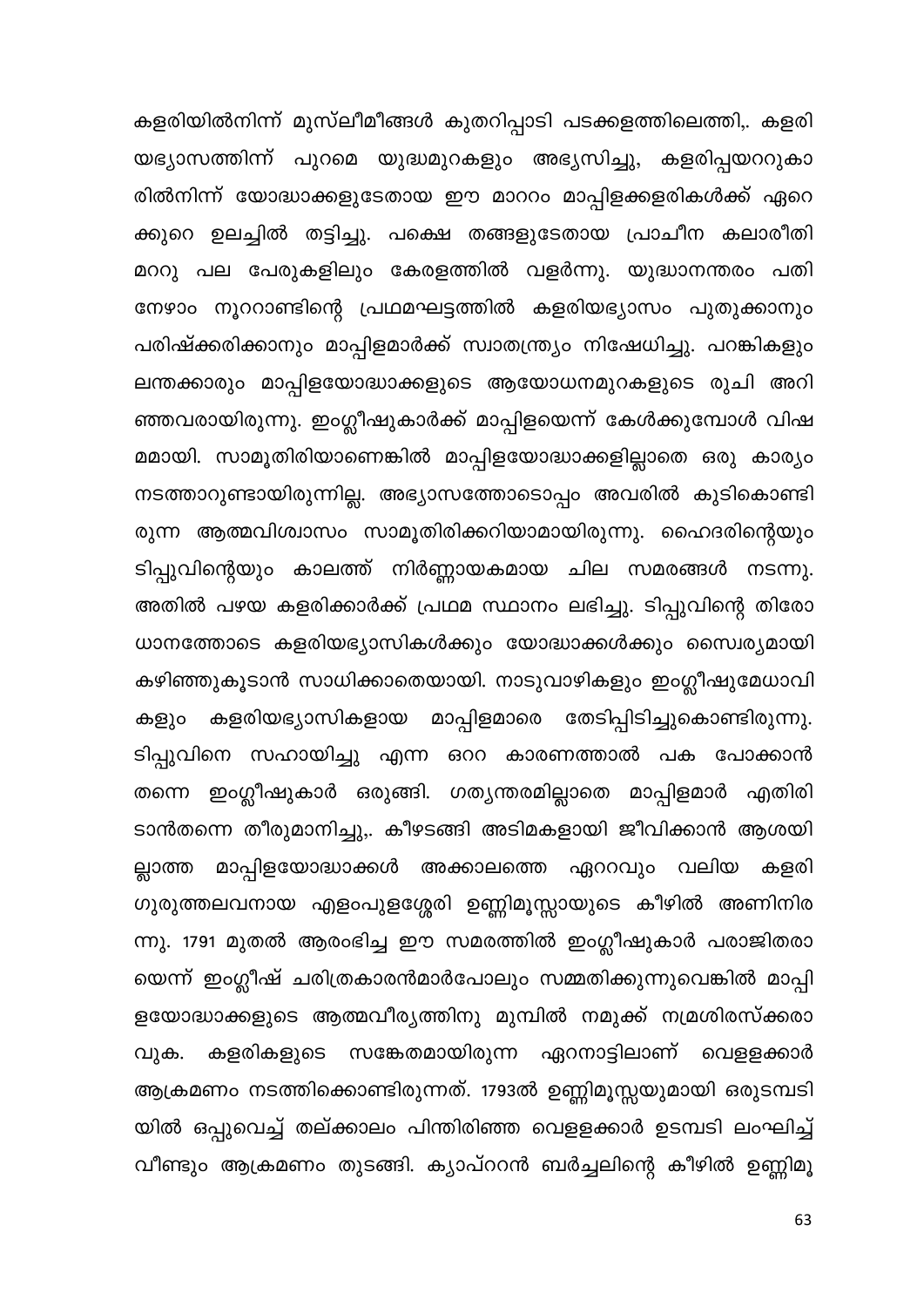കളരിയിൽനിന്ന് മുസ്ലീമീങ്ങൾ കുതറിപ്പാടി പടക്കളത്തിലെത്തി,. കളരി യഭ്യാസത്തിന്ന് പുറമെ യുദ്ധമുറകളും അഭ്യസിച്ചു, കളരിപ്പയററുകാ രിൽനിന്ന് യോദ്ധാക്കളുടേതായ ഈ മാററം മാപ്പിളക്കളരികൾക്ക് ഏറെ ക്കുറെ ഉലച്ചിൽ തട്ടിച്ചു. പക്ഷെ തങ്ങളുടേതായ പ്രാചീന കലാരീതി മററു പല പേരുകളിലും കേരളത്തിൽ വളർന്നു. യുദ്ധാനന്തരം പതി നേഴാം നൂററാണ്ടിന്റെ പ്രഥമഘട്ടത്തിൽ കളരിയഭ്യാസം പുതുക്കാനും പരിഷ്ക്കരിക്കാനും മാപ്പിളമാർക്ക് സ്വാതന്ത്ര്യം നിഷേധിച്ചു. പറങ്കികളും ലന്തക്കാരും മാപ്പിളയോദ്ധാക്കളുടെ ആയോധനമുറകളുടെ രുചി അറി ഞ്ഞവരായിരുന്നു. ഇംഗ്ലീഷുകാർക്ക് മാപ്പിളയെന്ന് കേൾക്കുമ്പോൾ വിഷ മമായി. സാമൂതിരിയാണെങ്കിൽ മാപ്പിളയോദ്ധാക്കളില്ലാതെ ഒരു കാര്യം നടത്താറുണ്ടായിരുന്നില്ല. അഭ്യാസത്തോടൊപ്പം അവരിൽ കുടികൊണ്ടി രുന്ന ആത്മവിശ്വാസം സാമൂതിരിക്കറിയാമായിരുന്നു. ഹൈദരിന്റെയും ടിപ്പുവിന്റെയും കാലത്ത് നിർണ്ണായകമായ ചില സമരങ്ങൾ നടന്നു. അതിൽ പഴയ കളരിക്കാർക്ക് പ്രഥമ സ്ഥാനം ലഭിച്ചു. ടിപ്പുവിന്റെ തിരോ ധാനത്തോടെ കളരിയഭ്യാസികൾക്കും യോദ്ധാക്കൾക്കും സൈര്യമായി കഴിഞ്ഞുകൂടാൻ സാധിക്കാതെയായി. നാടുവാഴികളും ഇംഗ്ലീഷുമേധാവി കളരിയഭ്യാസികളായ മാപ്പിളമാരെ തേടിപ്പിടിച്ചുകൊണ്ടിരുന്നു. കളും ടിപ്പുവിനെ സഹായിച്ചു എന്ന ഒററ കാരണത്താൽ പക പോക്കാൻ തന്നെ ഇംഗ്ലീഷുകാർ ഒരുങ്ങി. ഗതൃന്തരമില്ലാതെ മാപ്പിളമാർ എതിരി ടാൻതന്നെ തീരുമാനിച്ചു,. കീഴടങ്ങി അടിമകളായി ജീവിക്കാൻ ആശയി ല്ലാത്ത മാപ്പിളയോദ്ധാക്കൾ അക്കാലത്തെ ഏററവും വലിയ കളരി ഗുരുത്തലവനായ എളംപുളശ്ശേരി ഉണ്ണിമൂസ്സായുടെ കീഴിൽ അണിനിര ന്നു. 1791 മുതൽ ആരംഭിച്ച ഈ സമരത്തിൽ ഇംഗ്ലീഷുകാർ പരാജിതരാ യെന്ന് ഇംഗ്ലീഷ് ചരിത്രകാരൻമാർപോലും സമ്മതിക്കുന്നുവെങ്കിൽ മാപ്പി ളയോദ്ധാക്കളുടെ ആത്മവീര്യത്തിനു മുമ്പിൽ നമുക്ക് നമ്രശിരസ്ക്കരാ കളരികളുടെ സങ്കേതമായിരുന്ന ഏറനാട്ടിലാണ് വെളളക്കാർ വുക. ആക്രമണം നടത്തിക്കൊണ്ടിരുന്നത്. 1793ൽ ഉണ്ണിമൂസ്സയുമായി ഒരുടമ്പടി യിൽ ഒപ്പുവെച്ച് തല്ക്കാലം പിന്തിരിഞ്ഞ വെളളക്കാർ ഉടമ്പടി ലംഘിച്ച് വീണ്ടും ആക്രമണം തുടങ്ങി. ക്യാപ്ററൻ ബർച്ചലിന്റെ കീഴിൽ ഉണ്ണിമൂ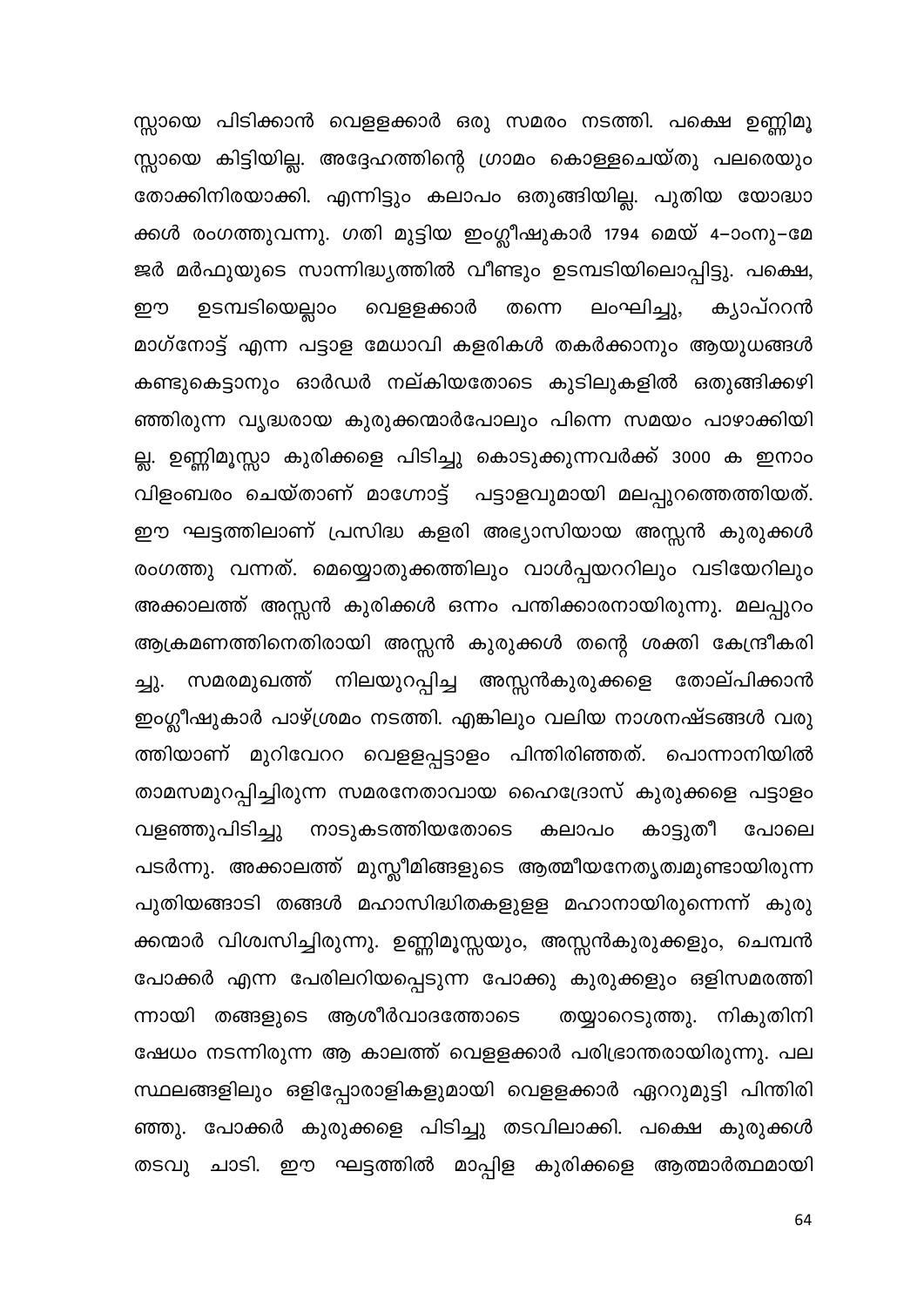സ്സായെ പിടിക്കാൻ വെളളക്കാർ ഒരു സമരം നടത്തി. പക്ഷെ ഉണ്ണിമൂ സ്സായെ കിട്ടിയില്ല. അദ്ദേഹത്തിന്റെ ഗ്രാമം കൊള്ളചെയ്തു പലരെയും തോക്കിനിരയാക്കി. എന്നിട്ടും കലാപം ഒതുങ്ങിയില്ല. പുതിയ യോദ്ധാ ക്കൾ രംഗത്തുവന്നു. ഗതി മുട്ടിയ ഇംഗ്ലീഷുകാർ 1794 മെയ് 4–ാംനു–മേ ജർ മർഫുയുടെ സാന്നിദ്ധ്യത്തിൽ വീണ്ടും ഉടമ്പടിയിലൊപ്പിട്ടു. പക്ഷെ, വെളളക്കാർ ഉടമ്പടിയെല്ലാം തന്നെ ലംഘിച്ചു, കൃാപ്ററൻ றற മാഗ്നോട്ട് എന്ന പട്ടാള മേധാവി കളരികൾ തകർക്കാനും ആയുധങ്ങൾ കണ്ടുകെട്ടാനും ഓർഡർ നല്കിയതോടെ കുടിലുകളിൽ ഒതുങ്ങിക്കഴി ഞ്ഞിരുന്ന വൃദ്ധരായ കുരുക്കന്മാർപോലും പിന്നെ സമയം പാഴാക്കിയി ല്ല. ഉണ്ണിമൂസ്സാ കുരിക്കളെ പിടിച്ചു കൊടുക്കുന്നവർക്ക് 3000 ക ഇനാം വിളംബരം ചെയ്താണ് മാഗ്നോട്ട് പട്ടാളവുമായി മലപ്പുറത്തെത്തിയത്. ഈ ഘട്ടത്തിലാണ് പ്രസിദ്ധ കളരി അഭ്യാസിയായ അസ്സൻ കുരുക്കൾ രംഗത്തു വന്നത്. മെയ്യൊതുക്കത്തിലും വാൾപ്പയററിലും വടിയേറിലും അക്കാലത്ത് അസ്സൻ കുരിക്കൾ ഒന്നം പന്തിക്കാരനായിരുന്നു. മലപ്പുറം ആക്രമണത്തിനെതിരായി അസ്സൻ കുരുക്കൾ തന്റെ ശക്തി കേന്ദ്രീകരി ച്ചു. സമരമുഖത്ത് നിലയുറപ്പിച്ച അസ്സൻകുരുക്കളെ തോല്പിക്കാൻ ഇംഗ്ലീഷുകാർ പാഴ്ശ്രമം നടത്തി. എങ്കിലും വലിയ നാശനഷ്ടങ്ങൾ വരു ത്തിയാണ് മുറിവേററ വെളളപ്പട്ടാളം പിന്തിരിഞ്ഞത്. പൊന്നാനിയിൽ താമസമുറപ്പിച്ചിരുന്ന സമരനേതാവായ ഹൈദ്രോസ് കുരുക്കളെ പട്ടാളം വളഞ്ഞുപിടിച്ചു നാടുകടത്തിയതോടെ കാട്ടുതീ കലാപ൦ പോലെ പടർന്നു. അക്കാലത്ത് മുസ്സീമിങ്ങളുടെ ആത്മീയനേതൃത്വമുണ്ടായിരുന്ന പുതിയങ്ങാടി തങ്ങൾ മഹാസിദ്ധിതകളുളള മഹാനായിരുന്നെന്ന് കുരു ക്കന്മാർ വിശ്വസിച്ചിരുന്നു. ഉണ്ണിമൂസ്സയും, അസ്സൻകുരുക്കളും, ചെമ്പൻ പോക്കർ എന്ന പേരിലറിയപ്പെടുന്ന പോക്കു കുരുക്കളും ഒളിസമരത്തി ന്നായി തങ്ങളുടെ ആശീർവാദത്തോടെ തയ്യാറെടുത്തു. നികുതിനി ഷേധം നടന്നിരുന്ന ആ കാലത്ത് വെളളക്കാർ പരിഭ്രാന്തരായിരുന്നു. പല സ്ഥലങ്ങളിലും ഒളിപ്പോരാളികളുമായി വെളളക്കാർ ഏററുമുട്ടി പിന്തിരി ഞ്ഞു. പോക്കർ കുരുക്കളെ പിടിച്ചു തടവിലാക്കി. പക്ഷെ കുരുക്കൾ തടവു ചാടി. ഈ ഘട്ടത്തിൽ മാപ്പിള കുരിക്കളെ ആത്മാർത്ഥമായി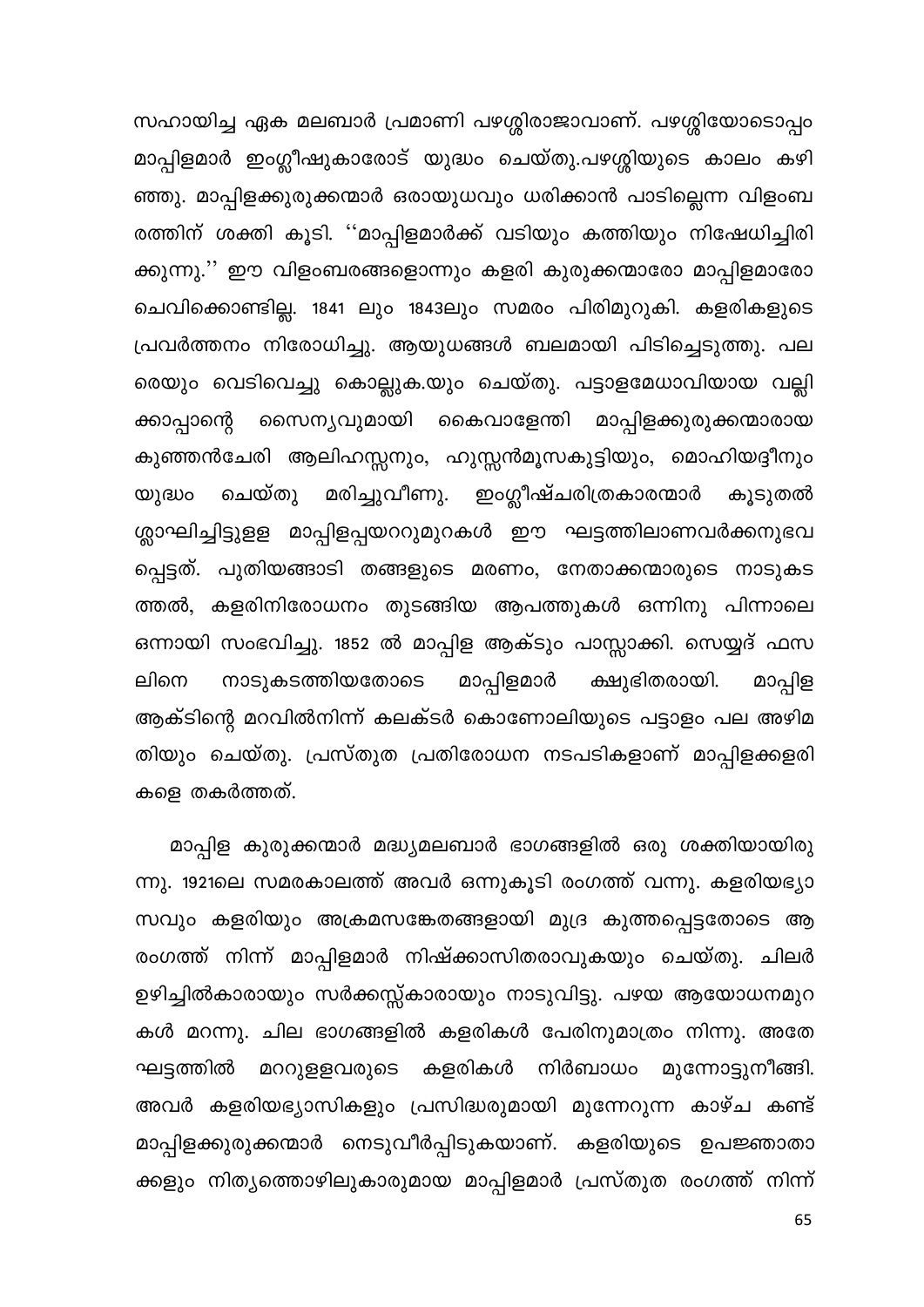സഹായിച്ച ഏക മലബാർ പ്രമാണി പഴശ്ശിരാജാവാണ്. പഴശ്ശിയോടൊപ്പം മാപ്പിളമാർ ഇംഗ്ലീഷുകാരോട് യുദ്ധം ചെയ്തു.പഴശ്ശിയുടെ കാലം കഴി ഞ്ഞു. മാപ്പിളക്കുരുക്കന്മാർ ഒരായുധവും ധരിക്കാൻ പാടില്ലെന്ന വിളംബ രത്തിന് ശക്തി കൂടി. ''മാപ്പിളമാർക്ക് വടിയും കത്തിയും നിഷേധിച്ചിരി ക്കുന്നു.'' ഈ വിളംബരങ്ങളൊന്നും കളരി കുരുക്കന്മാരോ മാപ്പിളമാരോ ചെവിക്കൊണ്ടില്ല. 1841 ലും 1843ലും സമരം പിരിമുറുകി. കളരികളുടെ പ്രവർത്തനം നിരോധിച്ചു. ആയുധങ്ങൾ ബലമായി പിടിച്ചെടുത്തു. പല രെയും വെടിവെച്ചു കൊല്ലുക.യും ചെയ്തു. പട്ടാളമേധാവിയായ വല്ലി സൈന്യവുമായി കൈവാളേന്തി മാപ്പിളക്കുരുക്കന്മാരായ ക്കാപ്പാന്റെ കുഞ്ഞൻചേരി ആലിഹസ്സനും, ഹുസ്സൻമൂസകുട്ടിയും, മൊഹിയദ്ദീനും മരിച്ചുവീണു. ഇംഗ്ലീഷ്ചരിത്രകാരന്മാർ ചെയ്തു യുദ്ധം കൂടുതൽ ശ്ലാഘിച്ചിട്ടുളള മാപ്പിളപ്പയററുമുറകൾ ഈ ഘട്ടത്തിലാണവർക്കനുഭവ പ്പെട്ടത്. പുതിയങ്ങാടി തങ്ങളുടെ മരണം, നേതാക്കന്മാരുടെ നാടുകട ത്തൽ, കളരിനിരോധനം തുടങ്ങിയ ആപത്തുകൾ ഒന്നിനു പിന്നാലെ ഒന്നായി സംഭവിച്ചു. 1852 ൽ മാപ്പിള ആക്ടും പാസ്സാക്കി. സെയ്യദ് ഫസ മാപ്പിളമാർ ക്ഷുഭിതരായി. മാപ്പിള ലിനെ നാടുകടത്തിയതോടെ ആക്ടിന്റെ മറവിൽനിന്ന് കലക്ടർ കൊണോലിയുടെ പട്ടാളം പല അഴിമ തിയും ചെയ്തു. പ്രസ്തുത പ്രതിരോധന നടപടികളാണ് മാപ്പിളക്കളരി കളെ തകർത്തത്.

മാപ്പിള കുരുക്കന്മാർ മദ്ധ്യമലബാർ ഭാഗങ്ങളിൽ ഒരു ശക്തിയായിരു ന്നു. 1921ലെ സമരകാലത്ത് അവർ ഒന്നുകൂടി രംഗത്ത് വന്നു. കളരിയഭ്യാ സവും കളരിയും അക്രമസങ്കേതങ്ങളായി മുദ്ര കുത്തപ്പെട്ടതോടെ ആ രംഗത്ത് നിന്ന് മാപ്പിളമാർ നിഷ്ക്കാസിതരാവുകയും ചെയ്തു. ചിലർ ഉഴിച്ചിൽകാരായും സർക്കസ്സ്കാരായും നാടുവിട്ടു. പഴയ ആയോധനമുറ കൾ മറന്നു. ചില ഭാഗങ്ങളിൽ കളരികൾ പേരിനുമാത്രം നിന്നു. അതേ മററുളളവരുടെ കളരികൾ നിർബാധം മുന്നോട്ടുനീങ്ങി. ഘട്ടത്തിൽ അവർ കളരിയഭ്യാസികളും പ്രസിദ്ധരുമായി മുന്നേറുന്ന കാഴ്ച കണ്ട് മാപ്പിളക്കുരുക്കന്മാർ നെടുവീർപ്പിടുകയാണ്. കളരിയുടെ ഉപജ്ഞാതാ ക്കളും നിതൃത്തൊഴിലുകാരുമായ മാപ്പിളമാർ പ്രസ്തുത രംഗത്ത് നിന്ന്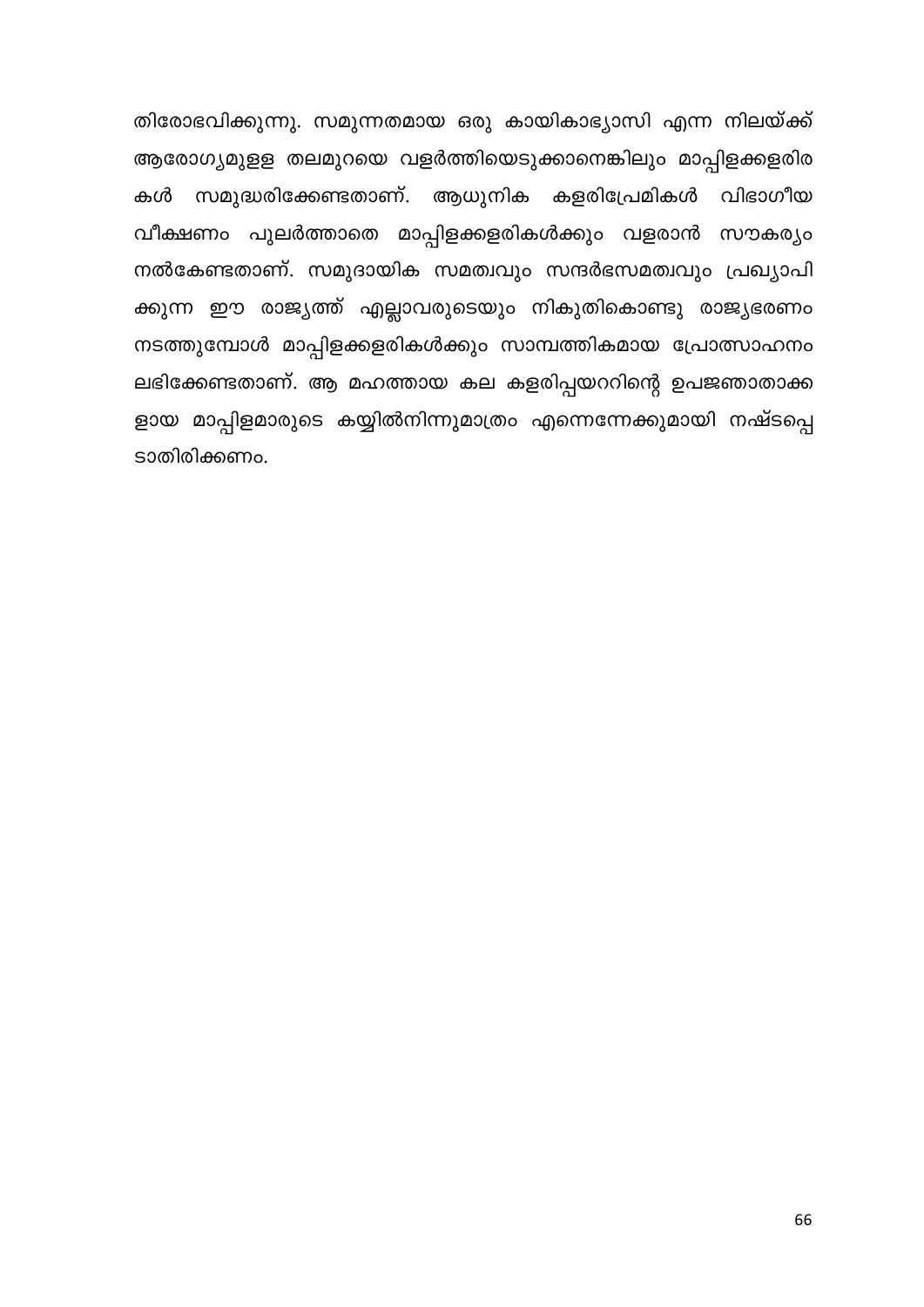തിരോഭവിക്കുന്നു. സമുന്നതമായ ഒരു കായികാഭ്യാസി എന്ന നിലയ്ക്ക് ആരോഗ്യമുളള തലമുറയെ വളർത്തിയെടുക്കാനെങ്കിലും മാപ്പിളക്കളരിര കൾ സമുദ്ധരിക്കേണ്ടതാണ്. ആധുനിക കളരിപ്രേമികൾ വിഭാഗീയ വീക്ഷണം പുലർത്താതെ മാപ്പിളക്കളരികൾക്കും വളരാൻ സൗകര്യം നൽകേണ്ടതാണ്. സമുദായിക സമത്വവും സന്ദർഭസമത്വവും പ്രഖ്യാപി ക്കുന്ന ഈ രാജ്യത്ത് എല്ലാവരുടെയും നികുതികൊണ്ടു രാജ്യഭരണം നടത്തുമ്പോൾ മാപ്പിളക്കളരികൾക്കും സാമ്പത്തികമായ പ്രോത്സാഹനം ലഭിക്കേണ്ടതാണ്. ആ മഹത്തായ കല കളരിപ്പയററിന്റെ ഉപജഞാതാക്ക ളായ മാപ്പിളമാരുടെ കയ്യിൽനിന്നുമാത്രം എന്നെന്നേക്കുമായി നഷ്ടപ്പെ ടാതിരിക്കണം.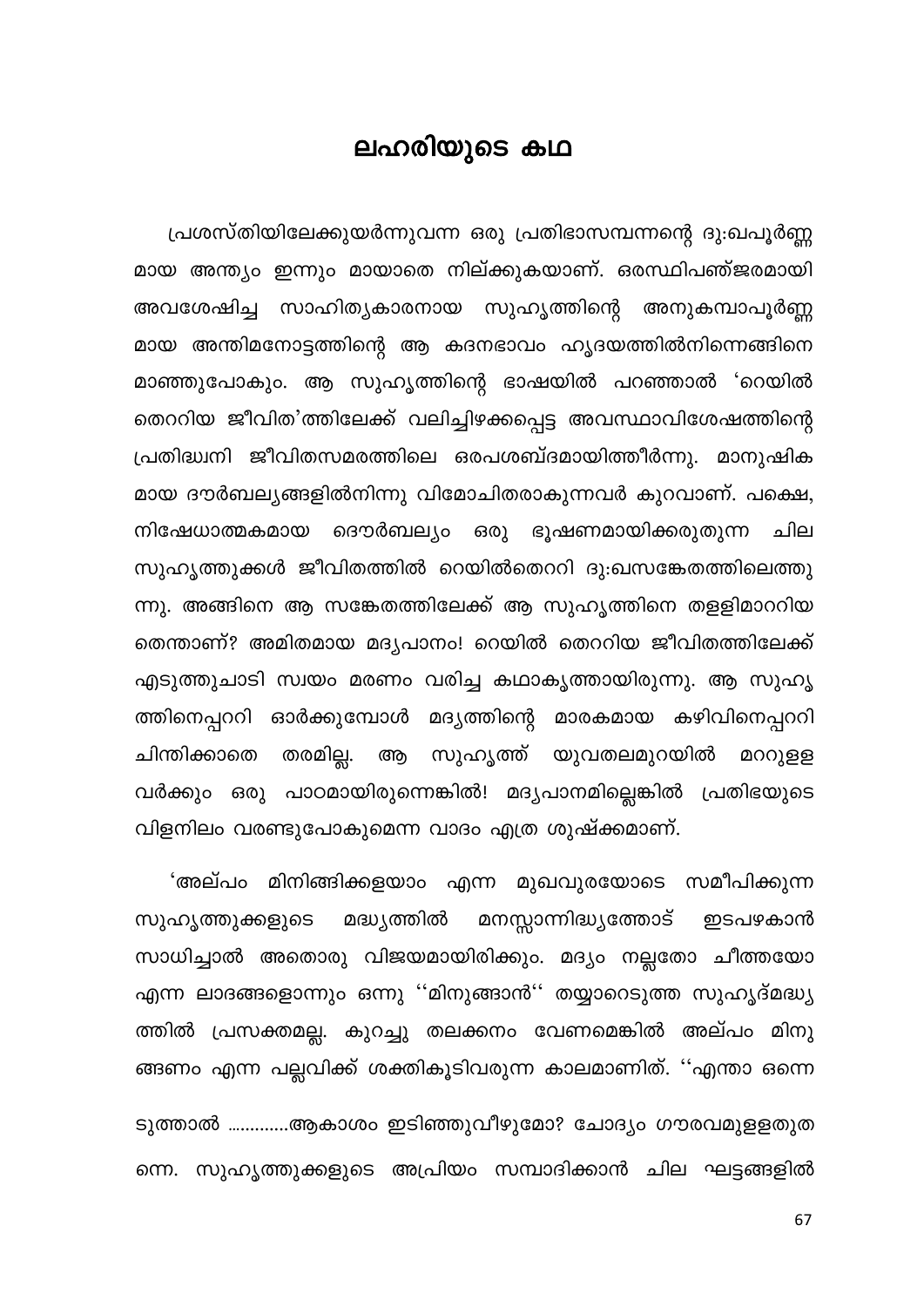## ലഹരിയുടെ കഥ

പ്രശസ്തിയിലേക്കുയർന്നുവന്ന ഒരു പ്രതിഭാസമ്പന്നന്റെ ദു:ഖപൂർണ്ണ മായ അന്ത്യം ഇന്നും മായാതെ നില്ക്കുകയാണ്. ഒരസ്ഥിപഞ്ജരമായി അവശേഷിച്ച സാഹിത്യകാരനായ സുഹൃത്തിന്റെ അനുകമ്പാപൂർണ്ണ മായ അന്തിമനോട്ടത്തിന്റെ ആ കദനഭാവം ഹൃദയത്തിൽനിന്നെങ്ങിനെ മാഞ്ഞുപോകും. ആ സുഹൃത്തിന്റെ ഭാഷയിൽ പറഞ്ഞാൽ 'റെയിൽ തെററിയ ജീവിത'ത്തിലേക്ക് വലിച്ചിഴക്കപ്പെട്ട അവസ്ഥാവിശേഷത്തിന്റെ പ്രതിദ്ധ്വനി ജീവിതസമരത്തിലെ ഒരപശബ്ദമായിത്തീർന്നു. മാനുഷിക മായ ദൗർബല്യങ്ങളിൽനിന്നു വിമോചിതരാകുന്നവർ കുറവാണ്. പക്ഷെ, ദൌർബല്യം ഒരു ഭൂഷണമായിക്കരുതുന്ന ചില നിഷേധാത്മകമായ സുഹൃത്തുക്കൾ ജീവിതത്തിൽ റെയിൽതെററി ദു:ഖസങ്കേതത്തിലെത്തു ന്നു. അങ്ങിനെ ആ സങ്കേതത്തിലേക്ക് ആ സുഹൃത്തിനെ തളളിമാററിയ തെന്താണ്? അമിതമായ മദ്യപാനം! റെയിൽ തെററിയ ജീവിതത്തിലേക്ക് എടുത്തുചാടി സ്വയം മരണം വരിച്ച കഥാകൃത്തായിരുന്നു. ആ സുഹൃ ത്തിനെപ്പററി ഓർക്കുമ്പോൾ മദ്യത്തിന്റെ മാരകമായ കഴിവിനെപ്പററി തരമില്ല. സുഹൃത്ത് യുവതലമുറയിൽ മററുളള ചിന്തിക്കാതെ ആ വർക്കും ഒരു പാഠമായിരുന്നെങ്കിൽ! മദ്യപാനമില്ലെങ്കിൽ പ്രതിഭയുടെ വിളനിലം വരണ്ടുപോകുമെന്ന വാദം എത്ര ശുഷ്ക്കമാണ്.

മിനിങ്ങിക്കളയാം എന്ന മുഖവുരയോടെ സമീപിക്കുന്ന 'അല്പം മനസ്സാന്നിദ്ധ്യത്തോട് സുഹൃത്തുക്കളുടെ മദ്ധ്യത്തിൽ ഇടപഴകാൻ സാധിച്ചാൽ അതൊരു വിജയമായിരിക്കും. മദ്യം നല്ലതോ ചീത്തയോ എന്ന ലാദങ്ങളൊന്നും ഒന്നു ''മിനുങ്ങാൻ'' തയ്യാറെടുത്ത സുഹൃദ്മദ്ധ്യ ത്തിൽ പ്രസക്തമല്ല. കുറച്ചു തലക്കനം വേണമെങ്കിൽ അല്പം മിനു ങ്ങണം എന്ന പല്ലവിക്ക് ശക്തികൂടിവരുന്ന കാലമാണിത്. ''എന്താ ഒന്നെ

ടുത്താൽ ………….ആകാശം ഇടിഞ്ഞുവീഴുമോ? ചോദ്യം ഗൗരവമുളളതുത ന്നെ. സുഹൃത്തുക്കളുടെ അപ്രിയം സമ്പാദിക്കാൻ ചില ഘട്ടങ്ങളിൽ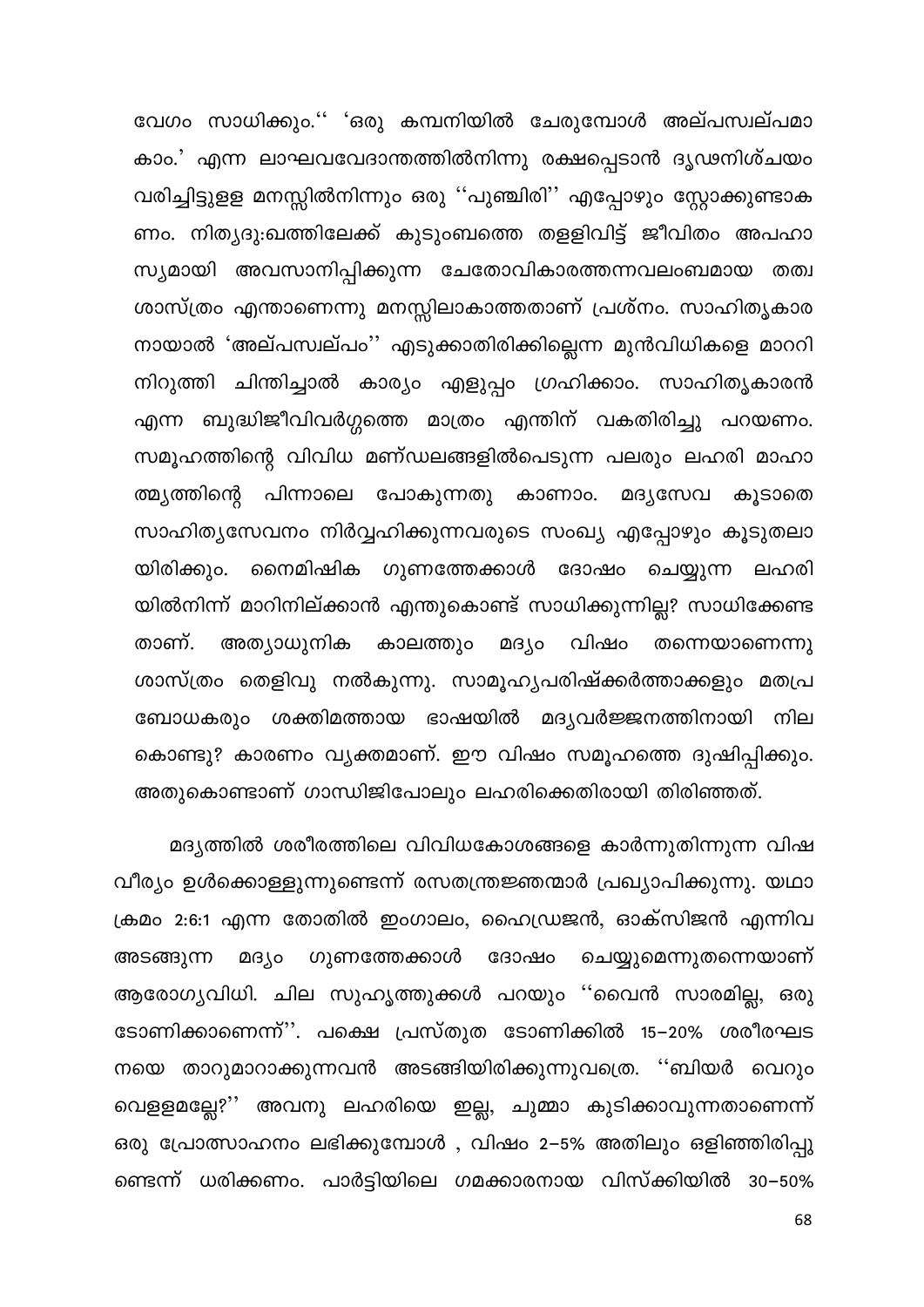വേഗം സാധിക്കും.'' 'ഒരു കമ്പനിയിൽ ചേരുമ്പോൾ അല്പസ്വല്പമാ കാം.' എന്ന ലാഘവവോന്തത്തിൽനിന്നു രക്ഷപ്പെടാൻ ദൃഢനിശ്ചയം വരിച്ചിട്ടുളള മനസ്സിൽനിന്നും ഒരു ''പുഞ്ചിരി'' എപ്പോഴും സ്റ്റോക്കുണ്ടാക ണം. നിത്യദു:ഖത്തിലേക്ക് കുടുംബത്തെ തളളിവിട്ട് ജീവിതം അപഹാ സ്യമായി അവസാനിപ്പിക്കുന്ന ചേതോവികാരത്തന്നവലംബമായ തത്വ ശാസ്ത്രം എന്താണെന്നു മനസ്സിലാകാത്തതാണ് പ്രശ്നം. സാഹിതൃകാര നായാൽ 'അല്പസ്വല്പം'' എടുക്കാതിരിക്കില്ലെന്ന മുൻവിധികളെ മാററി നിറുത്തി ചിന്തിച്ചാൽ കാര്യം എളുപ്പം ഗ്രഹിക്കാം. സാഹിതൃകാരൻ എന്ന ബുദ്ധിജീവിവർഗ്ഗത്തെ മാത്രം എന്തിന് വകതിരിച്ചു പറയണം. സമൂഹത്തിന്റെ വിവിധ മണ്ഡലങ്ങളിൽപെടുന്ന പലരും ലഹരി മാഹാ ത്മ്യത്തിന്റെ പിന്നാലെ പോകുന്നതു കാണാം. മദ്യസേവ കൂടാതെ സാഹിത്യസേവനം നിർവ്വഹിക്കുന്നവരുടെ സംഖ്യ എപ്പോഴും കൂടുതലാ യിരിക്കും. നൈമിഷിക ഗുണത്തേക്കാൾ ദോഷം ചെയ്യുന്ന ലഹരി യിൽനിന്ന് മാറിനില്ക്കാൻ എന്തുകൊണ്ട് സാധിക്കുന്നില്ല? സാധിക്കേണ്ട അത്യാധുനിക മദ്യം വിഷം താണ്. കാലത്തും തന്നെയാണെന്നു ശാസ്ത്രം തെളിവു നൽകുന്നു. സാമൂഹ്യപരിഷ്ക്കർത്താക്കളും മതപ്ര ബോധകരും ശക്തിമത്തായ ഭാഷയിൽ മദൃവർജ്ജനത്തിനായി നില കൊണ്ടു? കാരണം വ്യക്തമാണ്. ഈ വിഷം സമൂഹത്തെ ദുഷിപ്പിക്കും. അതുകൊണ്ടാണ് ഗാന്ധിജിപോലും ലഹരിക്കെതിരായി തിരിഞ്ഞത്.

മദ്യത്തിൽ ശരീരത്തിലെ വിവിധകോശങ്ങളെ കാർന്നുതിന്നുന്ന വിഷ വീര്യം ഉൾക്കൊള്ളുന്നുണ്ടെന്ന് രസതന്ത്രജ്ഞന്മാർ പ്രഖ്യാപിക്കുന്നു. യഥാ ക്രമം 2:6:1 എന്ന തോതിൽ ഇംഗാലം, ഹൈഡ്രജൻ, ഓക്സിജൻ എന്നിവ മദ്യം ഗുണത്തേക്കാൾ ദോഷം ചെയ്യുമെന്നുതന്നെയാണ് അടങ്ങുന്ന ആരോഗ്യവിധി. ചില സുഹൃത്തുക്കൾ പറയും ''വൈൻ സാരമില്ല, ഒരു ടോണിക്കാണെന്ന്''. പക്ഷെ പ്രസ്തുത ടോണിക്കിൽ 15–20% ശരീരഘട നയെ താറുമാറാക്കുന്നവൻ അടങ്ങിയിരിക്കുന്നുവത്രെ. ''ബിയർ വെറും വെളളമല്ലേ?'' അവനു ലഹരിയെ ഇല്ല, ചുമ്മാ കുടിക്കാവുന്നതാണെന്ന് ഒരു പ്രോത്സാഹനം ലഭിക്കുമ്പോൾ , വിഷം 2–5% അതിലും ഒളിഞ്ഞിരിപ്പു ണ്ടെന്ന് ധരിക്കണം. പാർട്ടിയിലെ ഗമക്കാരനായ വിസ്ക്കിയിൽ 30–50%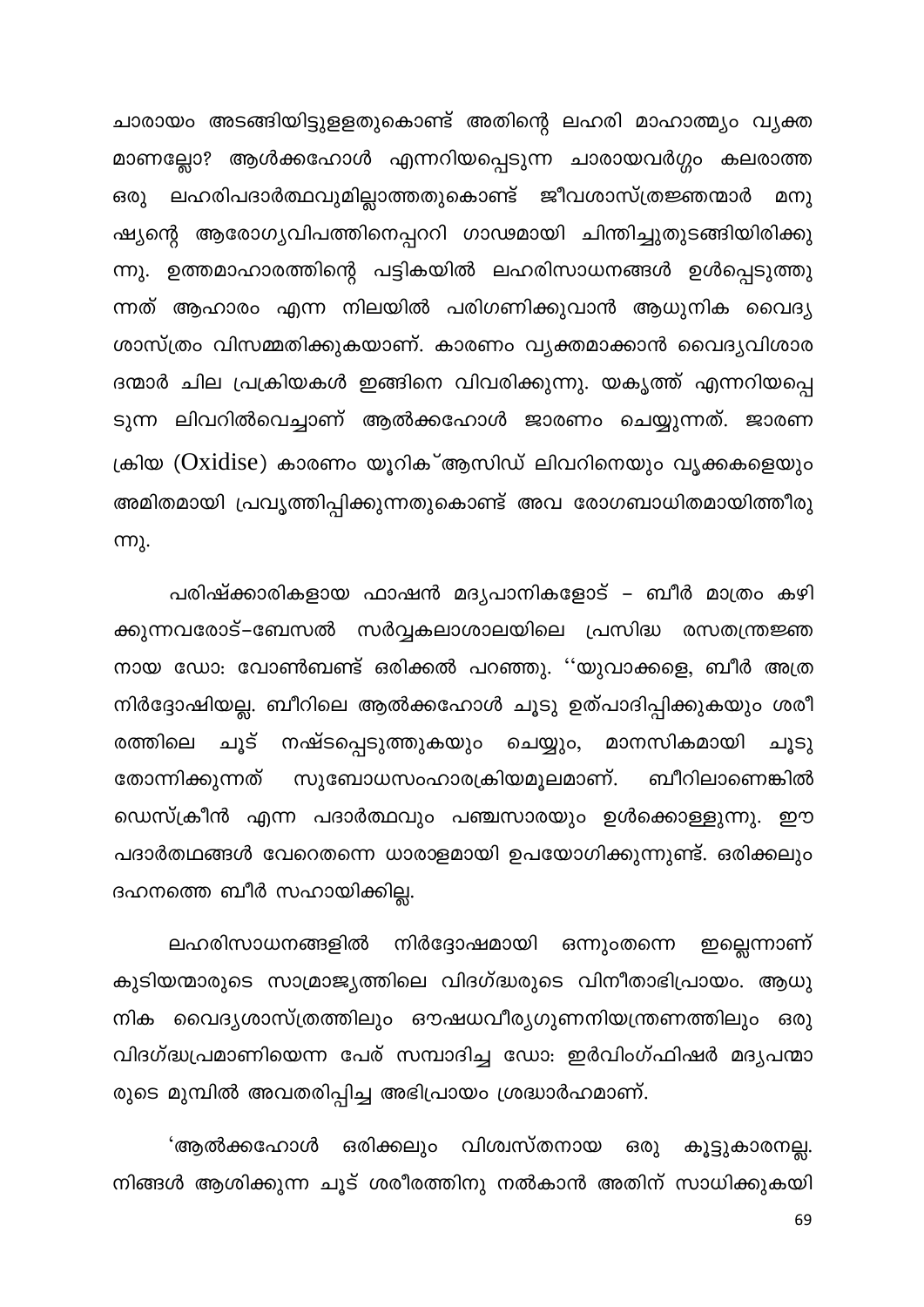ചാരായം അടങ്ങിയിട്ടുളളതുകൊണ്ട് അതിന്റെ ലഹരി മാഹാത്മ്യം വ്യക്ത മാണല്ലോ? ആൾക്കഹോൾ എന്നറിയപ്പെടുന്ന ചാരായവർഗ്ഗം കലരാത്ത ലഹരിപദാർത്ഥവുമില്ലാത്തതുകൊണ്ട് ജീവശാസ്ത്രജ്ഞന്മാർ ഒരു മനു ഷ്യന്റെ ആരോഗ്യവിപത്തിനെപ്പററി ഗാഢമായി ചിന്തിച്ചുതുടങ്ങിയിരിക്കു ന്നു. ഉത്തമാഹാരത്തിന്റെ പട്ടികയിൽ ലഹരിസാധനങ്ങൾ ഉൾപ്പെടുത്തു ന്നത് ആഹാരം എന്ന നിലയിൽ പരിഗണിക്കുവാൻ ആധുനിക വൈദ്യ ശാസ്ത്രം വിസമ്മതിക്കുകയാണ്. കാരണം വ്യക്തമാക്കാൻ വൈദ്യവിശാര ദന്മാർ ചില പ്രക്രിയകൾ ഇങ്ങിനെ വിവരിക്കുന്നു. യകൃത്ത് എന്നറിയപ്പെ ടുന്ന ലിവറിൽവെച്ചാണ് ആൽക്കഹോൾ ജാരണം ചെയ്യുന്നത്. ജാരണ ക്രിയ (Oxidise) കാരണം യൂറിക്ആസിഡ് ലിവറിനെയും വൃക്കകളെയും അമിതമായി പ്രവൃത്തിപ്പിക്കുന്നതുകൊണ്ട് അവ രോഗബാധിതമായിത്തീരു **ന്നു.** 

പരിഷ്ക്കാരികളായ ഫാഷൻ മദ്യപാനികളോട് – ബീർ മാത്രം കഴി ക്കുന്നവരോട്–ബേസൽ സർവ്വകലാശാലയിലെ പ്രസിദ്ധ രസതന്ത്രജ്ഞ നായ ഡോ: വോൺബണ്ട് ഒരിക്കൽ പറഞ്ഞു. ''യുവാക്കളെ, ബീർ അത്ര നിർദ്ദോഷിയല്ല. ബീറിലെ ആൽക്കഹോൾ ചൂടു ഉത്പാദിപ്പിക്കുകയും ശരീ ചൂട് നഷ്ടപ്പെടുത്തുകയും ചെയ്യും, മാനസികമായി ചൂടു രത്തിലെ തോന്നിക്കുന്നത് സുബോധസംഹാരക്രിയമൂലമാണ്. ബീറിലാണെങ്കിൽ ഡെസ്ക്രീൻ എന്ന പദാർത്ഥവും പഞ്ചസാരയും ഉൾക്കൊള്ളുന്നു. ഈ പദാർതഥങ്ങൾ വേറെതന്നെ ധാരാളമായി ഉപയോഗിക്കുന്നുണ്ട്. ഒരിക്കലും ദഹനത്തെ ബീർ സഹായിക്കില്ല.

നിർദ്ദോഷമായി ലഹരിസാധനങ്ങളിൽ ഒന്നുംതന്നെ ഇല്ലെന്നാണ് കുടിയന്മാരുടെ സാമ്രാജ്യത്തിലെ വിദഗ്ദ്ധരുടെ വിനീതാഭിപ്രായം. ആധു നിക വൈദ്യശാസ്ത്രത്തിലും ഔഷധവീര്യഗുണനിയന്ത്രണത്തിലും ഒരു വിദഗ്ദ്ധപ്രമാണിയെന്ന പേര് സമ്പാദിച്ച ഡോ: ഇർവിംഗ്ഫിഷർ മദ്യപന്മാ രുടെ മുമ്പിൽ അവതരിപ്പിച്ച അഭിപ്രായം ശ്രദ്ധാർഹമാണ്.

'ആൽക്കഹോൾ ഒരിക്കലും വിശ്വസ്തനായ ഒരു കൂട്ടുകാരനല്ല. നിങ്ങൾ ആശിക്കുന്ന ചൂട് ശരീരത്തിനു നൽകാൻ അതിന് സാധിക്കുകയി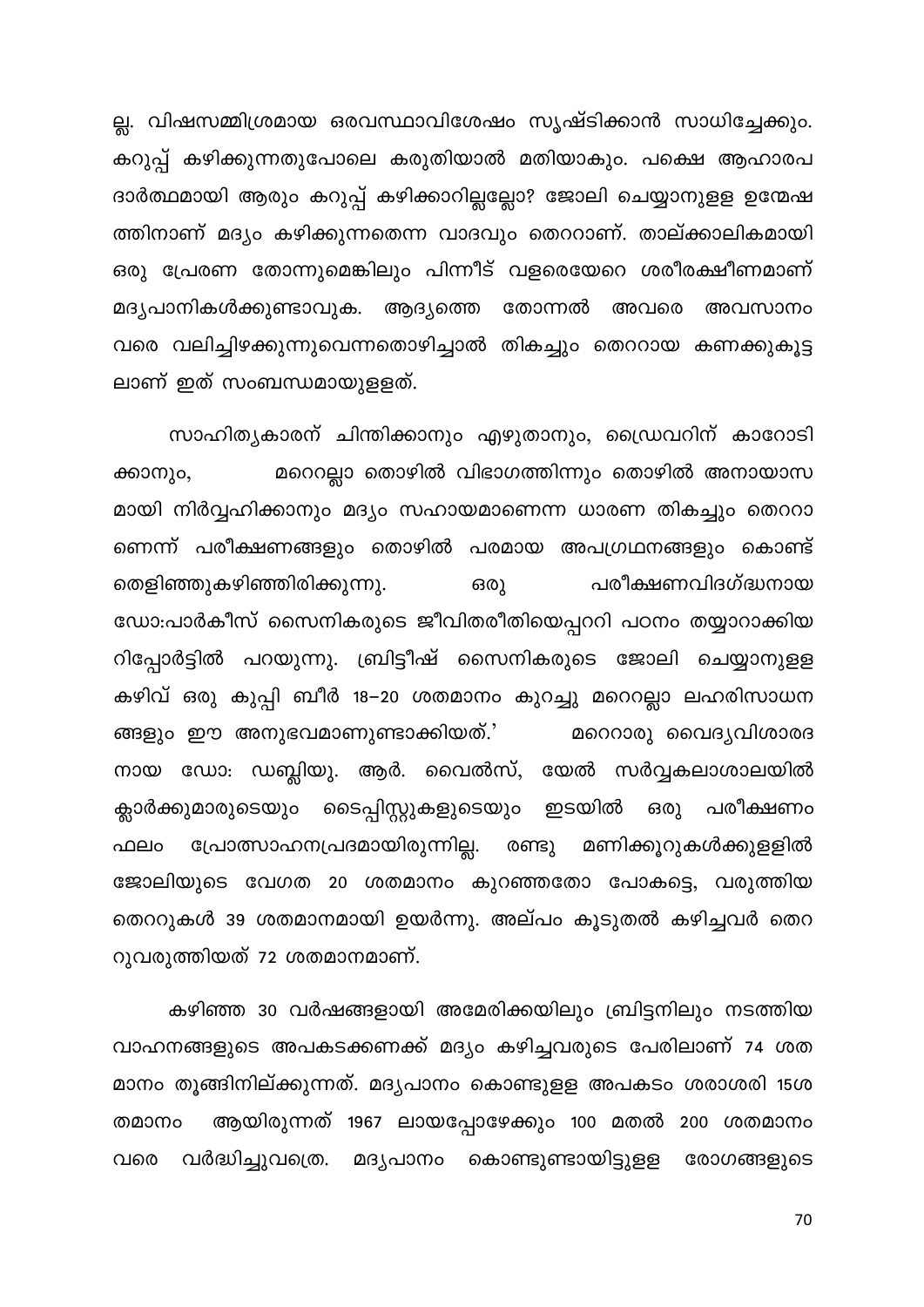ല്ല. വിഷസമ്മിശ്രമായ ഒരവസ്ഥാവിശേഷം സൃഷ്ടിക്കാൻ സാധിച്ചേക്കും. കറുപ്പ് കഴിക്കുന്നതുപോലെ കരുതിയാൽ മതിയാകും. പക്ഷെ ആഹാരപ ദാർത്ഥമായി ആരും കറുപ്പ് കഴിക്കാറില്ലല്ലോ? ജോലി ചെയ്യാനുളള ഉന്മേഷ ത്തിനാണ് മദ്യം കഴിക്കുന്നതെന്ന വാദവും തെററാണ്. താല്ക്കാലികമായി ഒരു പ്രേരണ തോന്നുമെങ്കിലും പിന്നീട് വളരെയേറെ ശരീരക്ഷീണമാണ് മദൃപാനികൾക്കുണ്ടാവുക. ആദ്യത്തെ തോന്നൽ അവരെ അവസാനം വരെ വലിച്ചിഴക്കുന്നുവെന്നതൊഴിച്ചാൽ തികച്ചും തെററായ കണക്കുകൂട്ട ലാണ് ഇത് സംബന്ധമായുളളത്.

സാഹിത്യകാരന് ചിന്തിക്കാനും എഴുതാനും, ഡ്രൈവറിന് കാറോടി മറെറല്ലാ തൊഴിൽ വിഭാഗത്തിന്നും തൊഴിൽ അനായാസ ക്കാനും, മായി നിർവ്വഹിക്കാനും മദ്യം സഹായമാണെന്ന ധാരണ തികച്ചും തെററാ ണെന്ന് പരീക്ഷണങ്ങളും തൊഴിൽ പരമായ അപഗ്രഥനങ്ങളും കൊണ്ട് തെളിഞ്ഞുകഴിഞ്ഞിരിക്കുന്നു. ഒരു പരീക്ഷണവിദഗ്ദ്ധനായ ഡോ:പാർകീസ് സൈനികരുടെ ജീവിതരീതിയെപ്പററി പഠനം തയ്യാറാക്കിയ റിപ്പോർട്ടിൽ പറയുന്നു. ബ്രിട്ടീഷ് സൈനികരുടെ ജോലി ചെയ്യാനുളള കഴിവ് ഒരു കുപ്പി ബീർ 18–20 ശതമാനം കുറച്ചു മറെറല്ലാ ലഹരിസാധന ങ്ങളും ഈ അനുഭവമാണുണ്ടാക്കിയത്.' മറെറാരു വൈദ്യവിശാരദ നായ ഡോ: ഡബ്ലിയു. ആർ. വൈൽസ്, യേൽ സർവ്വകലാശാലയിൽ ക്ലാർക്കുമാരുടെയും ടൈപ്പിസ്റ്റുകളുടെയും ഇടയിൽ ഒരു പരീക്ഷണം പ്രോത്സാഹനപ്രദമായിരുന്നില്ല. രണ്ടു മണിക്കൂറുകൾക്കുളളിൽ ഫലം ജോലിയുടെ വേഗത 20 ശതമാനം കുറഞ്ഞതോ പോകട്ടെ, വരുത്തിയ തെററുകൾ 39 ശതമാനമായി ഉയർന്നു. അല്പം കൂടുതൽ കഴിച്ചവർ തെറ റുവരുത്തിയത് 72 ശതമാനമാണ്.

കഴിഞ്ഞ 30 വർഷങ്ങളായി അമേരിക്കയിലും ബ്രിട്ടനിലും നടത്തിയ വാഹനങ്ങളുടെ അപകടക്കണക്ക് മദ്യം കഴിച്ചവരുടെ പേരിലാണ് 74 ശത മാനം തൂങ്ങിനില്ക്കുന്നത്. മദ്യപാനം കൊണ്ടുളള അപകടം ശരാശരി 15ശ ആയിരുന്നത് 1967 ലായപ്പോഴേക്കും 100 മതൽ 200 ശതമാനം തമാനം വരെ വർദ്ധിച്ചുവത്രെ. മദ്യപാനം കൊണ്ടുണ്ടായിട്ടുളള രോഗങ്ങളുടെ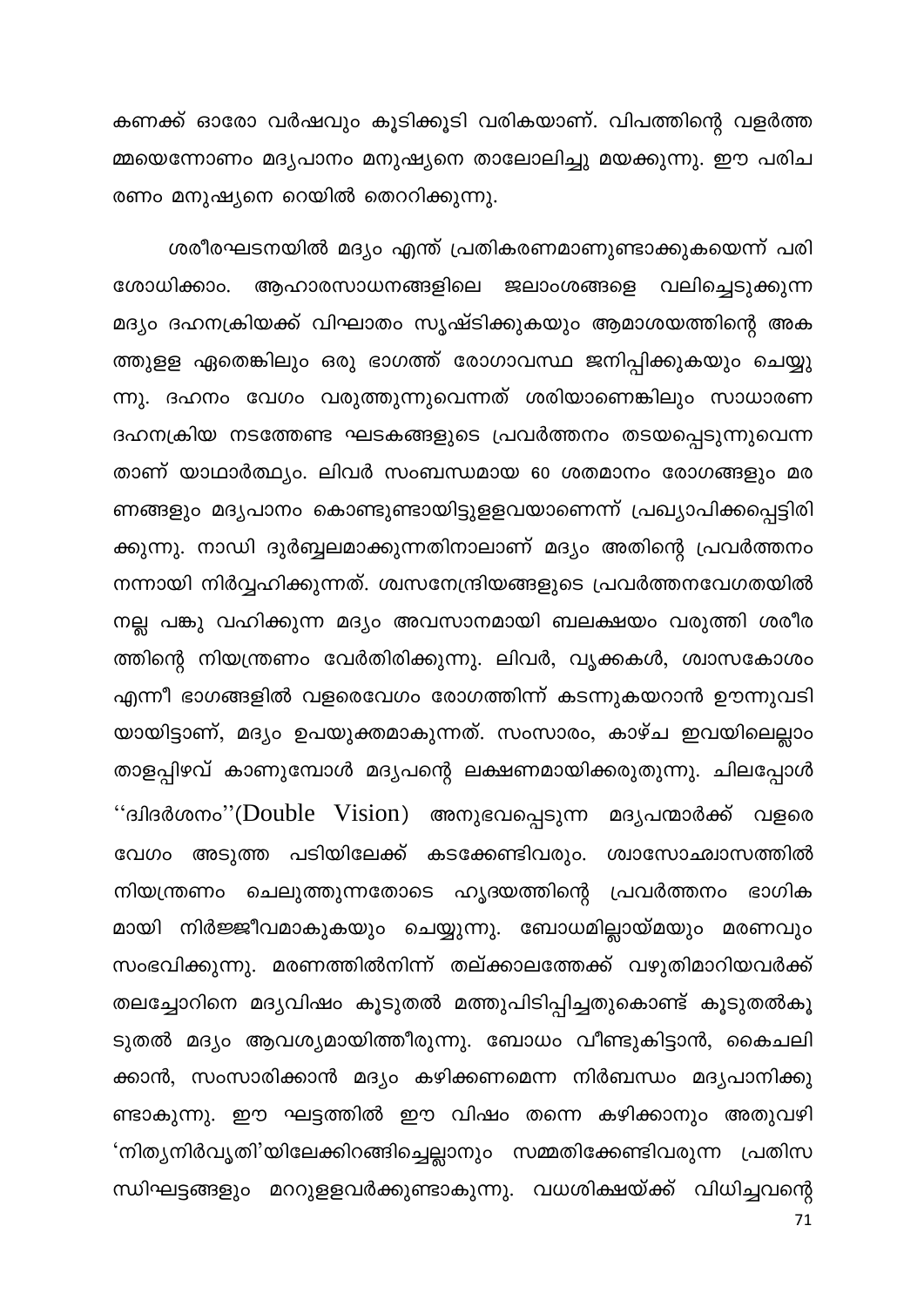കണക്ക് ഓരോ വർഷവും കൂടിക്കൂടി വരികയാണ്. വിപത്തിന്റെ വളർത്ത മ്മയെന്നോണം മദ്യപാനം മനുഷ്യനെ താലോലിച്ചു മയക്കുന്നു. ഈ പരിച രണം മനുഷ്യനെ റെയിൽ തെററിക്കുന്നു.

ശരീരഘടനയിൽ മദ്യം എന്ത് പ്രതികരണമാണുണ്ടാക്കുകയെന്ന് പരി ശോധിക്കാം. ആഹാരസാധനങ്ങളിലെ ജലാംശങ്ങളെ വലിച്ചെടുക്കുന്ന മദ്യം ദഹനക്രിയക്ക് വിഘാതം സൃഷ്ടിക്കുകയും ആമാശയത്തിന്റെ അക ത്തുളള ഏതെങ്കിലും ഒരു ഭാഗത്ത് രോഗാവസ്ഥ ജനിപ്പിക്കുകയും ചെയ്യു ന്നു. ദഹനം വേഗം വരുത്തുന്നുവെന്നത് ശരിയാണെങ്കിലും സാധാരണ ദഹനക്രിയ നടത്തേണ്ട ഘടകങ്ങളുടെ പ്രവർത്തനം തടയപ്പെടുന്നുവെന്ന താണ് യാഥാർത്ഥ്യം. ലിവർ സംബന്ധമായ 60 ശതമാനം രോഗങ്ങളും മര ണങ്ങളും മദൃപാനം കൊണ്ടുണ്ടായിട്ടുളളവയാണെന്ന് പ്രഖ്യാപിക്കപ്പെട്ടിരി ക്കുന്നു. നാഡി ദുർബ്ബലമാക്കുന്നതിനാലാണ് മദ്യം അതിന്റെ പ്രവർത്തനം നന്നായി നിർവ്വഹിക്കുന്നത്. ശ്വസനേന്ദ്രിയങ്ങളുടെ പ്രവർത്തനവേഗതയിൽ നല്ല പങ്കു വഹിക്കുന്ന മദ്യം അവസാനമായി ബലക്ഷയം വരുത്തി ശരീര ത്തിന്റെ നിയന്ത്രണം വേർതിരിക്കുന്നു. ലിവർ, വൃക്കകൾ, ശ്വാസകോശം എന്നീ ഭാഗങ്ങളിൽ വളരെവേഗം രോഗത്തിന്ന് കടന്നുകയറാൻ ഊന്നുവടി യായിട്ടാണ്, മദ്യം ഉപയുക്തമാകുന്നത്. സംസാരം, കാഴ്ച ഇവയിലെല്ലാം താളപ്പിഴവ് കാണുമ്പോൾ മദ്യപന്റെ ലക്ഷണമായിക്കരുതുന്നു. ചിലപ്പോൾ ''ദ്വിദർശനം''(Double Vision) അനുഭവപ്പെടുന്ന മദൃപന്മാർക്ക് വളരെ വേഗം അടുത്ത പടിയിലേക്ക് കടക്കേണ്ടിവരും. ശ്വാസോഛ്വാസത്തിൽ നിയന്ത്രണം ചെലുത്തുന്നതോടെ ഹൃദയത്തിന്റെ പ്രവർത്തനം ഭാഗിക മായി നിർജ്ജീവമാകുകയും ചെയ്യുന്നു. ബോധമില്ലായ്മയും മരണവും സംഭവിക്കുന്നു. മരണത്തിൽനിന്ന് തല്ക്കാലത്തേക്ക് വഴുതിമാറിയവർക്ക് തലച്ചോറിനെ മദ്യവിഷം കൂടുതൽ മത്തുപിടിപ്പിച്ചതുകൊണ്ട് കൂടുതൽകൂ ടുതൽ മദ്യം ആവശ്യമായിത്തീരുന്നു. ബോധം വീണ്ടുകിട്ടാൻ, കൈചലി ക്കാൻ, സംസാരിക്കാൻ മദ്യം കഴിക്കണമെന്ന നിർബന്ധം മദ്യപാനിക്കു ണ്ടാകുന്നു. ഈ ഘട്ടത്തിൽ ഈ വിഷം തന്നെ കഴിക്കാനും അതുവഴി 'നിത്യനിർവൃതി'യിലേക്കിറങ്ങിച്ചെല്ലാനും സമ്മതിക്കേണ്ടിവരുന്ന പ്രതിസ ന്ധിഘട്ടങ്ങളും മററുളളവർക്കുണ്ടാകുന്നു. വധശിക്ഷയ്ക്ക് വിധിച്ചവന്റെ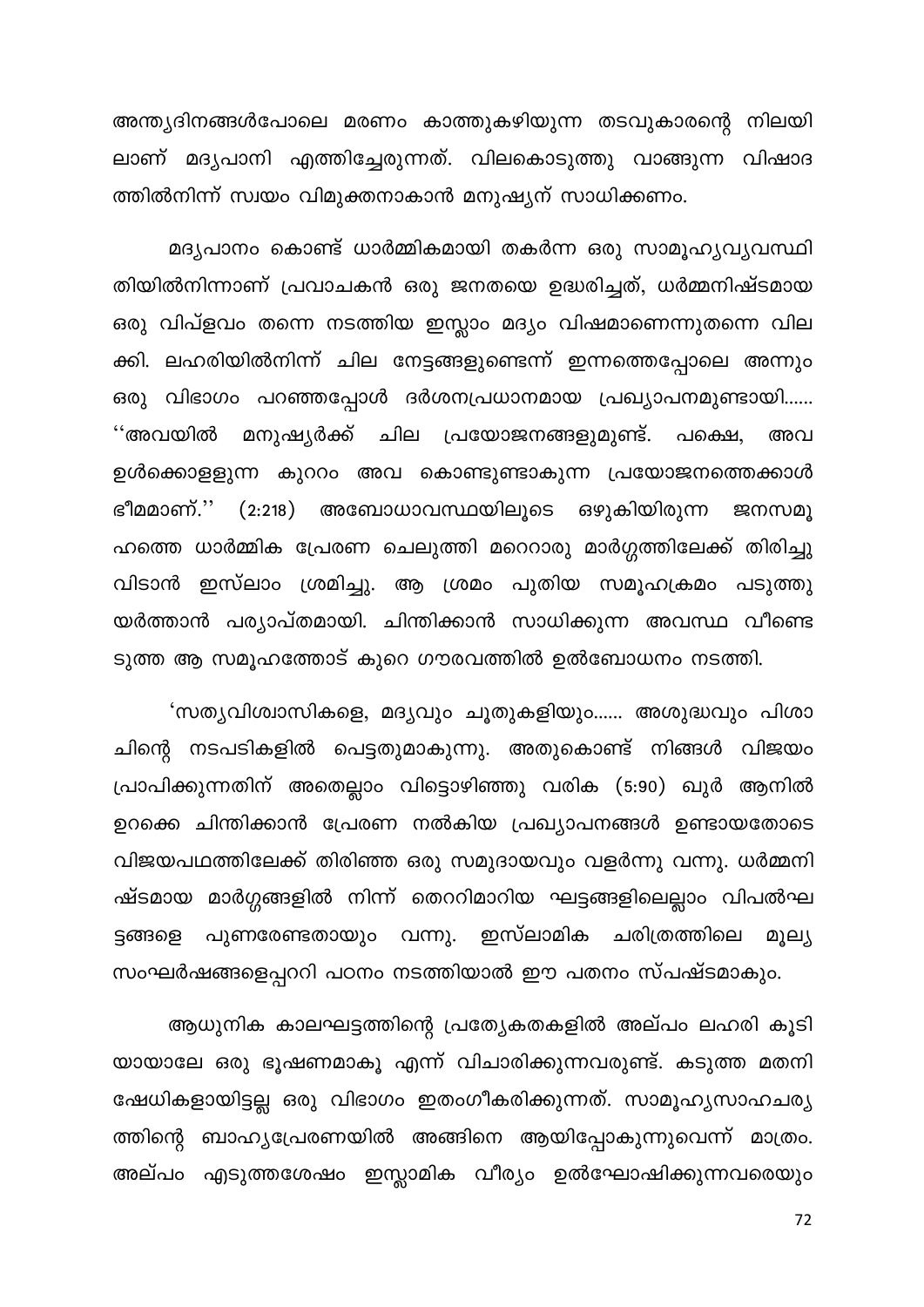അന്ത്യദിനങ്ങൾപോലെ മരണം കാത്തുകഴിയുന്ന തടവുകാരന്റെ നിലയി ലാണ് മദൃപാനി എത്തിച്ചേരുന്നത്. വിലകൊടുത്തു വാങ്ങുന്ന വിഷാദ ത്തിൽനിന്ന് സ്വയം വിമുക്തനാകാൻ മനുഷ്യന് സാധിക്കണം.

മദ്യപാനം കൊണ്ട് ധാർമ്മികമായി തകർന്ന ഒരു സാമൂഹ്യവ്യവസ്ഥി തിയിൽനിന്നാണ് പ്രവാചകൻ ഒരു ജനതയെ ഉദ്ധരിച്ചത്, ധർമ്മനിഷ്ടമായ ഒരു വിപ്ളവം തന്നെ നടത്തിയ ഇസ്ലാം മദ്യം വിഷമാണെന്നുതന്നെ വില ക്കി. ലഹരിയിൽനിന്ന് ചില നേട്ടങ്ങളുണ്ടെന്ന് ഇന്നത്തെപ്പോലെ അന്നും ഒരു വിഭാഗം പറഞ്ഞപ്പോൾ ദർശനപ്രധാനമായ പ്രഖ്യാപനമുണ്ടായി...... ''അവയിൽ മനുഷ്യർക്ക് ചില പ്രയോജനങ്ങളുമുണ്ട്. പക്ഷെ, അവ ഉൾക്കൊളളുന്ന കുററം അവ കൊണ്ടുണ്ടാകുന്ന പ്രയോജനത്തെക്കാൾ അബോധാവസ്ഥയിലൂടെ ഒഴുകിയിരുന്ന ജനസമൂ ഭീമമാണ്.'' (2:218) ഹത്തെ ധാർമ്മിക പ്രേരണ ചെലുത്തി മറെറാരു മാർഗ്ഗത്തിലേക്ക് തിരിച്ചു വിടാൻ ഇസ്ലാം ശ്രമിച്ചു. ആ ശ്രമം പുതിയ സമൂഹക്രമം പടുത്തു യർത്താൻ പര്യാപ്തമായി. ചിന്തിക്കാൻ സാധിക്കുന്ന അവസ്ഥ വീണ്ടെ ടുത്ത ആ സമൂഹത്തോട് കുറെ ഗൗരവത്തിൽ ഉൽബോധനം നടത്തി.

'സത്യവിശ്വാസികളെ, മദ്യവും ചൂതുകളിയും...... അശുദ്ധവും പിശാ ചിന്റെ നടപടികളിൽ പെട്ടതുമാകുന്നു. അതുകൊണ്ട് നിങ്ങൾ വിജയം പ്രാപിക്കുന്നതിന് അതെല്ലാം വിട്ടൊഴിഞ്ഞു വരിക (5:90) ഖുർ ആനിൽ ഉറക്കെ ചിന്തിക്കാൻ പ്രേരണ നൽകിയ പ്രഖ്യാപനങ്ങൾ ഉണ്ടായതോടെ വിജയപഥത്തിലേക്ക് തിരിഞ്ഞ ഒരു സമുദായവും വളർന്നു വന്നു. ധർമ്മനി ഷ്ടമായ മാർഗ്ഗങ്ങളിൽ നിന്ന് തെററിമാറിയ ഘട്ടങ്ങളിലെല്ലാം വിപൽഘ പുണരേണ്ടതായും വന്നു. ഇസ്ലാമിക ചരിത്രത്തിലെ ട്ടങ്ങളെ മൂല്യ സംഘർഷങ്ങളെപ്പററി പഠനം നടത്തിയാൽ ഈ പതനം സ്പഷ്ടമാകും.

ആധുനിക കാലഘട്ടത്തിന്റെ പ്രത്യേകതകളിൽ അല്പം ലഹരി കൂടി യായാലേ ഒരു ഭൂഷണമാകൂ എന്ന് വിചാരിക്കുന്നവരുണ്ട്. കടുത്ത മതനി ഷേധികളായിട്ടല്ല ഒരു വിഭാഗം ഇതംഗീകരിക്കുന്നത്. സാമൂഹ്യസാഹചര്യ ത്തിന്റെ ബാഹ്യപ്രേരണയിൽ അങ്ങിനെ ആയിപ്പോകുന്നുവെന്ന് മാത്രം. അല്പം എടുത്തശേഷം ഇസ്ലാമിക വീര്യം ഉൽഘോഷിക്കുന്നവരെയും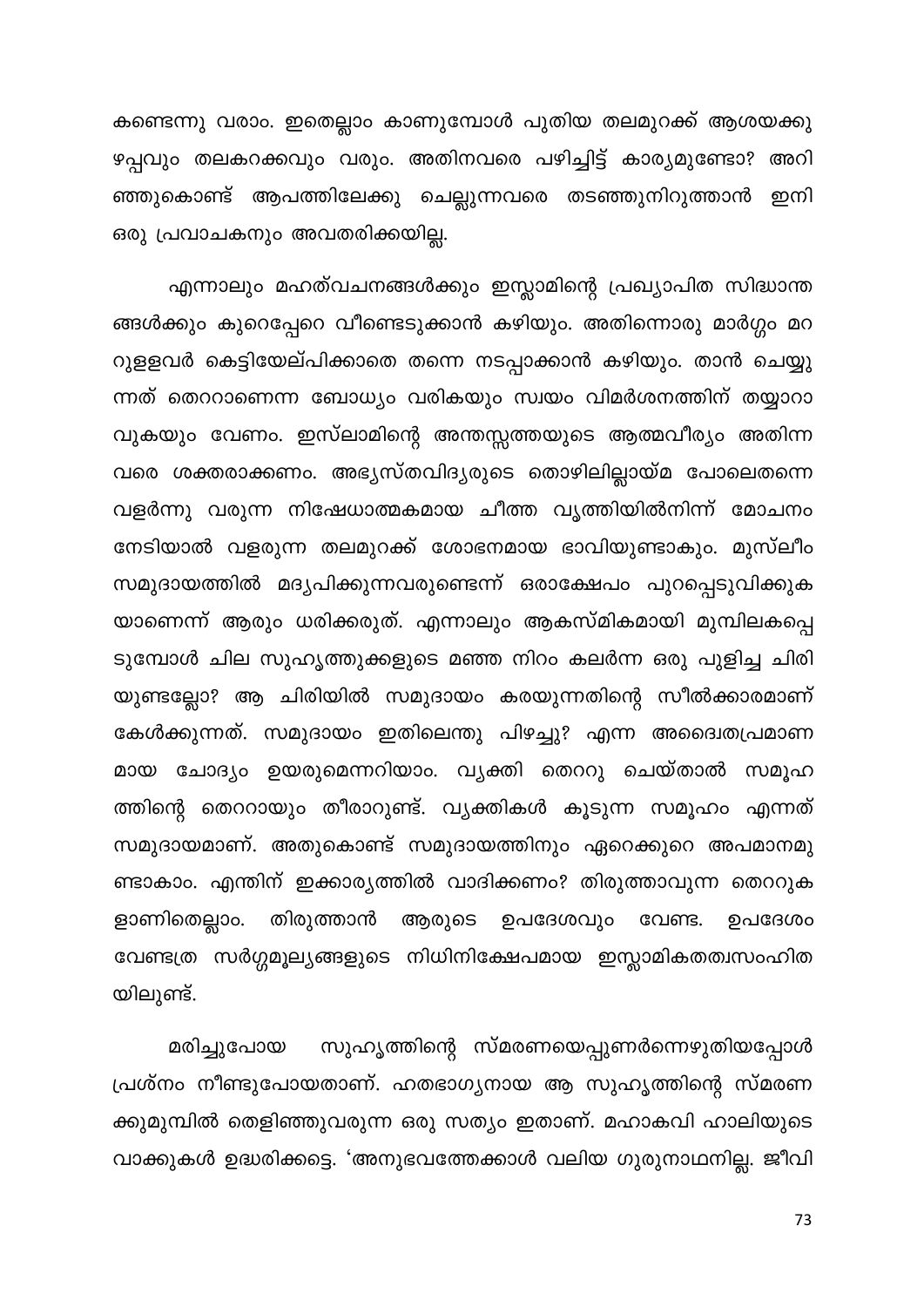കണ്ടെന്നു വരാം. ഇതെല്ലാം കാണുമ്പോൾ പുതിയ തലമുറക്ക് ആശയക്കു ഴപ്പവും തലകറക്കവും വരും. അതിനവരെ പഴിച്ചിട്ട് കാര്യമുണ്ടോ? അറി ഞ്ഞുകൊണ്ട് ആപത്തിലേക്കു ചെല്ലുന്നവരെ തടഞ്ഞുനിറുത്താൻ ഇനി ഒരു പ്രവാചകനും അവതരിക്കയില്ല.

എന്നാലും മഹത്വചനങ്ങൾക്കും ഇസ്ലാമിന്റെ പ്രഖ്യാപിത സിദ്ധാന്ത ങ്ങൾക്കും കുറെപ്പേറെ വീണ്ടെടുക്കാൻ കഴിയും. അതിന്നൊരു മാർഗ്ഗം മറ റുളളവർ കെട്ടിയേല്പിക്കാതെ തന്നെ നടപ്പാക്കാൻ കഴിയും. താൻ ചെയ്യു ന്നത് തെററാണെന്ന ബോധ്യം വരികയും സ്വയം വിമർശനത്തിന് തയ്യാറാ വുകയും വേണം. ഇസ്ലാമിന്റെ അന്തസ്സത്തയുടെ ആത്മവീര്യം അതിന്ന വരെ ശക്തരാക്കണം. അഭ്യസ്തവിദ്യരുടെ തൊഴിലില്ലായ്മ പോലെതന്നെ വളർന്നു വരുന്ന നിഷേധാത്മകമായ ചീത്ത വൃത്തിയിൽനിന്ന് മോചനം നേടിയാൽ വളരുന്ന തലമുറക്ക് ശോഭനമായ ഭാവിയുണ്ടാകും. മുസ്ലീം സമുദായത്തിൽ മദ്യപിക്കുന്നവരുണ്ടെന്ന് ഒരാക്ഷേപം പുറപ്പെടുവിക്കുക യാണെന്ന് ആരും ധരിക്കരുത്. എന്നാലും ആകസ്മികമായി മുമ്പിലകപ്പെ ടുമ്പോൾ ചില സുഹൃത്തുക്കളുടെ മഞ്ഞ നിറം കലർന്ന ഒരു പുളിച്ച ചിരി യുണ്ടല്ലോ? ആ ചിരിയിൽ സമുദായം കരയുന്നതിന്റെ സീൽക്കാരമാണ് കേൾക്കുന്നത്. സമുദായം ഇതിലെന്തു പിഴച്ചു? എന്ന അദൈ്വെതപ്രമാണ മായ ചോദ്യം ഉയരുമെന്നറിയാം. വൃക്തി തെററു ചെയ്താൽ സമൂഹ ത്തിന്റെ തെററായും തീരാറുണ്ട്. വ്യക്തികൾ കൂടുന്ന സമൂഹം എന്നത് സമുദായമാണ്. അതുകൊണ്ട് സമുദായത്തിനും ഏറെക്കുറെ അപമാനമു ണ്ടാകാം. എന്തിന് ഇക്കാര്യത്തിൽ വാദിക്കണം? തിരുത്താവുന്ന തെററുക ളാണിതെല്ലാം. തിരുത്താൻ ആരുടെ ഉപദേശവും വേണ്ട. ഉപദേശം വേണ്ടത്ര സർഗ്ഗമൂല്യങ്ങളുടെ നിധിനിക്ഷേപമായ ഇസ്ലാമികതത്വസംഹിത യിലുണ്ട്.

സുഹൃത്തിന്റെ സ്മരണയെപ്പുണർന്നെഴുതിയപ്പോൾ മരിച്ചുപോയ പ്രശ്നം നീണ്ടുപോയതാണ്. ഹതഭാഗ്യനായ ആ സുഹൃത്തിന്റെ സ്മരണ ക്കുമുമ്പിൽ തെളിഞ്ഞുവരുന്ന ഒരു സത്യം ഇതാണ്. മഹാകവി ഹാലിയുടെ വാക്കുകൾ ഉദ്ധരിക്കട്ടെ. 'അനുഭവത്തേക്കാൾ വലിയ ഗുരുനാഥനില്ല. ജീവി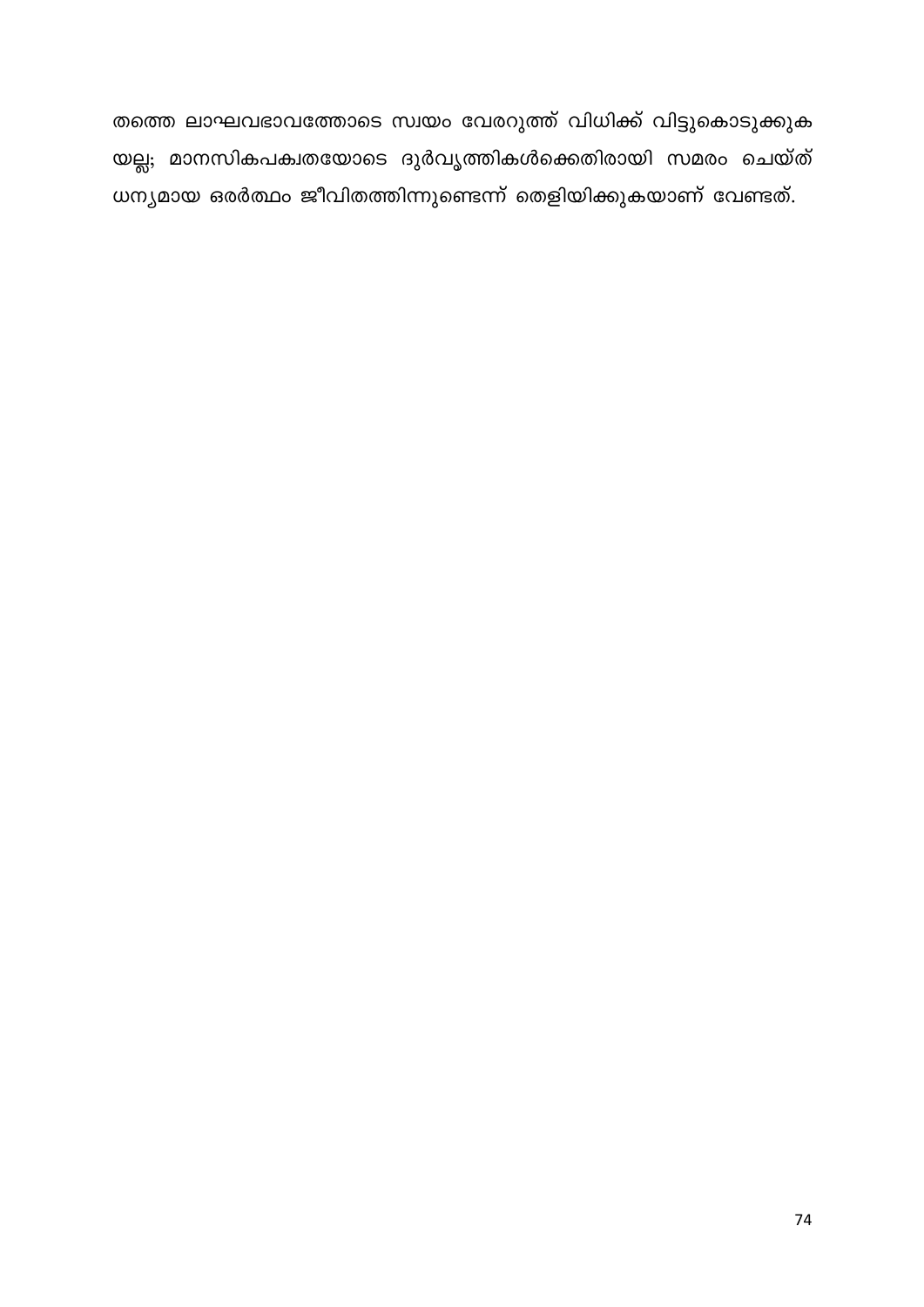തത്തെ ലാഘവഭാവത്തോടെ സ്വയം വേരറുത്ത് വിധിക്ക് വിട്ടുകൊടുക്കുക യല്ല; മാനസികപക്വതയോടെ ദുർവൃത്തികൾക്കെതിരായി സമരം ചെയ്ത് ധന്യമായ ഒരർത്ഥം ജീവിതത്തിന്നുണ്ടെന്ന് തെളിയിക്കുകയാണ് വേണ്ടത്.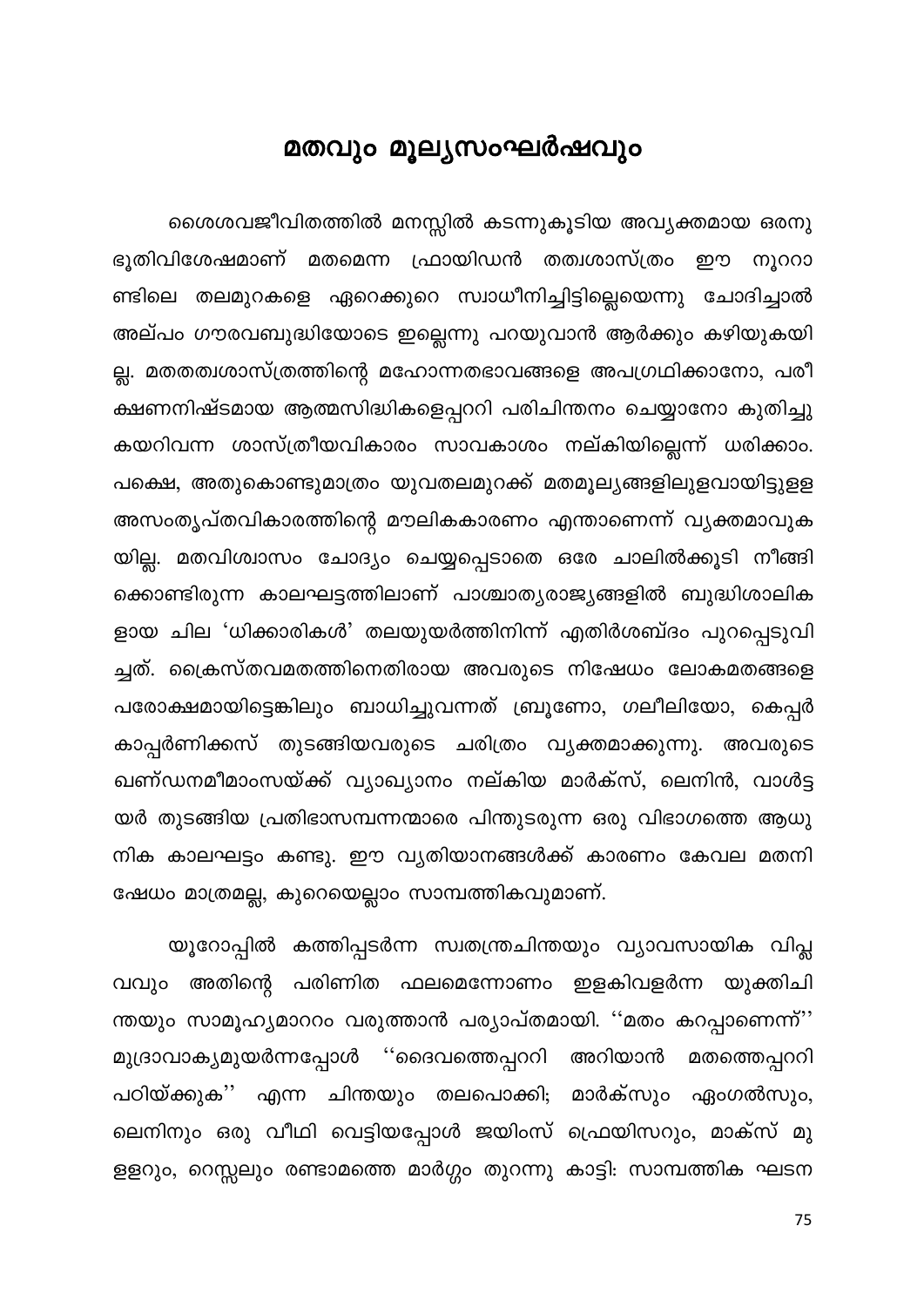# മതവും മൂല്യസംഘർഷവും

ശൈശവജീവിതത്തിൽ മനസ്സിൽ കടന്നുകൂടിയ അവ്യക്തമായ ഒരനു ഭൂതിവിശേഷമാണ് മതമെന്ന ഫ്രായിഡൻ തത്വശാസ്ത്രം ഈ നൂററാ ണ്ടിലെ തലമുറകളെ ഏറെക്കുറെ സ്വാധീനിച്ചിട്ടില്ലെയെന്നു ചോദിച്ചാൽ അല്പം ഗൗരവബുദ്ധിയോടെ ഇല്ലെന്നു പറയുവാൻ ആർക്കും കഴിയുകയി ല്ല. മതതത്വശാസ്ത്രത്തിന്റെ മഹോന്നതഭാവങ്ങളെ അപഗ്രഥിക്കാനോ, പരീ ക്ഷണനിഷ്ടമായ ആത്മസിദ്ധികളെപ്പററി പരിചിന്തനം ചെയ്യാനോ കുതിച്ചു കയറിവന്ന ശാസ്ത്രീയവികാരം സാവകാശം നല്കിയില്ലെന്ന് ധരിക്കാം. പക്ഷെ, അതുകൊണ്ടുമാത്രം യുവതലമുറക്ക് മതമൂല്യങ്ങളിലുളവായിട്ടുളള അസംതൃപ്തവികാരത്തിന്റെ മൗലികകാരണം എന്താണെന്ന് വ്യക്തമാവുക യില്ല. മതവിശ്വാസം ചോദ്യം ചെയ്യപ്പെടാതെ ഒരേ ചാലിൽക്കൂടി നീങ്ങി ക്കൊണ്ടിരുന്ന കാലഘട്ടത്തിലാണ് പാശ്ചാത്യരാജ്യങ്ങളിൽ ബുദ്ധിശാലിക ളായ ചില 'ധിക്കാരികൾ' തലയുയർത്തിനിന്ന് എതിർശബ്ദം പുറപ്പെടുവി ച്ചത്. ക്രൈസ്തവമതത്തിനെതിരായ അവരുടെ നിഷേധം ലോകമതങ്ങളെ പരോക്ഷമായിട്ടെങ്കിലും ബാധിച്ചുവന്നത് ബ്രൂണോ, ഗലീലിയോ, കെപ്പർ കാപ്പർണിക്കസ് തുടങ്ങിയവരുടെ ചരിത്രം വ്യക്തമാക്കുന്നു. അവരുടെ ഖണ്ഡനമീമാംസയ്ക്ക് വ്യാഖ്യാനം നല്കിയ മാർക്സ്, ലെനിൻ, വാൾട്ട യർ തുടങ്ങിയ പ്രതിഭാസമ്പന്നന്മാരെ പിന്തുടരുന്ന ഒരു വിഭാഗത്തെ ആധു നിക കാലഘട്ടം കണ്ടു. ഈ വൃതിയാനങ്ങൾക്ക് കാരണം കേവല മതനി ഷേധം മാത്രമല്ല, കുറെയെല്ലാം സാമ്പത്തികവുമാണ്.

യൂറോപ്പിൽ കത്തിപ്പടർന്ന സ്വതന്ത്രചിന്തയും വ്യാവസായിക വിപ്ല വവും അതിന്റെ പരിണിത ഫലമെന്നോണം ഇളകിവളർന്ന യുക്തിചി ന്തയും സാമൂഹ്യമാററം വരുത്താൻ പര്യാപ്തമായി. ''മതം കറപ്പാണെന്ന്'' മുദ്രാവാക്യമുയർന്നപ്പോൾ ''ദൈവത്തെപ്പററി അറിയാൻ മതത്തെപ്പററി പഠിയ്ക്കുക'' എന്ന ചിന്തയും തലപൊക്കി; മാർക്സും ഏംഗൽസും, ലെനിനും ഒരു വീഥി വെട്ടിയപ്പോൾ ജയിംസ് ഫ്രെയിസറും, മാക്സ് മു ളളറും, റെസ്സലും രണ്ടാമത്തെ മാർഗ്ഗം തുറന്നു കാട്ടി: സാമ്പത്തിക ഘടന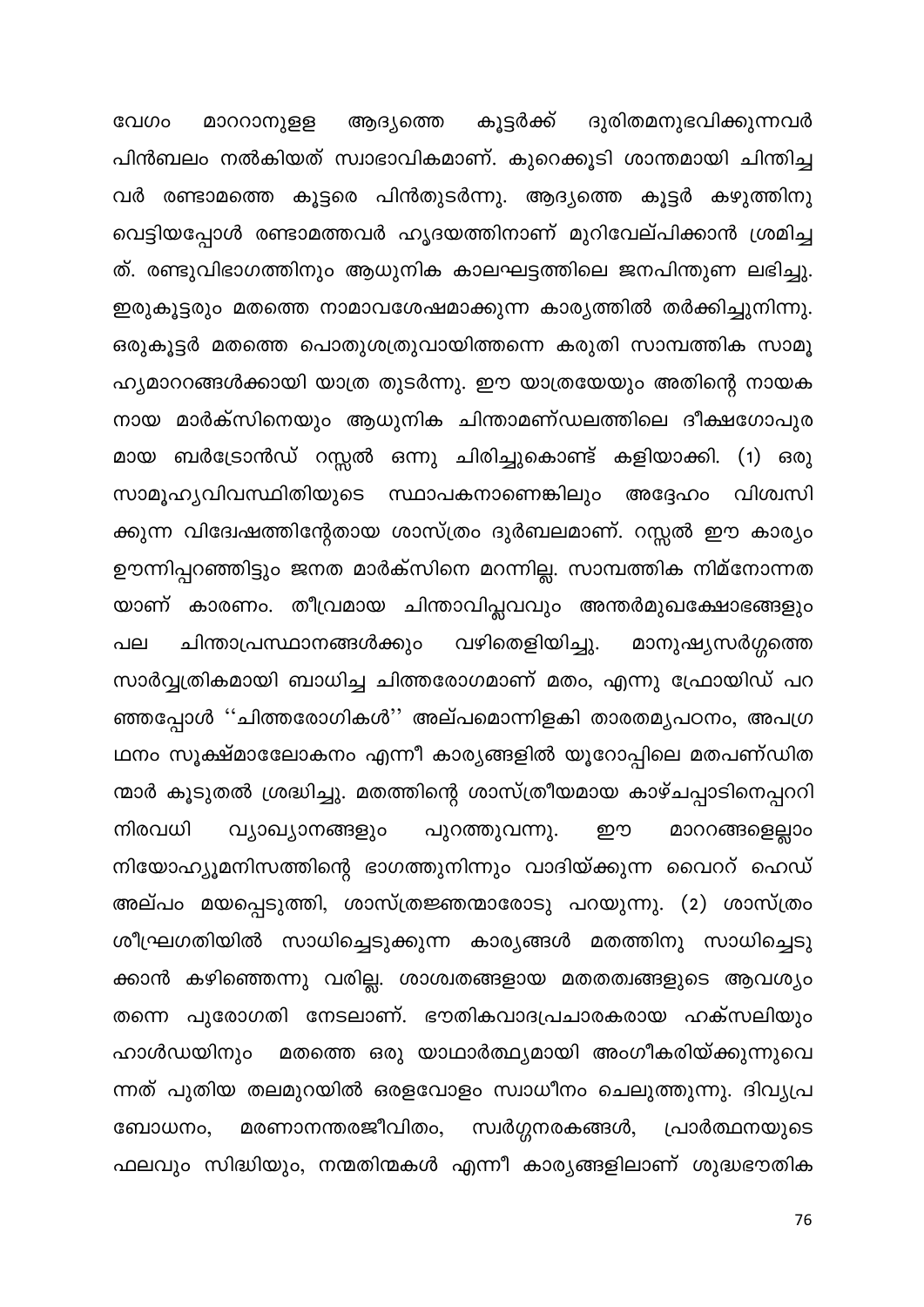വേഗം മാററാനുളള ആദ്യത്തെ കൂട്ടർക്ക് ദുരിതമനുഭവിക്കുന്നവർ പിൻബലം നൽകിയത് സ്വാഭാവികമാണ്. കുറെക്കൂടി ശാന്തമായി ചിന്തിച്ച വർ രണ്ടാമത്തെ കൂട്ടരെ പിൻതുടർന്നു. ആദ്യത്തെ കൂട്ടർ കഴുത്തിനു വെട്ടിയപ്പോൾ രണ്ടാമത്തവർ ഹൃദയത്തിനാണ് മുറിവേല്പിക്കാൻ ശ്രമിച്ച ത്. രണ്ടുവിഭാഗത്തിനും ആധുനിക കാലഘട്ടത്തിലെ ജനപിന്തുണ ലഭിച്ചു. ഇരുകൂട്ടരും മതത്തെ നാമാവശേഷമാക്കുന്ന കാര്യത്തിൽ തർക്കിച്ചുനിന്നു. ഒരുകൂട്ടർ മതത്തെ പൊതുശത്രുവായിത്തന്നെ കരുതി സാമ്പത്തിക സാമൂ ഹ്യമാററങ്ങൾക്കായി യാത്ര തുടർന്നു. ഈ യാത്രയേയും അതിന്റെ നായക നായ മാർക്സിനെയും ആധുനിക ചിന്താമണ്ഡലത്തിലെ ദീക്ഷഗോപുര മായ ബർട്രോൻഡ് റസ്സൽ ഒന്നു ചിരിച്ചുകൊണ്ട് കളിയാക്കി. (1) ഒരു സാമൂഹ്യവിവസ്ഥിതിയുടെ സ്ഥാപകനാണെങ്കിലും അദ്ദേഹം വിശ്വസി ക്കുന്ന വിദേഃഷത്തിന്റേതായ ശാസ്ത്രം ദുർബലമാണ്. റസ്സൽ ഈ കാര്യം ഊന്നിപ്പറഞ്ഞിട്ടും ജനത മാർക്സിനെ മറന്നില്ല. സാമ്പത്തിക നിമ്നോന്നത യാണ് കാരണം. തീവ്രമായ ചിന്താവിപ്ലവവും അന്തർമുഖക്ഷോഭങ്ങളും ചിന്താപ്രസ്ഥാനങ്ങൾക്കും വഴിതെളിയിച്ചു. മാനുഷ്യസർഗ്ഗത്തെ പല സാർവ്വത്രികമായി ബാധിച്ച ചിത്തരോഗമാണ് മതം, എന്നു ഫ്രോയിഡ് പറ ഞ്ഞപ്പോൾ ''ചിത്തരോഗികൾ'' അല്പമൊന്നിളകി താരതമൃപഠനം, അപഗ്ര ഥനം സൂക്ഷ്മാലോേകനം എന്നീ കാര്യങ്ങളിൽ യൂറോപ്പിലെ മതപണ്ഡിത ന്മാർ കൂടുതൽ ശ്രദ്ധിച്ചു. മതത്തിന്റെ ശാസ്ത്രീയമായ കാഴ്ചപ്പാടിനെപ്പററി നിരവധി മാററങ്ങളെല്ലാം വ്യാഖ്യാനങ്ങളും പുറത്തുവന്നു. ഈ നിയോഹ്യൂമനിസത്തിന്റെ ഭാഗത്തുനിന്നും വാദിയ്ക്കുന്ന വൈററ് ഹെഡ് അല്പം മയപ്പെടുത്തി, ശാസ്ത്രജ്ഞന്മാരോടു പറയുന്നു. (2) ശാസ്ത്രം ശീഘ്രഗതിയിൽ സാധിച്ചെടുക്കുന്ന കാര്യങ്ങൾ മതത്തിനു സാധിച്ചെടു ക്കാൻ കഴിഞ്ഞെന്നു വരില്ല. ശാശ്വതങ്ങളായ മതതത്വങ്ങളുടെ ആവശ്യം തന്നെ പുരോഗതി നേടലാണ്. ഭൗതികവാദപ്രചാരകരായ ഹക്സലിയും ഹാൾഡയിനും മതത്തെ ഒരു യാഥാർത്ഥ്യമായി അംഗീകരിയ്ക്കുന്നുവെ ന്നത് പുതിയ തലമുറയിൽ ഒരളവോളം സ്വാധീനം ചെലുത്തുന്നു. ദിവ്യപ്ര മരണാനന്തരജീവിതം, സ്വർഗ്ഗനരകങ്ങൾ, ബോധനം, പ്രാർത്ഥനയുടെ ഫലവും സിദ്ധിയും, നന്മതിന്മകൾ എന്നീ കാര്യങ്ങളിലാണ് ശുദ്ധഭൗതിക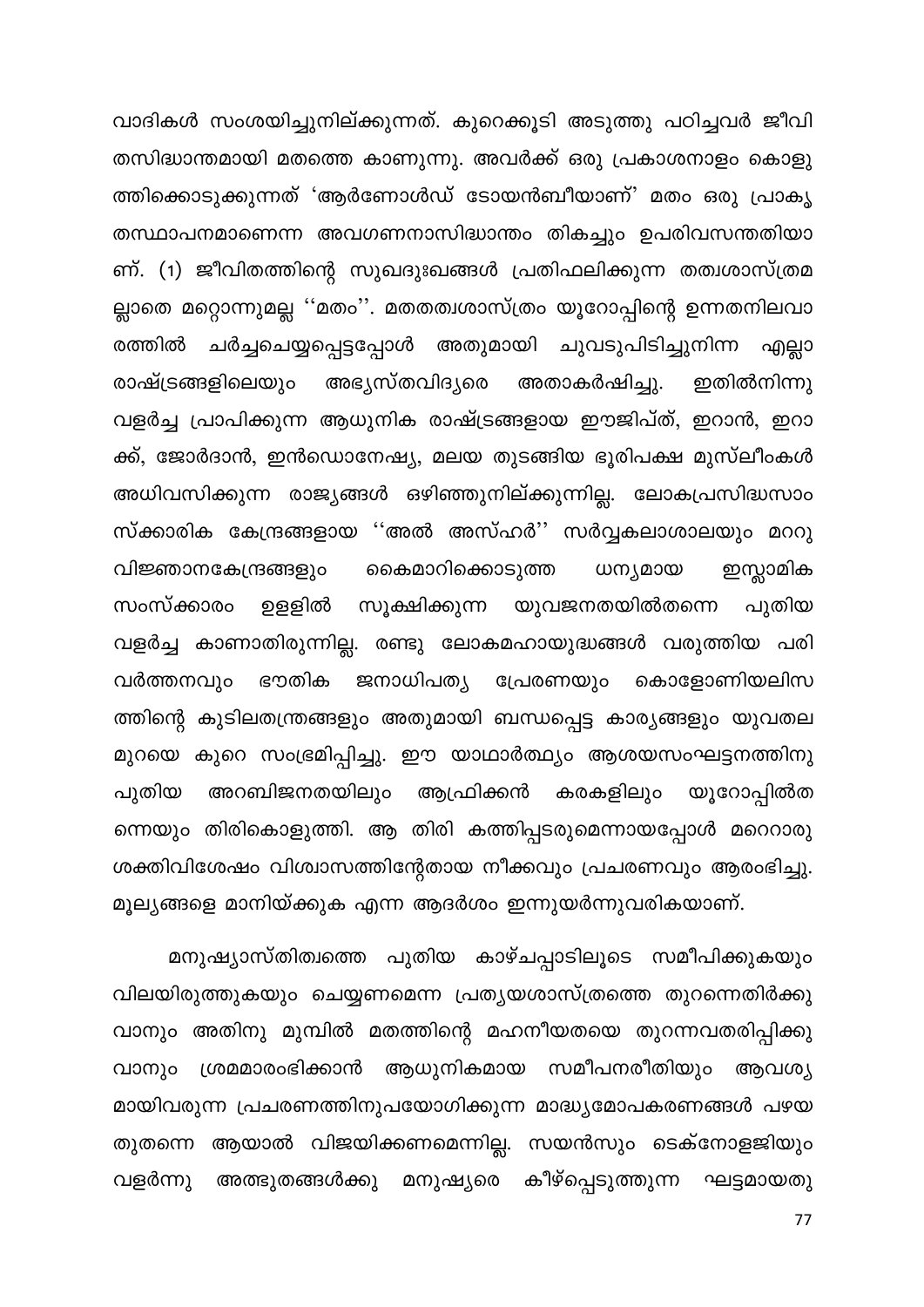വാദികൾ സംശയിച്ചുനില്ക്കുന്നത്. കുറെക്കൂടി അടുത്തു പഠിച്ചവർ ജീവി തസിദ്ധാന്തമായി മതത്തെ കാണുന്നു. അവർക്ക് ഒരു പ്രകാശനാളം കൊളു ത്തിക്കൊടുക്കുന്നത് 'ആർണോൾഡ് ടോയൻബീയാണ്' മതം ഒരു പ്രാകൃ തസ്ഥാപനമാണെന്ന അവഗണനാസിദ്ധാന്തം തികച്ചും ഉപരിവസന്തതിയാ ണ്. (1) ജീവിതത്തിന്റെ സുഖദുഃഖങ്ങൾ പ്രതിഫലിക്കുന്ന തത്വശാസ്ത്രമ ല്ലാതെ മറ്റൊന്നുമല്ല ''മതം''. മതതത്വശാസ്ത്രം യൂറോപ്പിന്റെ ഉന്നതനിലവാ ചർച്ചചെയ്യപ്പെട്ടപ്പോൾ അതുമായി ചുവടുപിടിച്ചുനിന്ന എല്ലാ രത്തിൽ രാഷ്ട്രങ്ങളിലെയും അഭ്യസ്തവിദ്യരെ അതാകർഷിച്ചു. ഇതിൽനിന്നു വളർച്ച പ്രാപിക്കുന്ന ആധുനിക രാഷ്ട്രങ്ങളായ ഈജിപ്ത്, ഇറാൻ, ഇറാ ക്ക്, ജോർദാൻ, ഇൻഡൊനേഷ്യ, മലയ തുടങ്ങിയ ഭൂരിപക്ഷ മുസ്ലീംകൾ അധിവസിക്കുന്ന രാജ്യങ്ങൾ ഒഴിഞ്ഞുനില്ക്കുന്നില്ല. ലോകപ്രസിദ്ധസാം സ്ക്കാരിക കേന്ദ്രങ്ങളായ ''അൽ അസ്ഹർ'' സർവ്വകലാശാലയും മററു ഇസ്സാമിക വിജ്ഞാനകേന്ദ്രങ്ങളും കൈമാറിക്കൊടുത്ത ധന്യമായ സംസ്ക്കാരം ഉളളിൽ സൂക്ഷിക്കുന്ന യുവജനതയിൽതന്നെ പുതിയ വളർച്ച കാണാതിരുന്നില്ല. രണ്ടു ലോകമഹായുദ്ധങ്ങൾ വരുത്തിയ പരി ജനാധിപത്യ പ്രേരണയും കൊളോണിയലിസ വർത്തനവും ഭൗതിക ത്തിന്റെ കുടിലതന്ത്രങ്ങളും അതുമായി ബന്ധപ്പെട്ട കാര്യങ്ങളും യുവതല മുറയെ കുറെ സംഭ്രമിപ്പിച്ചു. ഈ യാഥാർത്ഥ്യം ആശയസംഘട്ടനത്തിനു അറബിജനതയിലും ആഫ്രിക്കൻ കരകളിലും പുതിയ യൂറോപ്പിൽത ന്നെയും തിരികൊളുത്തി. ആ തിരി കത്തിപ്പടരുമെന്നായപ്പോൾ മറെറാരു ശക്തിവിശേഷം വിശ്വാസത്തിന്റേതായ നീക്കവും പ്രചരണവും ആരംഭിച്ചു. മൂല്യങ്ങളെ മാനിയ്ക്കുക എന്ന ആദർശം ഇന്നുയർന്നുവരികയാണ്.

മനുഷ്യാസ്തിത്വത്തെ പുതിയ കാഴ്ചപ്പാടിലൂടെ സമീപിക്കുകയും വിലയിരുത്തുകയും ചെയ്യണമെന്ന പ്രത്യയശാസ്ത്രത്തെ തുറന്നെതിർക്കു വാനും അതിനു മുമ്പിൽ മതത്തിന്റെ മഹനീയതയെ തുറന്നവതരിപ്പിക്കു വാനും ശ്രമമാരംഭിക്കാൻ ആധുനികമായ സമീപനരീതിയും ആവശ്യ മായിവരുന്ന പ്രചരണത്തിനുപയോഗിക്കുന്ന മാദ്ധ്യമോപകരണങ്ങൾ പഴയ തുതന്നെ ആയാൽ വിജയിക്കണമെന്നില്ല. സയൻസും ടെക്നോളജിയും വളർന്നു അത്ഭുതങ്ങൾക്കു മനുഷ്യരെ കീഴ്പ്പെടുത്തുന്ന ഘട്ടമായതു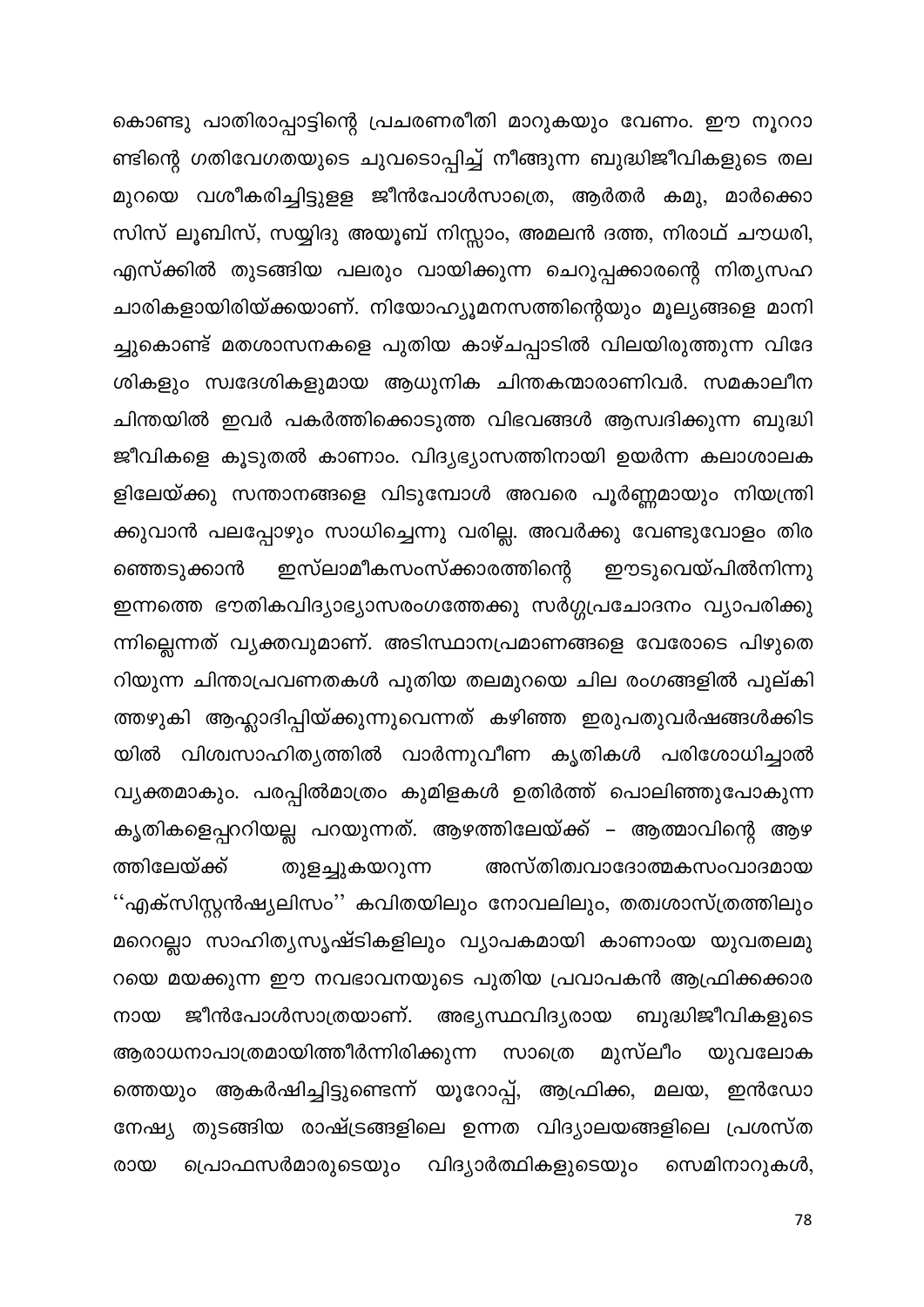കൊണ്ടു പാതിരാപ്പാട്ടിന്റെ പ്രചരണരീതി മാറുകയും വേണം. ഈ നൂററാ ണ്ടിന്റെ ഗതിവേഗതയുടെ ചുവടൊപ്പിച്ച് നീങ്ങുന്ന ബുദ്ധിജീവികളുടെ തല മുറയെ വശീകരിച്ചിട്ടുളള ജീൻപോൾസാത്രെ, ആർതർ കമു, മാർക്കൊ സിസ് ലൂബിസ്, സയ്യിദു അയൂബ് നിസ്സാം, അമലൻ ദത്ത, നിരാഥ് ചൗധരി, എസ്ക്കിൽ തുടങ്ങിയ പലരും വായിക്കുന്ന ചെറുപ്പക്കാരന്റെ നിതൃസഹ ചാരികളായിരിയ്ക്കയാണ്. നിയോഹ്യൂമനസത്തിന്റെയും മൂല്യങ്ങളെ മാനി ച്ചുകൊണ്ട് മതശാസനകളെ പുതിയ കാഴ്ചപ്പാടിൽ വിലയിരുത്തുന്ന വിദേ ശികളും സ്വദേശികളുമായ ആധുനിക ചിന്തകന്മാരാണിവർ. സമകാലീന ചിന്തയിൽ ഇവർ പകർത്തിക്കൊടുത്ത വിഭവങ്ങൾ ആസ്വദിക്കുന്ന ബുദ്ധി ജീവികളെ കൂടുതൽ കാണാം. വിദ്യഭ്യാസത്തിനായി ഉയർന്ന കലാശാലക ളിലേയ്ക്കു സന്താനങ്ങളെ വിടുമ്പോൾ അവരെ പൂർണ്ണമായും നിയന്ത്രി ക്കുവാൻ പലപ്പോഴും സാധിച്ചെന്നു വരില്ല. അവർക്കു വേണ്ടുവോളം തിര ഇസ്ലാമീകസംസ്ക്കാരത്തിന്റെ ഞ്ഞെടുക്കാൻ . ഈടുവെയ്പിൽനിന്നു ഇന്നത്തെ ഭൗതികവിദ്യാഭ്യാസരംഗത്തേക്കു സർഗ്ഗപ്രചോദനം വ്യാപരിക്കു ന്നില്ലെന്നത് വ്യക്തവുമാണ്. അടിസ്ഥാനപ്രമാണങ്ങളെ വേരോടെ പിഴുതെ റിയുന്ന ചിന്താപ്രവണതകൾ പുതിയ തലമുറയെ ചില രംഗങ്ങളിൽ പുല്കി ത്തഴുകി ആഹ്ലാദിപ്പിയ്ക്കുന്നുവെന്നത് കഴിഞ്ഞ ഇരുപതുവർഷങ്ങൾക്കിട യിൽ വിശ്വസാഹിത്യത്തിൽ വാർന്നുവീണ കൃതികൾ പരിശോധിച്ചാൽ വ്യക്തമാകും. പരപ്പിൽമാത്രം കുമിളകൾ ഉതിർത്ത് പൊലിഞ്ഞുപോകുന്ന കൃതികളെപ്പററിയല്ല പറയുന്നത്. ആഴത്തിലേയ്ക്ക് – ആത്മാവിന്റെ ആഴ അസ്തിത്വവാദോത്മകസംവാദമായ ത്തിലേയ്ക്ക് തുളച്ചുകയറുന്ന ''എക്സിസ്റ്റൻഷ്യലിസം'' കവിതയിലും നോവലിലും, തത്വശാസ്ത്രത്തിലും മറെറല്ലാ സാഹിത്യസൃഷ്ടികളിലും വ്യാപകമായി കാണാംയ യുവതലമു റയെ മയക്കുന്ന ഈ നവഭാവനയുടെ പുതിയ പ്രവാപകൻ ആഫ്രിക്കക്കാര ജീൻപോൾസാത്രയാണ്. അഭ്യസ്ഥവിദ്യരായ ബുദ്ധിജീവികളുടെ നായ ആരാധനാപാത്രമായിത്തീർന്നിരിക്കുന്ന സാത്രെ മുസ്ലീം യുവലോക ത്തെയും ആകർഷിച്ചിട്ടുണ്ടെന്ന് യൂറോപ്പ്, ആഫ്രിക്ക, മലയ, ഇൻഡോ നേഷ്യ തുടങ്ങിയ രാഷ്ട്രങ്ങളിലെ ഉന്നത വിദ്യാലയങ്ങളിലെ പ്രശസ്ത വിദ്യാർത്ഥികളുടെയും രായ പ്രൊഫസർമാരുടെയും സെമിനാറുകൾ,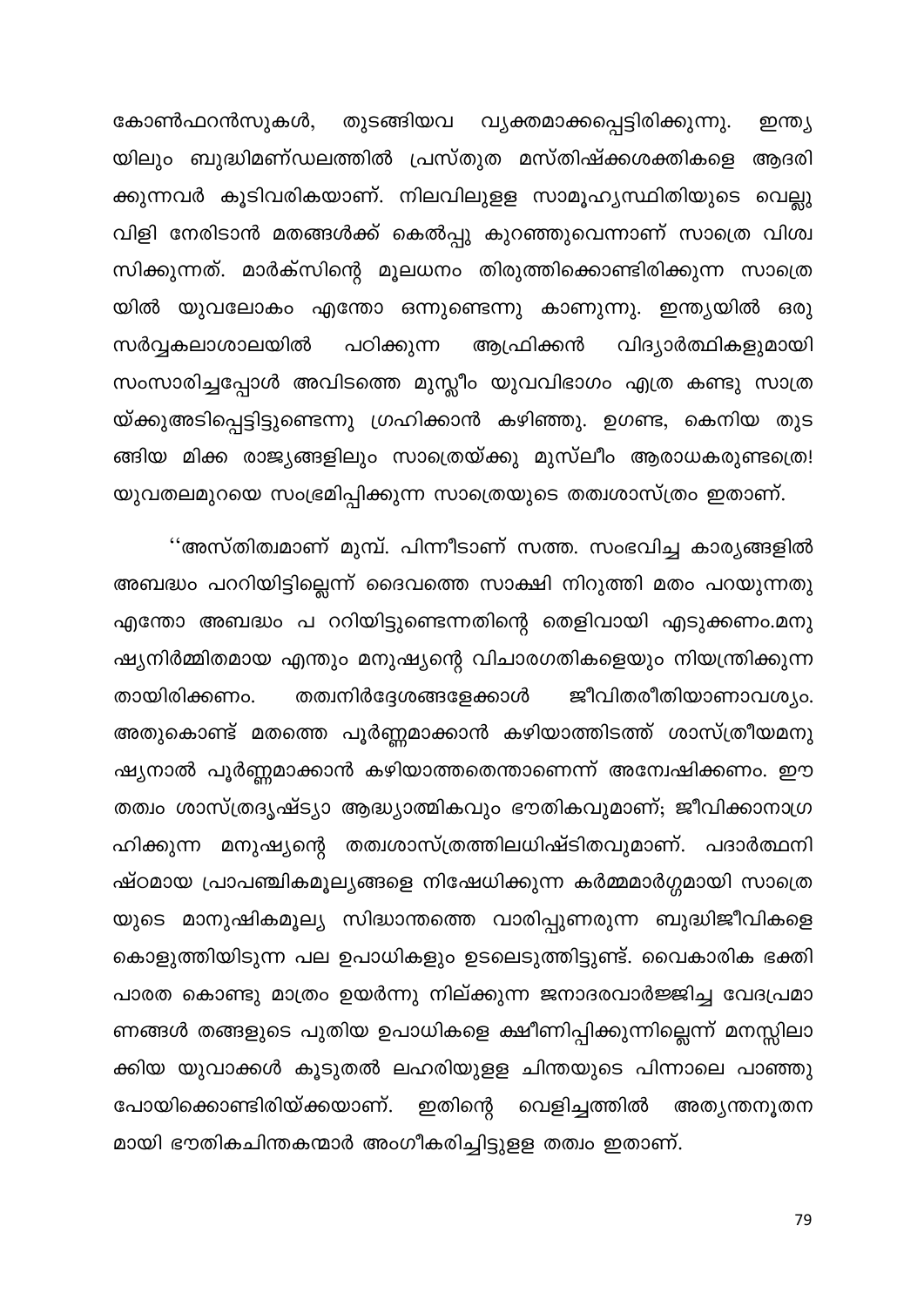തുടങ്ങിയവ വ്യക്തമാക്കപ്പെട്ടിരിക്കുന്നു. കോൺഫറൻസുകൾ, ഇന്ത്യ യിലും ബുദ്ധിമണ്ഡലത്തിൽ പ്രസ്തുത മസ്തിഷ്ക്കശക്തികളെ ആദരി ക്കുന്നവർ കൂടിവരികയാണ്. നിലവിലുളള സാമൂഹ്യസ്ഥിതിയുടെ വെല്ലു വിളി നേരിടാൻ മതങ്ങൾക്ക് കെൽപ്പു കുറഞ്ഞുവെന്നാണ് സാത്രെ വിശ്വ സിക്കുന്നത്. മാർക്സിന്റെ മൂലധനം തിരുത്തിക്കൊണ്ടിരിക്കുന്ന സാത്രെ യിൽ യുവലോകം എന്തോ ഒന്നുണ്ടെന്നു കാണുന്നു. ഇന്ത്യയിൽ ഒരു പഠിക്കുന്ന സർവ്വകലാശാലയിൽ ആഫ്രിക്കൻ വിദ്യാർത്ഥികളുമായി സംസാരിച്ചപ്പോൾ അവിടത്തെ മുസ്ലീം യുവവിഭാഗം എത്ര കണ്ടു സാത്ര യ്ക്കുഅടിപ്പെട്ടിട്ടുണ്ടെന്നു ഗ്രഹിക്കാൻ കഴിഞ്ഞു. ഉഗണ്ട, കെനിയ തുട ങ്ങിയ മിക്ക രാജ്യങ്ങളിലും സാത്രെയ്ക്കു മുസ്ലീം ആരാധകരുണ്ടത്രെ! യുവതലമുറയെ സംഭ്രമിപ്പിക്കുന്ന സാത്രെയുടെ തത്വശാസ്ത്രം ഇതാണ്.

''അസ്തിത്വമാണ് മുമ്പ്. പിന്നീടാണ് സത്ത. സംഭവിച്ച കാര്യങ്ങളിൽ അബദ്ധം പററിയിട്ടില്ലെന്ന് ദൈവത്തെ സാക്ഷി നിറുത്തി മതം പറയുന്നതു എന്തോ അബദ്ധം പ ററിയിട്ടുണ്ടെന്നതിന്റെ തെളിവായി എടുക്കണം.മനു ഷ്യനിർമ്മിതമായ എന്തും മനുഷ്യന്റെ വിചാരഗതികളെയും നിയന്ത്രിക്കുന്ന തത്വനിർദ്ദേശങ്ങളേക്കാൾ ജീവിതരീതിയാണാവശ്യം. തായിരിക്കണം. അതുകൊണ്ട് മതത്തെ പൂർണ്ണമാക്കാൻ കഴിയാത്തിടത്ത് ശാസ്ത്രീയമനു ഷ്യനാൽ പൂർണ്ണമാക്കാൻ കഴിയാത്തതെന്താണെന്ന് അമ്പേഷിക്കണം. ഈ തത്വം ശാസ്ത്രദൃഷ്ട്യാ ആദ്ധ്യാത്മികവും ഭൗതികവുമാണ്; ജീവിക്കാനാഗ്ര ഹിക്കുന്ന മനുഷ്യന്റെ തത്വശാസ്ത്രത്തിലധിഷ്ടിതവുമാണ്. പദാർത്ഥനി ഷ്ഠമായ പ്രാപഞ്ചികമൂല്യങ്ങളെ നിഷേധിക്കുന്ന കർമ്മമാർഗ്ഗമായി സാത്രെ യുടെ മാനുഷികമൂല്യ സിദ്ധാന്തത്തെ വാരിപ്പുണരുന്ന ബുദ്ധിജീവികളെ കൊളുത്തിയിടുന്ന പല ഉപാധികളും ഉടലെടുത്തിട്ടുണ്ട്. വൈകാരിക ഭക്തി പാരത കൊണ്ടു മാത്രം ഉയർന്നു നില്ക്കുന്ന ജനാദരവാർജ്ജിച്ച വേദപ്രമാ ണങ്ങൾ തങ്ങളുടെ പുതിയ ഉപാധികളെ ക്ഷീണിപ്പിക്കുന്നില്ലെന്ന് മനസ്സിലാ ക്കിയ യുവാക്കൾ കൂടുതൽ ലഹരിയുളള ചിന്തയുടെ പിന്നാലെ പാഞ്ഞു പോയിക്കൊണ്ടിരിയ്ക്കയാണ്. ഇതിന്റെ വെളിച്ചത്തിൽ അത്യന്തനൂതന മായി ഭൗതികചിന്തകന്മാർ അംഗീകരിച്ചിട്ടുളള തത്വം ഇതാണ്.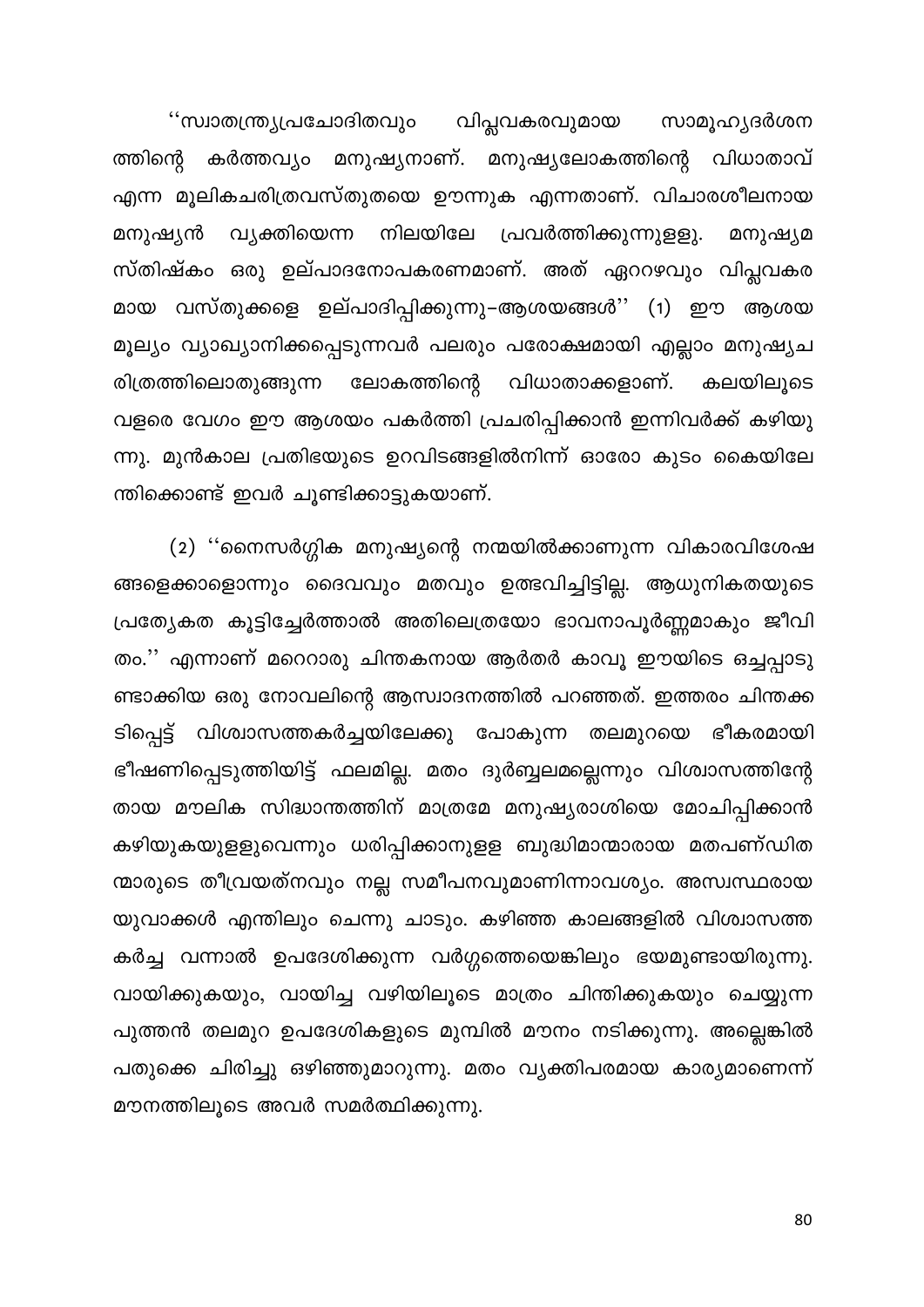''സ്വാതന്ത്ര്യപ്രചോദിതവും വിപ്ലവകരവുമായ സാമൂഹ്യദർശന കർത്തവ്യം മനുഷ്യനാണ്. മനുഷ്യലോകത്തിന്റെ വിധാതാവ് ത്തിന്റെ എന്ന മൂലികചരിത്രവസ്തുതയെ ഊന്നുക എന്നതാണ്. വിചാരശീലനായ പ്രവർത്തിക്കുന്നുളളു. മനുഷ്യൻ വ്യക്തിയെന്ന നിലയിലേ മനുഷ്യമ സ്തിഷ്കം ഒരു ഉല്പാദനോപകരണമാണ്. അത് ഏററഴവും വിപ്ലവകര മായ വസ്തുക്കളെ ഉല്പാദിപ്പിക്കുന്നു–ആശയങ്ങൾ'' (1) ഈ ആശയ മൂല്യം വ്യാഖ്യാനിക്കപ്പെടുന്നവർ പലരും പരോക്ഷമായി എല്ലാം മനുഷ്യച രിത്രത്തിലൊതുങ്ങുന്ന വിധാതാക്കളാണ്. ലോകത്തിന്റെ കലയിലൂടെ വളരെ വേഗം ഈ ആശയം പകർത്തി പ്രചരിപ്പിക്കാൻ ഇന്നിവർക്ക് കഴിയു ന്നു. മുൻകാല പ്രതിഭയുടെ ഉറവിടങ്ങളിൽനിന്ന് ഓരോ കുടം കൈയിലേ ന്തിക്കൊണ്ട് ഇവർ ചൂണ്ടിക്കാട്ടുകയാണ്.

(2) ''നൈസർഗ്ഗിക മനുഷ്യന്റെ നന്മയിൽക്കാണുന്ന വികാരവിശേഷ ങ്ങളെക്കാളൊന്നും ദൈവവും മതവും ഉത്ഭവിച്ചിട്ടില്ല. ആധുനികതയുടെ പ്രത്യേകത കൂട്ടിച്ചേർത്താൽ അതിലെത്രയോ ഭാവനാപൂർണ്ണമാകും ജീവി തം.'' എന്നാണ് മറെറാരു ചിന്തകനായ ആർതർ കാവൂ ഈയിടെ ഒച്ചപ്പാടു ണ്ടാക്കിയ ഒരു നോവലിന്റെ ആസ്വാദനത്തിൽ പറഞ്ഞത്. ഇത്തരം ചിന്തക്ക ടിപ്പെട്ട് വിശ്വാസത്തകർച്ചയിലേക്കു പോകുന്ന തലമുറയെ ഭീകരമായി ഭീഷണിപ്പെടുത്തിയിട്ട് ഫലമില്ല. മതം ദുർബ്ബലമല്ലെന്നും വിശ്വാസത്തിന്റേ തായ മൗലിക സിദ്ധാന്തത്തിന് മാത്രമേ മനുഷ്യരാശിയെ മോചിപ്പിക്കാൻ കഴിയുകയുളളുവെന്നും ധരിപ്പിക്കാനുളള ബുദ്ധിമാന്മാരായ മതപണ്ഡിത ന്മാരുടെ തീവ്രയത്നവും നല്ല സമീപനവുമാണിന്നാവശ്യം. അസ്വസ്ഥരായ യുവാക്കൾ എന്തിലും ചെന്നു ചാടും. കഴിഞ്ഞ കാലങ്ങളിൽ വിശ്വാസത്ത കർച്ച വന്നാൽ ഉപദേശിക്കുന്ന വർഗ്ഗത്തെയെങ്കിലും ഭയമുണ്ടായിരുന്നു. വായിക്കുകയും, വായിച്ച വഴിയിലൂടെ മാത്രം ചിന്തിക്കുകയും ചെയ്യുന്ന പുത്തൻ തലമുറ ഉപദേശികളുടെ മുമ്പിൽ മൗനം നടിക്കുന്നു. അല്ലെങ്കിൽ പതുക്കെ ചിരിച്ചു ഒഴിഞ്ഞുമാറുന്നു. മതം വ്യക്തിപരമായ കാര്യമാണെന്ന് മൗനത്തിലൂടെ അവർ സമർത്ഥിക്കുന്നു.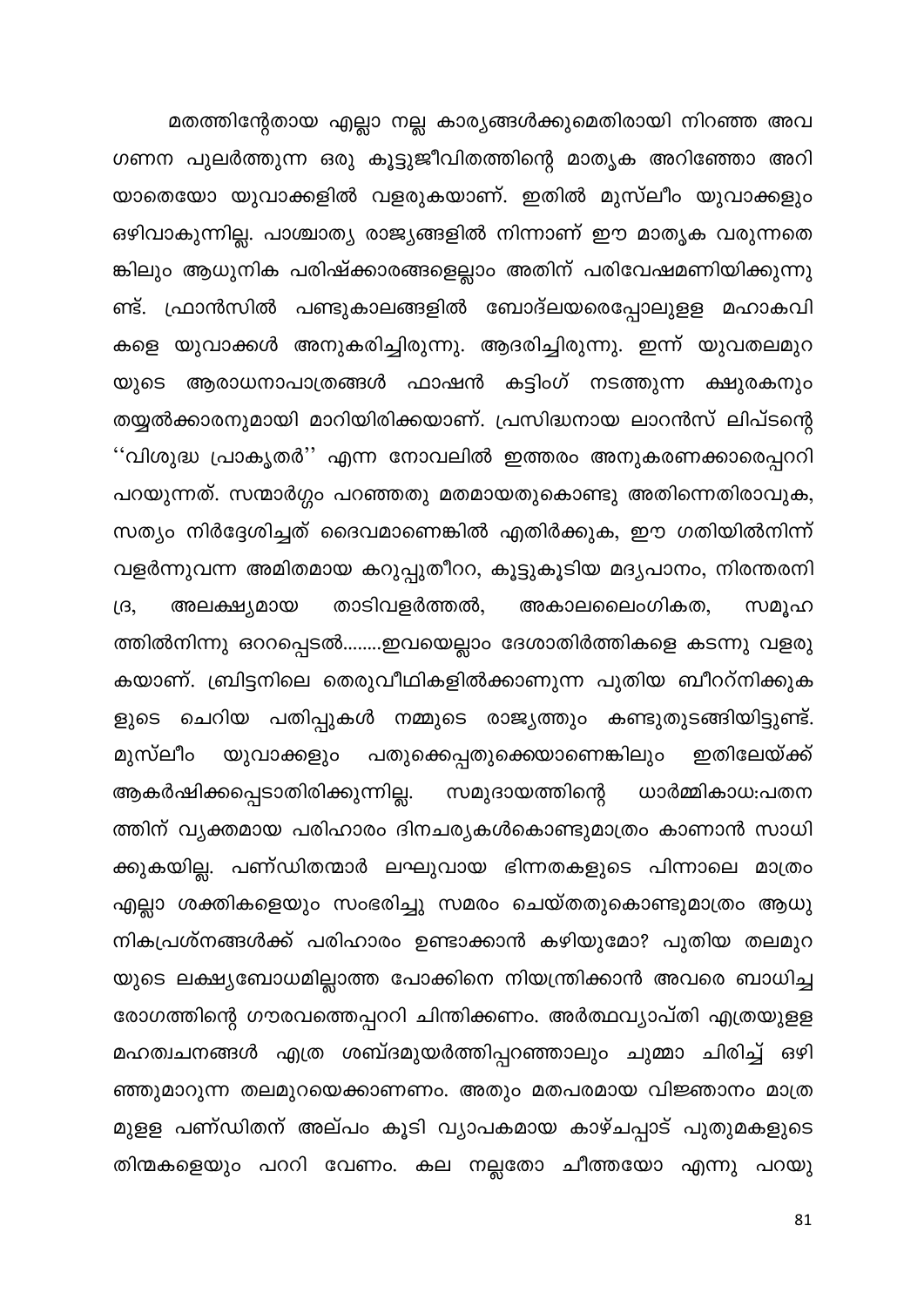മതത്തിന്റേതായ എല്ലാ നല്ല കാര്യങ്ങൾക്കുമെതിരായി നിറഞ്ഞ അവ ഗണന പുലർത്തുന്ന ഒരു കൂട്ടുജീവിതത്തിന്റെ മാതൃക അറിഞ്ഞോ അറി യാതെയോ യുവാക്കളിൽ വളരുകയാണ്. ഇതിൽ മുസ്ലീം യുവാക്കളും ഒഴിവാകുന്നില്ല. പാശ്ചാത്യ രാജ്യങ്ങളിൽ നിന്നാണ് ഈ മാതൃക വരുന്നതെ ങ്കിലും ആധുനിക പരിഷ്ക്കാരങ്ങളെല്ലാം അതിന് പരിവേഷമണിയിക്കുന്നു ണ്ട്. ഫ്രാൻസിൽ പണ്ടുകാലങ്ങളിൽ ബോദ്ലയരെപ്പോലുളള മഹാകവി കളെ യുവാക്കൾ അനുകരിച്ചിരുന്നു. ആദരിച്ചിരുന്നു. ഇന്ന് യുവതലമുറ യുടെ ആരാധനാപാത്രങ്ങൾ ഫാഷൻ കട്ടിംഗ് നടത്തുന്ന ക്ഷുരകനും തയ്യൽക്കാരനുമായി മാറിയിരിക്കയാണ്. പ്രസിദ്ധനായ ലാറൻസ് ലിപ്ടന്റെ ''വിശുദ്ധ പ്രാകൃതർ'' എന്ന നോവലിൽ ഇത്തരം അനുകരണക്കാരെപ്പററി പറയുന്നത്. സന്മാർഗ്ഗം പറഞ്ഞതു മതമായതുകൊണ്ടു അതിന്നെതിരാവുക, സത്യം നിർദ്ദേശിച്ചത് ദൈവമാണെങ്കിൽ എതിർക്കുക, ഈ ഗതിയിൽനിന്ന് വളർന്നുവന്ന അമിതമായ കറുപ്പുതീററ, കൂട്ടുകൂടിയ മദ്യപാനം, നിരന്തരനി അലക്ഷ്യമായ താടിവളർത്തൽ, അകാലലൈംഗികത,  $\iota$ <sub>G</sub> സമൂഹ ത്തിൽനിന്നു ഒററപ്പെടൽ........ഇവയെല്ലാം ദേശാതിർത്തികളെ കടന്നു വളരു കയാണ്. ബ്രിട്ടനിലെ തെരുവീഥികളിൽക്കാണുന്ന പുതിയ ബീററ്നിക്കുക ളുടെ ചെറിയ പതിപ്പുകൾ നമ്മുടെ രാജ്യത്തും കണ്ടുതുടങ്ങിയിട്ടുണ്ട്. മുസ്ലീം പതുക്കെപ്പതുക്കെയാണെങ്കിലും ഇതിലേയ്ക്ക് യുവാക്കളും ആകർഷിക്കപ്പെടാതിരിക്കുന്നില്ല. സമുദായത്തിന്റെ ധാർമ്മികാധ:പതന ത്തിന് വൃക്തമായ പരിഹാരം ദിനചര്യകൾകൊണ്ടുമാത്രം കാണാൻ സാധി ക്കുകയില്ല. പണ്ഡിതന്മാർ ലഘുവായ ഭിന്നതകളുടെ പിന്നാലെ മാത്രം എല്ലാ ശക്തികളെയും സംഭരിച്ചു സമരം ചെയ്തതുകൊണ്ടുമാത്രം ആധു നികപ്രശ്നങ്ങൾക്ക് പരിഹാരം ഉണ്ടാക്കാൻ കഴിയുമോ? പുതിയ തലമുറ യുടെ ലക്ഷ്യബോധമില്ലാത്ത പോക്കിനെ നിയന്ത്രിക്കാൻ അവരെ ബാധിച്ച രോഗത്തിന്റെ ഗൗരവത്തെപ്പററി ചിന്തിക്കണം. അർത്ഥവ്യാപ്തി എത്രയുളള മഹത്വചനങ്ങൾ എത്ര ശബ്ദമുയർത്തിപ്പറഞ്ഞാലും ചുമ്മാ ചിരിച്ച് ഒഴി ഞ്ഞുമാറുന്ന തലമുറയെക്കാണണം. അതും മതപരമായ വിജ്ഞാനം മാത്ര മുളള പണ്ഡിതന് അല്പം കൂടി വ്യാപകമായ കാഴ്ചപ്പാട് പുതുമകളുടെ തിന്മകളെയും പററി വേണം. കല നല്ലതോ ചീത്തയോ എന്നു പറയു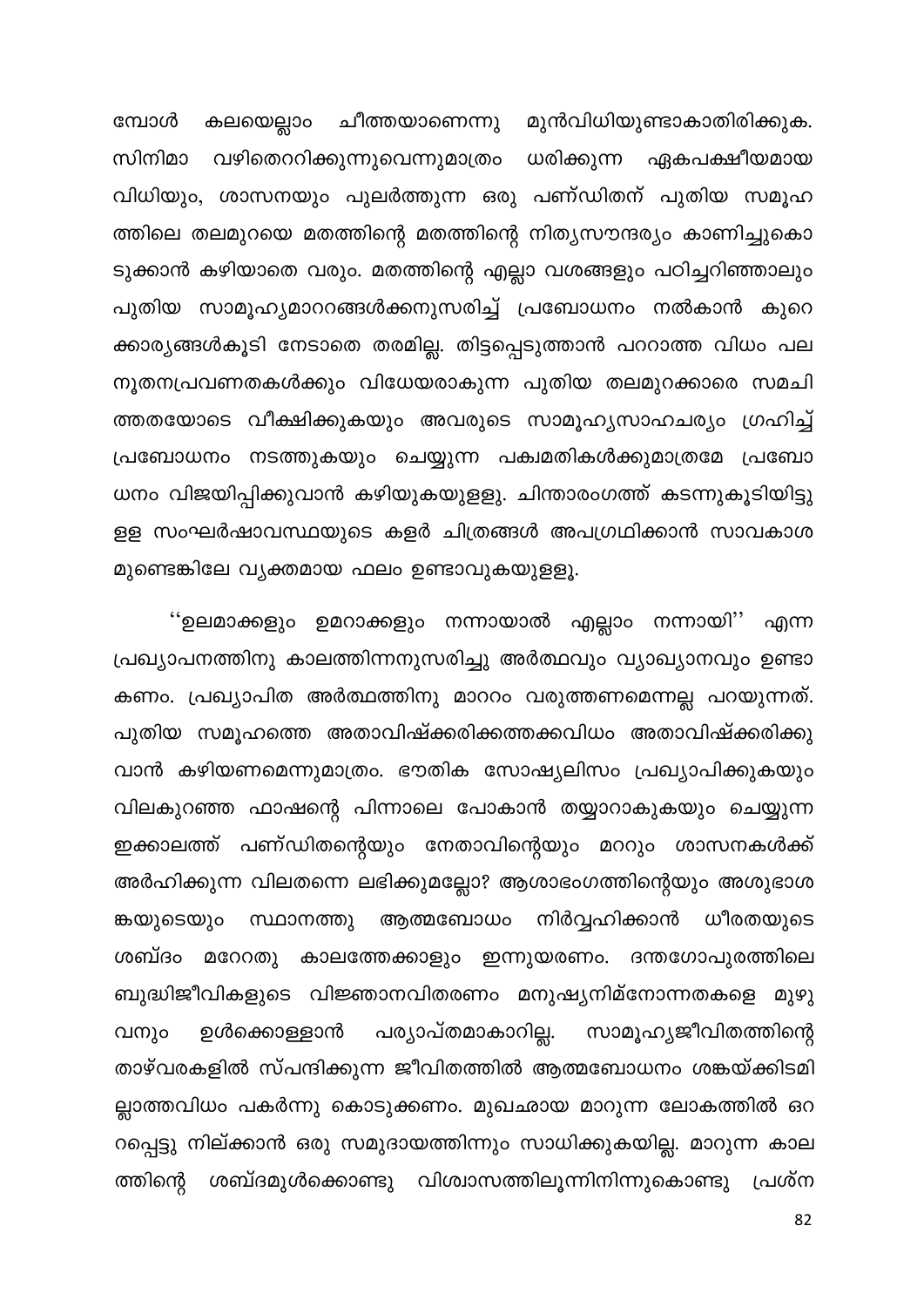കലയെല്ലാം ചീത്തയാണെന്നു മുൻവിധിയുണ്ടാകാതിരിക്കുക. മ്പോൾ വഴിതെററിക്കുന്നുവെന്നുമാത്രം സിനിമാ ധരിക്കുന്ന ഏകപക്ഷീയമായ വിധിയും, ശാസനയും പുലർത്തുന്ന ഒരു പണ്ഡിതന് പുതിയ സമൂഹ ത്തിലെ തലമുറയെ മതത്തിന്റെ മതത്തിന്റെ നിത്യസൗന്ദര്യം കാണിച്ചുകൊ ടുക്കാൻ കഴിയാതെ വരും. മതത്തിന്റെ എല്ലാ വശങ്ങളും പഠിച്ചറിഞ്ഞാലും പുതിയ സാമൂഹ്യമാററങ്ങൾക്കനുസരിച്ച് പ്രബോധനം നൽകാൻ കുറെ ക്കാര്യങ്ങൾകൂടി നേടാതെ തരമില്ല. തിട്ടപ്പെടുത്താൻ പററാത്ത വിധം പല നൂതനപ്രവണതകൾക്കും വിധേയരാകുന്ന പുതിയ തലമുറക്കാരെ സമചി ത്തതയോടെ വീക്ഷിക്കുകയും അവരുടെ സാമൂഹ്യസാഹചര്യം ഗ്രഹിച്ച് പ്രബോധനം നടത്തുകയും ചെയ്യുന്ന പക്വമതികൾക്കുമാത്രമേ പ്രബോ ധനം വിജയിപ്പിക്കുവാൻ കഴിയുകയുളളു. ചിന്താരംഗത്ത് കടന്നുകൂടിയിട്ടു ളള സംഘർഷാവസ്ഥയുടെ കളർ ചിത്രങ്ങൾ അപഗ്രഥിക്കാൻ സാവകാശ മുണ്ടെങ്കിലേ വ്യക്തമായ ഫലം ഉണ്ടാവുകയുളളൂ.

''ഉലമാക്കളും ഉമറാക്കളും നന്നായാൽ എല്ലാം നന്നായി'' എന്ന പ്രഖ്യാപനത്തിനു കാലത്തിന്നനുസരിച്ചു അർത്ഥവും വ്യാഖ്യാനവും ഉണ്ടാ കണം. പ്രഖ്യാപിത അർത്ഥത്തിനു മാററം വരുത്തണമെന്നല്ല പറയുന്നത്. പുതിയ സമൂഹത്തെ അതാവിഷ്ക്കരിക്കത്തക്കവിധം അതാവിഷ്ക്കരിക്കു വാൻ കഴിയണമെന്നുമാത്രം. ഭൗതിക സോഷ്യലിസം പ്രഖ്യാപിക്കുകയും വിലകുറഞ്ഞ ഫാഷന്റെ പിന്നാലെ പോകാൻ തയ്യാറാകുകയും ചെയ്യുന്ന ഇക്കാലത്ത് പണ്ഡിതന്റെയും നേതാവിന്റെയും മററും ശാസനകൾക്ക് അർഹിക്കുന്ന വിലതന്നെ ലഭിക്കുമല്ലോ? ആശാഭംഗത്തിന്റെയും അശുഭാശ ങ്കയുടെയും സ്ഥാനത്തു ആത്മബോധം നിർവ്വഹിക്കാൻ ധീരതയുടെ ശബ്ദം മറേറതു കാലത്തേക്കാളും ഇന്നുയരണം. ദന്തഗോപുരത്തിലെ ബുദ്ധിജീവികളുടെ വിജ്ഞാനവിതരണം മനുഷ്യനിമ്നോന്നതകളെ മുഴു പര്യാപ്തമാകാറില്ല. സാമൂഹ്യജീവിതത്തിന്റെ വനും ഉൾക്കൊള്ളാൻ താഴ്വരകളിൽ സ്പന്ദിക്കുന്ന ജീവിതത്തിൽ ആത്മബോധനം ശങ്കയ്ക്കിടമി ല്ലാത്തവിധം പകർന്നു കൊടുക്കണം. മുഖഛായ മാറുന്ന ലോകത്തിൽ ഒറ റപ്പെട്ടു നില്ക്കാൻ ഒരു സമുദായത്തിന്നും സാധിക്കുകയില്ല. മാറുന്ന കാല ത്തിന്റെ ശബ്ദമുൾക്കൊണ്ടു വിശ്വാസത്തിലൂന്നിനിന്നുകൊണ്ടു പ്രശ്ന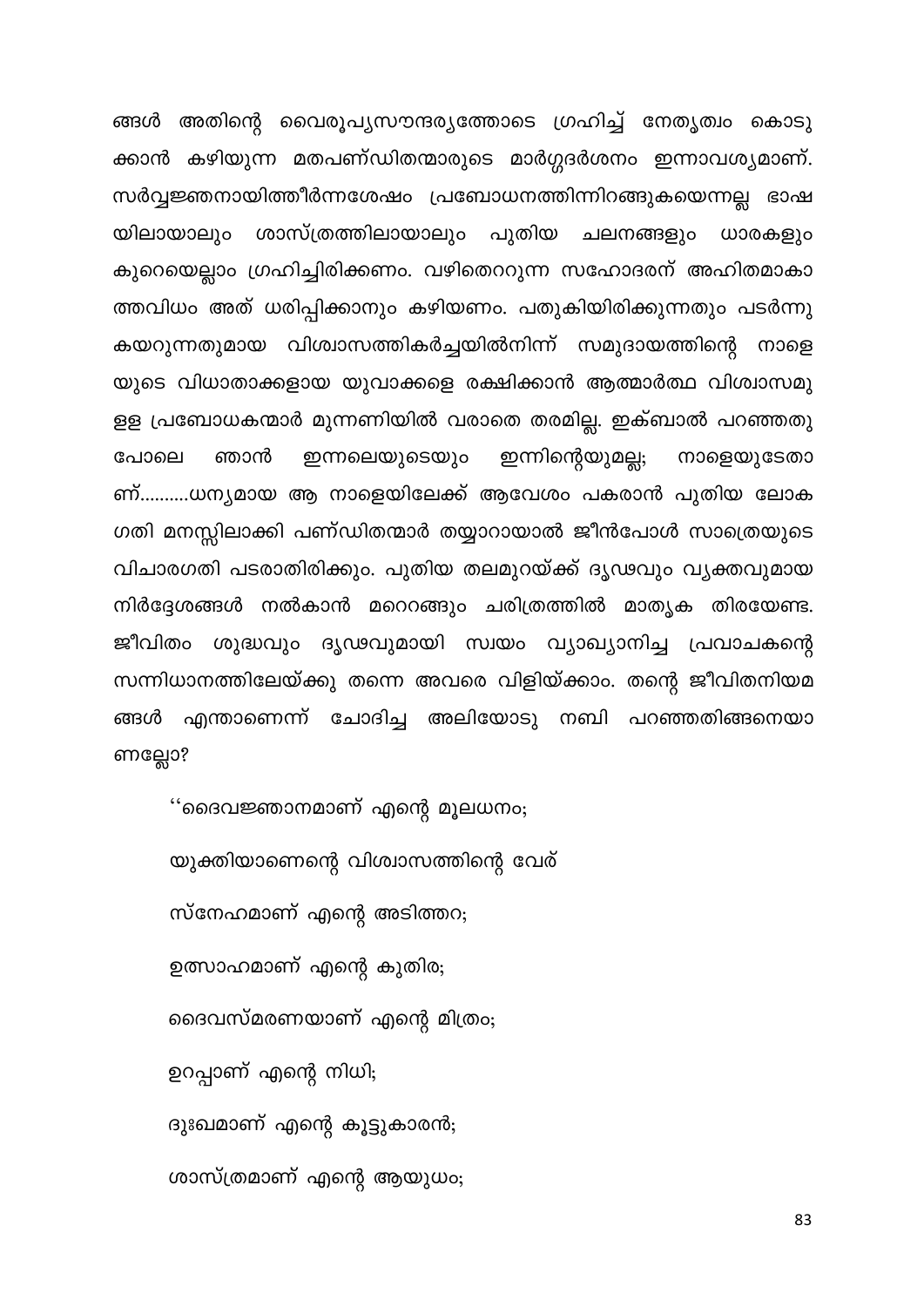ങ്ങൾ അതിന്റെ വൈരൂപ്യസൗന്ദര്യത്തോടെ ഗ്രഹിച്ച് നേതൃത്വം കൊടു ക്കാൻ കഴിയുന്ന മതപണ്ഡിതന്മാരുടെ മാർഗ്ഗദർശനം ഇന്നാവശ്യമാണ്. സർവ്വജ്ഞനായിത്തീർന്നശേഷം പ്രബോധനത്തിന്നിറങ്ങുകയെന്നല്ല ഭാഷ ശാസ്ത്രത്തിലായാലും പുതിയ ചലനങ്ങളും യിലായാലും ധാരകളും കുറെയെല്ലാം ഗ്രഹിച്ചിരിക്കണം. വഴിതെററുന്ന സഹോദരന് അഹിതമാകാ ത്തവിധം അത് ധരിപ്പിക്കാനും കഴിയണം. പതുകിയിരിക്കുന്നതും പടർന്നു കയറുന്നതുമായ വിശ്വാസത്തികർച്ചയിൽനിന്ന് സമുദായത്തിന്റെ നാളെ യുടെ വിധാതാക്കളായ യുവാക്കളെ രക്ഷിക്കാൻ ആത്മാർത്ഥ വിശ്വാസമു ളള പ്രബോധകന്മാർ മുന്നണിയിൽ വരാതെ തരമില്ല. ഇക്ബാൽ പറഞ്ഞതു ഇന്നിന്റെയുമല്ല; ഇന്നലെയുടെയും ഞാൻ പോലെ നാളെയുടേതാ ണ്..........ധന്യമായ ആ നാളെയിലേക്ക് ആവേശം പകരാൻ പുതിയ ലോക ഗതി മനസ്സിലാക്കി പണ്ഡിതന്മാർ തയ്യാറായാൽ ജീൻപോൾ സാത്രെയുടെ വിചാരഗതി പടരാതിരിക്കും. പുതിയ തലമുറയ്ക്ക് ദൃഢവും വൃക്തവുമായ നിർദ്ദേശങ്ങൾ നൽകാൻ മറെറങ്ങും ചരിത്രത്തിൽ മാതൃക തിരയേണ്ട. ജീവിതം ശുദ്ധവും ദൃഢവുമായി സ്വയം വ്യാഖ്യാനിച്ച പ്രവാചകന്റെ സന്നിധാനത്തിലേയ്ക്കു തന്നെ അവരെ വിളിയ്ക്കാം. തന്റെ ജീവിതനിയമ ങ്ങൾ എന്താണെന്ന് ചോദിച്ച അലിയോടു നബി പറഞ്ഞതിങ്ങനെയാ ണല്ലോ?

''ദൈവജ്ഞാനമാണ് എന്റെ മൂലധനം; യുക്തിയാണെന്റെ വിശ്വാസത്തിന്റെ വേര് സ്നേഹമാണ് എന്റെ അടിത്തറ; ഉത്സാഹമാണ് എന്റെ കുതിര; ദൈവസ്മരണയാണ് എന്റെ മിത്രം; ഉറപ്പാണ് എന്റെ നിധി; ദുഃഖമാണ് എന്റെ കൂട്ടുകാരൻ; ശാസ്ത്രമാണ് എന്റെ ആയുധം;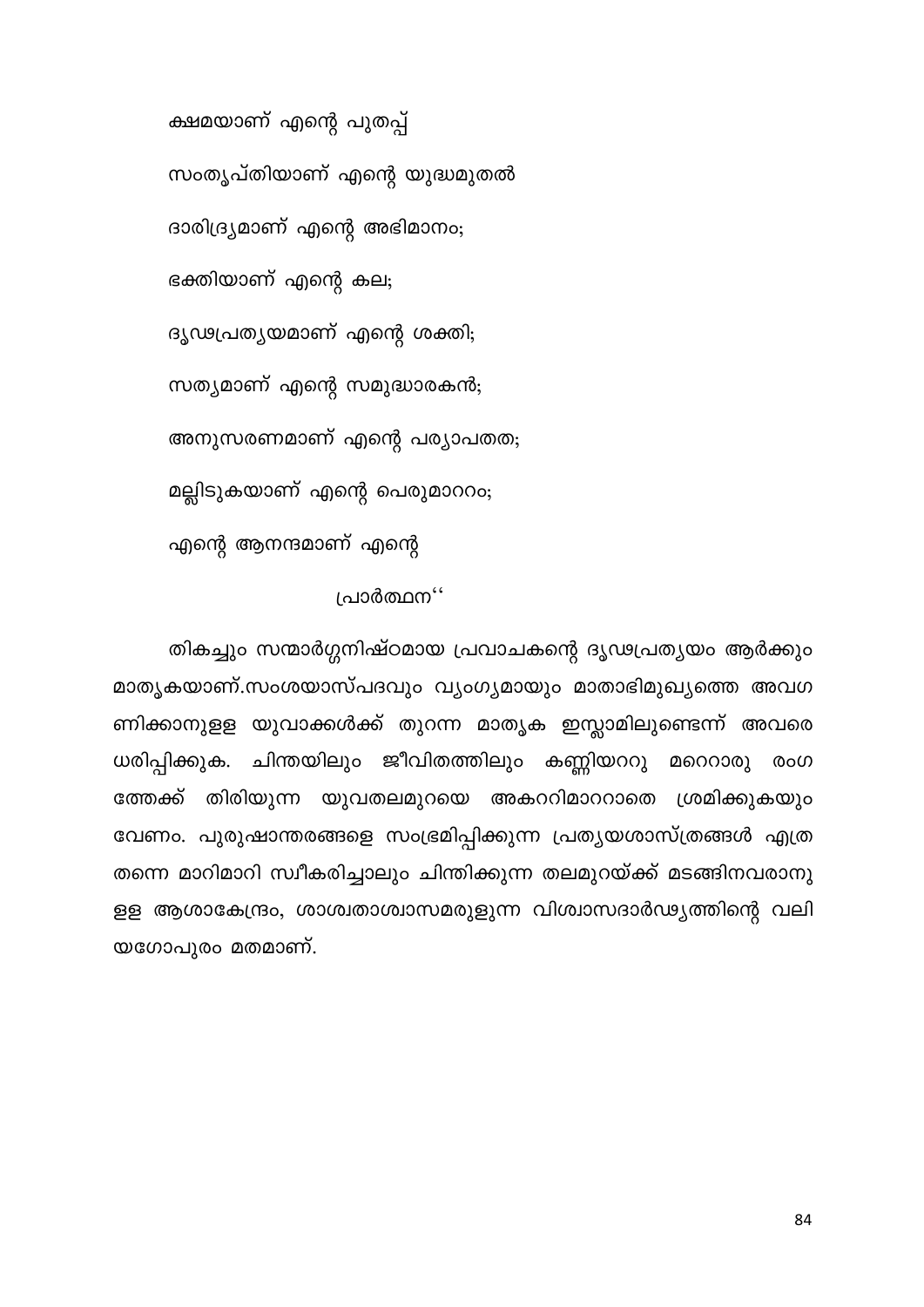ക്ഷമയാണ് എന്റെ പുതപ്പ് സംതൃപ്തിയാണ് എന്റെ യുദ്ധമുതൽ ദാരിദ്ര്യമാണ് എന്റെ അഭിമാനം; ഭക്തിയാണ് എന്റെ കല; ദൃഢപ്രത്യയമാണ് എന്റെ ശക്തി; സത്യമാണ് എന്റെ സമുദ്ധാരകൻ; അനുസരണമാണ് എന്റെ പര്യാപതത; മല്ലിടുകയാണ് എന്റെ പെരുമാററം; എന്റെ ആനന്ദമാണ് എന്റെ

### പ്രാർത്ഥന''

തികച്ചും സന്മാർഗ്ഗനിഷ്ഠമായ പ്രവാചകന്റെ ദൃഢപ്രത്യയം ആർക്കും മാതൃകയാണ്.സംശയാസ്പദവും വ്യംഗൃമായും മാതാഭിമുഖ്യത്തെ അവഗ ണിക്കാനുളള യുവാക്കൾക്ക് തുറന്ന മാതൃക ഇസ്ലാമിലുണ്ടെന്ന് അവരെ ചിന്തയിലും ജീവിതത്തിലും കണ്ണിയററു മറെറാരു ധരിപ്പിക്കുക. രംഗ ത്തേക്ക് തിരിയുന്ന യുവതലമുറയെ അകററിമാററാതെ ശ്രമിക്കുകയും വേണം. പുരുഷാന്തരങ്ങളെ സംഭ്രമിപ്പിക്കുന്ന പ്രത്യയശാസ്ത്രങ്ങൾ എത്ര തന്നെ മാറിമാറി സ്വീകരിച്ചാലും ചിന്തിക്കുന്ന തലമുറയ്ക്ക് മടങ്ങിനവരാനു ളള ആശാകേന്ദ്രം, ശാശ്വതാശ്വാസമരുളുന്ന വിശ്വാസദാർഢ്യത്തിന്റെ വലി യഗോപുരം മതമാണ്.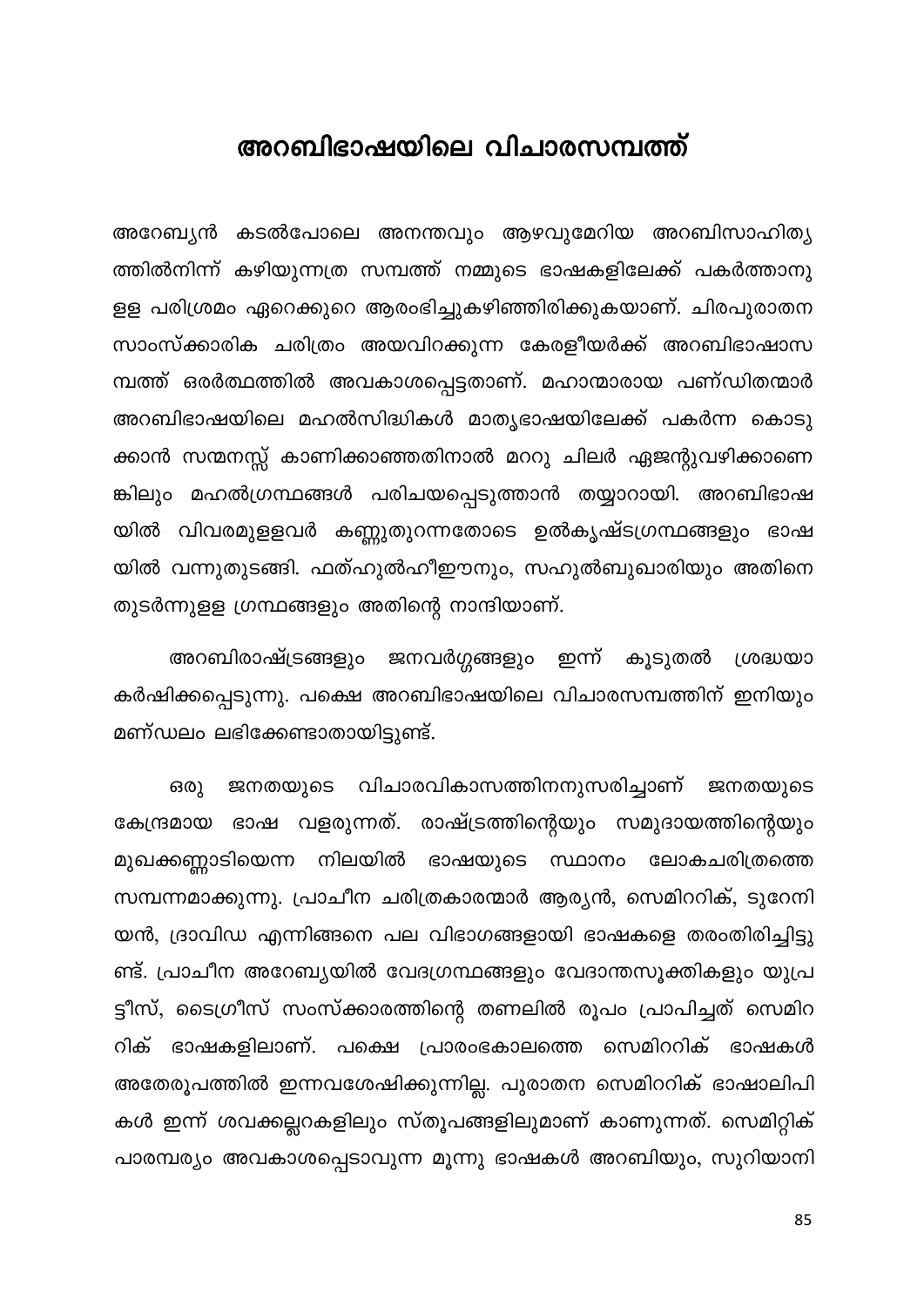### അറബിഭാഷയിലെ വിചാരസമ്പത്ത്

അറേബ്യൻ കടൽപോലെ അനന്തവും ആഴവുമേറിയ അറബിസാഹിത്യ ത്തിൽനിന്ന് കഴിയുന്നത്ര സമ്പത്ത് നമ്മുടെ ഭാഷകളിലേക്ക് പകർത്താനു ളള പരിശ്രമം ഏറെക്കുറെ ആരംഭിച്ചുകഴിഞ്ഞിരിക്കുകയാണ്. ചിരപുരാതന സാംസ്ക്കാരിക ചരിത്രം അയവിറക്കുന്ന കേരളീയർക്ക് അറബിഭാഷാസ മ്പത്ത് ഒരർത്ഥത്തിൽ അവകാശപ്പെട്ടതാണ്. മഹാന്മാരായ പണ്ഡിതന്മാർ അറബിഭാഷയിലെ മഹൽസിദ്ധികൾ മാതൃഭാഷയിലേക്ക് പകർന്ന കൊടു ക്കാൻ സന്മനസ്സ് കാണിക്കാഞ്ഞതിനാൽ മററു ചിലർ ഏജന്റുവഴിക്കാണെ ങ്കിലും മഹൽഗ്രന്ഥങ്ങൾ പരിചയപ്പെടുത്താൻ തയ്യാറായി. അറബിഭാഷ യിൽ വിവരമുളളവർ കണ്ണുതുറന്നതോടെ ഉൽകൃഷ്ടഗ്രന്ഥങ്ങളും ഭാഷ യിൽ വന്നുതുടങ്ങി. ഫത്ഹുൽഹീഈനും, സഹുൽബുഖാരിയും അതിനെ തുടർന്നുളള ഗ്രന്ഥങ്ങളും അതിന്റെ നാന്ദിയാണ്.

അറബിരാഷ്ട്രങ്ങളും ജനവർഗ്ഗങ്ങളും ഇന്ന് കൂടുതൽ ശ്രദ്ധയ<mark>ാ</mark> കർഷിക്കപ്പെടുന്നു. പക്ഷെ അറബിഭാഷയിലെ വിചാരസമ്പത്തിന് ഇനിയും മണ്ഡലം ലഭിക്കേണ്ടാതായിട്ടുണ്ട്.

വിചാരവികാസത്തിനനുസരിച്ചാണ് ജനതയുടെ ഒരു ജനതയുടെ ഭാഷ വളരുന്നത്. രാഷ്ട്രത്തിന്റെയും സമുദായത്തിന്റെയും കേന്ദ്രമായ ഭാഷയുടെ സ്ഥാനം ലോകചരിത്രത്തെ മുഖക്കണ്ണാടിയെന്ന നിലയിൽ സമ്പന്നമാക്കുന്നു. പ്രാചീന ചരിത്രകാരന്മാർ ആര്യൻ, സെമിററിക്, ടുറേനി യൻ, ദ്രാവിഡ എന്നിങ്ങനെ പല വിഭാഗങ്ങളായി ഭാഷകളെ തരംതിരിച്ചിട്ടു ണ്ട്. പ്രാചീന അറേബ്യയിൽ വേദഗ്രന്ഥങ്ങളും വേദാന്തസൂക്തികളും യുപ്ര ട്ടീസ്, ടൈഗ്രീസ് സംസ്ക്കാരത്തിന്റെ തണലിൽ രൂപം പ്രാപിച്ചത് സെമിറ റിക് ഭാഷകളിലാണ്. പക്ഷെ പ്രാരംഭകാലത്തെ സെമിററിക് ഭാഷകൾ അതേരൂപത്തിൽ ഇന്നവശേഷിക്കുന്നില്ല. പുരാതന സെമിററിക് ഭാഷാലിപി കൾ ഇന്ന് ശവക്കല്ലറകളിലും സ്തൂപങ്ങളിലുമാണ് കാണുന്നത്. സെമിറ്റിക് പാരമ്പര്യം അവകാശപ്പെടാവുന്ന മൂന്നു ഭാഷകൾ അറബിയും, സുറിയാനി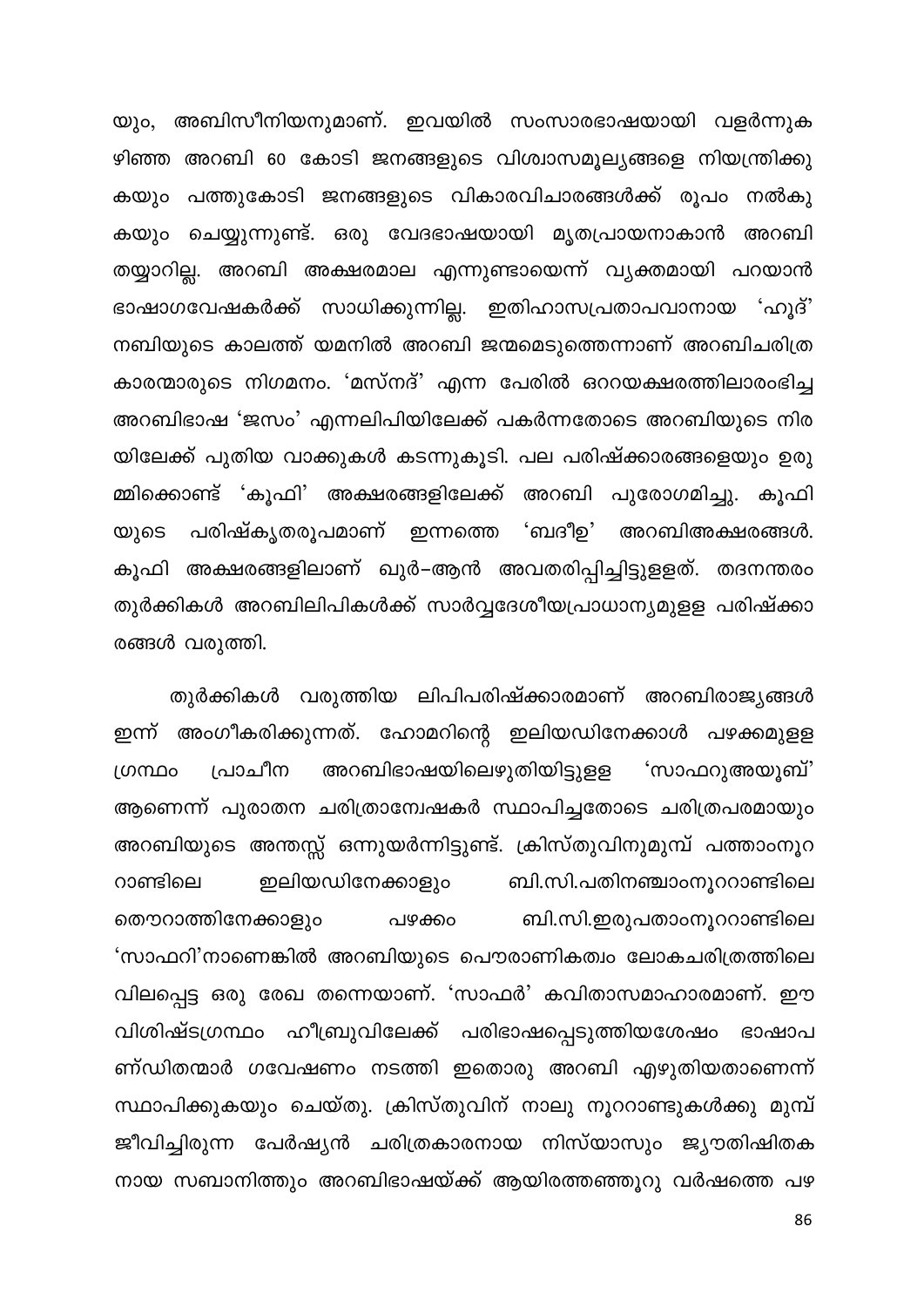യും, അബിസീനിയനുമാണ്. ഇവയിൽ സംസാരഭാഷയായി വളർന്നുക ഴിഞ്ഞ അറബി 60 കോടി ജനങ്ങളുടെ വിശ്വാസമൂല്യങ്ങളെ നിയന്ത്രിക്കു കയും പത്തുകോടി ജനങ്ങളുടെ വികാരവിചാരങ്ങൾക്ക് രൂപം നൽകു കയും ചെയ്യുന്നുണ്ട്. ഒരു വേദഭാഷയായി മൃതപ്രായനാകാൻ അറബി തയ്യാറില്ല. അറബി അക്ഷരമാല എന്നുണ്ടായെന്ന് വ്യക്തമായി പറയാൻ ഭാഷാഗവേഷകർക്ക് സാധിക്കുന്നില്ല. ഇതിഹാസപ്രതാപവാനായ 'ഹൂദ്' നബിയുടെ കാലത്ത് യമനിൽ അറബി ജന്മമെടുത്തെന്നാണ് അറബിചരിത്ര കാരന്മാരുടെ നിഗമനം. 'മസ്നദ്' എന്ന പേരിൽ ഒററയക്ഷരത്തിലാരംഭിച്ച അറബിഭാഷ 'ജസം' എന്നലിപിയിലേക്ക് പകർന്നതോടെ അറബിയുടെ നിര യിലേക്ക് പുതിയ വാക്കുകൾ കടന്നുകൂടി. പല പരിഷ്ക്കാരങ്ങളെയും ഉരു മ്മിക്കൊണ്ട് 'കൂഫി' അക്ഷരങ്ങളിലേക്ക് അറബി പുരോഗമിച്ചു. കൂഫി 'ബദീഉ' പരിഷ്കൃതരൂപമാണ് ഇന്നത്തെ അറബിഅക്ഷരങ്ങൾ. യുടെ കൂഫി അക്ഷരങ്ങളിലാണ് ഖുർ–ആൻ അവതരിപ്പിച്ചിട്ടുളളത്. തദനന്തരം തുർക്കികൾ അറബിലിപികൾക്ക് സാർവ്വദേശീയപ്രാധാന്യമുളള പരിഷ്ക്കാ രങ്ങൾ വരുത്തി.

തുർക്കികൾ വരുത്തിയ ലിപിപരിഷ്ക്കാരമാണ് അറബിരാജ്യങ്ങൾ ഇന്ന് അംഗീകരിക്കുന്നത്. ഹോമറിന്റെ ഇലിയഡിനേക്കാൾ പഴക്കമുളള അറബിഭാഷയിലെഴുതിയിട്ടുളള പ്രാചീന ഗ്രന്ഥം 'സാഫറുഅയൂബ്' ആണെന്ന് പുരാതന ചരിത്രാന്വേഷകർ സ്ഥാപിച്ചതോടെ ചരിത്രപരമായും അറബിയുടെ അന്തസ്സ് ഒന്നുയർന്നിട്ടുണ്ട്. ക്രിസ്തുവിനുമുമ്പ് പത്താംനൂറ ഇലിയഡിനേക്കാളും ബി.സി.പതിനഞ്ചാംനൂററാണ്ടിലെ റാണ്ടിലെ തൌറാത്തിനേക്കാളും ബി.സി.ഇരുപതാംനൂററാണ്ടിലെ പഴക്കം 'സാഫറി'നാണെങ്കിൽ അറബിയുടെ പൌരാണികത്വം ലോകചരിത്രത്തിലെ വിലപ്പെട്ട ഒരു രേഖ തന്നെയാണ്. 'സാഫർ' കവിതാസമാഹാരമാണ്. ഈ വിശിഷ്ടഗ്രന്ഥം ഹീബ്രുവിലേക്ക് പരിഭാഷപ്പെടുത്തിയശേഷം ഭാഷാപ ണ്ഡിതന്മാർ ഗവേഷണം നടത്തി ഇതൊരു അറബി എഴുതിയതാണെന്ന് സ്ഥാപിക്കുകയും ചെയ്തു. ക്രിസ്തുവിന് നാലു നൂററാണ്ടുകൾക്കു മുമ്പ് ജീവിച്ചിരുന്ന പേർഷ്യൻ ചരിത്രകാരനായ നിസ്യാസും ജൃൗതിഷിതക നായ സബാനിത്തും അറബിഭാഷയ്ക്ക് ആയിരത്തഞ്ഞൂറു വർഷത്തെ പഴ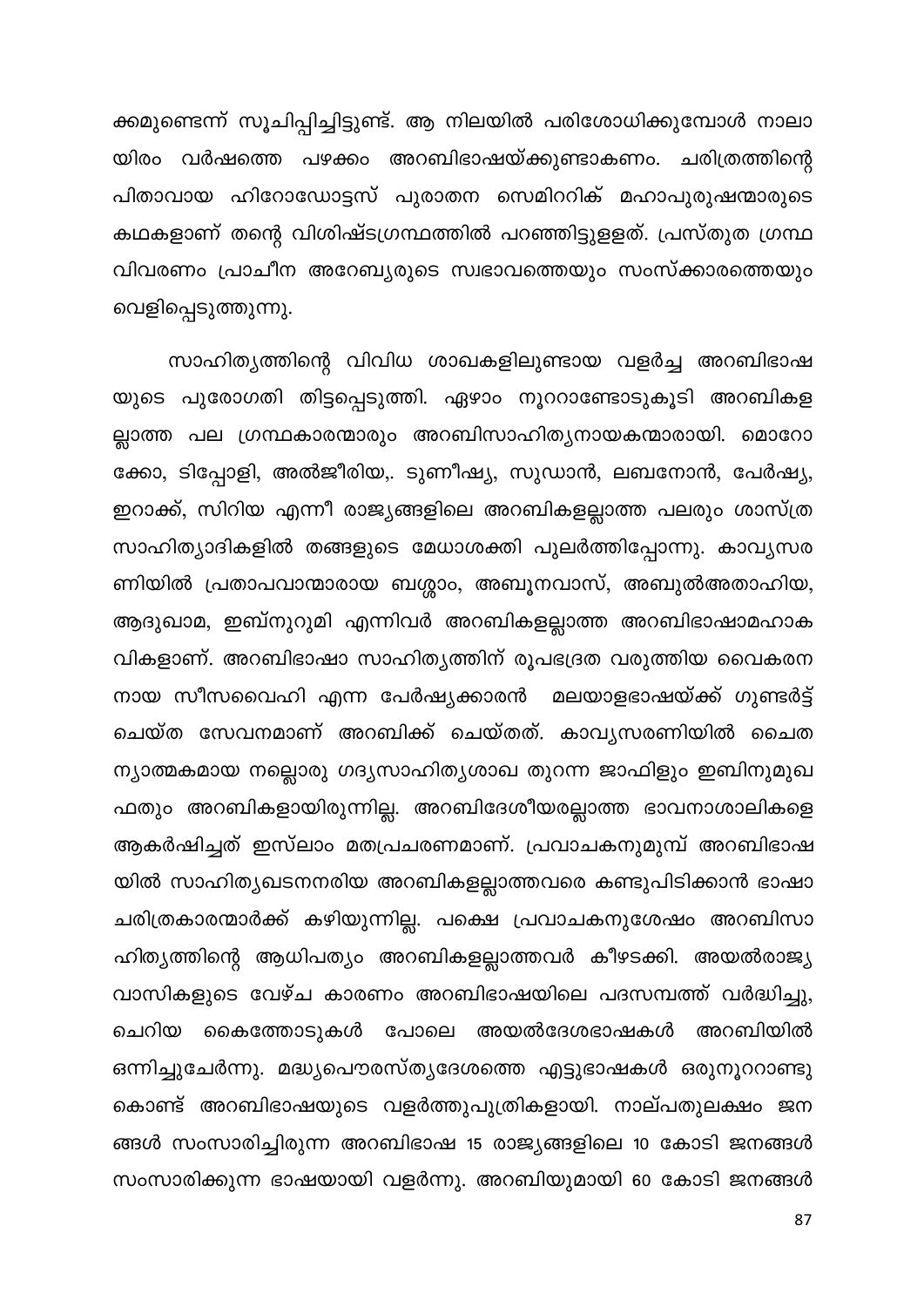ക്കമുണ്ടെന്ന് സൂചിപ്പിച്ചിട്ടുണ്ട്. ആ നിലയിൽ പരിശോധിക്കുമ്പോൾ നാലാ യിരം വർഷത്തെ പഴക്കം അറബിഭാഷയ്ക്കുണ്ടാകണം. ചരിത്രത്തിന്റെ പിതാവായ ഹിറോഡോട്ടസ് പുരാതന സെമിററിക് മഹാപുരുഷന്മാരുടെ കഥകളാണ് തന്റെ വിശിഷ്ടഗ്രന്ഥത്തിൽ പറഞ്ഞിട്ടുളളത്. പ്രസ്തുത ഗ്രന്ഥ വിവരണം പ്രാചീന അറേബ്യരുടെ സ്വഭാവത്തെയും സംസ്ക്കാരത്തെയും വെളിപ്പെടുത്തുന്നു.

സാഹിത്യത്തിന്റെ വിവിധ ശാഖകളിലുണ്ടായ വളർച്ച അറബിഭാഷ യുടെ പുരോഗതി തിട്ടപ്പെടുത്തി. ഏഴാം നൂററാണ്ടോടുകൂടി അറബികള ല്ലാത്ത പല ഗ്രന്ഥകാരന്മാരും അറബിസാഹിത്യനായകന്മാരായി. മൊറോ ക്കോ, ടിപ്പോളി, അൽജീരിയ,. ടുണീഷ്യ, സുഡാൻ, ലബനോൻ, പേർഷ്യ, ഇറാക്ക്, സിറിയ എന്നീ രാജ്യങ്ങളിലെ അറബികളല്ലാത്ത പലരും ശാസ്ത്ര സാഹിത്യാദികളിൽ തങ്ങളുടെ മേധാശക്തി പുലർത്തിപ്പോന്നു. കാവൃസര ണിയിൽ പ്രതാപവാന്മാരായ ബശ്ശാം, അബൂനവാസ്, അബുൽഅതാഹിയ, ആദുഖാമ, ഇബ്നുറുമി എന്നിവർ അറബികളല്ലാത്ത അറബിഭാഷാമഹാക വികളാണ്. അറബിഭാഷാ സാഹിത്യത്തിന് രൂപഭദ്രത വരുത്തിയ വൈകരന നായ സീസവൈഹി എന്ന പേർഷ്യക്കാരൻ മലയാളഭാഷയ്ക്ക് ഗുണ്ടർട്ട് ചെയ്ത സേവനമാണ് അറബിക്ക് ചെയ്തത്. കാവൃസരണിയിൽ ചൈത ന്യാത്മകമായ നല്ലൊരു ഗദ്യസാഹിത്യശാഖ തുറന്ന ജാഫിളും ഇബിനുമുഖ ഫതും അറബികളായിരുന്നില്ല. അറബിദേശീയരല്ലാത്ത ഭാവനാശാലികളെ ആകർഷിച്ചത് ഇസ്ലാം മതപ്രചരണമാണ്. പ്രവാചകനുമുമ്പ് അറബിഭാഷ യിൽ സാഹിത്യഖടനനരിയ അറബികളല്ലാത്തവരെ കണ്ടുപിടിക്കാൻ ഭാഷാ ചരിത്രകാരന്മാർക്ക് കഴിയുന്നില്ല. പക്ഷെ പ്രവാചകനുശേഷം അറബിസാ ഹിത്യത്തിന്റെ ആധിപത്യം അറബികളല്ലാത്തവർ കീഴടക്കി. അയൽരാജ്യ വാസികളുടെ വേഴ്ച കാരണം അറബിഭാഷയിലെ പദസമ്പത്ത് വർദ്ധിച്ചു, ചെറിയ കൈത്തോടുകൾ പോലെ അയൽദേശഭാഷകൾ അറബിയിൽ ഒന്നിച്ചുചേർന്നു. മദ്ധ്യപൌരസ്ത്യദേശത്തെ എട്ടുഭാഷകൾ ഒരുനൂററാണ്ടു കൊണ്ട് അറബിഭാഷയുടെ വളർത്തുപുത്രികളായി. നാല്പതുലക്ഷം ജന ങ്ങൾ സംസാരിച്ചിരുന്ന അറബിഭാഷ 15 രാജ്യങ്ങളിലെ 10 കോടി ജനങ്ങൾ സംസാരിക്കുന്ന ഭാഷയായി വളർന്നു. അറബിയുമായി 60 കോടി ജനങ്ങൾ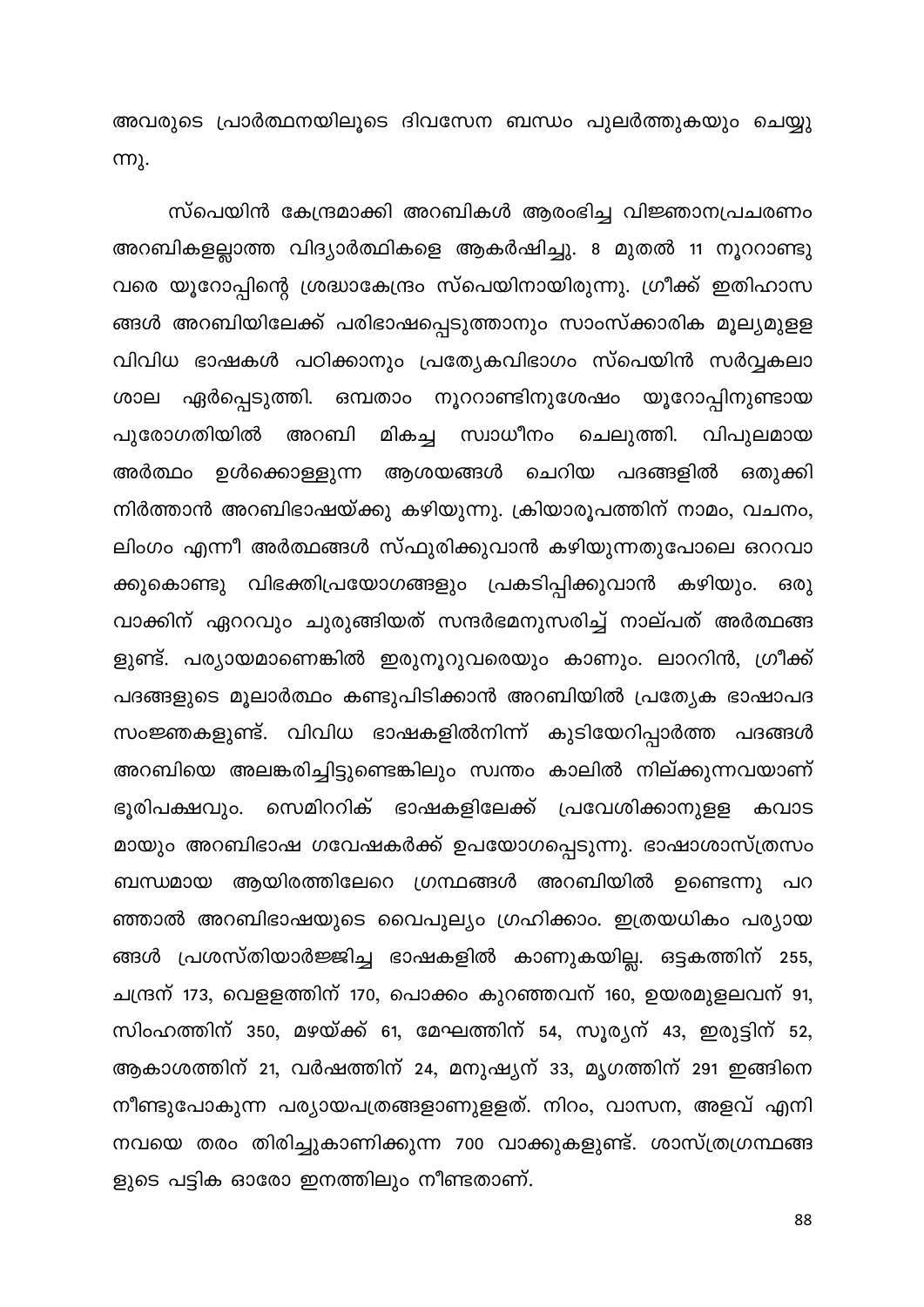അവരുടെ പ്രാർത്ഥനയിലൂടെ ദിവസേന ബന്ധം പുലർത്തുകയും ചെയ്യു **m**).

സ്പെയിൻ കേന്ദ്രമാക്കി അറബികൾ ആരംഭിച്ച വിജ്ഞാനപ്രചരണം അറബികളല്ലാത്ത വിദ്യാർത്ഥികളെ ആകർഷിച്ചു. 8 മുതൽ 11 നൂററാണ്ടു വരെ യൂറോപ്പിന്റെ ശ്രദ്ധാകേന്ദ്രം സ്പെയിനായിരുന്നു. ഗ്രീക്ക് ഇതിഹാസ ങ്ങൾ അറബിയിലേക്ക് പരിഭാഷപ്പെടുത്താനും സാംസ്ക്കാരിക മൂല്യമുളള വിവിധ ഭാഷകൾ പഠിക്കാനും പ്രത്യേകവിഭാഗം സ്പെയിൻ സർവ്വകലാ ശാല ഏർപ്പെടുത്തി. ഒമ്പതാം നൂററാണ്ടിനുശേഷം യൂറോപ്പിനുണ്ടായ മികച്ച സ്വാധീനം പുരോഗതിയിൽ അറബി ചെലുത്തി. വിപുലമായ ഉൾക്കൊള്ളുന്ന ആശയങ്ങൾ ചെറിയ പദങ്ങളിൽ അർത്ഥം ഒതുക്കി നിർത്താൻ അറബിഭാഷയ്ക്കു കഴിയുന്നു. ക്രിയാരൂപത്തിന് നാമം, വചനം, ലിംഗം എന്നീ അർത്ഥങ്ങൾ സ്ഫുരിക്കുവാൻ കഴിയുന്നതുപോലെ ഒററവാ ക്കുകൊണ്ടു വിഭക്തിപ്രയോഗങ്ങളും പ്രകടിപ്പിക്കുവാൻ കഴിയും. ഒരു വാക്കിന് ഏററവും ചുരുങ്ങിയത് സന്ദർഭമനുസരിച്ച് നാല്പത് അർത്ഥങ്ങ ളുണ്ട്. പര്യായമാണെങ്കിൽ ഇരുനൂറുവരെയും കാണും. ലാററിൻ, ഗ്രീക്ക് പദങ്ങളുടെ മൂലാർത്ഥം കണ്ടുപിടിക്കാൻ അറബിയിൽ പ്രത്യേക ഭാഷാപദ സംജ്ഞകളുണ്ട്. വിവിധ ഭാഷകളിൽനിന്ന് കുടിയേറിപ്പാർത്ത പദങ്ങൾ അറബിയെ അലങ്കരിച്ചിട്ടുണ്ടെങ്കിലും സ്വന്തം കാലിൽ നില്ക്കുന്നവയാണ് ഭൂരിപക്ഷവും. സെമിററിക് ഭാഷകളിലേക്ക് പ്രവേശിക്കാനുളള കവാട മായും അറബിഭാഷ ഗവേഷകർക്ക് ഉപയോഗപ്പെടുന്നു. ഭാഷാശാസ്ത്രസം ബന്ധമായ ആയിരത്തിലേറെ ഗ്രന്ഥങ്ങൾ അറബിയിൽ ഉണ്ടെന്നു പറ ഞ്ഞാൽ അറബിഭാഷയുടെ വൈപുല്യം ഗ്രഹിക്കാം. ഇത്രയധികം പര്യായ ങ്ങൾ പ്രശസ്തിയാർജ്ജിച്ച ഭാഷകളിൽ കാണുകയില്ല. ഒട്ടകത്തിന് 255, ചന്ദ്രന് 173, വെളളത്തിന് 170, പൊക്കം കുറഞ്ഞവന് 160, ഉയരമുളലവന് 91, സിംഹത്തിന് 350, മഴയ്ക്ക് 61, മേഘത്തിന് 54, സൂര്യന് 43, ഇരുട്ടിന് 52, ആകാശത്തിന് 21, വർഷത്തിന് 24, മനുഷ്യന് 33, മൃഗത്തിന് 291 ഇങ്ങിനെ നീണ്ടുപോകുന്ന പര്യായപത്രങ്ങളാണുളളത്. നിറം, വാസന, അളവ് എനി നവയെ തരം തിരിച്ചുകാണിക്കുന്ന 700 വാക്കുകളുണ്ട്. ശാസ്ത്രഗ്രന്ഥങ്ങ ളുടെ പട്ടിക ഓരോ ഇനത്തിലും നീണ്ടതാണ്.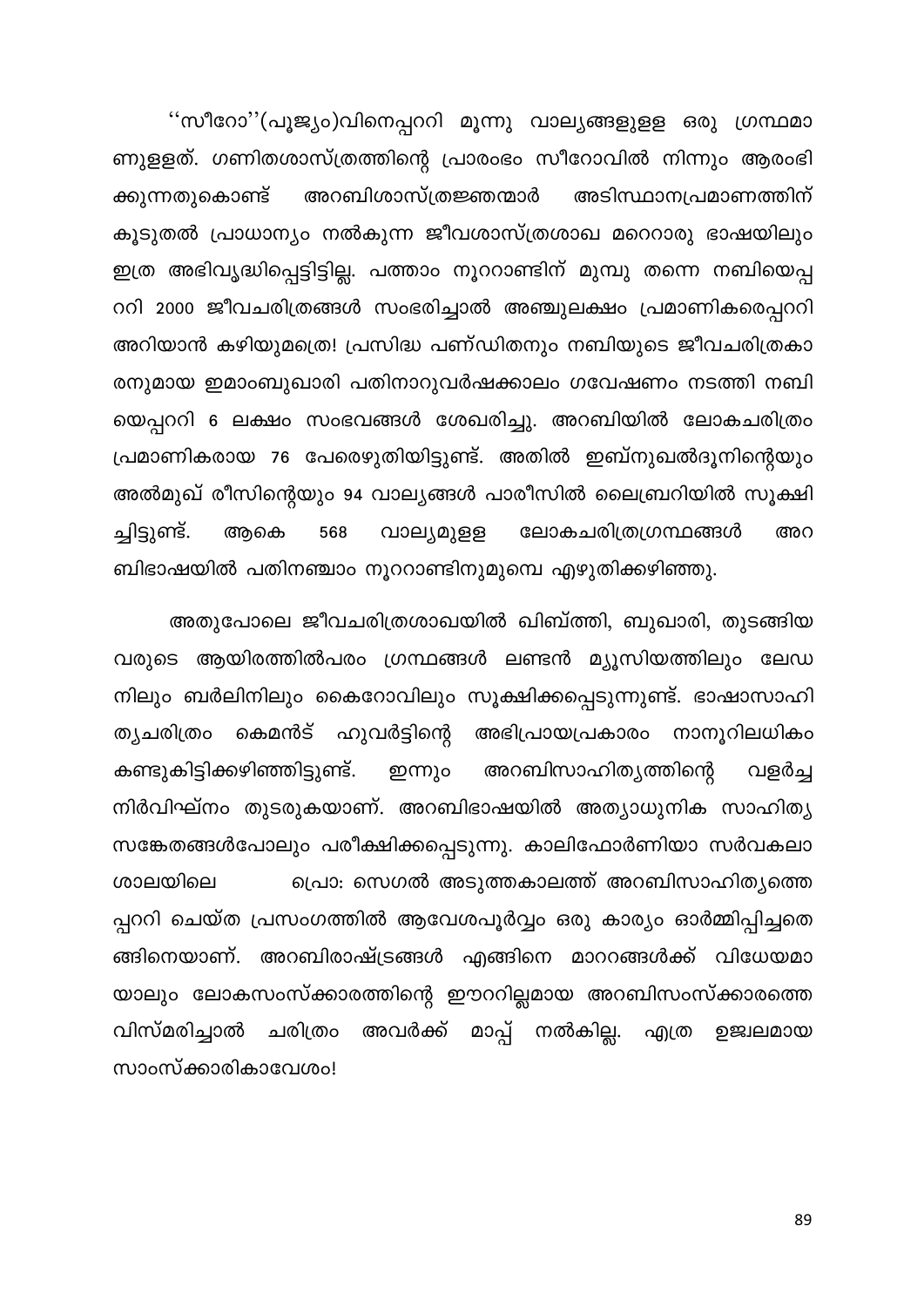''സീറോ''(പൂജ്യം)വിനെപ്പററി മൂന്നു വാല്യങ്ങളുളള ഒരു ഗ്രന്ഥമാ ണുളളത്. ഗണിതശാസ്ത്രത്തിന്റെ പ്രാരംഭം സീറോവിൽ നിന്നും ആരംഭി ക്കുന്നതുകൊണ്ട് അറബിശാസ്ത്രജ്ഞന്മാർ അടിസ്ഥാനപ്രമാണത്തിന് കൂടുതൽ പ്രാധാന്യം നൽകുന്ന ജീവശാസ്ത്രശാഖ മറെറാരു ഭാഷയിലും ഇത്ര അഭിവൃദ്ധിപ്പെട്ടിട്ടില്ല. പത്താം നൂററാണ്ടിന് മുമ്പു തന്നെ നബിയെപ്പ ററി 2000 ജീവചരിത്രങ്ങൾ സംഭരിച്ചാൽ അഞ്ചുലക്ഷം പ്രമാണികരെപ്പററി അറിയാൻ കഴിയുമത്രെ! പ്രസിദ്ധ പണ്ഡിതനും നബിയുടെ ജീവചരിത്രകാ രനുമായ ഇമാംബുഖാരി പതിനാറുവർഷക്കാലം ഗവേഷണം നടത്തി നബി യെപ്പററി 6 ലക്ഷം സംഭവങ്ങൾ ശേഖരിച്ചു. അറബിയിൽ ലോകചരിത്രം പ്രമാണികരായ 76 പേരെഴുതിയിട്ടുണ്ട്. അതിൽ ഇബ്നുഖൽദൂനിന്റെയും അൽമുഖ് രീസിന്റെയും 94 വാല്യങ്ങൾ പാരീസിൽ ലൈബ്രറിയിൽ സൂക്ഷി ച്ചിട്ടുണ്ട്. ലോകചരിത്രഗ്രന്ഥങ്ങൾ ആകെ 568 വാല്യമുളള അറ ബിഭാഷയിൽ പതിനഞ്ചാം നൂററാണ്ടിനുമുമ്പെ എഴുതിക്കഴിഞ്ഞു.

അതുപോലെ ജീവചരിത്രശാഖയിൽ ഖിബ്ത്തി, ബുഖാരി, തുടങ്ങിയ വരുടെ ആയിരത്തിൽപരം ഗ്രന്ഥങ്ങൾ ലണ്ടൻ മ്യൂസിയത്തിലും ലേഡ നിലും ബർലിനിലും കൈറോവിലും സൂക്ഷിക്കപ്പെടുന്നുണ്ട്. ഭാഷാസാഹി കെമൻട് ഹുവർട്ടിന്റെ അഭിപ്രായപ്രകാരം നാനൂറിലധികം ത്യചരിത്രം കണ്ടുകിട്ടിക്കഴിഞ്ഞിട്ടുണ്ട്. അറബിസാഹിത്യത്തിന്റെ ഇന്നും വളർച്ച നിർവിഘ്നം തുടരുകയാണ്. അറബിഭാഷയിൽ അത്യാധുനിക സാഹിത്യ സങ്കേതങ്ങൾപോലും പരീക്ഷിക്കപ്പെടുന്നു. കാലിഫോർണിയാ സർവകലാ പ്രൊ: സെഗൽ അടുത്തകാലത്ത് അറബിസാഹിത്യത്തെ ശാലയിലെ പ്പററി ചെയ്ത പ്രസംഗത്തിൽ ആവേശപൂർവ്വം ഒരു കാര്യം ഓർമ്മിപ്പിച്ചതെ ങ്ങിനെയാണ്. അറബിരാഷ്ട്രങ്ങൾ എങ്ങിനെ മാററങ്ങൾക്ക് വിധേയമാ യാലും ലോകസംസ്ക്കാരത്തിന്റെ ഈററില്ലമായ അറബിസംസ്ക്കാരത്തെ അവർക്ക് മാപ്പ് നൽകില്ല. വിസ്മരിച്ചാൽ ചരിത്രം എത്ര ഉജ്വലമായ സാംസ്ക്കാരികാവേശം!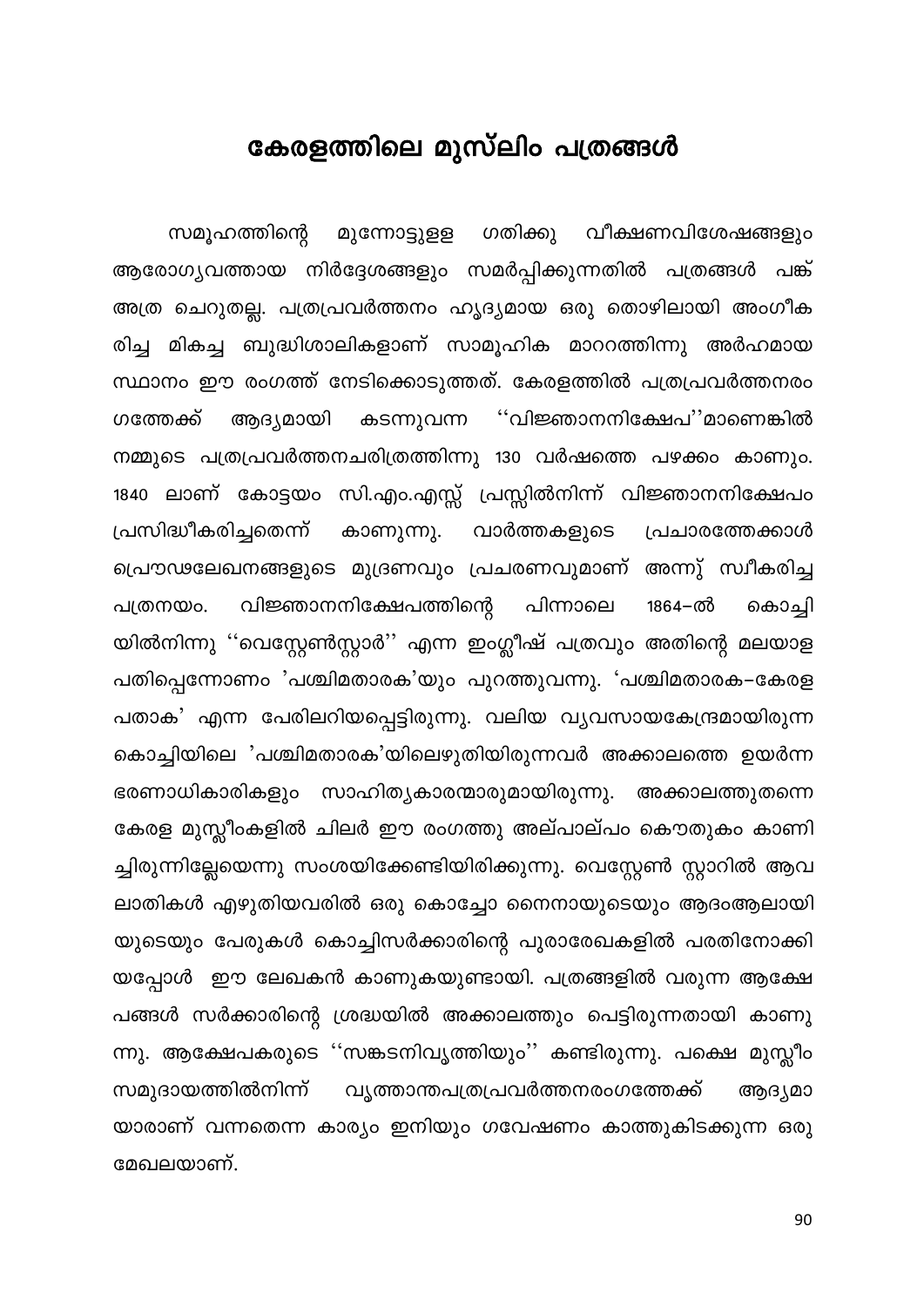## കേരളത്തിലെ മുസ്ലിം പത്രങ്ങൾ

സമൂഹത്തിന്റെ മുന്നോട്ടുളള ഗതിക്കു വീക്ഷണവിശേഷങ്ങളും ആരോഗ്യവത്തായ നിർദ്ദേശങ്ങളും സമർപ്പിക്കുന്നതിൽ പത്രങ്ങൾ പങ്ക് അത്ര ചെറുതല്ല. പത്രപ്രവർത്തനം ഹൃദ്യമായ ഒരു തൊഴിലായി അംഗീക രിച്ച മികച്ച ബുദ്ധിശാലികളാണ് സാമൂഹിക മാററത്തിന്നു അർഹമായ സ്ഥാനം ഈ രംഗത്ത് നേടിക്കൊടുത്തത്. കേരളത്തിൽ പത്രപ്രവർത്തനരം ഗത്തേക്ക് ആദ്യമായി കടന്നുവന്ന ''വിജ്ഞാനനിക്ഷേപ''മാണെങ്കിൽ നമ്മുടെ പത്രപ്രവർത്തനചരിത്രത്തിന്നു 130 വർഷത്തെ പഴക്കം കാണും. 1840 ലാണ് കോട്ടയം സി.എം.എസ്സ് പ്രസ്സിൽനിന്ന് വിജ്ഞാനനിക്ഷേപം പ്രസിദ്ധീകരിച്ചതെന്ന് കാണുന്നു. വാർത്തകളുടെ പ്രചാരത്തേക്കാൾ പ്രൌഢലേഖനങ്ങളുടെ മുദ്രണവും പ്രചരണവുമാണ് അന്നു് സ്വീകരിച്ച പത്രനയം. വിജ്ഞാനനിക്ഷേപത്തിന്റെ പിന്നാലെ 1864–ൽ കൊച്ചി യിൽനിന്നു ''വെസ്റ്റേൺസ്റ്റാർ'' എന്ന ഇംഗ്ലീഷ് പത്രവും അതിന്റെ മലയാള പതിപ്പെന്നോണം 'പശ്ചിമതാരക'യും പുറത്തുവന്നു. 'പശ്ചിമതാരക–കേരള പതാക' എന്ന പേരിലറിയപ്പെട്ടിരുന്നു. വലിയ വ്യവസായകേന്ദ്രമായിരുന്ന കൊച്ചിയിലെ 'പശ്ചിമതാരക'യിലെഴുതിയിരുന്നവർ അക്കാലത്തെ ഉയർന്ന ഭരണാധികാരികളും സാഹിത്യകാരന്മാരുമായിരുന്നു. അക്കാലത്തുതന്നെ കേരള മുസ്ലീംകളിൽ ചിലർ ഈ രംഗത്തു അല്പാല്പം കൌതുകം കാണി ച്ചിരുന്നില്ലേയെന്നു സംശയിക്കേണ്ടിയിരിക്കുന്നു. വെസ്റ്റേൺ സ്റ്റാറിൽ ആവ ലാതികൾ എഴുതിയവരിൽ ഒരു കൊച്ചോ നൈനായുടെയും ആദംആലായി യുടെയും പേരുകൾ കൊച്ചിസർക്കാരിന്റെ പുരാരേഖകളിൽ പരതിനോക്കി യപ്പോൾ ഈ ലേഖകൻ കാണുകയുണ്ടായി. പത്രങ്ങളിൽ വരുന്ന ആക്ഷേ പങ്ങൾ സർക്കാരിന്റെ ശ്രദ്ധയിൽ അക്കാലത്തും പെട്ടിരുന്നതായി കാണു ന്നു. ആക്ഷേപകരുടെ ''സങ്കടനിവൃത്തിയും'' കണ്ടിരുന്നു. പക്ഷെ മുസ്ലീം സമുദായത്തിൽനിന്ന് വൃത്താന്തപത്രപ്രവർത്തനരംഗത്തേക്ക് ആദ്യമാ യാരാണ് വന്നതെന്ന കാര്യം ഇനിയും ഗവേഷണം കാത്തുകിടക്കുന്ന ഒരു മേഖലയാണ്.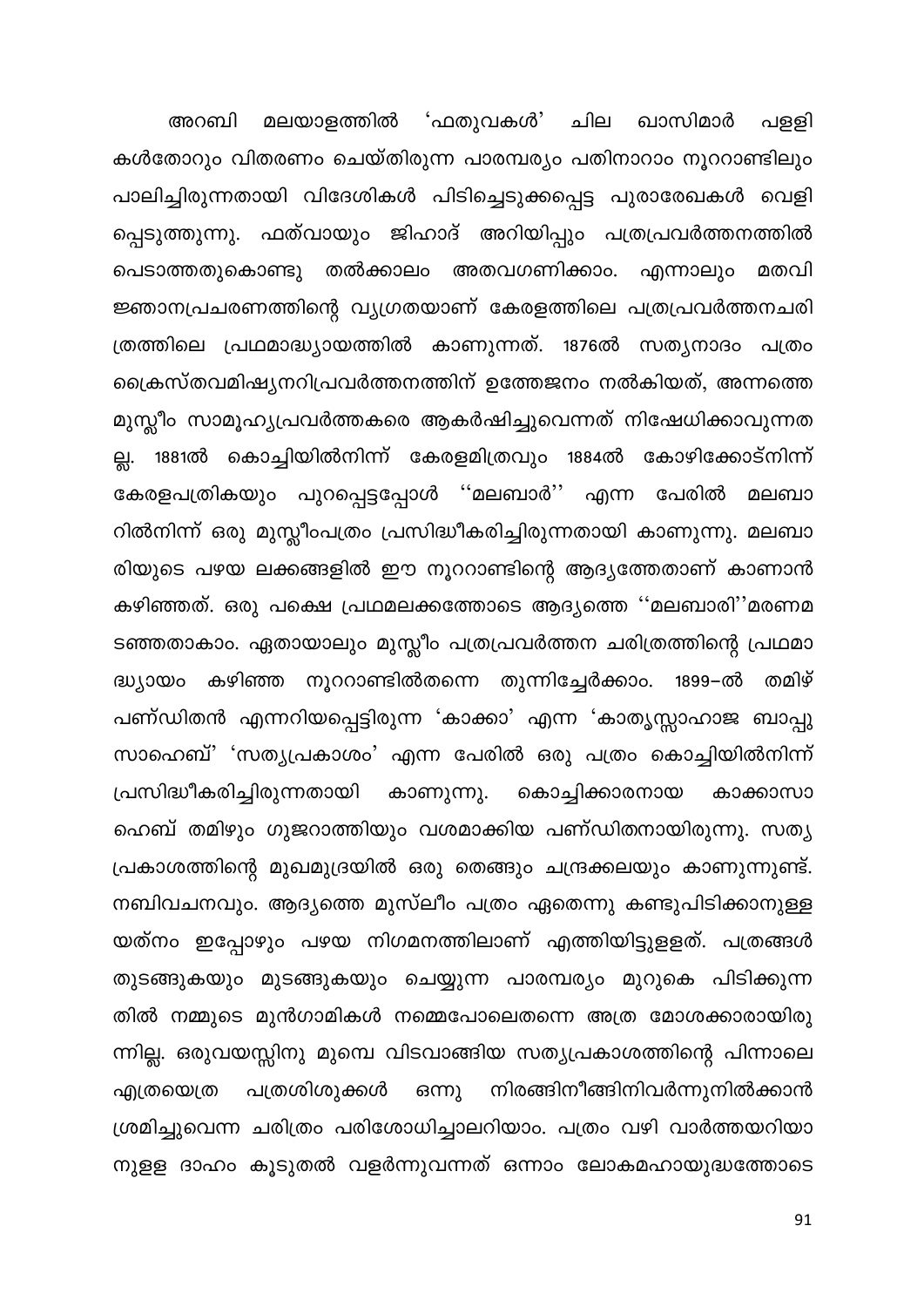മലയാളത്തിൽ 'ഫതുവകൾ' ചില ഖാസിമാർ അറബി പളളി കൾതോറും വിതരണം ചെയ്തിരുന്ന പാരമ്പര്യം പതിനാറാം നൂററാണ്ടിലും പാലിച്ചിരുന്നതായി വിദേശികൾ പിടിച്ചെടുക്കപ്പെട്ട പുരാരേഖകൾ വെളി പ്പെടുത്തുന്നു. ഫത്വായും ജിഹാദ് അറിയിപ്പും പത്രപ്രവർത്തനത്തിൽ പെടാത്തതുകൊണ്ടു തൽക്കാലം അതവഗണിക്കാം. എന്നാലും മതവി ജ്ഞാനപ്രചരണത്തിന്റെ വ്യഗ്രതയാണ് കേരളത്തിലെ പത്രപ്രവർത്തനചരി ത്രത്തിലെ പ്രഥമാദ്ധ്യായത്തിൽ കാണുന്നത്. 1876ൽ സത്യനാദം പത്രം ക്രൈസ്തവമിഷ്യനറിപ്രവർത്തനത്തിന് ഉത്തേജനം നൽകിയത്, അന്നത്തെ മുസ്ലീം സാമൂഹ്യപ്രവർത്തകരെ ആകർഷിച്ചുവെന്നത് നിഷേധിക്കാവുന്നത 1881ൽ കൊച്ചിയിൽനിന്ന് കേരളമിത്രവും 1884ൽ കോഴിക്കോട്നിന്ന് <u>싒</u>. കേരളപത്രികയും പുറപ്പെട്ടപ്പോൾ ''മലബാർ'' എന്ന പേരിൽ മലബാ റിൽനിന്ന് ഒരു മുസ്ലീംപത്രം പ്രസിദ്ധീകരിച്ചിരുന്നതായി കാണുന്നു. മലബാ രിയുടെ പഴയ ലക്കങ്ങളിൽ ഈ നൂററാണ്ടിന്റെ ആദ്യത്തേതാണ് കാണാൻ കഴിഞ്ഞത്. ഒരു പക്ഷെ പ്രഥമലക്കത്തോടെ ആദ്യത്തെ ''മലബാരി''മരണമ ടഞ്ഞതാകാം. ഏതായാലും മുസ്ലീം പത്രപ്രവർത്തന ചരിത്രത്തിന്റെ പ്രഥമാ കഴിഞ്ഞ നൂററാണ്ടിൽതന്നെ തുന്നിച്ചേർക്കാം. 1899–ൽ തമിഴ് ദ്ധ്യാതാ പണ്ഡിതൻ എന്നറിയപ്പെട്ടിരുന്ന 'കാക്കാ' എന്ന 'കാതൃസ്സാഹാജ ബാപ്പു സാഹെബ്' 'സത്യപ്രകാശം' എന്ന പേരിൽ ഒരു പത്രം കൊച്ചിയിൽനിന്ന് പ്രസിദ്ധീകരിച്ചിരുന്നതായി കാണുന്നു. കൊച്ചിക്കാരനായ കാക്കാസാ ഹെബ് തമിഴും ഗുജറാത്തിയും വശമാക്കിയ പണ്ഡിതനായിരുന്നു. സത്യ പ്രകാശത്തിന്റെ മുഖമുദ്രയിൽ ഒരു തെങ്ങും ചന്ദ്രക്കലയും കാണുന്നുണ്ട്. നബിവചനവും. ആദ്യത്തെ മുസ്ലീം പത്രം ഏതെന്നു കണ്ടുപിടിക്കാനുള്ള യത്നം ഇപ്പോഴും പഴയ നിഗമനത്തിലാണ് എത്തിയിട്ടുളളത്. പത്രങ്ങൾ തുടങ്ങുകയും മുടങ്ങുകയും ചെയ്യുന്ന പാരമ്പര്യം മുറുകെ പിടിക്കുന്ന തിൽ നമ്മുടെ മുൻഗാമികൾ നമ്മെപോലെതന്നെ അത്ര മോശക്കാരായിരു ന്നില്ല. ഒരുവയസ്സിനു മുമ്പെ വിടവാങ്ങിയ സത്യപ്രകാശത്തിന്റെ പിന്നാലെ പത്രശിശുക്കൾ നിരങ്ങിനീങ്ങിനിവർന്നുനിൽക്കാൻ എത്രയെത്ര ഒന്നു ശ്രമിച്ചുവെന്ന ചരിത്രം പരിശോധിച്ചാലറിയാം. പത്രം വഴി വാർത്തയറിയാ നുള്ള ദാഹം കൂടുതൽ വളർന്നുവന്നത് ഒന്നാം ലോകമഹായുദ്ധത്തോടെ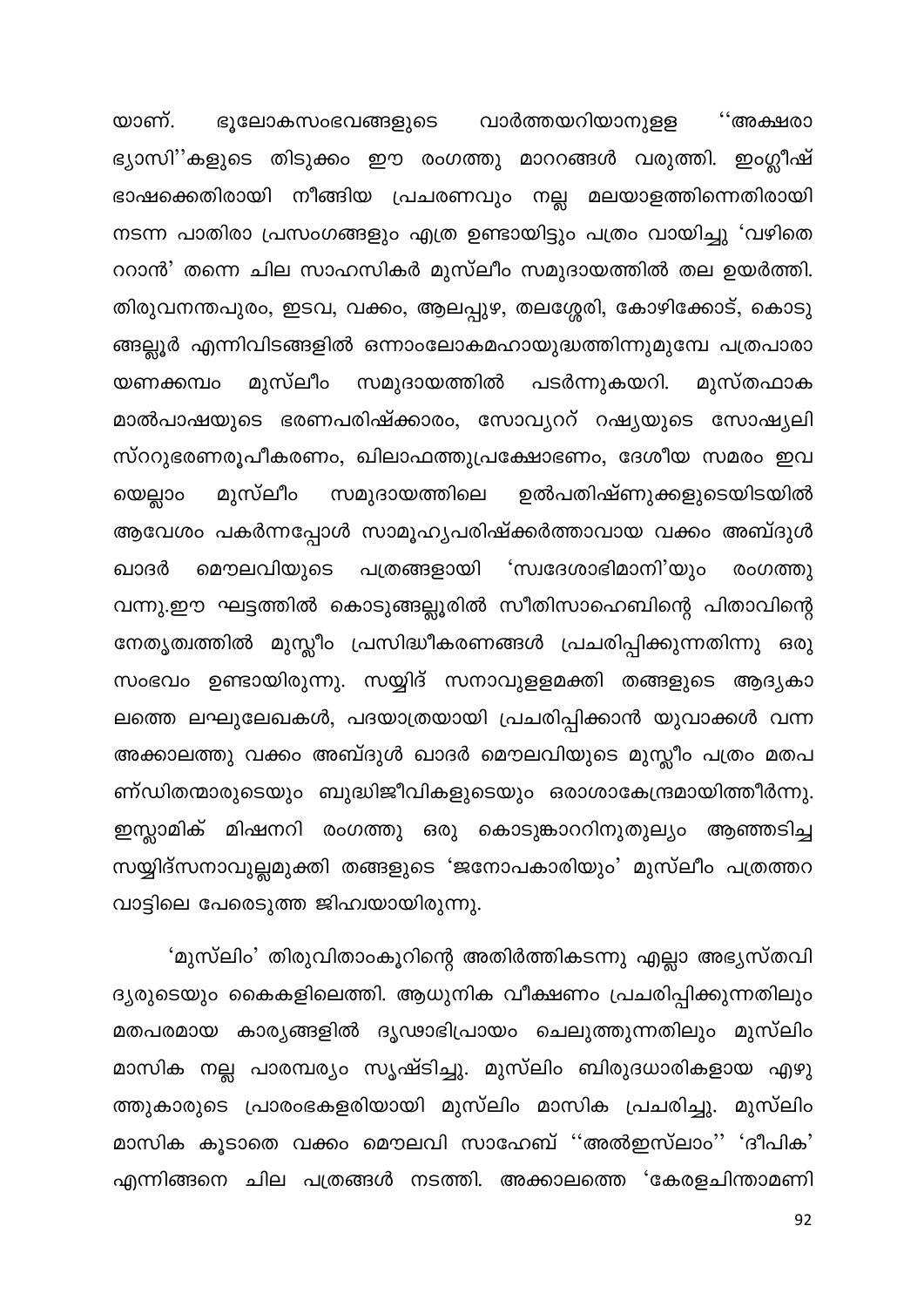ഭൂലോകസംഭവങ്ങളുടെ വാർത്തയറിയാനുളള യാണ്. ്∙അക്ഷരാ ഭ്യാസി''കളുടെ തിടുക്കം ഈ രംഗത്തു മാററങ്ങൾ വരുത്തി. ഇംഗ്ലീഷ് ഭാഷക്കെതിരായി നീങ്ങിയ പ്രചരണവും നല്ല മലയാളത്തിന്നെതിരായി നടന്ന പാതിരാ പ്രസംഗങ്ങളും എത്ര ഉണ്ടായിട്ടും പത്രം വായിച്ചു 'വഴിതെ ററാൻ' തന്നെ ചില സാഹസികർ മുസ്ലീം സമുദായത്തിൽ തല ഉയർത്തി. തിരുവനന്തപുരം, ഇടവ, വക്കം, ആലപ്പുഴ, തലശ്ശേരി, കോഴിക്കോട്, കൊടു ങ്ങല്ലൂർ എന്നിവിടങ്ങളിൽ ഒന്നാംലോകമഹായുദ്ധത്തിന്നുമുമ്പേ പത്രപാരാ പടർന്നുകയറി. മുസ്ലീം യണക്കമ്പം സമുദായത്തിൽ മുസ്തഫാക മാൽപാഷയുടെ ഭരണപരിഷ്ക്കാരം, സോവ്യററ് റഷ്യയുടെ സോഷ്യലി സ്ററുഭരണരൂപീകരണം, ഖിലാഫത്തുപ്രക്ഷോഭണം, ദേശീയ സമരം ഇവ ഉൽപതിഷ്ണുക്കളുടെയിടയിൽ മുസ്ലീം സമുദായത്തിലെ യെല്ലാം ആവേശം പകർന്നപ്പോൾ സാമൂഹ്യപരിഷ്ക്കർത്താവായ വക്കം അബ്ദുൾ ഖാദർ മൌലവിയുടെ 'സ്വദേശാഭിമാനി'യും പത്രങ്ങളായി രംഗത്തു വന്നു.ഈ ഘട്ടത്തിൽ കൊടുങ്ങല്ലൂരിൽ സീതിസാഹെബിന്റെ പിതാവിന്റെ നേതൃത്വത്തിൽ മുസ്സീം പ്രസിദ്ധീകരണങ്ങൾ പ്രചരിപ്പിക്കുന്നതിന്നു ഒരു സംഭവം ഉണ്ടായിരുന്നു. സയ്യിദ് സനാവുളളമക്തി തങ്ങളുടെ ആദ്യകാ ലത്തെ ലഘുലേഖകൾ, പദയാത്രയായി പ്രചരിപ്പിക്കാൻ യുവാക്കൾ വന്ന അക്കാലത്തു വക്കം അബ്ദുൾ ഖാദർ മൌലവിയുടെ മുസ്ലീം പത്രം മതപ ണ്ഡിതന്മാരുടെയും ബുദ്ധിജീവികളുടെയും ഒരാശാകേന്ദ്രമായിത്തീർന്നു. ഇസ്ലാമിക് മിഷനറി രംഗത്തു ഒരു കൊടുങ്കാററിനുതുല്യം ആഞ്ഞടിച്ച സയ്യിദ്സനാവുല്ലമുക്തി തങ്ങളുടെ 'ജനോപകാരിയും' മുസ്ലീം പത്രത്തറ വാട്ടിലെ പേരെടുത്ത ജിഹ്വയായിരുന്നു.

'മുസ്ലിം' തിരുവിതാംകൂറിന്റെ അതിർത്തികടന്നു എല്ലാ അഭ്യസ്തവി ദ്യരുടെയും കൈകളിലെത്തി. ആധുനിക വീക്ഷണം പ്രചരിപ്പിക്കുന്നതിലും മതപരമായ കാര്യങ്ങളിൽ ദൃഢാഭിപ്രായം ചെലുത്തുന്നതിലും മുസ്ലിം മാസിക നല്ല പാരമ്പര്യം സൃഷ്ടിച്ചു. മുസ്ലിം ബിരുദധാരികളായ എഴു ത്തുകാരുടെ പ്രാരംഭകളരിയായി മുസ്ലിം മാസിക പ്രചരിച്ചു. മുസ്ലിം മാസിക കൂടാതെ വക്കം മൌലവി സാഹേബ് ''അൽഇസ്ലാം'' 'ദീപിക' എന്നിങ്ങനെ ചില പത്രങ്ങൾ നടത്തി. അക്കാലത്തെ 'കേരളചിന്താമണി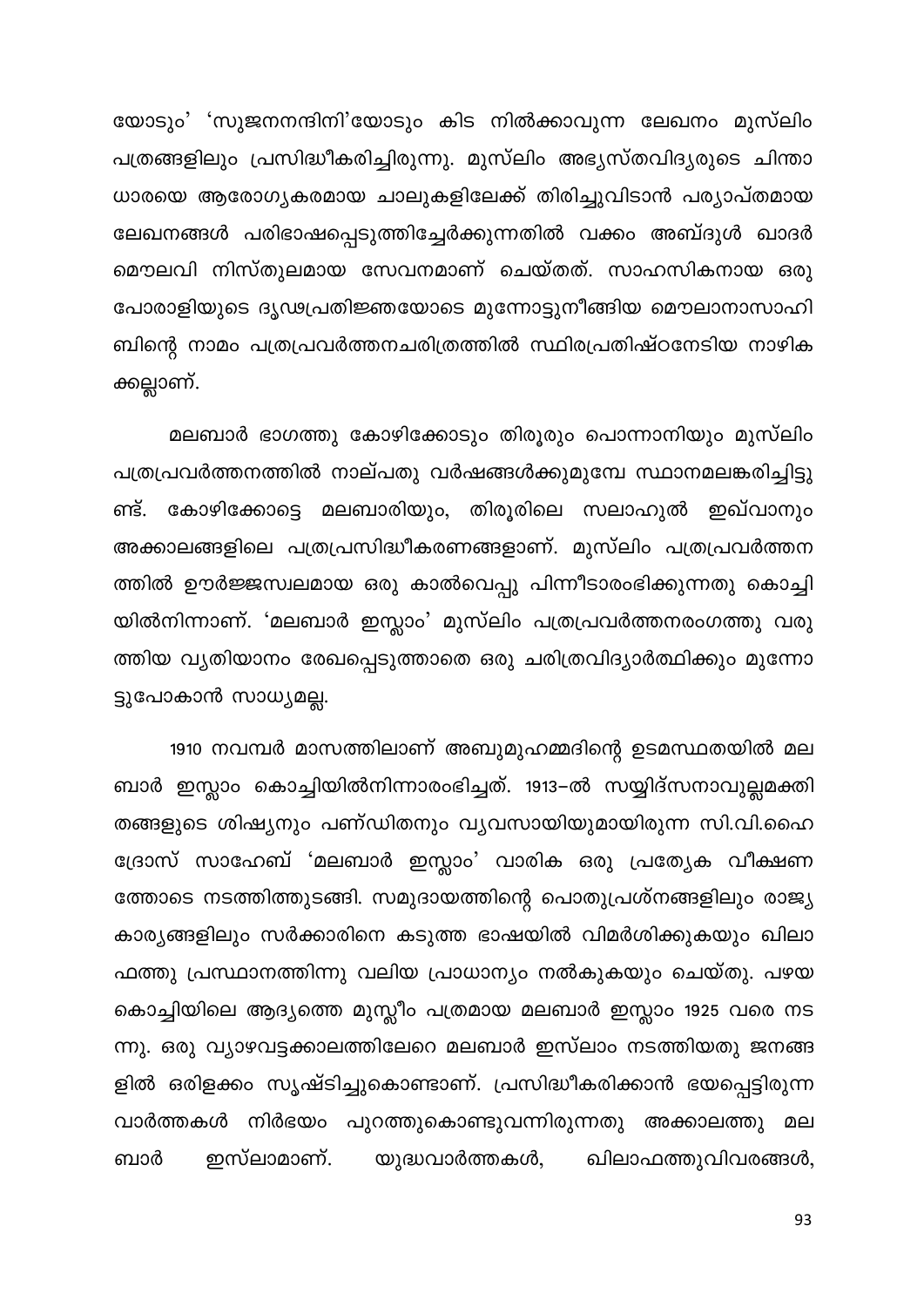യോടും' 'സുജനനന്ദിനി'യോടും കിട നിൽക്കാവുന്ന ലേഖനം മുസ്ലിം പത്രങ്ങളിലും പ്രസിദ്ധീകരിച്ചിരുന്നു. മുസ്ലിം അഭ്യസ്തവിദ്യരുടെ ചിന്താ ധാരയെ ആരോഗ്യകരമായ ചാലുകളിലേക്ക് തിരിച്ചുവിടാൻ പര്യാപ്തമായ ലേഖനങ്ങൾ പരിഭാഷപ്പെടുത്തിച്ചേർക്കുന്നതിൽ വക്കം അബ്ദുൾ ഖാദർ മൌലവി നിസ്തുലമായ സേവനമാണ് ചെയ്തത്. സാഹസികനായ ഒരു പോരാളിയുടെ ദൃഢപ്രതിജ്ഞയോടെ മുന്നോട്ടുനീങ്ങിയ മൌലാനാസാഹി ബിന്റെ നാമം പത്രപ്രവർത്തനചരിത്രത്തിൽ സ്ഥിരപ്രതിഷ്ഠനേടിയ നാഴിക ക്കല്ലാണ്.

മലബാർ ഭാഗത്തു കോഴിക്കോടും തിരൂരും പൊന്നാനിയും മുസ്ലിം പത്രപ്രവർത്തനത്തിൽ നാല്പതു വർഷങ്ങൾക്കുമുമ്പേ സ്ഥാനമലങ്കരിച്ചിട്ടു കോഴിക്കോട്ടെ മലബാരിയും, തിരൂരിലെ സലാഹുൽ ഇഖ്വാനും ണ്ട്. അക്കാലങ്ങളിലെ പത്രപ്രസിദ്ധീകരണങ്ങളാണ്. മുസ്ലിം പത്രപ്രവർത്തന ത്തിൽ ഊർജ്ജസ്വലമായ ഒരു കാൽവെപ്പു പിന്നീടാരംഭിക്കുന്നതു കൊച്ചി യിൽനിന്നാണ്. 'മലബാർ ഇസ്ലാം' മുസ്ലിം പത്രപ്രവർത്തനരംഗത്തു വരു ത്തിയ വ്യതിയാനം രേഖപ്പെടുത്താതെ ഒരു ചരിത്രവിദ്യാർത്ഥിക്കും മുന്നോ ട്ടുപോകാൻ സാധ്യമല്ല.

1910 നവമ്പർ മാസത്തിലാണ് അബുമുഹമ്മദിന്റെ ഉടമസ്ഥതയിൽ മല ബാർ ഇസ്ലാം കൊച്ചിയിൽനിന്നാരംഭിച്ചത്. 1913–ൽ സയ്യിദ്സനാവുല്ലമക്തി തങ്ങളുടെ ശിഷ്യനും പണ്ഡിതനും വൃവസായിയുമായിരുന്ന സി.വി.ഹൈ ദ്രോസ് സാഹേബ് 'മലബാർ ഇസ്ലാം' വാരിക ഒരു പ്രത്യേക വീക്ഷണ ത്തോടെ നടത്തിത്തുടങ്ങി. സമുദായത്തിന്റെ പൊതുപ്രശ്നങ്ങളിലും രാജ്യ കാര്യങ്ങളിലും സർക്കാരിനെ കടുത്ത ഭാഷയിൽ വിമർശിക്കുകയും ഖിലാ ഫത്തു പ്രസ്ഥാനത്തിന്നു വലിയ പ്രാധാന്യം നൽകുകയും ചെയ്തു. പഴയ കൊച്ചിയിലെ ആദ്യത്തെ മുസ്ലീം പത്രമായ മലബാർ ഇസ്ലാം 1925 വരെ നട ന്നു. ഒരു വ്യാഴവട്ടക്കാലത്തിലേറെ മലബാർ ഇസ്ലാം നടത്തിയതു ജനങ്ങ ളിൽ ഒരിളക്കം സൃഷ്ടിച്ചുകൊണ്ടാണ്. പ്രസിദ്ധീകരിക്കാൻ ഭയപ്പെട്ടിരുന്ന വാർത്തകൾ നിർഭയം പുറത്തുകൊണ്ടുവന്നിരുന്നതു അക്കാലത്തു മല ഇസ്ലാമാണ്. ബാർ യുദ്ധവാർത്തകൾ, ഖിലാഫത്തുവിവരങ്ങൾ,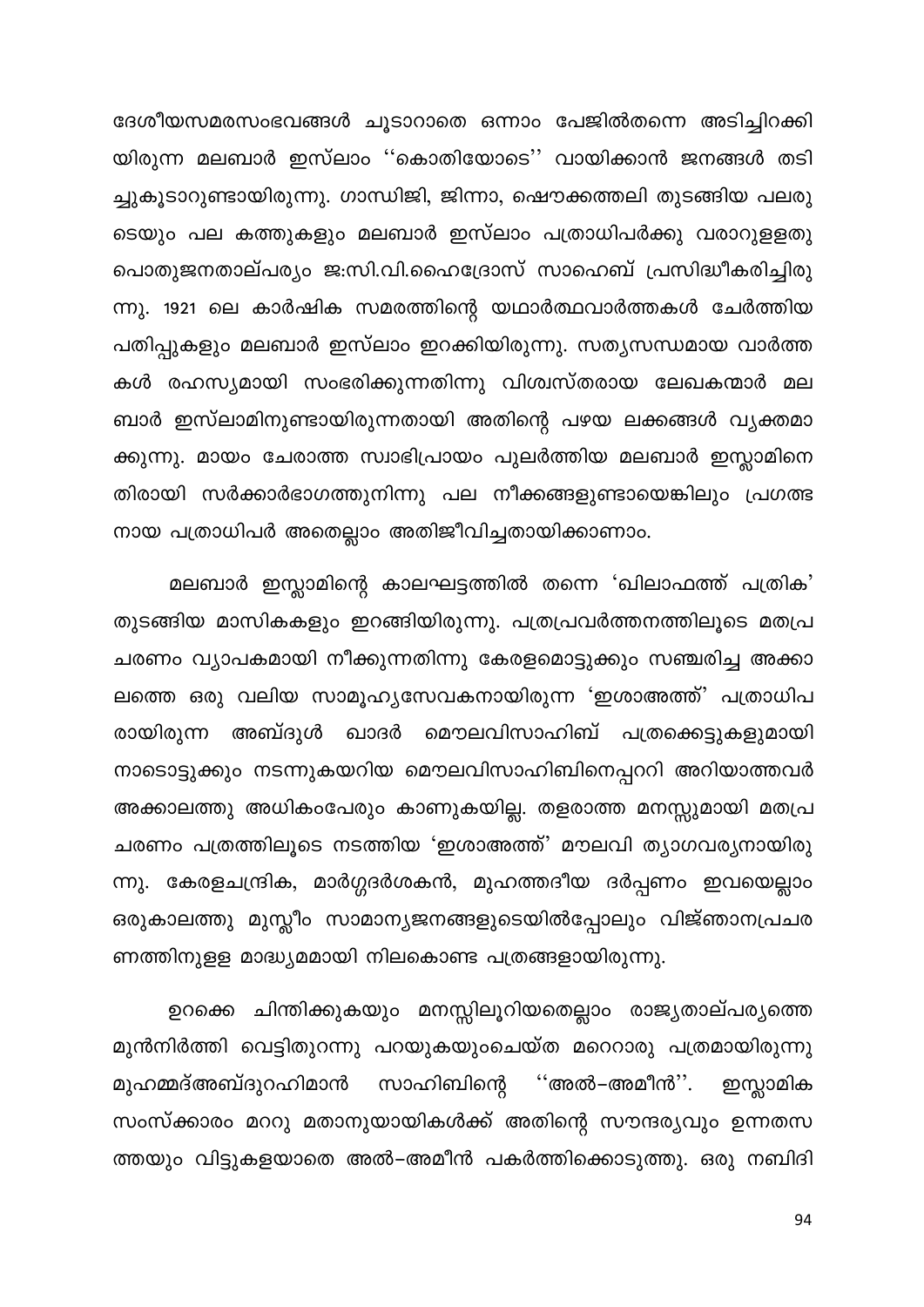ദേശീയസമരസംഭവങ്ങൾ ചൂടാറാതെ ഒന്നാം പേജിൽതന്നെ അടിച്ചിറക്കി യിരുന്ന മലബാർ ഇസ്ലാം ''കൊതിയോടെ'' വായിക്കാൻ ജനങ്ങൾ തടി ച്ചുകൂടാറുണ്ടായിരുന്നു. ഗാന്ധിജി, ജിന്നാ, ഷൌക്കത്തലി തുടങ്ങിയ പലരു ടെയും പല കത്തുകളും മലബാർ ഇസ്ലാം പത്രാധിപർക്കു വരാറുളളതു പൊതുജനതാല്പര്യം ജ:സി.വി.ഹൈദ്രോസ് സാഹെബ് പ്രസിദ്ധീകരിച്ചിരു ന്നു. 1921 ലെ കാർഷിക സമരത്തിന്റെ യഥാർത്ഥവാർത്തകൾ ചേർത്തിയ പതിപ്പുകളും മലബാർ ഇസ്ലാം ഇറക്കിയിരുന്നു. സതൃസന്ധമായ വാർത്ത കൾ രഹസ്യമായി സംഭരിക്കുന്നതിന്നു വിശ്വസ്തരായ ലേഖകന്മാർ മല ബാർ ഇസ്ലാമിനുണ്ടായിരുന്നതായി അതിന്റെ പഴയ ലക്കങ്ങൾ വ്യക്തമാ ക്കുന്നു. മായം ചേരാത്ത സ്വാഭിപ്രായം പുലർത്തിയ മലബാർ ഇസ്ലാമിനെ തിരായി സർക്കാർഭാഗത്തുനിന്നു പല നീക്കങ്ങളുണ്ടായെങ്കിലും പ്രഗത്ഭ നായ പത്രാധിപർ അതെല്ലാം അതിജീവിച്ചതായിക്കാണാം.

മലബാർ ഇസ്ലാമിന്റെ കാലഘട്ടത്തിൽ തന്നെ 'ഖിലാഫത്ത് പത്രിക' തുടങ്ങിയ മാസികകളും ഇറങ്ങിയിരുന്നു. പത്രപ്രവർത്തനത്തിലൂടെ മതപ്ര ചരണം വ്യാപകമായി നീക്കുന്നതിന്നു കേരളമൊട്ടുക്കും സഞ്ചരിച്ച അക്കാ ലത്തെ ഒരു വലിയ സാമൂഹ്യസേവകനായിരുന്ന 'ഇശാഅത്ത്' പത്രാധിപ അബ്ദുൾ ഖാദർ മൌലവിസാഹിബ് പത്രക്കെട്ടുകളുമായി രായിരുന്ന നാടൊട്ടുക്കും നടന്നുകയറിയ മൌലവിസാഹിബിനെപ്പററി അറിയാത്തവർ അക്കാലത്തു അധികംപേരും കാണുകയില്ല. തളരാത്ത മനസ്സുമായി മതപ്ര ചരണം പത്രത്തിലൂടെ നടത്തിയ 'ഇശാഅത്ത്' മൗലവി ത്യാഗവര്യനായിരു ന്നു. കേരളചന്ദ്രിക, മാർഗ്ഗദർശകൻ, മുഹത്തദീയ ദർപ്പണം ഇവയെല്ലാം ഒരുകാലത്തു മുസ്ലീം സാമാന്യജനങ്ങളുടെയിൽപ്പോലും വിജ്ഞാനപ്രചര ണത്തിനുളള മാദ്ധ്യമമായി നിലകൊണ്ട പത്രങ്ങളായിരുന്നു.

ഉറക്കെ ചിന്തിക്കുകയും മനസ്സിലൂറിയതെല്ലാം രാജ്യതാല്പര്യത്തെ മുൻനിർത്തി വെട്ടിതുറന്നു പറയുകയുംചെയ്ത മറെറാരു പത്രമായിരുന്നു മുഹമ്മദ്അബ്ദുറഹിമാൻ സാഹിബിന്റെ ''അൽ–അമീൻ''. ഇസ്ലാമിക സംസ്ക്കാരം മററു മതാനുയായികൾക്ക് അതിന്റെ സൗന്ദര്യവും ഉന്നതസ ത്തയും വിട്ടുകളയാതെ അൽ–അമീൻ പകർത്തിക്കൊടുത്തു. ഒരു നബിദി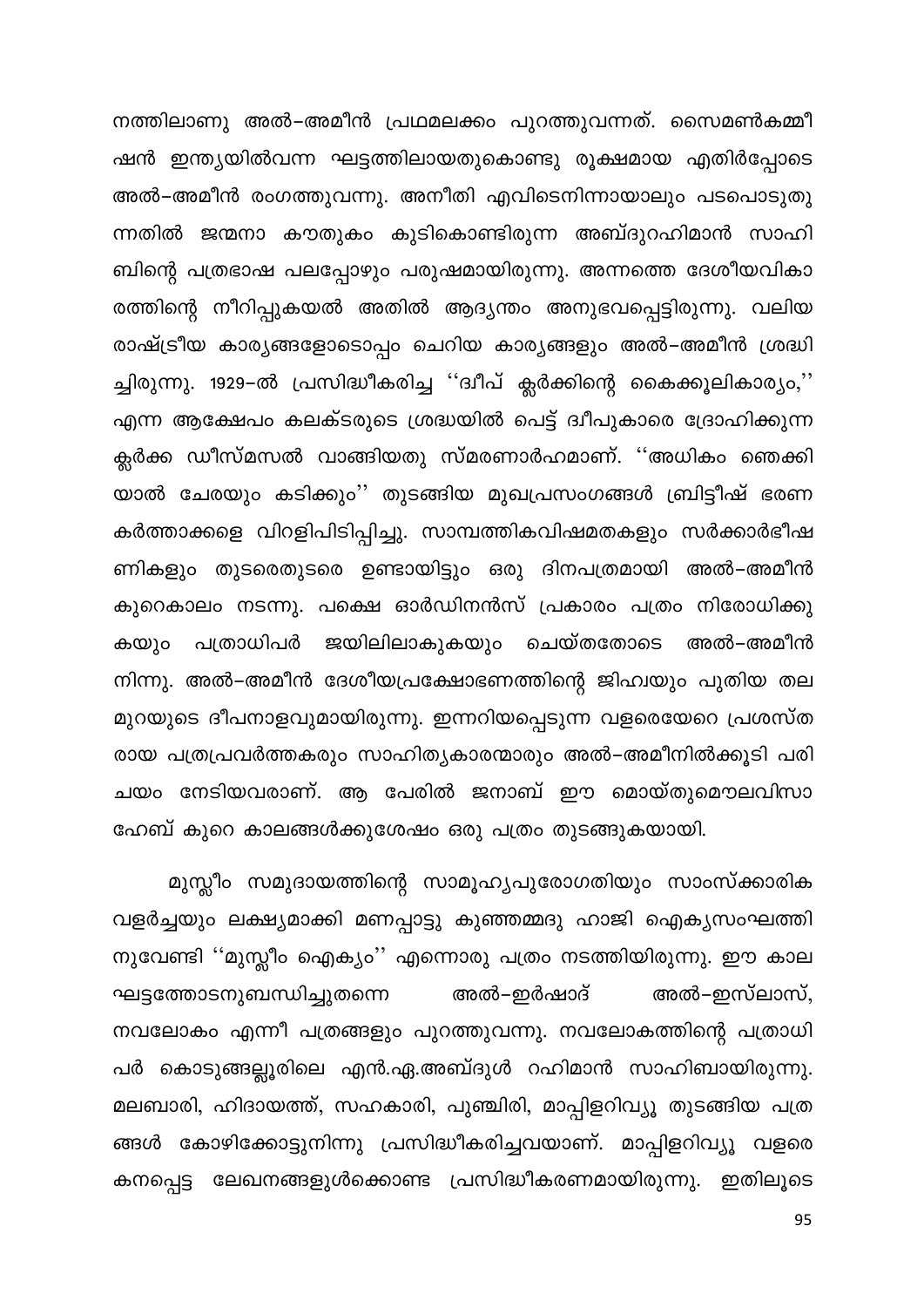നത്തിലാണു അൽ–അമീൻ പ്രഥമലക്കം പുറത്തുവന്നത്. സൈമൺകമ്മീ ഷൻ ഇന്ത്യയിൽവന്ന ഘട്ടത്തിലായതുകൊണ്ടു രൂക്ഷമായ എതിർപ്പോടെ അൽ–അമീൻ രംഗത്തുവന്നു. അനീതി എവിടെനിന്നായാലും പടപൊടുതു ന്നതിൽ ജന്മനാ കൗതുകം കുടികൊണ്ടിരുന്ന അബ്ദുറഹിമാൻ സാഹി ബിന്റെ പത്രഭാഷ പലപ്പോഴും പരുഷമായിരുന്നു. അന്നത്തെ ദേശീയവികാ രത്തിന്റെ നീറിപ്പുകയൽ അതിൽ ആദ്യന്തം അനുഭവപ്പെട്ടിരുന്നു. വലിയ രാഷ്ട്രീയ കാര്യങ്ങളോടൊപ്പം ചെറിയ കാര്യങ്ങളും അൽ–അമീൻ ശ്രദ്ധി ച്ചിരുന്നു. 1929–ൽ പ്രസിദ്ധീകരിച്ച ''ദ്വീപ് ക്ലർക്കിന്റെ കൈക്കൂലികാര്യം,'' എന്ന ആക്ഷേപം കലക്ടരുടെ ശ്രദ്ധയിൽ പെട്ട് ദ്വീപുകാരെ ദ്രോഹിക്കുന്ന ക്ലർക്ക ഡീസ്മസൽ വാങ്ങിയതു സ്മരണാർഹമാണ്. ''അധികം ഞെക്കി യാൽ ചേരയും കടിക്കും'' തുടങ്ങിയ മുഖപ്രസംഗങ്ങൾ ബ്രിട്ടീഷ് ഭരണ കർത്താക്കളെ വിറളിപിടിപ്പിച്ചു. സാമ്പത്തികവിഷമതകളും സർക്കാർഭീഷ ണികളും തുടരെതുടരെ ഉണ്ടായിട്ടും ഒരു ദിനപത്രമായി അൽ–അമീൻ കുറെകാലം നടന്നു. പക്ഷെ ഓർഡിനൻസ് പ്രകാരം പത്രം നിരോധിക്കു ജയിലിലാകുകയും ചെയ്തതോടെ അൽ–അമീൻ കയും പത്രാധിപർ നിന്നു. അൽ–അമീൻ ദേശീയപ്രക്ഷോഭണത്തിന്റെ ജിഹ്വയും പുതിയ തല മുറയുടെ ദീപനാളവുമായിരുന്നു. ഇന്നറിയപ്പെടുന്ന വളരെയേറെ പ്രശസ്ത രായ പത്രപ്രവർത്തകരും സാഹിത്യകാരന്മാരും അൽ–അമീനിൽക്കൂടി പരി ചയം നേടിയവരാണ്. ആ പേരിൽ ജനാബ് ഈ മൊയ്തുമൌലവിസാ ഹേബ് കുറെ കാലങ്ങൾക്കുശേഷം ഒരു പത്രം തുടങ്ങുകയായി.

മുസ്ലീം സമുദായത്തിന്റെ സാമൂഹ്യപുരോഗതിയും സാംസ്ക്കാരിക വളർച്ചയും ലക്ഷ്യമാക്കി മണപ്പാട്ടു കുഞ്ഞമ്മദു ഹാജി ഐക്യസംഘത്തി നുവേണ്ടി ''മുസ്ലീം ഐക്യം'' എന്നൊരു പത്രം നടത്തിയിരുന്നു. ഈ കാല ഘട്ടത്തോടനുബന്ധിച്ചുതന്നെ അൽ–ഇസ്ലാസ്, അൽ–ഇർഷാദ് നവലോകം എന്നീ പത്രങ്ങളും പുറത്തുവന്നു. നവലോകത്തിന്റെ പത്രാധി പർ കൊടുങ്ങല്ലൂരിലെ എൻ.ഏ.അബ്ദുൾ റഹിമാൻ സാഹിബായിരുന്നു. മലബാരി, ഹിദായത്ത്, സഹകാരി, പുഞ്ചിരി, മാപ്പിളറിവ്യൂ തുടങ്ങിയ പത്ര ങ്ങൾ കോഴിക്കോട്ടുനിന്നു പ്രസിദ്ധീകരിച്ചവയാണ്. മാപ്പിളറിവ്യൂ വളരെ കനപ്പെട്ട ലേഖനങ്ങളുൾക്കൊണ്ട പ്രസിദ്ധീകരണമായിരുന്നു. ഇതിലൂടെ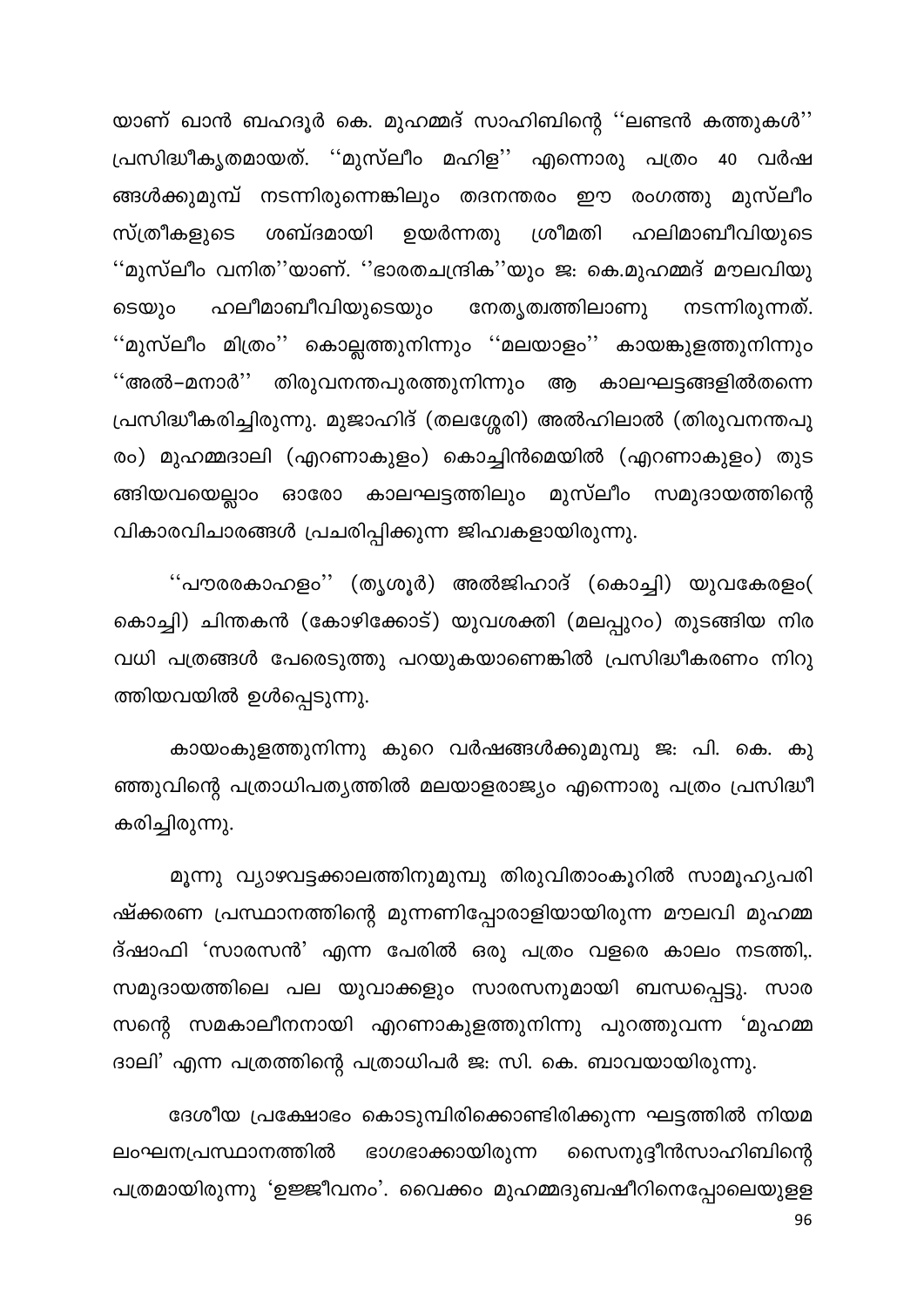യാണ് ഖാൻ ബഹദൂർ കെ. മുഹമ്മദ് സാഹിബിന്റെ ''ലണ്ടൻ കത്തുകൾ'' പ്രസിദ്ധീകൃതമായത്. ''മുസ്ലീം മഹിള'' എന്നൊരു പത്രം 40 വർഷ ങ്ങൾക്കുമുമ്പ് നടന്നിരുന്നെങ്കിലും തദനന്തരം ഈ രംഗത്തു മുസ്ലീം സ്ത്രീകളുടെ ശബ്ദമായി ശ്രീമതി ഉയർന്നതു ഹലിമാബീവിയുടെ ''മുസ്ലീം വനിത''യാണ്. ''ഭാരതചന്ദ്രിക''യും ജ: കെ.മുഹമ്മദ് മൗലവിയു ഹലീമാബീവിയുടെയും നേതൃത്വത്തിലാണു നടന്നിരുന്നത്. ടെയും ''മുസ്ലീം മിത്രം'' കൊല്ലത്തുനിന്നും ''മലയാളം'' കായങ്കുളത്തുനിന്നും ''അൽ–മനാർ'' തിരുവനന്തപുരത്തുനിന്നും ആ കാലഘട്ടങ്ങളിൽതന്നെ പ്രസിദ്ധീകരിച്ചിരുന്നു. മുജാഹിദ് (തലശ്ശേരി) അൽഹിലാൽ (തിരുവനന്തപു രം) മുഹമ്മദാലി (എറണാകുളം) കൊച്ചിൻമെയിൽ (എറണാകുളം) തുട ങ്ങിയവയെല്ലാം ഓരോ കാലഘട്ടത്തിലും മുസ്ലീം സമുദായത്തിന്റെ വികാരവിചാരങ്ങൾ പ്രചരിപ്പിക്കുന്ന ജിഹ്വകളായിരുന്നു.

''പൗരരകാഹളം'' (തൃശൂർ) അൽജിഹാദ് (കൊച്ചി) യുവകേരളം( കൊച്ചി) ചിന്തകൻ (കോഴിക്കോട്) യുവശക്തി (മലപ്പുറം) തുടങ്ങിയ നിര വധി പത്രങ്ങൾ പേരെടുത്തു പറയുകയാണെങ്കിൽ പ്രസിദ്ധീകരണം നിറു ത്തിയവയിൽ ഉൾപ്പെടുന്നു.

കായംകുളത്തുനിന്നു കുറെ വർഷങ്ങൾക്കുമുമ്പു ജ: പി. കെ. കു ഞ്ഞുവിന്റെ പത്രാധിപത്യത്തിൽ മലയാളരാജ്യം എന്നൊരു പത്രം പ്രസിദ്ധീ കരിച്ചിരുന്നു.

മൂന്നു വ്യാഴവട്ടക്കാലത്തിനുമുമ്പു തിരുവിതാംകൂറിൽ സാമൂഹ്യപരി ഷ്ക്കരണ പ്രസ്ഥാനത്തിന്റെ മുന്നണിപ്പോരാളിയായിരുന്ന മൗലവി മുഹമ്മ ദ്ഷാഫി 'സാരസൻ' എന്ന പേരിൽ ഒരു പത്രം വളരെ കാലം നടത്തി,. സമുദായത്തിലെ പല യുവാക്കളും സാരസനുമായി ബന്ധപ്പെട്ടു. സാര സന്റെ സമകാലീനനായി എറണാകുളത്തുനിന്നു പുറത്തുവന്ന 'മുഹമ്മ ദാലി' എന്ന പത്രത്തിന്റെ പത്രാധിപർ ജ: സി. കെ. ബാവയായിരുന്നു.

ദേശീയ പ്രക്ഷോഭം കൊടുമ്പിരിക്കൊണ്ടിരിക്കുന്ന ഘട്ടത്തിൽ നിയമ നൈനുദ്ദീൻസാഹിബിന്റെ ഭാഗഭാക്കായിരുന്ന ലംഘനപ്രസ്ഥാനത്തിൽ പത്രമായിരുന്നു 'ഉജ്ജീവനം'. വൈക്കം മുഹമ്മദുബഷീറിനെപ്പോലെയുളള 96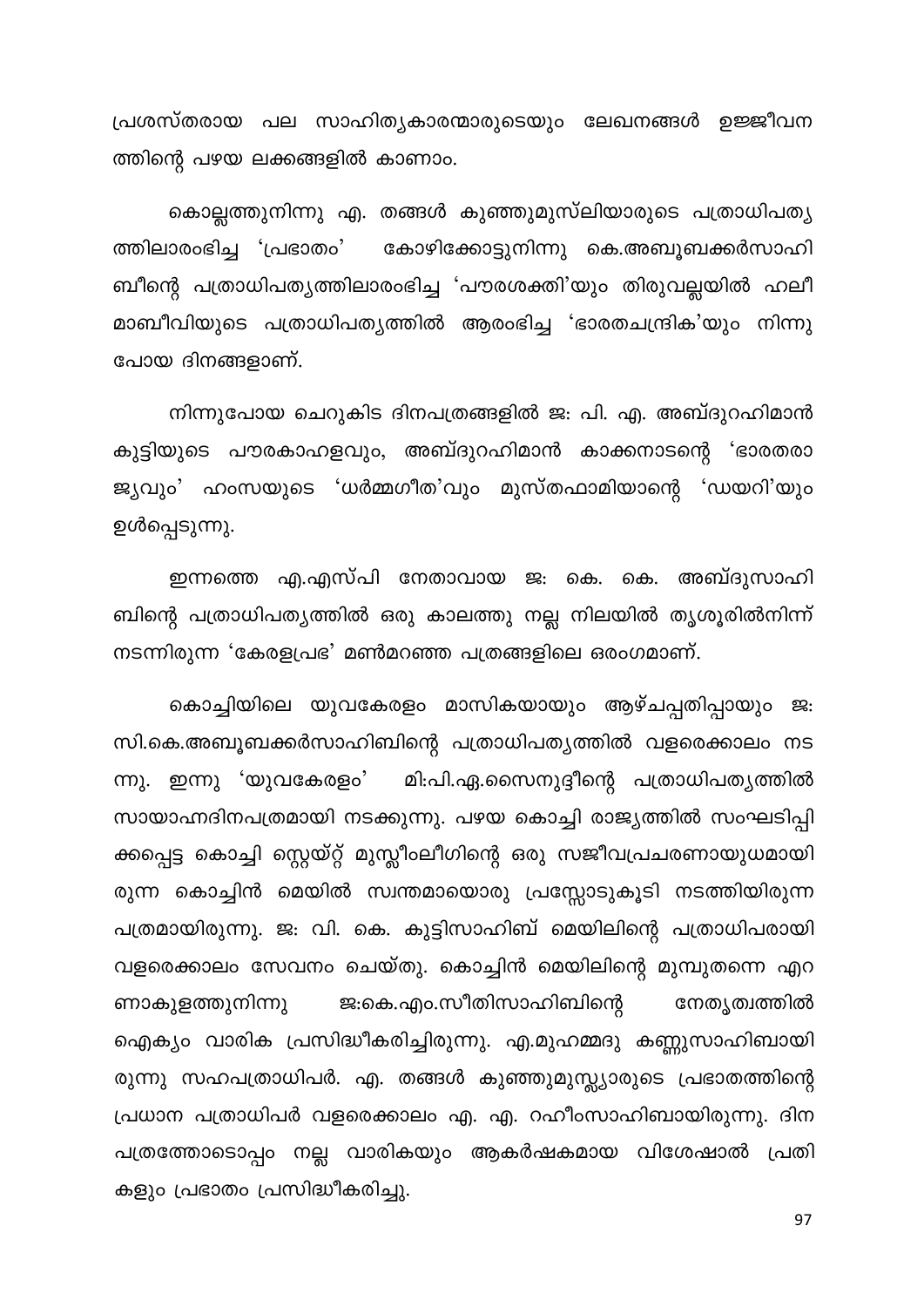പ്രശസ്തരായ പല സാഹിത്യകാരന്മാരുടെയും ലേഖനങ്ങൾ ഉജ്ജീവന ത്തിന്റെ പഴയ ലക്കങ്ങളിൽ കാണാം.

കൊല്ലത്തുനിന്നു എ. തങ്ങൾ കുഞ്ഞുമുസ്ലിയാരുടെ പത്രാധിപത്യ കോഴിക്കോട്ടുനിന്നു കെ.അബൂബക്കർസാഹി ത്തിലാരംഭിച്ച 'പ്രഭാതം' ബീന്റെ പത്രാധിപത്യത്തിലാരംഭിച്ച 'പൗരശക്തി'യും തിരുവല്ലയിൽ ഹലീ മാബീവിയുടെ പത്രാധിപത്യത്തിൽ ആരംഭിച്ച 'ഭാരതചന്ദ്രിക'യും നിന്നു പോയ ദിനങ്ങളാണ്.

നിന്നുപോയ ചെറുകിട ദിനപത്രങ്ങളിൽ ജ. പി. എ. അബ്ദുറഹിമാൻ കുട്ടിയുടെ പൗരകാഹളവും, അബ്ദുറഹിമാൻ കാക്കനാടന്റെ 'ഭാരതരാ ജ്യവും' ഹംസയുടെ 'ധർമ്മഗീത'വും മുസ്തഫാമിയാന്റെ 'ഡയറി'യും ഉൾപ്പെടുന്നു.

ഇന്നത്തെ എ.എസ്പി നേതാവായ ജ: കെ. കെ. അബ്ദുസാഹി ബിന്റെ പത്രാധിപത്യത്തിൽ ഒരു കാലത്തു നല്ല നിലയിൽ തൃശൂരിൽനിന്ന് നടന്നിരുന്ന 'കേരളപ്രഭ' മൺമറഞ്ഞ പത്രങ്ങളിലെ ഒരംഗമാണ്.

കൊച്ചിയിലെ യുവകേരളം മാസികയായും ആഴ്ചപ്പതിപ്പായും ജ: സി.കെ.അബൂബക്കർസാഹിബിന്റെ പത്രാധിപത്യത്തിൽ വളരെക്കാലം നട മി:പി.ഏ.സൈനുദ്ദീന്റെ പത്രാധിപത്യത്തിൽ ന്നു. ഇന്നു 'യുവകേരളം' സായാഹ്നദിനപത്രമായി നടക്കുന്നു. പഴയ കൊച്ചി രാജ്യത്തിൽ സംഘടിപ്പി ക്കപ്പെട്ട കൊച്ചി സ്റ്റെയ്റ്റ് മുസ്ലീംലീഗിന്റെ ഒരു സജീവപ്രചരണായുധമായി രുന്ന കൊച്ചിൻ മെയിൽ സ്വന്തമായൊരു പ്രസ്സോടുകൂടി നടത്തിയിരുന്ന പത്രമായിരുന്നു. ജ: വി. കെ. കുട്ടിസാഹിബ് മെയിലിന്റെ പത്രാധിപരായി വളരെക്കാലം സേവനം ചെയ്തു. കൊച്ചിൻ മെയിലിന്റെ മുമ്പുതന്നെ എറ ജ:കെ.എം.സീതിസാഹിബിന്റെ ണാകുളത്തുനിന്നു നേതൃത്വത്തിൽ ഐക്യം വാരിക പ്രസിദ്ധീകരിച്ചിരുന്നു. എ.മുഹമ്മദു കണ്ണുസാഹിബായി രുന്നു സഹപത്രാധിപർ. എ. തങ്ങൾ കുഞ്ഞുമുസ്ല്യാരുടെ പ്രഭാതത്തിന്റെ പ്രധാന പത്രാധിപർ വളരെക്കാലം എ. എ. റഹീംസാഹിബായിരുന്നു. ദിന പത്രത്തോടൊപ്പം നല്ല വാരികയും ആകർഷകമായ വിശേഷാൽ പ്രതി കളും പ്രഭാതം പ്രസിദ്ധീകരിച്ചു.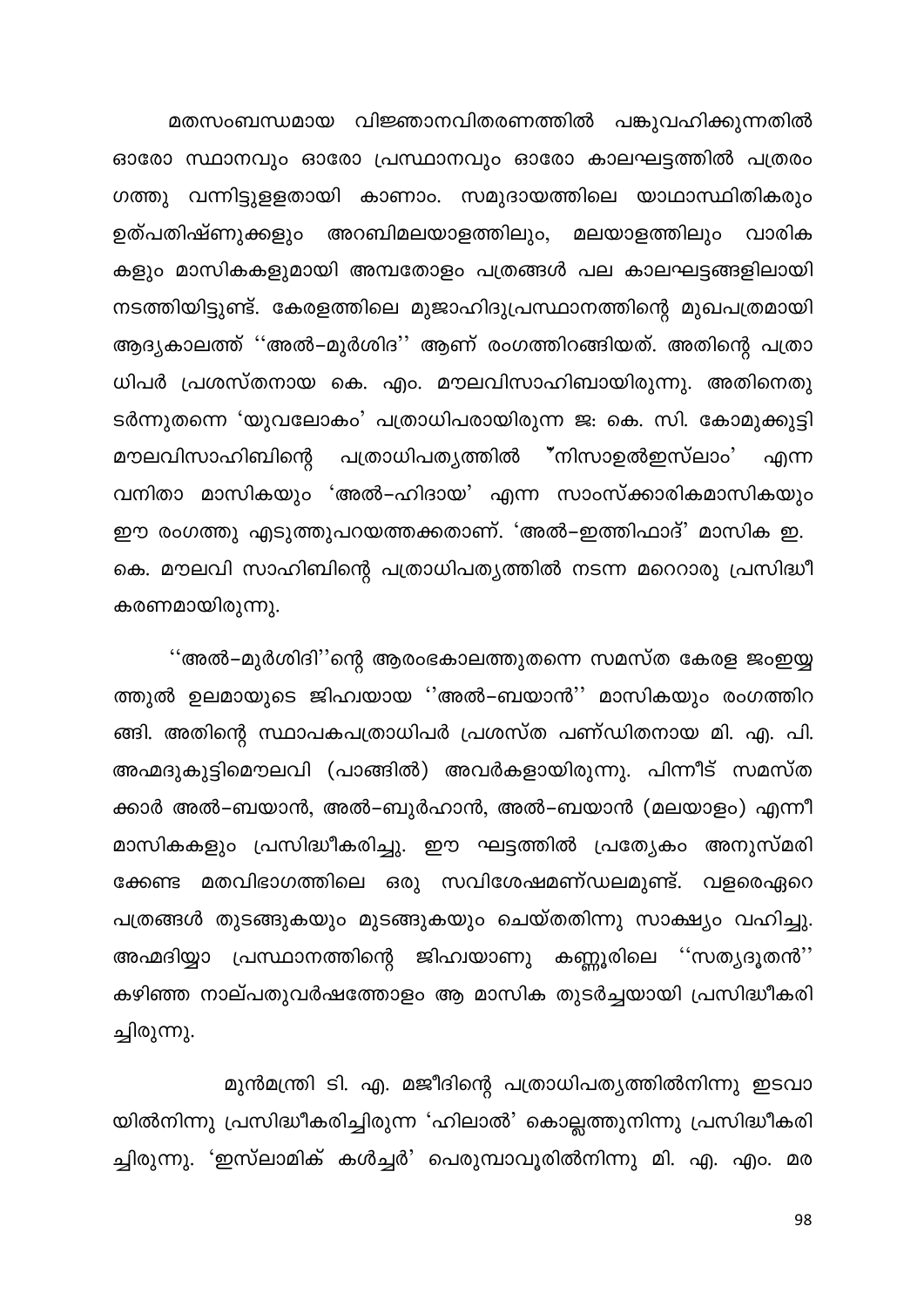മതസംബന്ധമായ വിജ്ഞാനവിതരണത്തിൽ പങ്കുവഹിക്കുന്നതിൽ ഓരോ സ്ഥാനവും ഓരോ പ്രസ്ഥാനവും ഓരോ കാലഘട്ടത്തിൽ പത്രരം ഗത്തു വന്നിട്ടുള്ളതായി കാണാം. സമുദായത്തിലെ യാഥാസ്ഥിതികരും ഉത്പതിഷ്ണുക്കളും അറബിമലയാളത്തിലും, മലയാളത്തിലും വാരിക കളും മാസികകളുമായി അമ്പതോളം പത്രങ്ങൾ പല കാലഘട്ടങ്ങളിലായി നടത്തിയിട്ടുണ്ട്. കേരളത്തിലെ മുജാഹിദുപ്രസ്ഥാനത്തിന്റെ മുഖപത്രമായി ആദ്യകാലത്ത് ''അൽ–മുർശിദ'' ആണ് രംഗത്തിറങ്ങിയത്. അതിന്റെ പത്രാ ധിപർ പ്രശസ്തനായ കെ. എം. മൗലവിസാഹിബായിരുന്നു. അതിനെതു ടർന്നുതന്നെ 'യുവലോകം' പത്രാധിപരായിരുന്ന ജ: കെ. സി. കോമുക്കുട്ടി പത്രാധിപതൃത്തിൽ "നിസാഉൽഇസ്ലാം' മൗലവിസാഹിബിന്റെ എന്ന വനിതാ മാസികയും 'അൽ–ഹിദായ' എന്ന സാംസ്ക്കാരികമാസികയും ഈ രംഗത്തു എടുത്തുപറയത്തക്കതാണ്. 'അൽ–ഇത്തിഫാദ്' മാസിക ഇ. കെ. മൗലവി സാഹിബിന്റെ പത്രാധിപത്യത്തിൽ നടന്ന മറെറാരു പ്രസിദ്ധീ കരണമായിരുന്നു.

''അൽ–മുർശിദി''ന്റെ ആരംഭകാലത്തുതന്നെ സമസ്ത കേരള ജംഇയ്യ ത്തുൽ ഉലമായുടെ ജിഹ്വയായ ''അൽ–ബയാൻ'' മാസികയും രംഗത്തിറ ങ്ങി. അതിന്റെ സ്ഥാപകപത്രാധിപർ പ്രശസ്ത പണ്ഡിതനായ മി. എ. പി. അഹ്മദുകുട്ടിമൌലവി (പാങ്ങിൽ) അവർകളായിരുന്നു. പിന്നീട് സമസ്ത ക്കാർ അൽ–ബയാൻ, അൽ–ബുർഹാൻ, അൽ–ബയാൻ (മലയാളം) എന്നീ മാസികകളും പ്രസിദ്ധീകരിച്ചു. ഈ ഘട്ടത്തിൽ പ്രത്യേകം അനുസ്മരി മതവിഭാഗത്തിലെ ഒരു സവിശേഷമണ്ഡലമുണ്ട്. ക്കേണ്ട വളരെഏറെ പത്രങ്ങൾ തുടങ്ങുകയും മുടങ്ങുകയും ചെയ്തതിന്നു സാക്ഷ്യം വഹിച്ചു. അഹ്മദിയ്യാ പ്രസ്ഥാനത്തിന്റെ ജിഹ്വയാണു കണ്ണൂരിലെ ''സത്യദൂതൻ'' കഴിഞ്ഞ നാല്പതുവർഷത്തോളം ആ മാസിക തുടർച്ചയായി പ്രസിദ്ധീകരി ച്ചിരുന്നു.

മുൻമന്ത്രി ടി. എ. മജീദിന്റെ പത്രാധിപത്യത്തിൽനിന്നു ഇടവാ യിൽനിന്നു പ്രസിദ്ധീകരിച്ചിരുന്ന 'ഹിലാൽ' കൊല്ലത്തുനിന്നു പ്രസിദ്ധീകരി ച്ചിരുന്നു. 'ഇസ്ലാമിക് കൾച്ചർ' പെരുമ്പാവൂരിൽനിന്നു മി. എ. എം. മര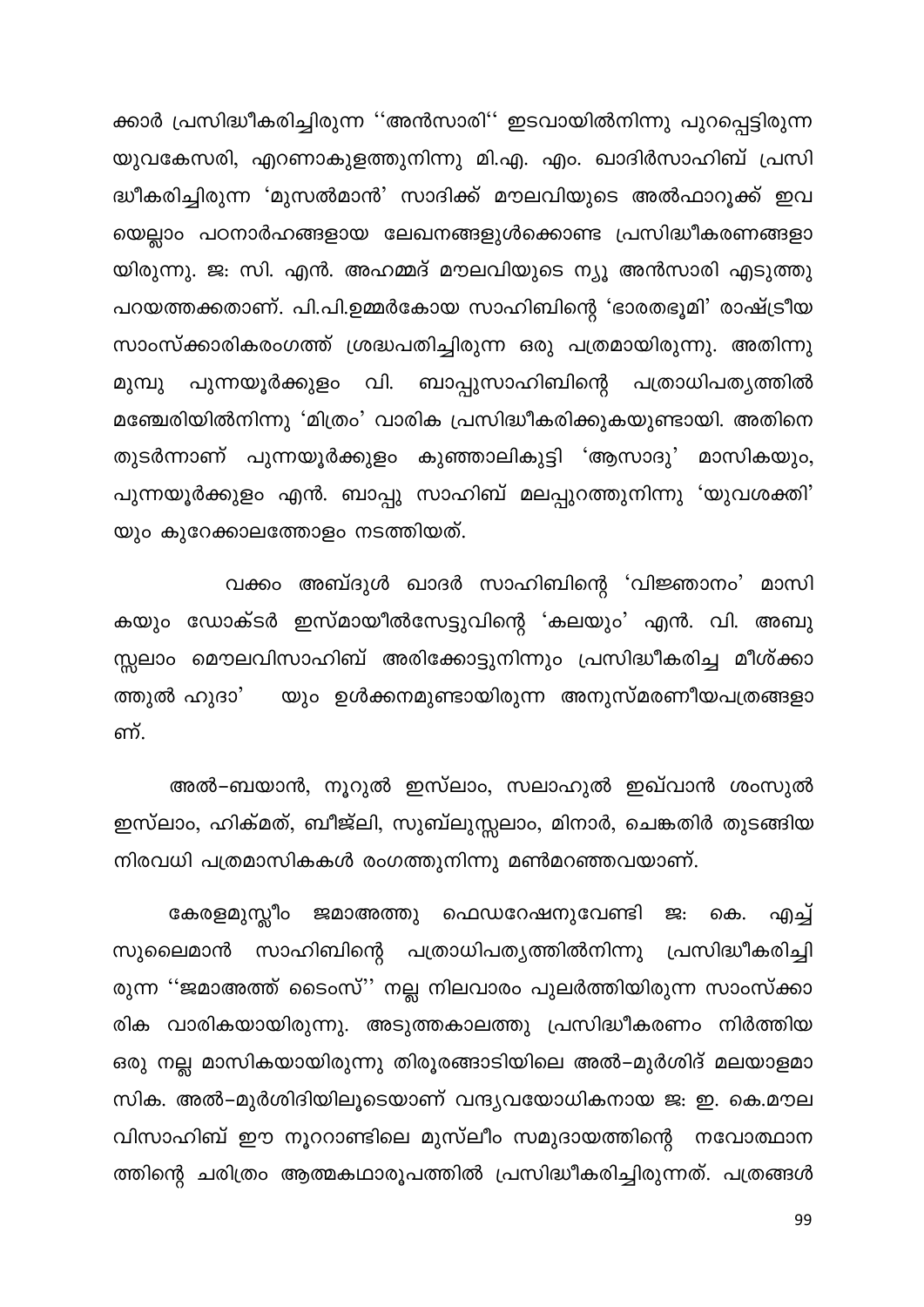ക്കാർ പ്രസിദ്ധീകരിച്ചിരുന്ന ''അൻസാരി'' ഇടവായിൽനിന്നു പുറപ്പെട്ടിരുന്ന യുവകേസരി, എറണാകുളത്തുനിന്നു മി.എ. എം. ഖാദിർസാഹിബ് പ്രസി ദ്ധീകരിച്ചിരുന്ന 'മുസൽമാൻ' സാദിക്ക് മൗലവിയുടെ അൽഫാറൂക്ക് ഇവ യെല്ലാം പഠനാർഹങ്ങളായ ലേഖനങ്ങളുൾക്കൊണ്ട പ്രസിദ്ധീകരണങ്ങളാ യിരുന്നു. ജ: സി. എൻ. അഹമ്മദ് മൗലവിയുടെ ന്യൂ അൻസാരി എടുത്തു പറയത്തക്കതാണ്. പി.പി.ഉമ്മർകോയ സാഹിബിന്റെ 'ഭാരതഭൂമി' രാഷ്ട്രീയ സാംസ്ക്കാരികരംഗത്ത് ശ്രദ്ധപതിച്ചിരുന്ന ഒരു പത്രമായിരുന്നു. അതിന്നു ബാപ്പുസാഹിബിന്റെ പത്രാധിപത്യത്തിൽ പുന്നയൂർക്കുളം വി. മുമ്പു മഞ്ചേരിയിൽനിന്നു 'മിത്രം' വാരിക പ്രസിദ്ധീകരിക്കുകയുണ്ടായി. അതിനെ തുടർന്നാണ് പുന്നയൂർക്കുളം കുഞ്ഞാലികുട്ടി 'ആസാദു' മാസികയും, പുന്നയൂർക്കുളം എൻ. ബാപ്പു സാഹിബ് മലപ്പുറത്തുനിന്നു 'യുവശക്തി' യും കുറേക്കാലത്തോളം നടത്തിയത്.

വക്കം അബ്ദുൾ ഖാദർ സാഹിബിന്റെ 'വിജ്ഞാനം' മാസി കയും ഡോക്ടർ ഇസ്മായീൽസേട്ടുവിന്റെ 'കലയും' എൻ. വി. അബു സ്സലാം മൌലവിസാഹിബ് അരിക്കോട്ടുനിന്നും പ്രസിദ്ധീകരിച്ച മീശ്ക്കാ യും ഉൾക്കനമുണ്ടായിരുന്ന അനുസ്മരണീയപത്രങ്ങളാ ത്തുൽ ഹുദാ' ണ്.

അൽ–ബയാൻ, നൂറുൽ ഇസ്ലാം, സലാഹുൽ ഇഖ്വാൻ ശംസുൽ ഇസ്ലാം, ഹിക്മത്, ബീജ്ലി, സുബ്ലുസ്സലാം, മിനാർ, ചെങ്കതിർ തുടങ്ങിയ നിരവധി പത്രമാസികകൾ രംഗത്തുനിന്നു മൺമറഞ്ഞവയാണ്.

കേരളമുസ്ലീം ജമാഅത്തു ഫെഡറേഷനുവേണ്ടി ജ: എച്ച് കെ. സുലൈമാൻ സാഹിബിന്റെ പത്രാധിപത്യത്തിൽനിന്നു പ്രസിദ്ധീകരിച്ചി രുന്ന ''ജമാഅത്ത് ടൈംസ്'' നല്ല നിലവാരം പുലർത്തിയിരുന്ന സാംസ്ക്കാ രിക വാരികയായിരുന്നു. അടുത്തകാലത്തു പ്രസിദ്ധീകരണം നിർത്തിയ ഒരു നല്ല മാസികയായിരുന്നു തിരൂരങ്ങാടിയിലെ അൽ–മുർശിദ് മലയാളമാ സിക. അൽ–മുർശിദിയിലൂടെയാണ് വന്ദ്യവയോധികനായ ജ: ഇ. കെ.മൗല വിസാഹിബ് ഈ നൂററാണ്ടിലെ മുസ്ലീം സമുദായത്തിന്റെ നവോത്ഥാന ത്തിന്റെ ചരിത്രം ആത്മകഥാരൂപത്തിൽ പ്രസിദ്ധീകരിച്ചിരുന്നത്. പത്രങ്ങൾ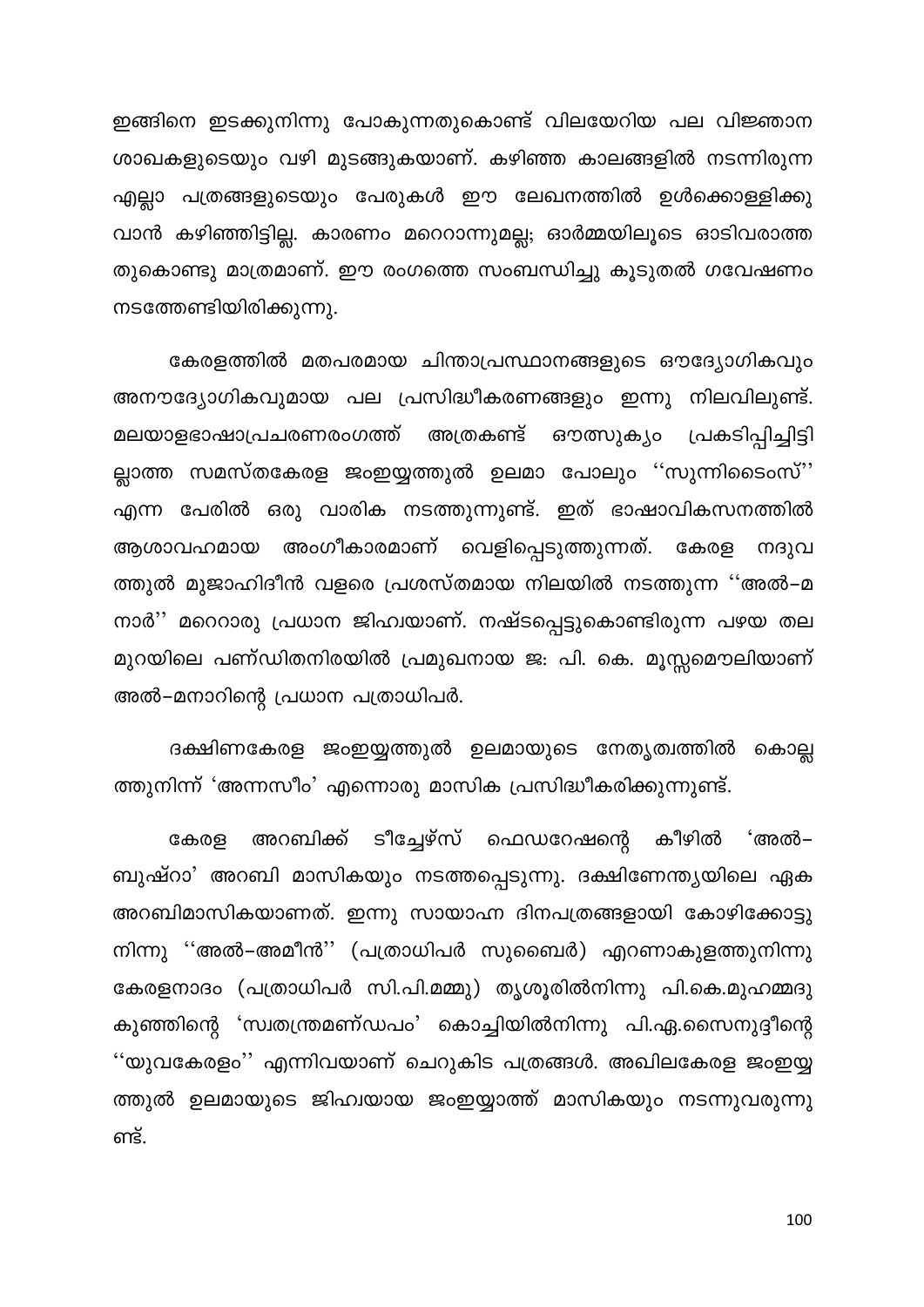ഇങ്ങിനെ ഇടക്കുനിന്നു പോകുന്നതുകൊണ്ട് വിലയേറിയ പല വിജ്ഞാന ശാഖകളുടെയും വഴി മുടങ്ങുകയാണ്. കഴിഞ്ഞ കാലങ്ങളിൽ നടന്നിരുന്ന എല്ലാ പത്രങ്ങളുടെയും പേരുകൾ ഈ ലേഖനത്തിൽ ഉൾക്കൊള്ളിക്കു വാൻ കഴിഞ്ഞിട്ടില്ല. കാരണം മറെറാന്നുമല്ല; ഓർമ്മയിലൂടെ ഓടിവരാത്ത തുകൊണ്ടു മാത്രമാണ്. ഈ രംഗത്തെ സംബന്ധിച്ചു കൂടുതൽ ഗവേഷണം നടത്തേണ്ടിയിരിക്കുന്നു.

കേരളത്തിൽ മതപരമായ ചിന്താപ്രസ്ഥാനങ്ങളുടെ ഔദ്യോഗികവും അനൗദ്യോഗികവുമായ പല പ്രസിദ്ധീകരണങ്ങളും ഇന്നു നിലവിലുണ്ട്. മലയാളഭാഷാപ്രചരണരംഗത്ത് അത്രകണ്ട് പ്രകടിപ്പിച്ചിട്ടി ഔത്സുകൃം ല്ലാത്ത സമസ്തകേരള ജംഇയ്യത്തുൽ ഉലമാ പോലും ''സുന്നിടൈംസ്'' എന്ന പേരിൽ ഒരു വാരിക നടത്തുന്നുണ്ട്. ഇത് ഭാഷാവികസനത്തിൽ അംഗീകാരമാണ് വെളിപ്പെടുത്തുന്നത്. ആശാവഹമായ കേരള നദുവ ത്തുൽ മുജാഹിദീൻ വളരെ പ്രശസ്തമായ നിലയിൽ നടത്തുന്ന ''അൽ–മ നാർ'' മറെറാരു പ്രധാന ജിഹ്വയാണ്. നഷ്ടപ്പെട്ടുകൊണ്ടിരുന്ന പഴയ തല മുറയിലെ പണ്ഡിതനിരയിൽ പ്രമുഖനായ ജ: പി. കെ. മൂസ്സമൌലിയാണ് അൽ–മനാറിന്റെ പ്രധാന പത്രാധിപർ.

ദക്ഷിണകേരള ജംഇയ്യത്തുൽ ഉലമായുടെ നേതൃത്വത്തിൽ കൊല്ല ത്തുനിന്ന് 'അന്നസീം' എന്നൊരു മാസിക പ്രസിദ്ധീകരിക്കുന്നുണ്ട്.

ടീച്ചേഴ്സ് ഫെഡറേഷന്റെ കേരള അറബിക്ക് കീഴിൽ 'അൽ– ബുഷ്റാ' അറബി മാസികയും നടത്തപ്പെടുന്നു. ദക്ഷിണേന്ത്യയിലെ ഏക അറബിമാസികയാണത്. ഇന്നു സായാഹ്ന ദിനപത്രങ്ങളായി കോഴിക്കോട്ടു നിന്നു ''അൽ–അമീൻ'' (പത്രാധിപർ സുബൈർ) എറണാകുളത്തുനിന്നു കേരളനാദം (പത്രാധിപർ സി.പി.മമ്മു) തൃശൂരിൽനിന്നു പി.കെ.മുഹമ്മദു കുഞ്ഞിന്റെ 'സ്വതന്ത്രമണ്ഡപം' കൊച്ചിയിൽനിന്നു പി.ഏ.സൈനുദ്ദീന്റെ ''യുവകേരളം'' എന്നിവയാണ് ചെറുകിട പത്രങ്ങൾ. അഖിലകേരള ജംഇയ്യ ത്തുൽ ഉലമായുടെ ജിഹ്വയായ ജംഇയ്യാത്ത് മാസികയും നടന്നുവരുന്നു ണ്ട്.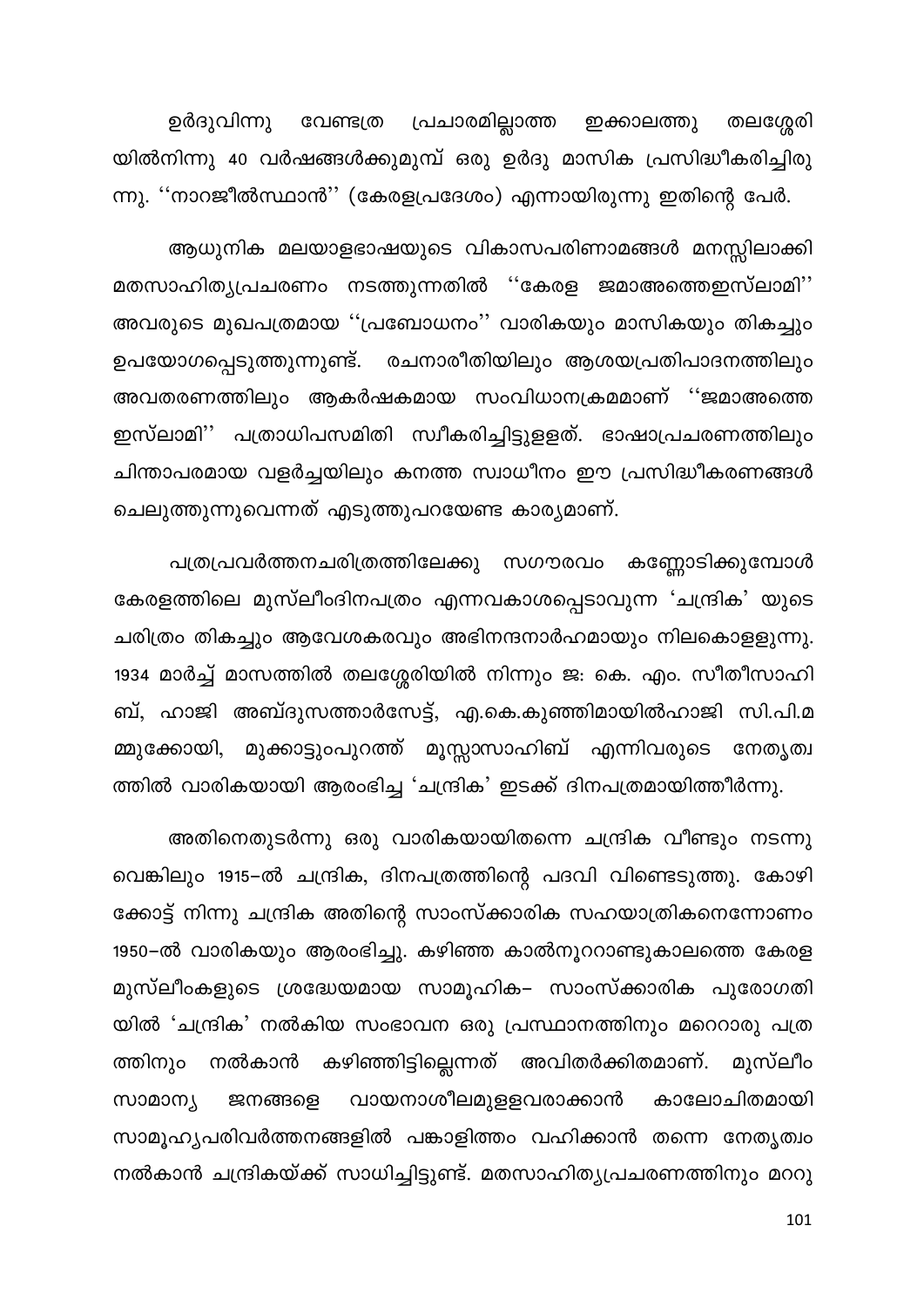വേണ്ടത്ര പ്രചാരമില്ലാത്ത ഇക്കാലത്തു ഉർദുവിന്നു തലശ്ശേരി യിൽനിന്നു 40 വർഷങ്ങൾക്കുമുമ്പ് ഒരു ഉർദു മാസിക പ്രസിദ്ധീകരിച്ചിരു ന്നു. ''നാറജീൽസ്ഥാൻ'' (കേരളപ്രദേശം) എന്നായിരുന്നു ഇതിന്റെ പേർ.

ആധുനിക മലയാളഭാഷയുടെ വികാസപരിണാമങ്ങൾ മനസ്സിലാക്കി മതസാഹിത്യപ്രചരണം നടത്തുന്നതിൽ ''കേരള ജമാഅത്തെഇസ്ലാമി'' അവരുടെ മുഖപത്രമായ ''പ്രബോധനം'' വാരികയും മാസികയും തികച്ചും ഉപയോഗപ്പെടുത്തുന്നുണ്ട്. രചനാരീതിയിലും ആശയപ്രതിപാദനത്തിലും അവതരണത്തിലും ആകർഷകമായ സംവിധാനക്രമമാണ് ''ജമാഅത്തെ ഇസ്ലാമി'' പത്രാധിപസമിതി സ്വീകരിച്ചിട്ടുളളത്. ഭാഷാപ്രചരണത്തിലും ചിന്താപരമായ വളർച്ചയിലും കനത്ത സ്വാധീനം ഈ പ്രസിദ്ധീകരണങ്ങൾ ചെലുത്തുന്നുവെന്നത് എടുത്തുപറയേണ്ട കാര്യമാണ്.

പത്രപ്രവർത്തനചരിത്രത്തിലേക്കു സഗൗരവം കണ്ണോടിക്കുമ്പോൾ കേരളത്തിലെ മുസ്ലീംദിനപത്രം എന്നവകാശപ്പെടാവുന്ന 'ചന്ദ്രിക' യുടെ ചരിത്രം തികച്ചും ആവേശകരവും അഭിനന്ദനാർഹമായും നിലകൊളളുന്നു. 1934 മാർച്ച് മാസത്തിൽ തലശ്ശേരിയിൽ നിന്നും ജ: കെ. എം. സീതീസാഹി ബ്, ഹാജി അബ്ദുസത്താർസേട്ട്, എ.കെ.കുഞ്ഞിമായിൽഹാജി സി.പി.മ മ്മുക്കോയി, മുക്കാട്ടുംപുറത്ത് മൂസ്സാസാഹിബ് എന്നിവരുടെ നേതൃത്വ ത്തിൽ വാരികയായി ആരംഭിച്ച 'ചന്ദ്രിക' ഇടക്ക് ദിനപത്രമായിത്തീർന്നു.

അതിനെതുടർന്നു ഒരു വാരികയായിതന്നെ ചന്ദ്രിക വീണ്ടും നടന്നു വെങ്കിലും 1915–ൽ ചന്ദ്രിക, ദിനപത്രത്തിന്റെ പദവി വിണ്ടെടുത്തു. കോഴി ക്കോട്ട് നിന്നു ചന്ദ്രിക അതിന്റെ സാംസ്ക്കാരിക സഹയാത്രികനെന്നോണം 1950–ൽ വാരികയും ആരംഭിച്ചു. കഴിഞ്ഞ കാൽനൂററാണ്ടുകാലത്തെ കേരള മുസ്ലീംകളുടെ ശ്രദ്ധേയമായ സാമൂഹിക– സാംസ്ക്കാരിക പുരോഗതി യിൽ 'ചന്ദ്രിക' നൽകിയ സംഭാവന ഒരു പ്രസ്ഥാനത്തിനും മറെറാരു പത്ര ത്തിനും കഴിഞ്ഞിട്ടില്ലെന്നത് അവിതർക്കിതമാണ്. മുസ്ലീം നൽകാൻ വായനാശീലമുളളവരാക്കാൻ സാമാന്യ കാലോചിതമായി ജനങ്ങളെ സാമൂഹ്യപരിവർത്തനങ്ങളിൽ പങ്കാളിത്തം വഹിക്കാൻ തന്നെ നേതൃത്വം നൽകാൻ ചന്ദ്രികയ്ക്ക് സാധിച്ചിട്ടുണ്ട്. മതസാഹിത്യപ്രചരണത്തിനും മററു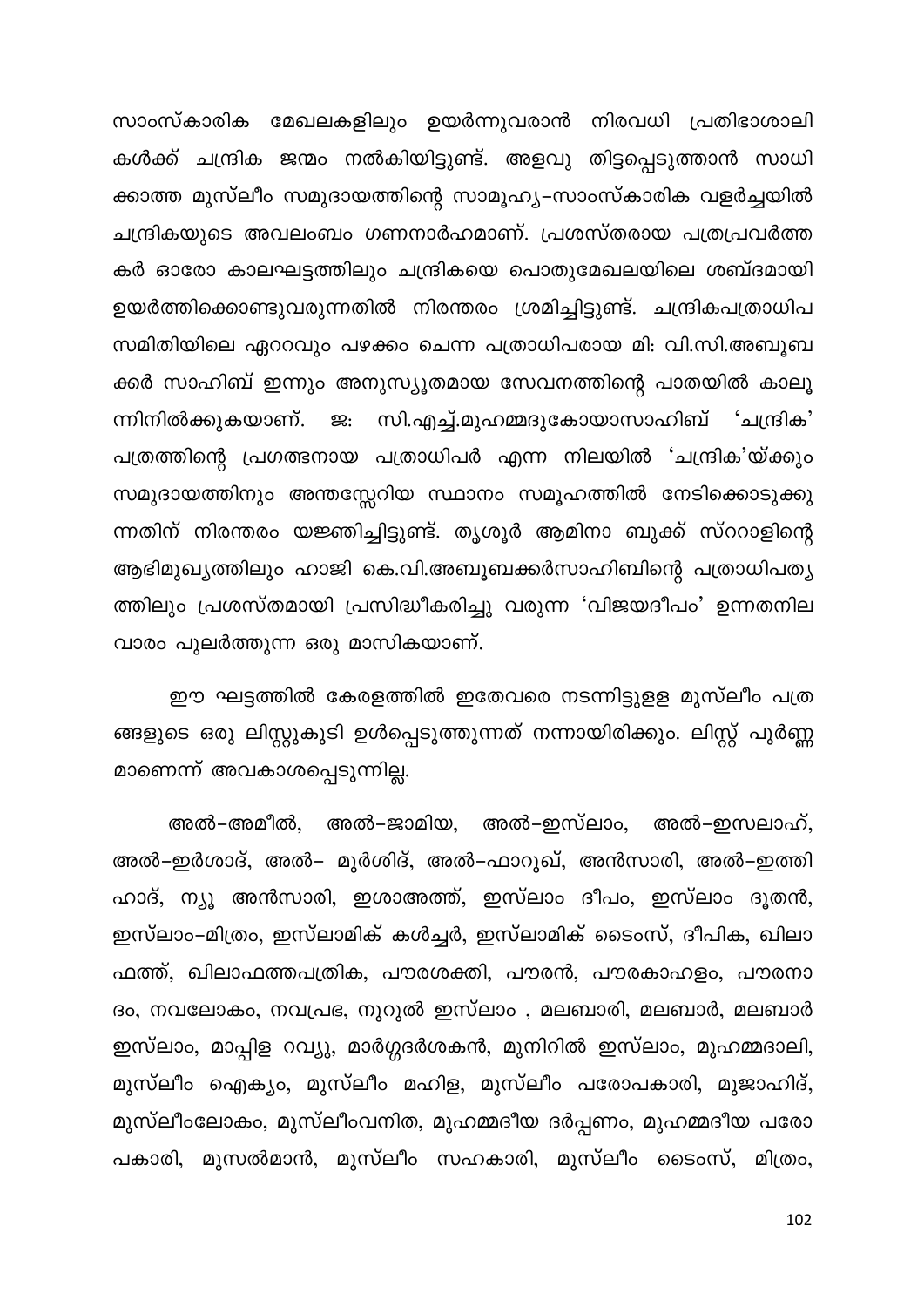സാംസ്കാരിക മേഖലകളിലും ഉയർന്നുവരാൻ നിരവധി പ്രതിഭാശാലി കൾക്ക് ചന്ദ്രിക ജന്മം നൽകിയിട്ടുണ്ട്. അളവു തിട്ടപ്പെടുത്താൻ സാധി ക്കാത്ത മുസ്ലീം സമുദായത്തിന്റെ സാമൂഹ്യ–സാംസ്കാരിക വളർച്ചയിൽ ചന്ദ്രികയുടെ അവലംബം ഗണനാർഹമാണ്. പ്രശസ്തരായ പത്രപ്രവർത്ത കർ ഓരോ കാലഘട്ടത്തിലും ചന്ദ്രികയെ പൊതുമേഖലയിലെ ശബ്ദമായി ഉയർത്തിക്കൊണ്ടുവരുന്നതിൽ നിരന്തരം ശ്രമിച്ചിട്ടുണ്ട്. ചന്ദ്രികപത്രാധിപ സമിതിയിലെ ഏററവും പഴക്കം ചെന്ന പത്രാധിപരായ മി: വി.സി.അബൂബ ക്കർ സാഹിബ് ഇന്നും അനുസ്യൂതമായ സേവനത്തിന്റെ പാതയിൽ കാലൂ സി.എച്ച്.മുഹമ്മദുകോയാസാഹിബ് 'ചന്ദ്രിക' ന്നിനിൽക്കുകയാണ്. പത്രത്തിന്റെ പ്രഗത്ഭനായ പത്രാധിപർ എന്ന നിലയിൽ 'ചന്ദ്രിക'യ്ക്കും സമുദായത്തിനും അന്തസ്സേറിയ സ്ഥാനം സമൂഹത്തിൽ നേടിക്കൊടുക്കു ന്നതിന് നിരന്തരം യജ്ഞിച്ചിട്ടുണ്ട്. തൃശൂർ ആമിനാ ബുക്ക് സ്ററാളിന്റെ ആഭിമുഖ്യത്തിലും ഹാജി കെ.വി.അബൂബക്കർസാഹിബിന്റെ പത്രാധിപത്യ ത്തിലും പ്രശസ്തമായി പ്രസിദ്ധീകരിച്ചു വരുന്ന 'വിജയദീപം' ഉന്നതനില വാരം പുലർത്തുന്ന ഒരു മാസികയാണ്.

ഈ ഘട്ടത്തിൽ കേരളത്തിൽ ഇതേവരെ നടന്നിട്ടുളള മുസ്ലീം പത്ര ങ്ങളുടെ ഒരു ലിസ്റ്റുകൂടി ഉൾപ്പെടുത്തുന്നത് നന്നായിരിക്കും. ലിസ്റ്റ് പൂർണ്ണ മാണെന്ന് അവകാശപ്പെടുന്നില്ല.

അൽ–ജാമിയ, അൽ–ഇസ്ലാം, അൽ–ഇസലാഹ്, അൽ–അമീൽ. അൽ–ഇർശാദ്, അൽ– മുർശിദ്, അൽ–ഫാറൂഖ്, അൻസാരി, അൽ–ഇത്തി ഹാദ്, ന്യൂ അൻസാരി, ഇശാഅത്ത്, ഇസ്ലാം ദീപം, ഇസ്ലാം ദൂതൻ, ഇസ്ലാം–മിത്രം, ഇസ്ലാമിക് കൾച്ചർ, ഇസ്ലാമിക് ടൈംസ്, ദീപിക, ഖിലാ ഫത്ത്, ഖിലാഫത്തപത്രിക, പൗരശക്തി, പൗരൻ, പൗരകാഹളം, പൗരനാ ദം, നവലോകം, നവപ്രഭ, നൂറുൽ ഇസ്ലാം , മലബാരി, മലബാർ, മലബാർ ഇസ്ലാം, മാപ്പിള റവ്യു, മാർഗ്ഗദർശകൻ, മുനിറിൽ ഇസ്ലാം, മുഹമ്മദാലി, മുസ്ലീം ഐക്യം, മുസ്ലീം മഹിള, മുസ്ലീം പരോപകാരി, മുജാഹിദ്, മുസ്ലീംലോകം, മുസ്ലീംവനിത, മുഹമ്മദീയ ദർപ്പണം, മുഹമ്മദീയ പരോ പകാരി, മുസൽമാൻ, മുസ്ലീം സഹകാരി, മുസ്ലീം ടൈംസ്, മിത്രം,